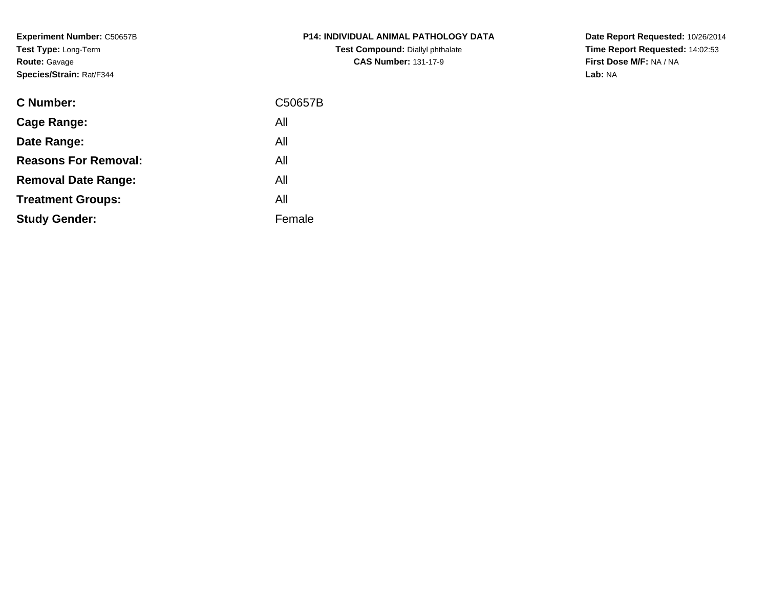**Experiment Number:** C50657B**Test Type:** Long-Term**Route:** Gavage**Species/Strain:** Rat/F344

| <b>C Number:</b>            | C50657B |
|-----------------------------|---------|
| <b>Cage Range:</b>          | All     |
| Date Range:                 | All     |
| <b>Reasons For Removal:</b> | All     |
| <b>Removal Date Range:</b>  | All     |
| <b>Treatment Groups:</b>    | All     |
| <b>Study Gender:</b>        | Female  |
|                             |         |

**P14: INDIVIDUAL ANIMAL PATHOLOGY DATATest Compound:** Diallyl phthalate**CAS Number:** 131-17-9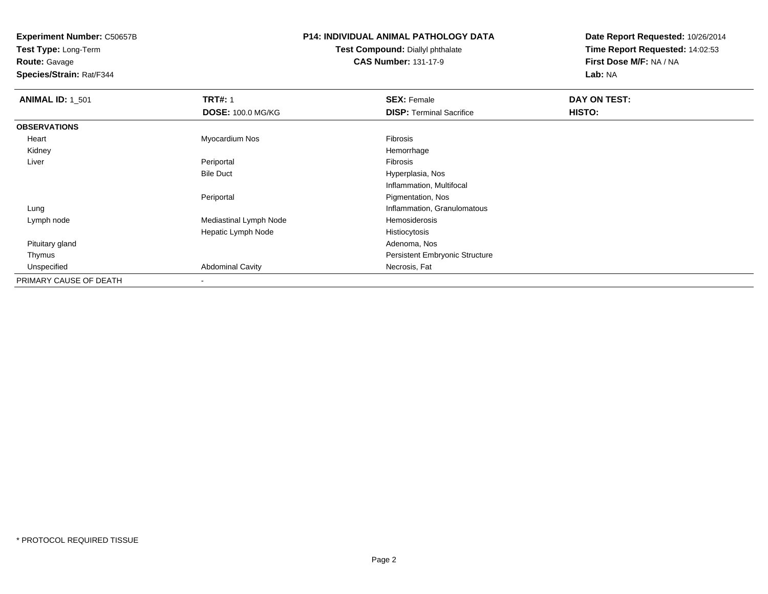**Test Type:** Long-Term**Route:** Gavage

**Species/Strain:** Rat/F344

## **P14: INDIVIDUAL ANIMAL PATHOLOGY DATA**

**Test Compound:** Diallyl phthalate**CAS Number:** 131-17-9

| <b>ANIMAL ID: 1_501</b> | <b>TRT#: 1</b>           | <b>SEX: Female</b>                    | DAY ON TEST: |
|-------------------------|--------------------------|---------------------------------------|--------------|
|                         | <b>DOSE: 100.0 MG/KG</b> | <b>DISP: Terminal Sacrifice</b>       | HISTO:       |
| <b>OBSERVATIONS</b>     |                          |                                       |              |
| Heart                   | Myocardium Nos           | <b>Fibrosis</b>                       |              |
| Kidney                  |                          | Hemorrhage                            |              |
| Liver                   | Periportal               | Fibrosis                              |              |
|                         | <b>Bile Duct</b>         | Hyperplasia, Nos                      |              |
|                         |                          | Inflammation, Multifocal              |              |
|                         | Periportal               | Pigmentation, Nos                     |              |
| Lung                    |                          | Inflammation, Granulomatous           |              |
| Lymph node              | Mediastinal Lymph Node   | Hemosiderosis                         |              |
|                         | Hepatic Lymph Node       | Histiocytosis                         |              |
| Pituitary gland         |                          | Adenoma, Nos                          |              |
| Thymus                  |                          | <b>Persistent Embryonic Structure</b> |              |
| Unspecified             | <b>Abdominal Cavity</b>  | Necrosis, Fat                         |              |
| PRIMARY CAUSE OF DEATH  |                          |                                       |              |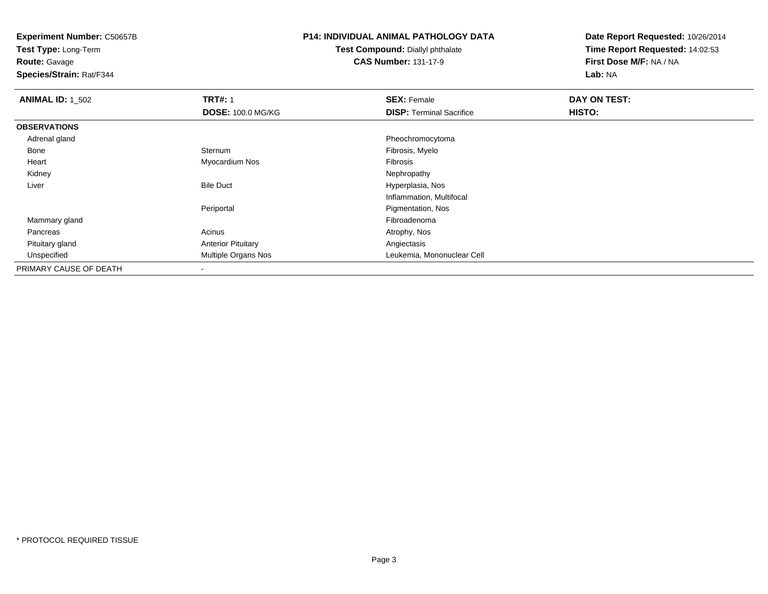**Test Type:** Long-Term**Route:** Gavage

**Species/Strain:** Rat/F344

## **P14: INDIVIDUAL ANIMAL PATHOLOGY DATA**

**Test Compound:** Diallyl phthalate**CAS Number:** 131-17-9

| <b>ANIMAL ID: 1_502</b> | <b>TRT#: 1</b>            | <b>SEX: Female</b>              | DAY ON TEST: |  |
|-------------------------|---------------------------|---------------------------------|--------------|--|
|                         | <b>DOSE: 100.0 MG/KG</b>  | <b>DISP: Terminal Sacrifice</b> | HISTO:       |  |
| <b>OBSERVATIONS</b>     |                           |                                 |              |  |
| Adrenal gland           |                           | Pheochromocytoma                |              |  |
| Bone                    | Sternum                   | Fibrosis, Myelo                 |              |  |
| Heart                   | Myocardium Nos            | Fibrosis                        |              |  |
| Kidney                  |                           | Nephropathy                     |              |  |
| Liver                   | <b>Bile Duct</b>          | Hyperplasia, Nos                |              |  |
|                         |                           | Inflammation, Multifocal        |              |  |
|                         | Periportal                | Pigmentation, Nos               |              |  |
| Mammary gland           |                           | Fibroadenoma                    |              |  |
| Pancreas                | Acinus                    | Atrophy, Nos                    |              |  |
| Pituitary gland         | <b>Anterior Pituitary</b> | Angiectasis                     |              |  |
| Unspecified             | Multiple Organs Nos       | Leukemia, Mononuclear Cell      |              |  |
| PRIMARY CAUSE OF DEATH  | ۰                         |                                 |              |  |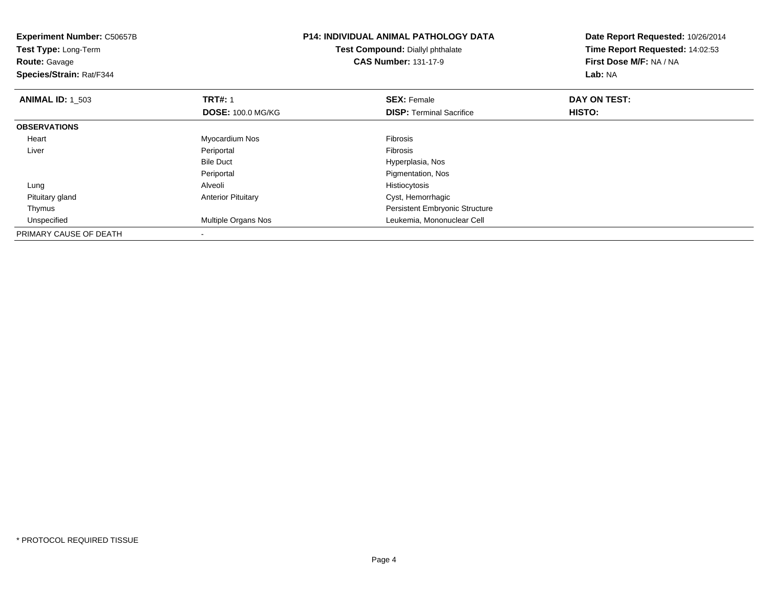| <b>Experiment Number: C50657B</b><br>Test Type: Long-Term<br><b>Route:</b> Gavage<br>Species/Strain: Rat/F344 |                           | <b>P14: INDIVIDUAL ANIMAL PATHOLOGY DATA</b><br>Test Compound: Diallyl phthalate<br><b>CAS Number: 131-17-9</b> | Date Report Requested: 10/26/2014<br>Time Report Requested: 14:02:53<br>First Dose M/F: NA / NA<br>Lab: NA |
|---------------------------------------------------------------------------------------------------------------|---------------------------|-----------------------------------------------------------------------------------------------------------------|------------------------------------------------------------------------------------------------------------|
| <b>ANIMAL ID: 1 503</b>                                                                                       | <b>TRT#: 1</b>            | <b>SEX: Female</b>                                                                                              | DAY ON TEST:                                                                                               |
|                                                                                                               | <b>DOSE: 100.0 MG/KG</b>  | <b>DISP:</b> Terminal Sacrifice                                                                                 | <b>HISTO:</b>                                                                                              |
| <b>OBSERVATIONS</b>                                                                                           |                           |                                                                                                                 |                                                                                                            |
| Heart                                                                                                         | Myocardium Nos            | <b>Fibrosis</b>                                                                                                 |                                                                                                            |
| Liver                                                                                                         | Periportal                | <b>Fibrosis</b>                                                                                                 |                                                                                                            |
|                                                                                                               | <b>Bile Duct</b>          | Hyperplasia, Nos                                                                                                |                                                                                                            |
|                                                                                                               | Periportal                | Pigmentation, Nos                                                                                               |                                                                                                            |
| Lung                                                                                                          | Alveoli                   | Histiocytosis                                                                                                   |                                                                                                            |
| Pituitary gland                                                                                               | <b>Anterior Pituitary</b> | Cyst, Hemorrhagic                                                                                               |                                                                                                            |
| Thymus                                                                                                        |                           | Persistent Embryonic Structure                                                                                  |                                                                                                            |
| Unspecified                                                                                                   | Multiple Organs Nos       | Leukemia, Mononuclear Cell                                                                                      |                                                                                                            |
| PRIMARY CAUSE OF DEATH                                                                                        |                           |                                                                                                                 |                                                                                                            |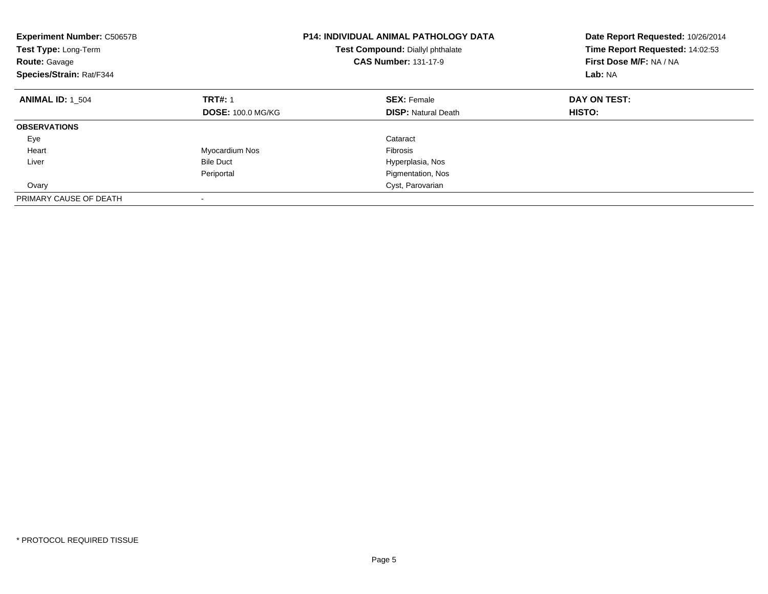| <b>Experiment Number: C50657B</b><br>Test Type: Long-Term<br><b>Route: Gavage</b><br>Species/Strain: Rat/F344 |                          | <b>P14: INDIVIDUAL ANIMAL PATHOLOGY DATA</b><br>Test Compound: Diallyl phthalate<br><b>CAS Number: 131-17-9</b> | Date Report Requested: 10/26/2014<br>Time Report Requested: 14:02:53<br>First Dose M/F: NA / NA<br>Lab: NA |
|---------------------------------------------------------------------------------------------------------------|--------------------------|-----------------------------------------------------------------------------------------------------------------|------------------------------------------------------------------------------------------------------------|
| <b>ANIMAL ID: 1 504</b>                                                                                       | <b>TRT#: 1</b>           | <b>SEX: Female</b>                                                                                              | DAY ON TEST:                                                                                               |
|                                                                                                               | <b>DOSE: 100.0 MG/KG</b> | <b>DISP: Natural Death</b>                                                                                      | <b>HISTO:</b>                                                                                              |
| <b>OBSERVATIONS</b>                                                                                           |                          |                                                                                                                 |                                                                                                            |
| Eye                                                                                                           |                          | Cataract                                                                                                        |                                                                                                            |
| Heart                                                                                                         | Myocardium Nos           | <b>Fibrosis</b>                                                                                                 |                                                                                                            |
| Liver                                                                                                         | <b>Bile Duct</b>         | Hyperplasia, Nos                                                                                                |                                                                                                            |
|                                                                                                               | Periportal               | Pigmentation, Nos                                                                                               |                                                                                                            |
| Ovary                                                                                                         |                          | Cyst, Parovarian                                                                                                |                                                                                                            |
| PRIMARY CAUSE OF DEATH                                                                                        |                          |                                                                                                                 |                                                                                                            |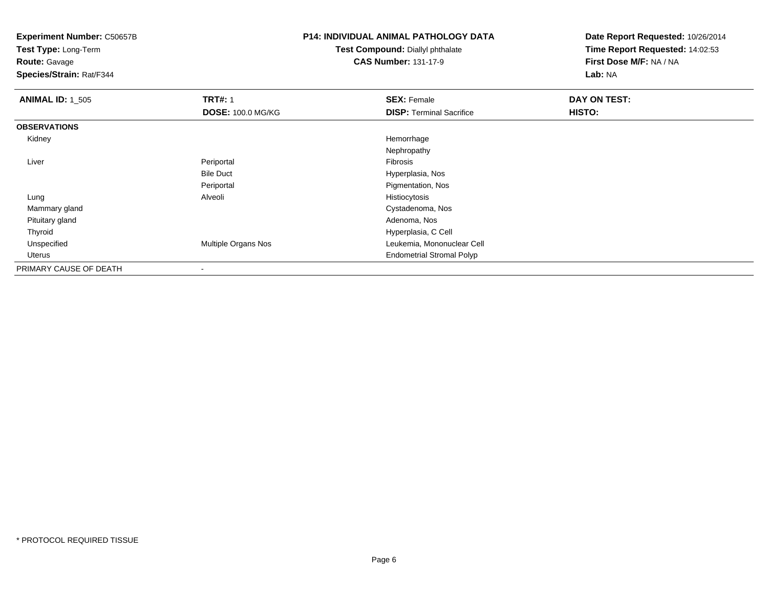**Test Type:** Long-Term

**Route:** Gavage

**Species/Strain:** Rat/F344

## **P14: INDIVIDUAL ANIMAL PATHOLOGY DATA**

**Test Compound:** Diallyl phthalate**CAS Number:** 131-17-9

| <b>ANIMAL ID: 1_505</b> | <b>TRT#: 1</b>           | <b>SEX: Female</b>               | DAY ON TEST: |  |
|-------------------------|--------------------------|----------------------------------|--------------|--|
|                         | <b>DOSE: 100.0 MG/KG</b> | <b>DISP:</b> Terminal Sacrifice  | HISTO:       |  |
| <b>OBSERVATIONS</b>     |                          |                                  |              |  |
| Kidney                  |                          | Hemorrhage                       |              |  |
|                         |                          | Nephropathy                      |              |  |
| Liver                   | Periportal               | Fibrosis                         |              |  |
|                         | <b>Bile Duct</b>         | Hyperplasia, Nos                 |              |  |
|                         | Periportal               | Pigmentation, Nos                |              |  |
| Lung                    | Alveoli                  | Histiocytosis                    |              |  |
| Mammary gland           |                          | Cystadenoma, Nos                 |              |  |
| Pituitary gland         |                          | Adenoma, Nos                     |              |  |
| Thyroid                 |                          | Hyperplasia, C Cell              |              |  |
| Unspecified             | Multiple Organs Nos      | Leukemia, Mononuclear Cell       |              |  |
| Uterus                  |                          | <b>Endometrial Stromal Polyp</b> |              |  |
| PRIMARY CAUSE OF DEATH  | $\blacksquare$           |                                  |              |  |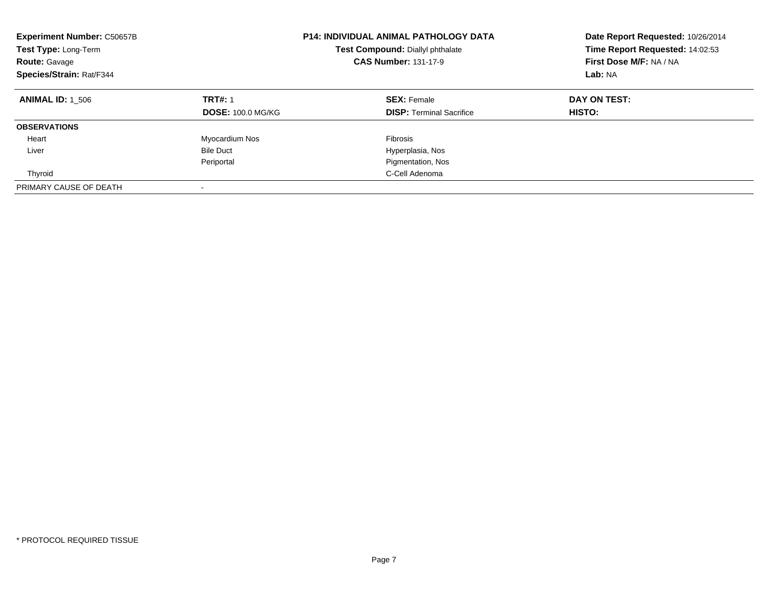| <b>Experiment Number: C50657B</b><br>Test Type: Long-Term<br><b>Route: Gavage</b><br>Species/Strain: Rat/F344 |                                            | <b>P14: INDIVIDUAL ANIMAL PATHOLOGY DATA</b><br>Test Compound: Diallyl phthalate<br><b>CAS Number: 131-17-9</b> | Date Report Requested: 10/26/2014<br>Time Report Requested: 14:02:53<br>First Dose M/F: NA / NA<br>Lab: NA |
|---------------------------------------------------------------------------------------------------------------|--------------------------------------------|-----------------------------------------------------------------------------------------------------------------|------------------------------------------------------------------------------------------------------------|
| <b>ANIMAL ID: 1 506</b>                                                                                       | <b>TRT#: 1</b><br><b>DOSE: 100.0 MG/KG</b> | <b>SEX: Female</b><br><b>DISP:</b> Terminal Sacrifice                                                           | DAY ON TEST:<br><b>HISTO:</b>                                                                              |
| <b>OBSERVATIONS</b>                                                                                           |                                            |                                                                                                                 |                                                                                                            |
| Heart                                                                                                         | Myocardium Nos                             | Fibrosis                                                                                                        |                                                                                                            |
| Liver                                                                                                         | <b>Bile Duct</b>                           | Hyperplasia, Nos                                                                                                |                                                                                                            |
|                                                                                                               | Periportal                                 | Pigmentation, Nos                                                                                               |                                                                                                            |
| Thyroid                                                                                                       |                                            | C-Cell Adenoma                                                                                                  |                                                                                                            |
| PRIMARY CAUSE OF DEATH                                                                                        |                                            |                                                                                                                 |                                                                                                            |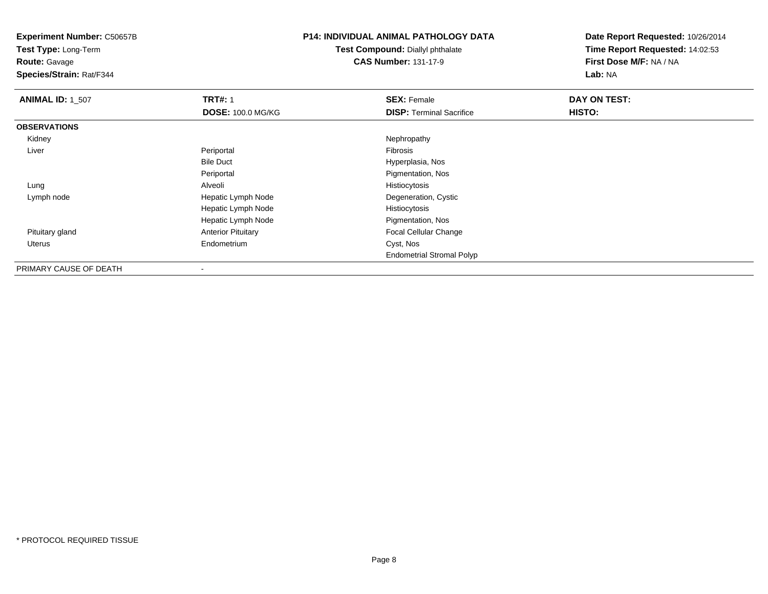**Test Type:** Long-Term

**Route:** Gavage

**Species/Strain:** Rat/F344

### **P14: INDIVIDUAL ANIMAL PATHOLOGY DATA**

**Test Compound:** Diallyl phthalate**CAS Number:** 131-17-9

| <b>ANIMAL ID: 1_507</b> | <b>TRT#: 1</b>            | <b>SEX: Female</b>               | DAY ON TEST: |  |
|-------------------------|---------------------------|----------------------------------|--------------|--|
|                         | <b>DOSE: 100.0 MG/KG</b>  | <b>DISP: Terminal Sacrifice</b>  | HISTO:       |  |
| <b>OBSERVATIONS</b>     |                           |                                  |              |  |
| Kidney                  |                           | Nephropathy                      |              |  |
| Liver                   | Periportal                | Fibrosis                         |              |  |
|                         | <b>Bile Duct</b>          | Hyperplasia, Nos                 |              |  |
|                         | Periportal                | Pigmentation, Nos                |              |  |
| Lung                    | Alveoli                   | Histiocytosis                    |              |  |
| Lymph node              | Hepatic Lymph Node        | Degeneration, Cystic             |              |  |
|                         | Hepatic Lymph Node        | Histiocytosis                    |              |  |
|                         | Hepatic Lymph Node        | Pigmentation, Nos                |              |  |
| Pituitary gland         | <b>Anterior Pituitary</b> | Focal Cellular Change            |              |  |
| Uterus                  | Endometrium               | Cyst, Nos                        |              |  |
|                         |                           | <b>Endometrial Stromal Polyp</b> |              |  |
| PRIMARY CAUSE OF DEATH  | $\overline{\phantom{a}}$  |                                  |              |  |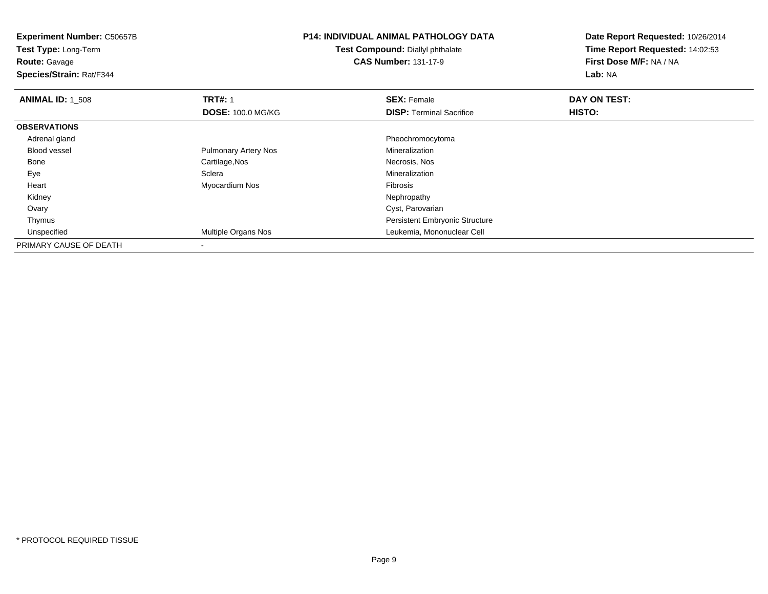| <b>Experiment Number: C50657B</b><br>Test Type: Long-Term<br><b>Route: Gavage</b><br>Species/Strain: Rat/F344 |                             | <b>P14: INDIVIDUAL ANIMAL PATHOLOGY DATA</b><br>Test Compound: Diallyl phthalate<br><b>CAS Number: 131-17-9</b> | Date Report Requested: 10/26/2014<br>Time Report Requested: 14:02:53<br>First Dose M/F: NA / NA<br>Lab: NA |
|---------------------------------------------------------------------------------------------------------------|-----------------------------|-----------------------------------------------------------------------------------------------------------------|------------------------------------------------------------------------------------------------------------|
| <b>ANIMAL ID: 1 508</b>                                                                                       | <b>TRT#: 1</b>              | <b>SEX: Female</b>                                                                                              | DAY ON TEST:                                                                                               |
|                                                                                                               | <b>DOSE: 100.0 MG/KG</b>    | <b>DISP:</b> Terminal Sacrifice                                                                                 | <b>HISTO:</b>                                                                                              |
| <b>OBSERVATIONS</b>                                                                                           |                             |                                                                                                                 |                                                                                                            |
| Adrenal gland                                                                                                 |                             | Pheochromocytoma                                                                                                |                                                                                                            |
| <b>Blood vessel</b>                                                                                           | <b>Pulmonary Artery Nos</b> | Mineralization                                                                                                  |                                                                                                            |
| Bone                                                                                                          | Cartilage, Nos              | Necrosis, Nos                                                                                                   |                                                                                                            |
| Eye                                                                                                           | Sclera                      | Mineralization                                                                                                  |                                                                                                            |
| Heart                                                                                                         | Myocardium Nos              | Fibrosis                                                                                                        |                                                                                                            |
| Kidney                                                                                                        |                             | Nephropathy                                                                                                     |                                                                                                            |
| Ovary                                                                                                         |                             | Cyst, Parovarian                                                                                                |                                                                                                            |
| Thymus                                                                                                        |                             | Persistent Embryonic Structure                                                                                  |                                                                                                            |
| Unspecified                                                                                                   | Multiple Organs Nos         | Leukemia, Mononuclear Cell                                                                                      |                                                                                                            |
| PRIMARY CAUSE OF DEATH                                                                                        |                             |                                                                                                                 |                                                                                                            |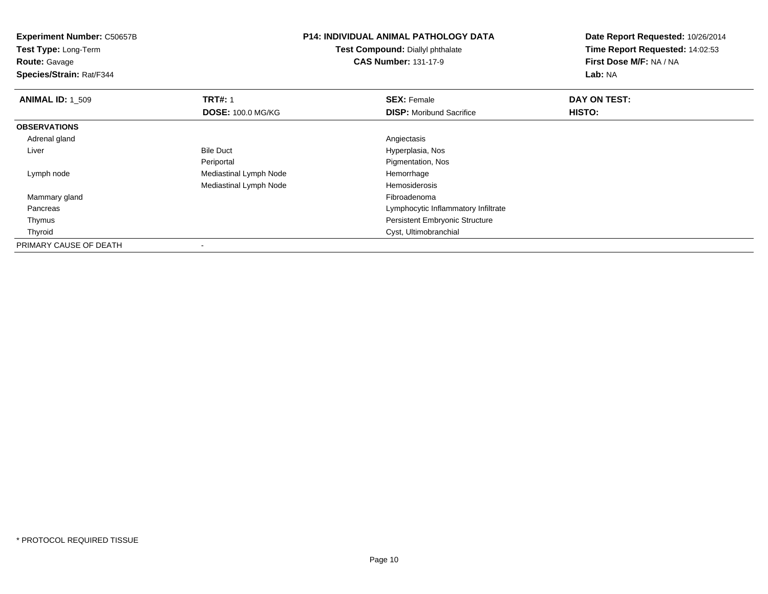**Experiment Number:** C50657B**Test Type:** Long-Term**Route:** Gavage **Species/Strain:** Rat/F344**P14: INDIVIDUAL ANIMAL PATHOLOGY DATATest Compound:** Diallyl phthalate**CAS Number:** 131-17-9**Date Report Requested:** 10/26/2014**Time Report Requested:** 14:02:53**First Dose M/F:** NA / NA**Lab:** NA**ANIMAL ID: 1 509 TRT#:** 1 **SEX:** Female **DAY ON TEST: DOSE:** 100.0 MG/KG**DISP:** Moribund Sacrifice **HISTO: OBSERVATIONS** Adrenal glandd and the contract of the contract of the contract of the contract of the contract of the contract of the contract of the contract of the contract of the contract of the contract of the contract of the contract of the cont LiverBile Duct **Hyperplasia**, Nos **Pigmentation, Nos** Periportal Lymph nodeMediastinal Lymph Node **Hemorrhage** Mediastinal Lymph NodeHemosiderosis<br>Fibroadenoma Mammary glandd and the control of the control of the control of the control of the control of the control of the control of the control of the control of the control of the control of the control of the control of the control of the co Pancreas Lymphocytic Inflammatory Infiltrate Thymus Persistent Embryonic Structure Thyroid Cyst, Ultimobranchial PRIMARY CAUSE OF DEATH-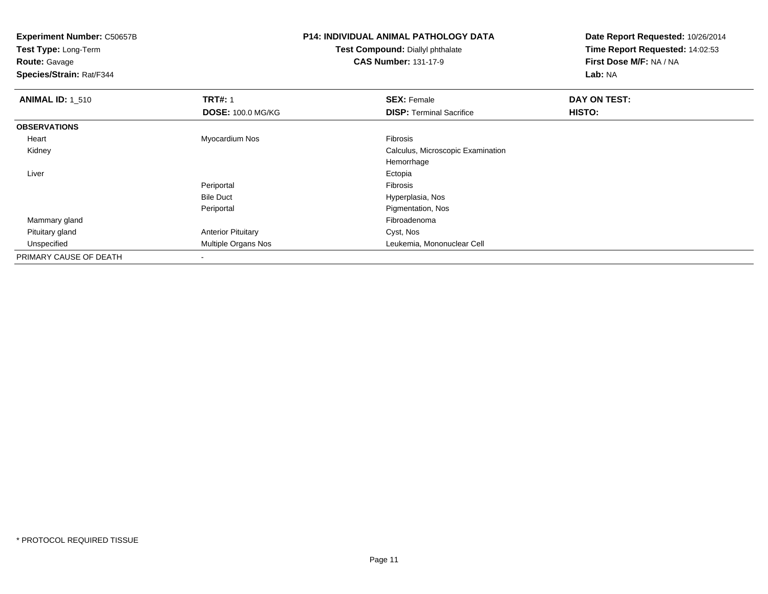| <b>Experiment Number: C50657B</b><br>Test Type: Long-Term |                           | <b>P14: INDIVIDUAL ANIMAL PATHOLOGY DATA</b> | Date Report Requested: 10/26/2014 |
|-----------------------------------------------------------|---------------------------|----------------------------------------------|-----------------------------------|
|                                                           |                           | Test Compound: Diallyl phthalate             | Time Report Requested: 14:02:53   |
| <b>Route: Gavage</b>                                      |                           | <b>CAS Number: 131-17-9</b>                  | First Dose M/F: NA / NA           |
| Species/Strain: Rat/F344                                  |                           |                                              | Lab: NA                           |
| <b>ANIMAL ID: 1 510</b>                                   | <b>TRT#: 1</b>            | <b>SEX: Female</b>                           | DAY ON TEST:                      |
|                                                           | <b>DOSE: 100.0 MG/KG</b>  | <b>DISP:</b> Terminal Sacrifice              | HISTO:                            |
| <b>OBSERVATIONS</b>                                       |                           |                                              |                                   |
| Heart                                                     | Myocardium Nos            | Fibrosis                                     |                                   |
| Kidney                                                    |                           | Calculus, Microscopic Examination            |                                   |
|                                                           |                           | Hemorrhage                                   |                                   |
| Liver                                                     |                           | Ectopia                                      |                                   |
|                                                           | Periportal                | Fibrosis                                     |                                   |
|                                                           | <b>Bile Duct</b>          | Hyperplasia, Nos                             |                                   |
|                                                           | Periportal                | Pigmentation, Nos                            |                                   |
| Mammary gland                                             |                           | Fibroadenoma                                 |                                   |
| Pituitary gland                                           | <b>Anterior Pituitary</b> | Cyst, Nos                                    |                                   |
| Unspecified                                               | Multiple Organs Nos       | Leukemia, Mononuclear Cell                   |                                   |
| PRIMARY CAUSE OF DEATH                                    |                           |                                              |                                   |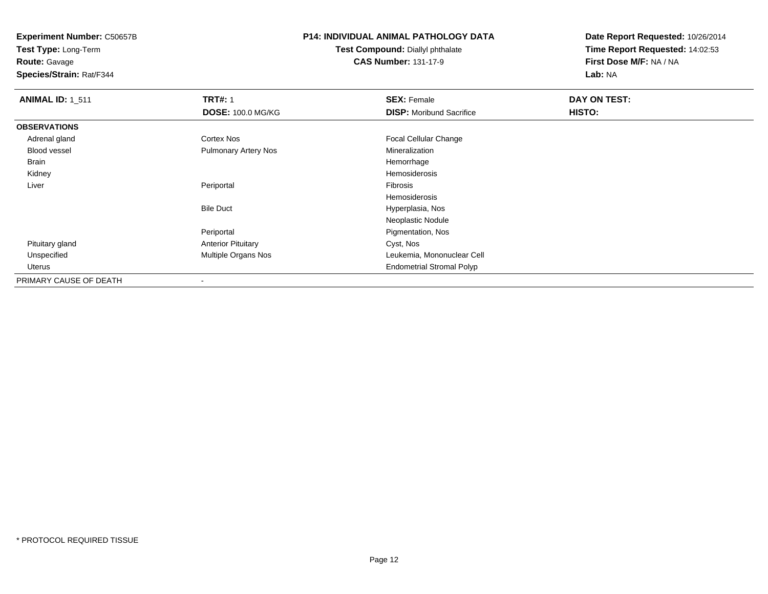**Experiment Number:** C50657B**Test Type:** Long-Term

**Route:** Gavage

**Species/Strain:** Rat/F344

## **P14: INDIVIDUAL ANIMAL PATHOLOGY DATA**

**Test Compound:** Diallyl phthalate**CAS Number:** 131-17-9

| <b>ANIMAL ID: 1_511</b> | <b>TRT#: 1</b>            | <b>SEX: Female</b>               | DAY ON TEST: |  |
|-------------------------|---------------------------|----------------------------------|--------------|--|
|                         | <b>DOSE: 100.0 MG/KG</b>  | <b>DISP:</b> Moribund Sacrifice  | HISTO:       |  |
| <b>OBSERVATIONS</b>     |                           |                                  |              |  |
| Adrenal gland           | <b>Cortex Nos</b>         | <b>Focal Cellular Change</b>     |              |  |
| <b>Blood vessel</b>     | Pulmonary Artery Nos      | Mineralization                   |              |  |
| Brain                   |                           | Hemorrhage                       |              |  |
| Kidney                  |                           | Hemosiderosis                    |              |  |
| Liver                   | Periportal                | Fibrosis                         |              |  |
|                         |                           | Hemosiderosis                    |              |  |
|                         | <b>Bile Duct</b>          | Hyperplasia, Nos                 |              |  |
|                         |                           | Neoplastic Nodule                |              |  |
|                         | Periportal                | Pigmentation, Nos                |              |  |
| Pituitary gland         | <b>Anterior Pituitary</b> | Cyst, Nos                        |              |  |
| Unspecified             | Multiple Organs Nos       | Leukemia, Mononuclear Cell       |              |  |
| Uterus                  |                           | <b>Endometrial Stromal Polyp</b> |              |  |
| PRIMARY CAUSE OF DEATH  |                           |                                  |              |  |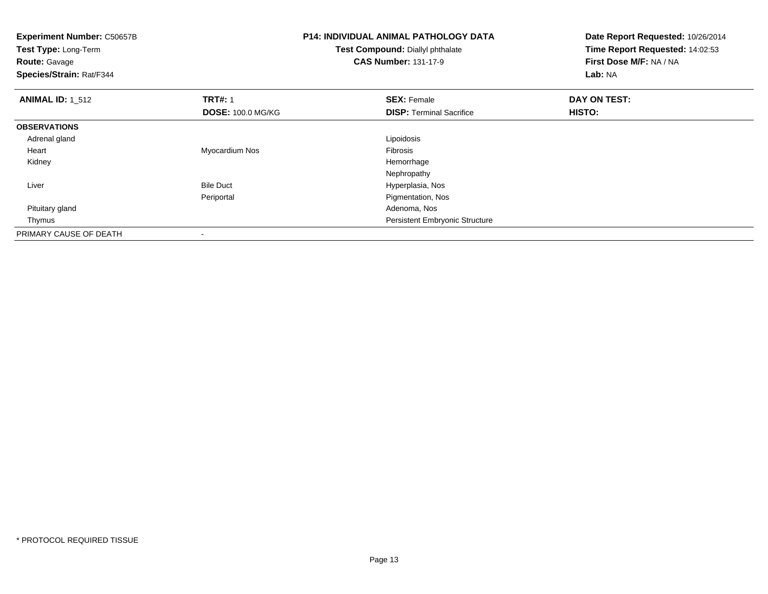| <b>Experiment Number: C50657B</b><br>Test Type: Long-Term<br><b>Route: Gavage</b><br>Species/Strain: Rat/F344 |                          | <b>P14: INDIVIDUAL ANIMAL PATHOLOGY DATA</b><br>Test Compound: Diallyl phthalate<br><b>CAS Number: 131-17-9</b> | Date Report Requested: 10/26/2014<br>Time Report Requested: 14:02:53<br>First Dose M/F: NA / NA<br>Lab: NA |
|---------------------------------------------------------------------------------------------------------------|--------------------------|-----------------------------------------------------------------------------------------------------------------|------------------------------------------------------------------------------------------------------------|
| <b>ANIMAL ID: 1_512</b>                                                                                       | <b>TRT#: 1</b>           | <b>SEX: Female</b>                                                                                              | DAY ON TEST:                                                                                               |
|                                                                                                               | <b>DOSE: 100.0 MG/KG</b> | <b>DISP:</b> Terminal Sacrifice                                                                                 | <b>HISTO:</b>                                                                                              |
| <b>OBSERVATIONS</b>                                                                                           |                          |                                                                                                                 |                                                                                                            |
| Adrenal gland                                                                                                 |                          | Lipoidosis                                                                                                      |                                                                                                            |
| Heart                                                                                                         | Myocardium Nos           | Fibrosis                                                                                                        |                                                                                                            |
| Kidney                                                                                                        |                          | Hemorrhage                                                                                                      |                                                                                                            |
|                                                                                                               |                          | Nephropathy                                                                                                     |                                                                                                            |
| Liver                                                                                                         | <b>Bile Duct</b>         | Hyperplasia, Nos                                                                                                |                                                                                                            |
|                                                                                                               | Periportal               | Pigmentation, Nos                                                                                               |                                                                                                            |
| Pituitary gland                                                                                               |                          | Adenoma, Nos                                                                                                    |                                                                                                            |
| Thymus                                                                                                        |                          | Persistent Embryonic Structure                                                                                  |                                                                                                            |
| PRIMARY CAUSE OF DEATH                                                                                        | $\overline{\phantom{a}}$ |                                                                                                                 |                                                                                                            |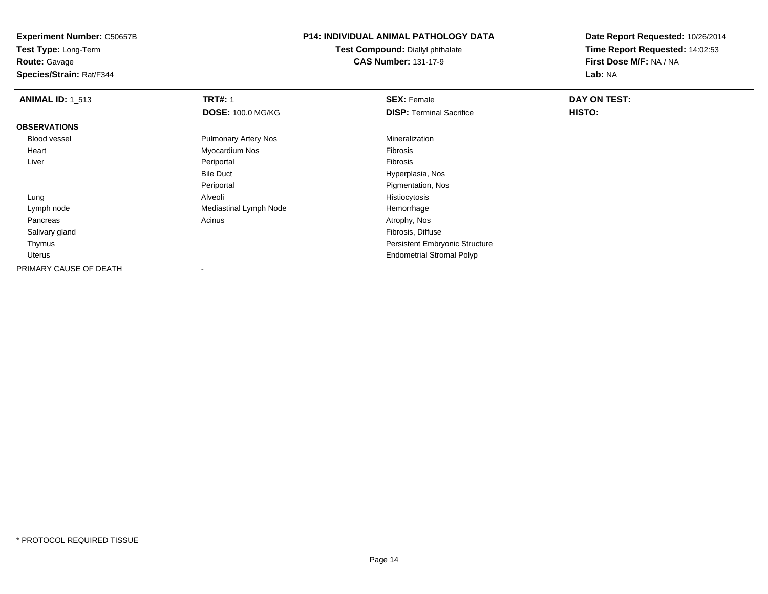**Experiment Number:** C50657B**Test Type:** Long-Term

**Route:** Gavage

**Species/Strain:** Rat/F344

## **P14: INDIVIDUAL ANIMAL PATHOLOGY DATA**

**Test Compound:** Diallyl phthalate**CAS Number:** 131-17-9

| <b>ANIMAL ID: 1 513</b> | <b>TRT#: 1</b>              | <b>SEX: Female</b>                    | DAY ON TEST: |
|-------------------------|-----------------------------|---------------------------------------|--------------|
|                         | <b>DOSE: 100.0 MG/KG</b>    | <b>DISP: Terminal Sacrifice</b>       | HISTO:       |
| <b>OBSERVATIONS</b>     |                             |                                       |              |
| Blood vessel            | <b>Pulmonary Artery Nos</b> | Mineralization                        |              |
| Heart                   | Myocardium Nos              | Fibrosis                              |              |
| Liver                   | Periportal                  | Fibrosis                              |              |
|                         | <b>Bile Duct</b>            | Hyperplasia, Nos                      |              |
|                         | Periportal                  | Pigmentation, Nos                     |              |
| Lung                    | Alveoli                     | Histiocytosis                         |              |
| Lymph node              | Mediastinal Lymph Node      | Hemorrhage                            |              |
| Pancreas                | Acinus                      | Atrophy, Nos                          |              |
| Salivary gland          |                             | Fibrosis, Diffuse                     |              |
| Thymus                  |                             | <b>Persistent Embryonic Structure</b> |              |
| Uterus                  |                             | <b>Endometrial Stromal Polyp</b>      |              |
| PRIMARY CAUSE OF DEATH  | $\blacksquare$              |                                       |              |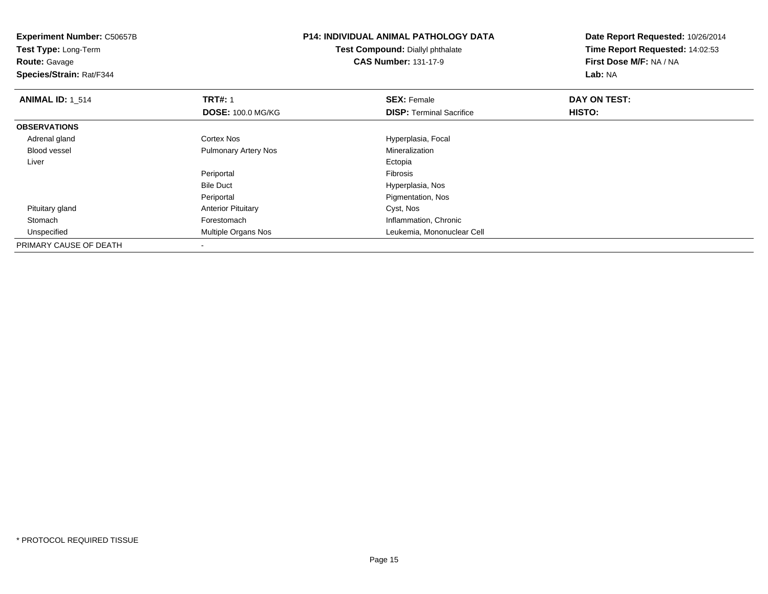| <b>Experiment Number: C50657B</b><br>Test Type: Long-Term<br><b>Route: Gavage</b><br>Species/Strain: Rat/F344 |                             | <b>P14: INDIVIDUAL ANIMAL PATHOLOGY DATA</b><br>Test Compound: Diallyl phthalate<br><b>CAS Number: 131-17-9</b> | Date Report Requested: 10/26/2014<br>Time Report Requested: 14:02:53<br>First Dose M/F: NA / NA<br>Lab: NA |
|---------------------------------------------------------------------------------------------------------------|-----------------------------|-----------------------------------------------------------------------------------------------------------------|------------------------------------------------------------------------------------------------------------|
| <b>ANIMAL ID: 1 514</b>                                                                                       | <b>TRT#: 1</b>              | <b>SEX: Female</b>                                                                                              | DAY ON TEST:                                                                                               |
|                                                                                                               | <b>DOSE: 100.0 MG/KG</b>    | <b>DISP:</b> Terminal Sacrifice                                                                                 | <b>HISTO:</b>                                                                                              |
| <b>OBSERVATIONS</b>                                                                                           |                             |                                                                                                                 |                                                                                                            |
| Adrenal gland                                                                                                 | Cortex Nos                  | Hyperplasia, Focal                                                                                              |                                                                                                            |
| <b>Blood vessel</b>                                                                                           | <b>Pulmonary Artery Nos</b> | Mineralization                                                                                                  |                                                                                                            |
| Liver                                                                                                         |                             | Ectopia                                                                                                         |                                                                                                            |
|                                                                                                               | Periportal                  | <b>Fibrosis</b>                                                                                                 |                                                                                                            |
|                                                                                                               | <b>Bile Duct</b>            | Hyperplasia, Nos                                                                                                |                                                                                                            |
|                                                                                                               | Periportal                  | Pigmentation, Nos                                                                                               |                                                                                                            |
| Pituitary gland                                                                                               | <b>Anterior Pituitary</b>   | Cyst, Nos                                                                                                       |                                                                                                            |
| Stomach                                                                                                       | Forestomach                 | Inflammation, Chronic                                                                                           |                                                                                                            |
| Unspecified                                                                                                   | Multiple Organs Nos         | Leukemia, Mononuclear Cell                                                                                      |                                                                                                            |
| PRIMARY CAUSE OF DEATH                                                                                        |                             |                                                                                                                 |                                                                                                            |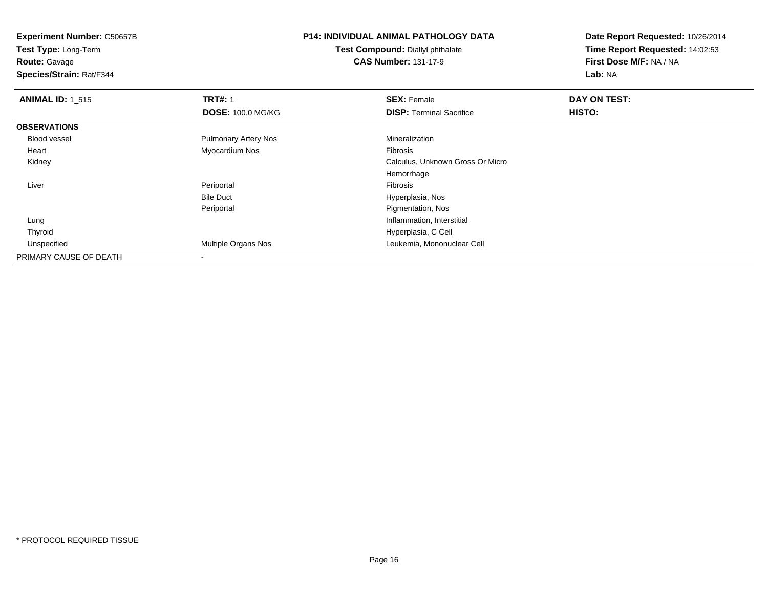**Experiment Number:** C50657B**Test Type:** Long-Term

**Route:** Gavage

**Species/Strain:** Rat/F344

# **P14: INDIVIDUAL ANIMAL PATHOLOGY DATA**

**Test Compound:** Diallyl phthalate**CAS Number:** 131-17-9

| <b>ANIMAL ID: 1 515</b> | <b>TRT#: 1</b>              | <b>SEX: Female</b>               | DAY ON TEST: |  |
|-------------------------|-----------------------------|----------------------------------|--------------|--|
|                         | <b>DOSE: 100.0 MG/KG</b>    | <b>DISP: Terminal Sacrifice</b>  | HISTO:       |  |
| <b>OBSERVATIONS</b>     |                             |                                  |              |  |
| Blood vessel            | <b>Pulmonary Artery Nos</b> | Mineralization                   |              |  |
| Heart                   | Myocardium Nos              | Fibrosis                         |              |  |
| Kidney                  |                             | Calculus, Unknown Gross Or Micro |              |  |
|                         |                             | Hemorrhage                       |              |  |
| Liver                   | Periportal                  | Fibrosis                         |              |  |
|                         | <b>Bile Duct</b>            | Hyperplasia, Nos                 |              |  |
|                         | Periportal                  | Pigmentation, Nos                |              |  |
| Lung                    |                             | Inflammation, Interstitial       |              |  |
| Thyroid                 |                             | Hyperplasia, C Cell              |              |  |
| Unspecified             | Multiple Organs Nos         | Leukemia, Mononuclear Cell       |              |  |
| PRIMARY CAUSE OF DEATH  | $\overline{\phantom{a}}$    |                                  |              |  |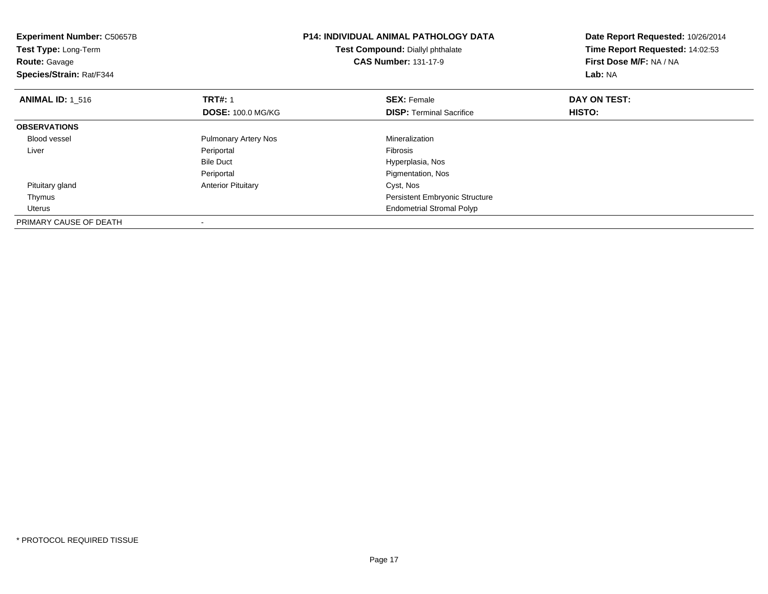| <b>Experiment Number: C50657B</b><br>Test Type: Long-Term<br><b>Route: Gavage</b><br>Species/Strain: Rat/F344 |                             | <b>P14: INDIVIDUAL ANIMAL PATHOLOGY DATA</b><br>Test Compound: Diallyl phthalate<br><b>CAS Number: 131-17-9</b> | Date Report Requested: 10/26/2014<br>Time Report Requested: 14:02:53<br>First Dose M/F: NA / NA<br>Lab: NA |
|---------------------------------------------------------------------------------------------------------------|-----------------------------|-----------------------------------------------------------------------------------------------------------------|------------------------------------------------------------------------------------------------------------|
| <b>ANIMAL ID: 1 516</b>                                                                                       | <b>TRT#: 1</b>              | <b>SEX: Female</b>                                                                                              | DAY ON TEST:                                                                                               |
|                                                                                                               | <b>DOSE: 100.0 MG/KG</b>    | <b>DISP:</b> Terminal Sacrifice                                                                                 | <b>HISTO:</b>                                                                                              |
| <b>OBSERVATIONS</b>                                                                                           |                             |                                                                                                                 |                                                                                                            |
| <b>Blood vessel</b>                                                                                           | <b>Pulmonary Artery Nos</b> | Mineralization                                                                                                  |                                                                                                            |
| Liver                                                                                                         | Periportal                  | <b>Fibrosis</b>                                                                                                 |                                                                                                            |
|                                                                                                               | <b>Bile Duct</b>            | Hyperplasia, Nos                                                                                                |                                                                                                            |
|                                                                                                               | Periportal                  | Pigmentation, Nos                                                                                               |                                                                                                            |
| Pituitary gland                                                                                               | <b>Anterior Pituitary</b>   | Cyst, Nos                                                                                                       |                                                                                                            |
| Thymus                                                                                                        |                             | <b>Persistent Embryonic Structure</b>                                                                           |                                                                                                            |
| Uterus                                                                                                        |                             | <b>Endometrial Stromal Polyp</b>                                                                                |                                                                                                            |
| PRIMARY CAUSE OF DEATH                                                                                        |                             |                                                                                                                 |                                                                                                            |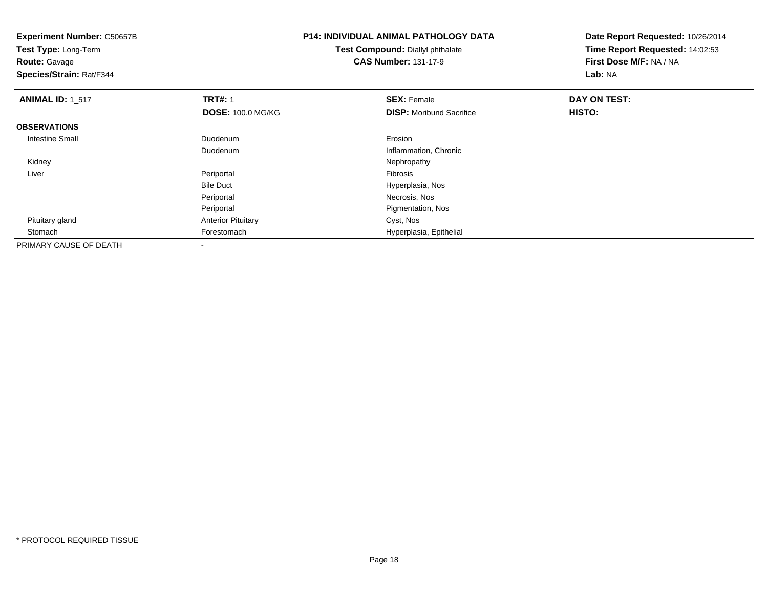| <b>Experiment Number: C50657B</b><br>Test Type: Long-Term<br><b>Route: Gavage</b><br>Species/Strain: Rat/F344 |                           | <b>P14: INDIVIDUAL ANIMAL PATHOLOGY DATA</b><br>Test Compound: Diallyl phthalate<br><b>CAS Number: 131-17-9</b> | Date Report Requested: 10/26/2014<br>Time Report Requested: 14:02:53<br>First Dose M/F: NA / NA<br>Lab: NA |
|---------------------------------------------------------------------------------------------------------------|---------------------------|-----------------------------------------------------------------------------------------------------------------|------------------------------------------------------------------------------------------------------------|
| <b>ANIMAL ID: 1_517</b>                                                                                       | <b>TRT#: 1</b>            | <b>SEX: Female</b>                                                                                              | DAY ON TEST:                                                                                               |
|                                                                                                               | <b>DOSE: 100.0 MG/KG</b>  | <b>DISP:</b> Moribund Sacrifice                                                                                 | HISTO:                                                                                                     |
| <b>OBSERVATIONS</b>                                                                                           |                           |                                                                                                                 |                                                                                                            |
| <b>Intestine Small</b>                                                                                        | Duodenum                  | Erosion                                                                                                         |                                                                                                            |
|                                                                                                               | Duodenum                  | Inflammation, Chronic                                                                                           |                                                                                                            |
| Kidney                                                                                                        |                           | Nephropathy                                                                                                     |                                                                                                            |
| Liver                                                                                                         | Periportal                | Fibrosis                                                                                                        |                                                                                                            |
|                                                                                                               | <b>Bile Duct</b>          | Hyperplasia, Nos                                                                                                |                                                                                                            |
|                                                                                                               | Periportal                | Necrosis, Nos                                                                                                   |                                                                                                            |
|                                                                                                               | Periportal                | Pigmentation, Nos                                                                                               |                                                                                                            |
| Pituitary gland                                                                                               | <b>Anterior Pituitary</b> | Cyst, Nos                                                                                                       |                                                                                                            |
| Stomach                                                                                                       | Forestomach               | Hyperplasia, Epithelial                                                                                         |                                                                                                            |
| PRIMARY CAUSE OF DEATH                                                                                        |                           |                                                                                                                 |                                                                                                            |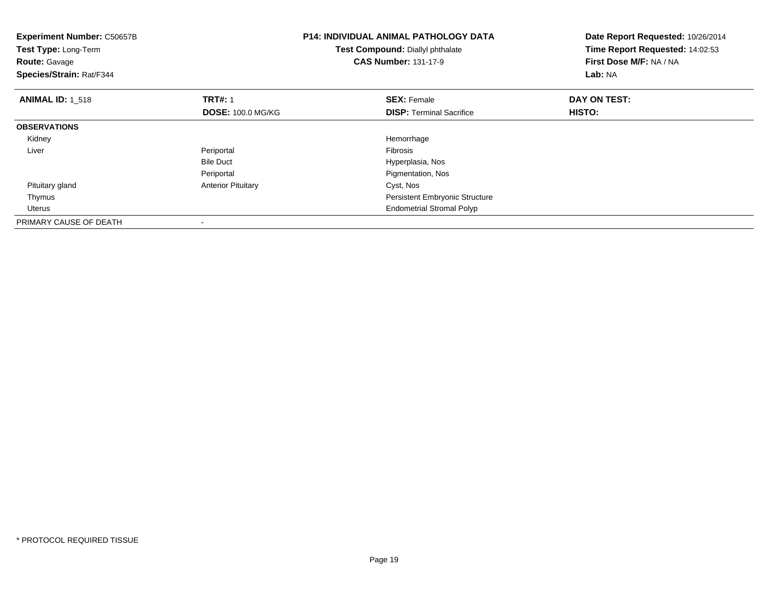| <b>Experiment Number: C50657B</b><br>Test Type: Long-Term<br><b>Route: Gavage</b><br>Species/Strain: Rat/F344 |                           | <b>P14: INDIVIDUAL ANIMAL PATHOLOGY DATA</b><br>Test Compound: Diallyl phthalate<br><b>CAS Number: 131-17-9</b> | Date Report Requested: 10/26/2014<br>Time Report Requested: 14:02:53<br>First Dose M/F: NA / NA<br>Lab: NA |
|---------------------------------------------------------------------------------------------------------------|---------------------------|-----------------------------------------------------------------------------------------------------------------|------------------------------------------------------------------------------------------------------------|
| <b>ANIMAL ID: 1 518</b>                                                                                       | <b>TRT#: 1</b>            | <b>SEX: Female</b>                                                                                              | DAY ON TEST:                                                                                               |
|                                                                                                               | <b>DOSE: 100.0 MG/KG</b>  | <b>DISP:</b> Terminal Sacrifice                                                                                 | HISTO:                                                                                                     |
| <b>OBSERVATIONS</b>                                                                                           |                           |                                                                                                                 |                                                                                                            |
| Kidney                                                                                                        |                           | Hemorrhage                                                                                                      |                                                                                                            |
| Liver                                                                                                         | Periportal                | <b>Fibrosis</b>                                                                                                 |                                                                                                            |
|                                                                                                               | <b>Bile Duct</b>          | Hyperplasia, Nos                                                                                                |                                                                                                            |
|                                                                                                               | Periportal                | Pigmentation, Nos                                                                                               |                                                                                                            |
| Pituitary gland                                                                                               | <b>Anterior Pituitary</b> | Cyst, Nos                                                                                                       |                                                                                                            |
| Thymus                                                                                                        |                           | <b>Persistent Embryonic Structure</b>                                                                           |                                                                                                            |
| Uterus                                                                                                        |                           | <b>Endometrial Stromal Polyp</b>                                                                                |                                                                                                            |
| PRIMARY CAUSE OF DEATH                                                                                        |                           |                                                                                                                 |                                                                                                            |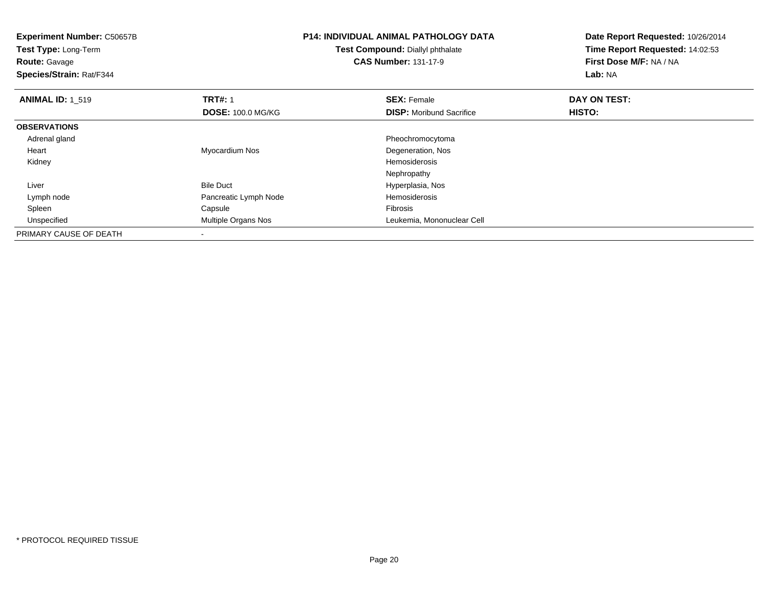| <b>Experiment Number: C50657B</b><br>Test Type: Long-Term<br><b>Route: Gavage</b><br>Species/Strain: Rat/F344 |                          | <b>P14: INDIVIDUAL ANIMAL PATHOLOGY DATA</b><br>Test Compound: Diallyl phthalate<br><b>CAS Number: 131-17-9</b> | Date Report Requested: 10/26/2014<br>Time Report Requested: 14:02:53<br>First Dose M/F: NA / NA<br>Lab: NA |
|---------------------------------------------------------------------------------------------------------------|--------------------------|-----------------------------------------------------------------------------------------------------------------|------------------------------------------------------------------------------------------------------------|
| <b>ANIMAL ID: 1 519</b>                                                                                       | <b>TRT#: 1</b>           | <b>SEX: Female</b>                                                                                              | DAY ON TEST:                                                                                               |
|                                                                                                               | <b>DOSE: 100.0 MG/KG</b> | <b>DISP:</b> Moribund Sacrifice                                                                                 | <b>HISTO:</b>                                                                                              |
| <b>OBSERVATIONS</b>                                                                                           |                          |                                                                                                                 |                                                                                                            |
| Adrenal gland                                                                                                 |                          | Pheochromocytoma                                                                                                |                                                                                                            |
| Heart                                                                                                         | Myocardium Nos           | Degeneration, Nos                                                                                               |                                                                                                            |
| Kidney                                                                                                        |                          | Hemosiderosis                                                                                                   |                                                                                                            |
|                                                                                                               |                          | Nephropathy                                                                                                     |                                                                                                            |
| Liver                                                                                                         | <b>Bile Duct</b>         | Hyperplasia, Nos                                                                                                |                                                                                                            |
| Lymph node                                                                                                    | Pancreatic Lymph Node    | Hemosiderosis                                                                                                   |                                                                                                            |
| Spleen                                                                                                        | Capsule                  | Fibrosis                                                                                                        |                                                                                                            |
| Unspecified                                                                                                   | Multiple Organs Nos      | Leukemia, Mononuclear Cell                                                                                      |                                                                                                            |
| PRIMARY CAUSE OF DEATH                                                                                        | $\overline{\phantom{a}}$ |                                                                                                                 |                                                                                                            |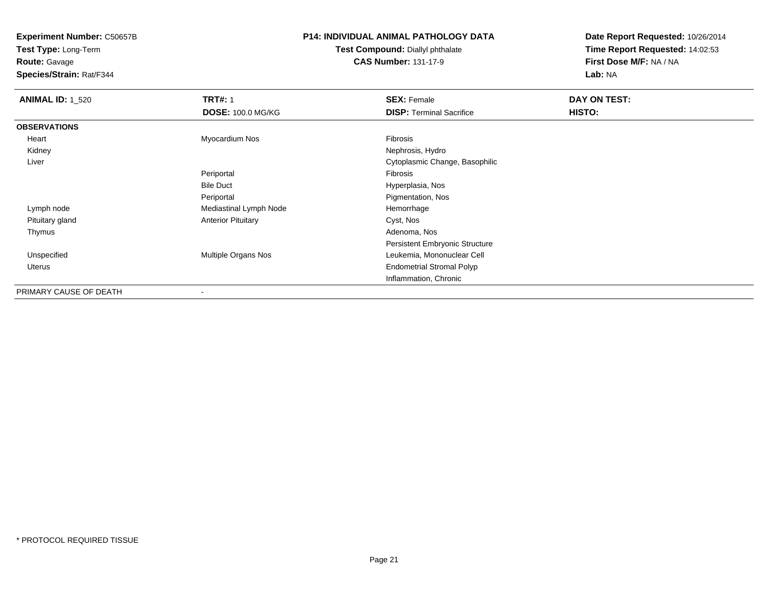**Test Type:** Long-Term**Route:** Gavage

**Species/Strain:** Rat/F344

## **P14: INDIVIDUAL ANIMAL PATHOLOGY DATA**

**Test Compound:** Diallyl phthalate**CAS Number:** 131-17-9

| <b>ANIMAL ID: 1 520</b> | <b>TRT#: 1</b><br><b>DOSE: 100.0 MG/KG</b> | <b>SEX: Female</b><br><b>DISP: Terminal Sacrifice</b> | DAY ON TEST:<br>HISTO: |
|-------------------------|--------------------------------------------|-------------------------------------------------------|------------------------|
| <b>OBSERVATIONS</b>     |                                            |                                                       |                        |
| Heart                   | Myocardium Nos                             | Fibrosis                                              |                        |
| Kidney                  |                                            | Nephrosis, Hydro                                      |                        |
| Liver                   |                                            | Cytoplasmic Change, Basophilic                        |                        |
|                         | Periportal                                 | Fibrosis                                              |                        |
|                         | <b>Bile Duct</b>                           | Hyperplasia, Nos                                      |                        |
|                         | Periportal                                 | Pigmentation, Nos                                     |                        |
| Lymph node              | Mediastinal Lymph Node                     | Hemorrhage                                            |                        |
| Pituitary gland         | <b>Anterior Pituitary</b>                  | Cyst, Nos                                             |                        |
| Thymus                  |                                            | Adenoma, Nos                                          |                        |
|                         |                                            | Persistent Embryonic Structure                        |                        |
| Unspecified             | Multiple Organs Nos                        | Leukemia, Mononuclear Cell                            |                        |
| Uterus                  |                                            | <b>Endometrial Stromal Polyp</b>                      |                        |
|                         |                                            | Inflammation, Chronic                                 |                        |
| PRIMARY CAUSE OF DEATH  |                                            |                                                       |                        |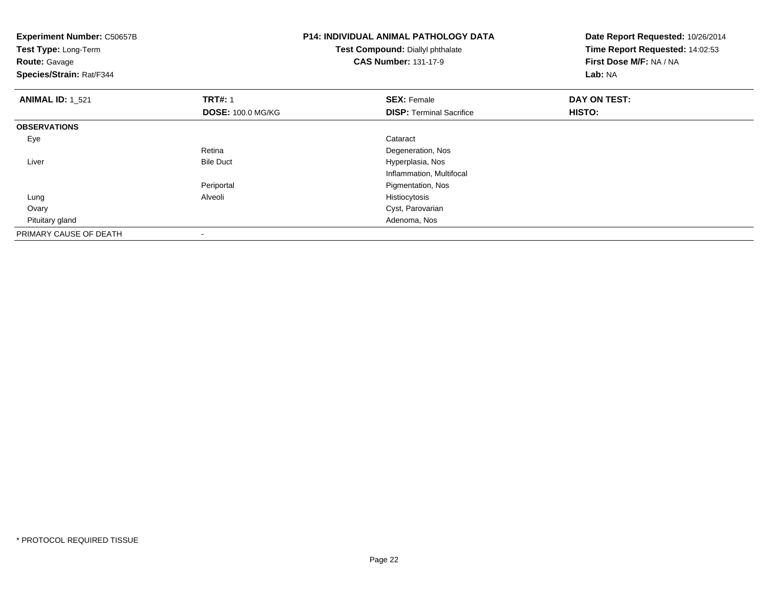| <b>Experiment Number: C50657B</b><br>Test Type: Long-Term<br><b>Route: Gavage</b><br>Species/Strain: Rat/F344 |                          | <b>P14: INDIVIDUAL ANIMAL PATHOLOGY DATA</b><br>Test Compound: Diallyl phthalate<br><b>CAS Number: 131-17-9</b> | Date Report Requested: 10/26/2014<br>Time Report Requested: 14:02:53<br>First Dose M/F: NA / NA<br>Lab: NA |
|---------------------------------------------------------------------------------------------------------------|--------------------------|-----------------------------------------------------------------------------------------------------------------|------------------------------------------------------------------------------------------------------------|
| <b>ANIMAL ID: 1_521</b>                                                                                       | <b>TRT#: 1</b>           | <b>SEX: Female</b>                                                                                              | DAY ON TEST:                                                                                               |
|                                                                                                               | <b>DOSE: 100.0 MG/KG</b> | <b>DISP: Terminal Sacrifice</b>                                                                                 | HISTO:                                                                                                     |
| <b>OBSERVATIONS</b>                                                                                           |                          |                                                                                                                 |                                                                                                            |
| Eye                                                                                                           |                          | Cataract                                                                                                        |                                                                                                            |
|                                                                                                               | Retina                   | Degeneration, Nos                                                                                               |                                                                                                            |
| Liver                                                                                                         | <b>Bile Duct</b>         | Hyperplasia, Nos                                                                                                |                                                                                                            |
|                                                                                                               |                          | Inflammation, Multifocal                                                                                        |                                                                                                            |
|                                                                                                               | Periportal               | Pigmentation, Nos                                                                                               |                                                                                                            |
| Lung                                                                                                          | Alveoli                  | Histiocytosis                                                                                                   |                                                                                                            |
| Ovary                                                                                                         |                          | Cyst, Parovarian                                                                                                |                                                                                                            |
| Pituitary gland                                                                                               |                          | Adenoma, Nos                                                                                                    |                                                                                                            |
| PRIMARY CAUSE OF DEATH                                                                                        |                          |                                                                                                                 |                                                                                                            |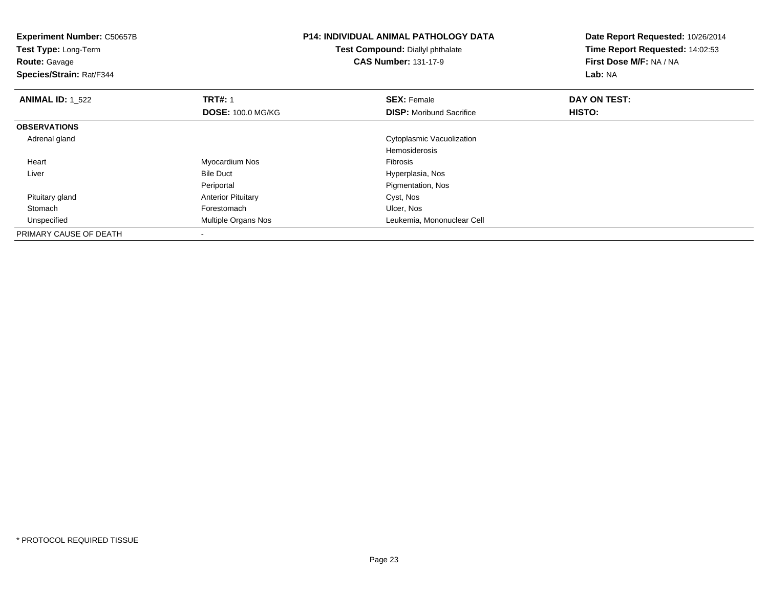| <b>Experiment Number: C50657B</b><br>Test Type: Long-Term<br><b>Route: Gavage</b><br>Species/Strain: Rat/F344 |                           | <b>P14: INDIVIDUAL ANIMAL PATHOLOGY DATA</b><br>Test Compound: Diallyl phthalate<br><b>CAS Number: 131-17-9</b> | Date Report Requested: 10/26/2014<br>Time Report Requested: 14:02:53<br>First Dose M/F: NA / NA<br>Lab: NA |
|---------------------------------------------------------------------------------------------------------------|---------------------------|-----------------------------------------------------------------------------------------------------------------|------------------------------------------------------------------------------------------------------------|
| <b>ANIMAL ID: 1 522</b>                                                                                       | <b>TRT#: 1</b>            | <b>SEX: Female</b>                                                                                              | DAY ON TEST:                                                                                               |
|                                                                                                               | <b>DOSE: 100.0 MG/KG</b>  | <b>DISP:</b> Moribund Sacrifice                                                                                 | HISTO:                                                                                                     |
| <b>OBSERVATIONS</b>                                                                                           |                           |                                                                                                                 |                                                                                                            |
| Adrenal gland                                                                                                 |                           | Cytoplasmic Vacuolization                                                                                       |                                                                                                            |
|                                                                                                               |                           | <b>Hemosiderosis</b>                                                                                            |                                                                                                            |
| Heart                                                                                                         | Myocardium Nos            | Fibrosis                                                                                                        |                                                                                                            |
| Liver                                                                                                         | <b>Bile Duct</b>          | Hyperplasia, Nos                                                                                                |                                                                                                            |
|                                                                                                               | Periportal                | Pigmentation, Nos                                                                                               |                                                                                                            |
| Pituitary gland                                                                                               | <b>Anterior Pituitary</b> | Cyst, Nos                                                                                                       |                                                                                                            |
| Stomach                                                                                                       | Forestomach               | Ulcer, Nos                                                                                                      |                                                                                                            |
| Unspecified                                                                                                   | Multiple Organs Nos       | Leukemia, Mononuclear Cell                                                                                      |                                                                                                            |
| PRIMARY CAUSE OF DEATH                                                                                        |                           |                                                                                                                 |                                                                                                            |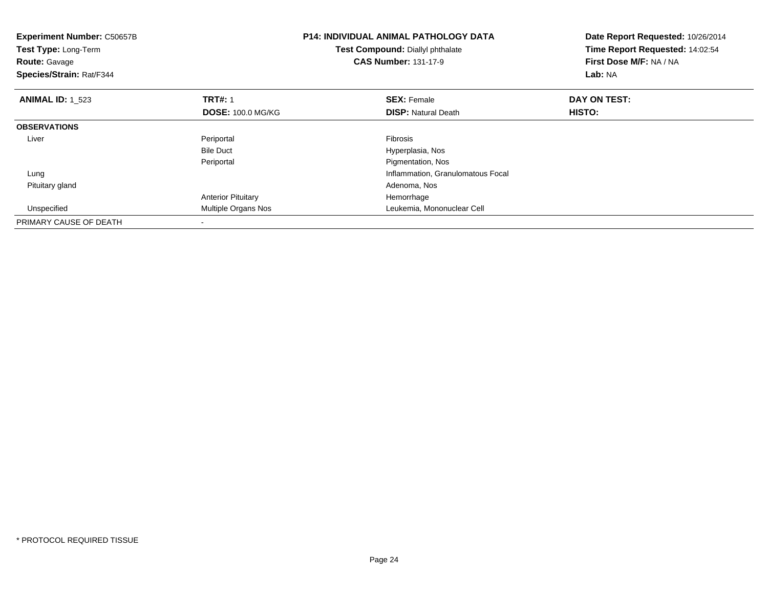| <b>Experiment Number: C50657B</b><br>Test Type: Long-Term<br><b>Route: Gavage</b><br>Species/Strain: Rat/F344 |                           | <b>P14: INDIVIDUAL ANIMAL PATHOLOGY DATA</b><br>Test Compound: Diallyl phthalate<br><b>CAS Number: 131-17-9</b> | Date Report Requested: 10/26/2014<br>Time Report Requested: 14:02:54<br>First Dose M/F: NA / NA<br>Lab: NA |
|---------------------------------------------------------------------------------------------------------------|---------------------------|-----------------------------------------------------------------------------------------------------------------|------------------------------------------------------------------------------------------------------------|
| <b>ANIMAL ID: 1 523</b>                                                                                       | <b>TRT#: 1</b>            | <b>SEX: Female</b>                                                                                              | DAY ON TEST:                                                                                               |
|                                                                                                               | <b>DOSE: 100.0 MG/KG</b>  | <b>DISP:</b> Natural Death                                                                                      | HISTO:                                                                                                     |
| <b>OBSERVATIONS</b>                                                                                           |                           |                                                                                                                 |                                                                                                            |
| Liver                                                                                                         | Periportal                | Fibrosis                                                                                                        |                                                                                                            |
|                                                                                                               | <b>Bile Duct</b>          | Hyperplasia, Nos                                                                                                |                                                                                                            |
|                                                                                                               | Periportal                | Pigmentation, Nos                                                                                               |                                                                                                            |
| Lung                                                                                                          |                           | Inflammation, Granulomatous Focal                                                                               |                                                                                                            |
| Pituitary gland                                                                                               |                           | Adenoma, Nos                                                                                                    |                                                                                                            |
|                                                                                                               | <b>Anterior Pituitary</b> | Hemorrhage                                                                                                      |                                                                                                            |
| Unspecified                                                                                                   | Multiple Organs Nos       | Leukemia, Mononuclear Cell                                                                                      |                                                                                                            |
| PRIMARY CAUSE OF DEATH                                                                                        |                           |                                                                                                                 |                                                                                                            |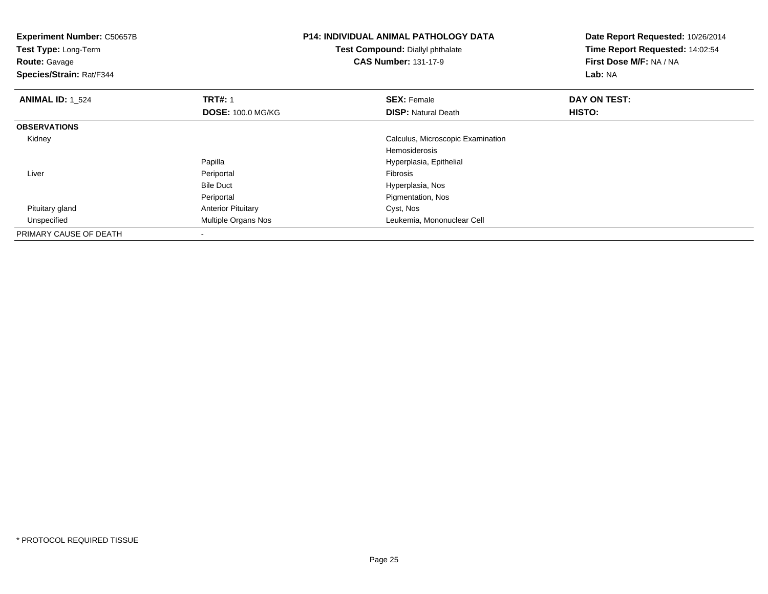| <b>Experiment Number: C50657B</b><br>Test Type: Long-Term<br><b>Route: Gavage</b><br>Species/Strain: Rat/F344 |                           | <b>P14: INDIVIDUAL ANIMAL PATHOLOGY DATA</b><br>Test Compound: Diallyl phthalate<br><b>CAS Number: 131-17-9</b> | Date Report Requested: 10/26/2014<br>Time Report Requested: 14:02:54<br>First Dose M/F: NA / NA<br>Lab: NA |
|---------------------------------------------------------------------------------------------------------------|---------------------------|-----------------------------------------------------------------------------------------------------------------|------------------------------------------------------------------------------------------------------------|
| <b>ANIMAL ID: 1 524</b>                                                                                       | <b>TRT#: 1</b>            | <b>SEX: Female</b>                                                                                              | DAY ON TEST:                                                                                               |
|                                                                                                               | <b>DOSE: 100.0 MG/KG</b>  | <b>DISP: Natural Death</b>                                                                                      | <b>HISTO:</b>                                                                                              |
| <b>OBSERVATIONS</b>                                                                                           |                           |                                                                                                                 |                                                                                                            |
| Kidney                                                                                                        |                           | Calculus, Microscopic Examination                                                                               |                                                                                                            |
|                                                                                                               |                           | <b>Hemosiderosis</b>                                                                                            |                                                                                                            |
|                                                                                                               | Papilla                   | Hyperplasia, Epithelial                                                                                         |                                                                                                            |
| Liver                                                                                                         | Periportal                | Fibrosis                                                                                                        |                                                                                                            |
|                                                                                                               | <b>Bile Duct</b>          | Hyperplasia, Nos                                                                                                |                                                                                                            |
|                                                                                                               | Periportal                | Pigmentation, Nos                                                                                               |                                                                                                            |
| Pituitary gland                                                                                               | <b>Anterior Pituitary</b> | Cyst, Nos                                                                                                       |                                                                                                            |
| Unspecified                                                                                                   | Multiple Organs Nos       | Leukemia, Mononuclear Cell                                                                                      |                                                                                                            |
| PRIMARY CAUSE OF DEATH                                                                                        |                           |                                                                                                                 |                                                                                                            |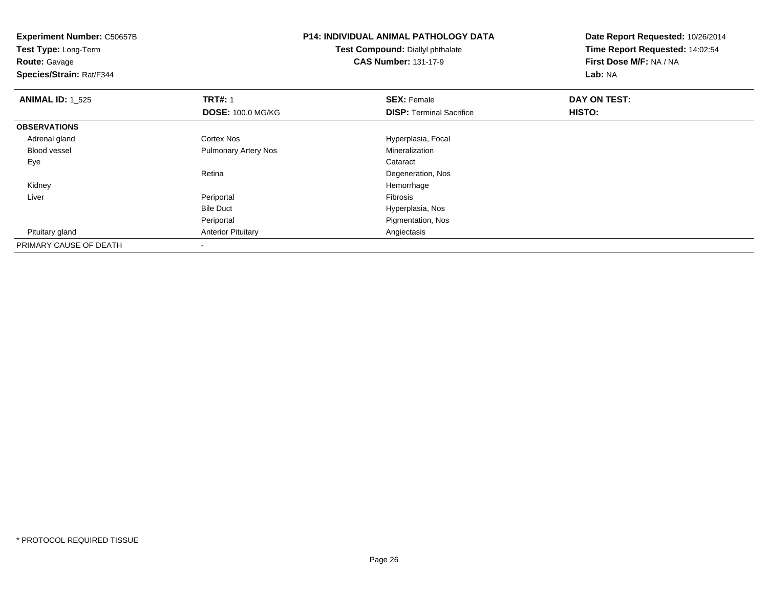| <b>Experiment Number: C50657B</b> |                             | <b>P14: INDIVIDUAL ANIMAL PATHOLOGY DATA</b> | Date Report Requested: 10/26/2014 |  |
|-----------------------------------|-----------------------------|----------------------------------------------|-----------------------------------|--|
| Test Type: Long-Term              |                             | Test Compound: Diallyl phthalate             | Time Report Requested: 14:02:54   |  |
| <b>Route: Gavage</b>              |                             | <b>CAS Number: 131-17-9</b>                  | First Dose M/F: NA / NA           |  |
| Species/Strain: Rat/F344          |                             |                                              | Lab: NA                           |  |
| <b>ANIMAL ID:</b> 1 525           | <b>TRT#: 1</b>              | <b>SEX: Female</b>                           | DAY ON TEST:                      |  |
|                                   | <b>DOSE: 100.0 MG/KG</b>    | <b>DISP:</b> Terminal Sacrifice              | HISTO:                            |  |
| <b>OBSERVATIONS</b>               |                             |                                              |                                   |  |
| Adrenal gland                     | Cortex Nos                  | Hyperplasia, Focal                           |                                   |  |
| <b>Blood vessel</b>               | <b>Pulmonary Artery Nos</b> | Mineralization                               |                                   |  |
| Eye                               |                             | Cataract                                     |                                   |  |
|                                   | Retina                      | Degeneration, Nos                            |                                   |  |
| Kidney                            |                             | Hemorrhage                                   |                                   |  |
| Liver                             | Periportal                  | Fibrosis                                     |                                   |  |
|                                   | <b>Bile Duct</b>            | Hyperplasia, Nos                             |                                   |  |
|                                   | Periportal                  | Pigmentation, Nos                            |                                   |  |
| Pituitary gland                   | <b>Anterior Pituitary</b>   | Angiectasis                                  |                                   |  |
| PRIMARY CAUSE OF DEATH            |                             |                                              |                                   |  |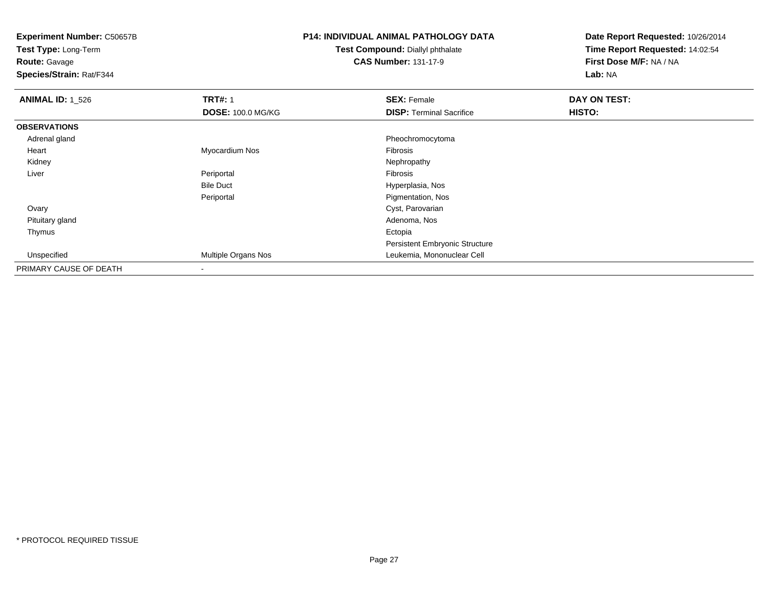**Test Type:** Long-Term

**Route:** Gavage

**Species/Strain:** Rat/F344

## **P14: INDIVIDUAL ANIMAL PATHOLOGY DATA**

**Test Compound:** Diallyl phthalate**CAS Number:** 131-17-9

| <b>ANIMAL ID: 1_526</b> | <b>TRT#: 1</b>           | <b>SEX: Female</b>                    | DAY ON TEST: |  |
|-------------------------|--------------------------|---------------------------------------|--------------|--|
|                         | <b>DOSE: 100.0 MG/KG</b> | <b>DISP: Terminal Sacrifice</b>       | HISTO:       |  |
| <b>OBSERVATIONS</b>     |                          |                                       |              |  |
| Adrenal gland           |                          | Pheochromocytoma                      |              |  |
| Heart                   | Myocardium Nos           | Fibrosis                              |              |  |
| Kidney                  |                          | Nephropathy                           |              |  |
| Liver                   | Periportal               | Fibrosis                              |              |  |
|                         | <b>Bile Duct</b>         | Hyperplasia, Nos                      |              |  |
|                         | Periportal               | Pigmentation, Nos                     |              |  |
| Ovary                   |                          | Cyst, Parovarian                      |              |  |
| Pituitary gland         |                          | Adenoma, Nos                          |              |  |
| Thymus                  |                          | Ectopia                               |              |  |
|                         |                          | <b>Persistent Embryonic Structure</b> |              |  |
| Unspecified             | Multiple Organs Nos      | Leukemia, Mononuclear Cell            |              |  |
| PRIMARY CAUSE OF DEATH  | ۰                        |                                       |              |  |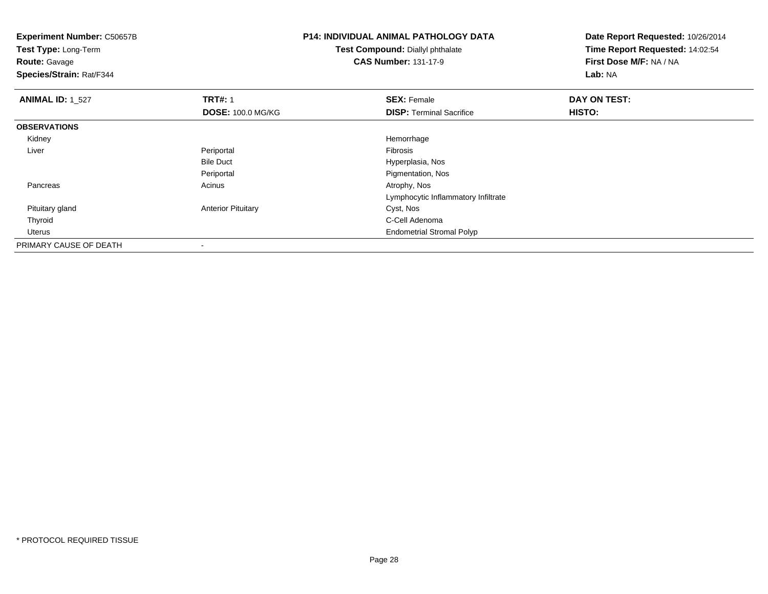**Experiment Number:** C50657B**Test Type:** Long-Term**Route:** Gavage **Species/Strain:** Rat/F344**P14: INDIVIDUAL ANIMAL PATHOLOGY DATATest Compound:** Diallyl phthalate**CAS Number:** 131-17-9**Date Report Requested:** 10/26/2014**Time Report Requested:** 14:02:54**First Dose M/F:** NA / NA**Lab:** NA**ANIMAL ID: 1 527 TRT#:** 1 **SEX:** Female **DAY ON TEST: DOSE:** 100.0 MG/KG**DISP:** Terminal Sacrifice **HISTO: OBSERVATIONS** Kidneyy the control of the control of the control of the control of the control of the control of the control of the control of the control of the control of the control of the control of the control of the control of the contro Liver Periportal Fibrosis Hyperplasia, NosBile Duct**Pigmentation, Nos** Periportal Pancreass and the contract of the contract of the contract of the contract of the contract  $\mathsf{A}$  at  $\mathsf{A}$  and  $\mathsf{A}$  and  $\mathsf{A}$  and  $\mathsf{A}$  and  $\mathsf{A}$  are contract of  $\mathsf{A}$  and  $\mathsf{A}$  and  $\mathsf{A}$  are contract of Lymphocytic Inflammatory Infiltrate Pituitary glandAnterior Pituitary **Cyst, Nos**  Thyroid C-Cell Adenoma Uterus Endometrial Stromal PolypPRIMARY CAUSE OF DEATH-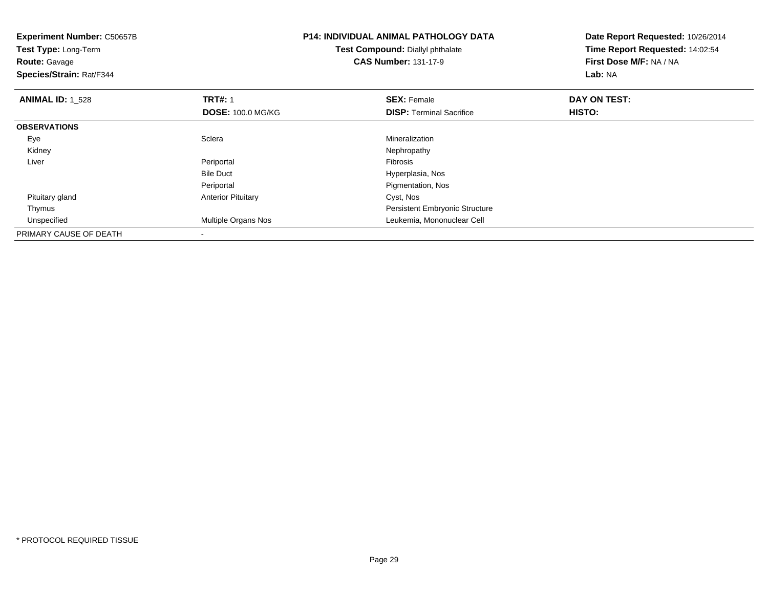| <b>Experiment Number: C50657B</b><br>Test Type: Long-Term<br><b>Route: Gavage</b><br>Species/Strain: Rat/F344 |                           | <b>P14: INDIVIDUAL ANIMAL PATHOLOGY DATA</b><br>Test Compound: Diallyl phthalate<br><b>CAS Number: 131-17-9</b> | Date Report Requested: 10/26/2014<br>Time Report Requested: 14:02:54<br>First Dose M/F: NA / NA<br>Lab: NA |
|---------------------------------------------------------------------------------------------------------------|---------------------------|-----------------------------------------------------------------------------------------------------------------|------------------------------------------------------------------------------------------------------------|
| <b>ANIMAL ID: 1 528</b>                                                                                       | <b>TRT#: 1</b>            | <b>SEX: Female</b>                                                                                              | DAY ON TEST:                                                                                               |
|                                                                                                               | <b>DOSE: 100.0 MG/KG</b>  | <b>DISP:</b> Terminal Sacrifice                                                                                 | HISTO:                                                                                                     |
| <b>OBSERVATIONS</b>                                                                                           |                           |                                                                                                                 |                                                                                                            |
| Eye                                                                                                           | Sclera                    | Mineralization                                                                                                  |                                                                                                            |
| Kidney                                                                                                        |                           | Nephropathy                                                                                                     |                                                                                                            |
| Liver                                                                                                         | Periportal                | <b>Fibrosis</b>                                                                                                 |                                                                                                            |
|                                                                                                               | <b>Bile Duct</b>          | Hyperplasia, Nos                                                                                                |                                                                                                            |
|                                                                                                               | Periportal                | Pigmentation, Nos                                                                                               |                                                                                                            |
| Pituitary gland                                                                                               | <b>Anterior Pituitary</b> | Cyst, Nos                                                                                                       |                                                                                                            |
| Thymus                                                                                                        |                           | Persistent Embryonic Structure                                                                                  |                                                                                                            |
| Unspecified                                                                                                   | Multiple Organs Nos       | Leukemia, Mononuclear Cell                                                                                      |                                                                                                            |
| PRIMARY CAUSE OF DEATH                                                                                        |                           |                                                                                                                 |                                                                                                            |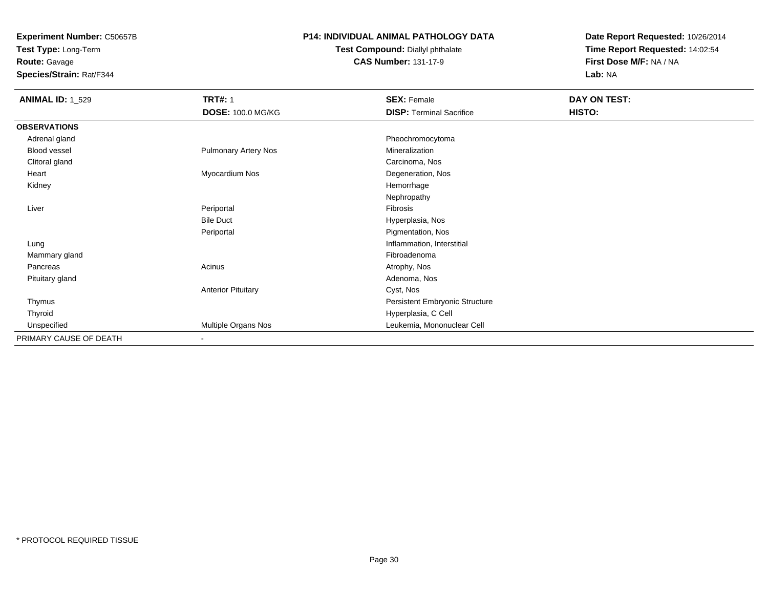**Test Type:** Long-Term**Route:** Gavage

**Species/Strain:** Rat/F344

### **P14: INDIVIDUAL ANIMAL PATHOLOGY DATA**

#### **Test Compound:** Diallyl phthalate**CAS Number:** 131-17-9

| <b>ANIMAL ID: 1_529</b> | <b>TRT#: 1</b>            | <b>SEX: Female</b>              | DAY ON TEST: |  |
|-------------------------|---------------------------|---------------------------------|--------------|--|
|                         | DOSE: 100.0 MG/KG         | <b>DISP: Terminal Sacrifice</b> | HISTO:       |  |
| <b>OBSERVATIONS</b>     |                           |                                 |              |  |
| Adrenal gland           |                           | Pheochromocytoma                |              |  |
| Blood vessel            | Pulmonary Artery Nos      | Mineralization                  |              |  |
| Clitoral gland          |                           | Carcinoma, Nos                  |              |  |
| Heart                   | Myocardium Nos            | Degeneration, Nos               |              |  |
| Kidney                  |                           | Hemorrhage                      |              |  |
|                         |                           | Nephropathy                     |              |  |
| Liver                   | Periportal                | Fibrosis                        |              |  |
|                         | <b>Bile Duct</b>          | Hyperplasia, Nos                |              |  |
|                         | Periportal                | Pigmentation, Nos               |              |  |
| Lung                    |                           | Inflammation, Interstitial      |              |  |
| Mammary gland           |                           | Fibroadenoma                    |              |  |
| Pancreas                | Acinus                    | Atrophy, Nos                    |              |  |
| Pituitary gland         |                           | Adenoma, Nos                    |              |  |
|                         | <b>Anterior Pituitary</b> | Cyst, Nos                       |              |  |
| Thymus                  |                           | Persistent Embryonic Structure  |              |  |
| Thyroid                 |                           | Hyperplasia, C Cell             |              |  |
| Unspecified             | Multiple Organs Nos       | Leukemia, Mononuclear Cell      |              |  |
| PRIMARY CAUSE OF DEATH  | $\overline{\phantom{a}}$  |                                 |              |  |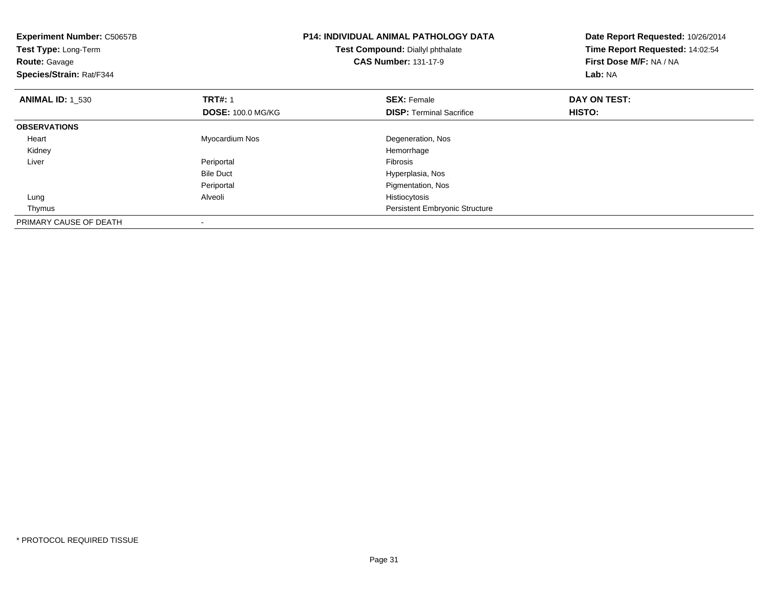| <b>Experiment Number: C50657B</b><br>Test Type: Long-Term<br><b>Route: Gavage</b><br>Species/Strain: Rat/F344 |                                            | <b>P14: INDIVIDUAL ANIMAL PATHOLOGY DATA</b><br>Test Compound: Diallyl phthalate<br><b>CAS Number: 131-17-9</b> | Date Report Requested: 10/26/2014<br>Time Report Requested: 14:02:54<br>First Dose M/F: NA / NA<br>Lab: NA |
|---------------------------------------------------------------------------------------------------------------|--------------------------------------------|-----------------------------------------------------------------------------------------------------------------|------------------------------------------------------------------------------------------------------------|
| <b>ANIMAL ID: 1 530</b>                                                                                       | <b>TRT#: 1</b><br><b>DOSE: 100.0 MG/KG</b> | <b>SEX: Female</b><br><b>DISP:</b> Terminal Sacrifice                                                           | DAY ON TEST:<br>HISTO:                                                                                     |
| <b>OBSERVATIONS</b>                                                                                           |                                            |                                                                                                                 |                                                                                                            |
|                                                                                                               |                                            |                                                                                                                 |                                                                                                            |
| Heart                                                                                                         | Myocardium Nos                             | Degeneration, Nos                                                                                               |                                                                                                            |
| Kidney                                                                                                        |                                            | Hemorrhage                                                                                                      |                                                                                                            |
| Liver                                                                                                         | Periportal                                 | <b>Fibrosis</b>                                                                                                 |                                                                                                            |
|                                                                                                               | <b>Bile Duct</b>                           | Hyperplasia, Nos                                                                                                |                                                                                                            |
|                                                                                                               | Periportal                                 | Pigmentation, Nos                                                                                               |                                                                                                            |
| Lung                                                                                                          | Alveoli                                    | Histiocytosis                                                                                                   |                                                                                                            |
| Thymus                                                                                                        |                                            | Persistent Embryonic Structure                                                                                  |                                                                                                            |
| PRIMARY CAUSE OF DEATH                                                                                        |                                            |                                                                                                                 |                                                                                                            |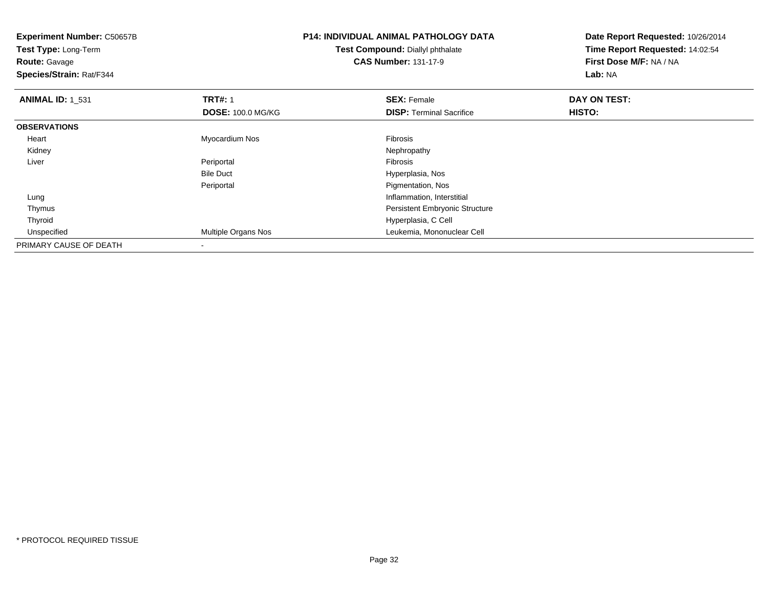| <b>Experiment Number: C50657B</b><br>Test Type: Long-Term<br><b>Route: Gavage</b><br>Species/Strain: Rat/F344 |                            | <b>P14: INDIVIDUAL ANIMAL PATHOLOGY DATA</b><br>Test Compound: Diallyl phthalate<br><b>CAS Number: 131-17-9</b> | Date Report Requested: 10/26/2014<br>Time Report Requested: 14:02:54<br>First Dose M/F: NA / NA<br>Lab: NA |
|---------------------------------------------------------------------------------------------------------------|----------------------------|-----------------------------------------------------------------------------------------------------------------|------------------------------------------------------------------------------------------------------------|
| <b>ANIMAL ID: 1 531</b>                                                                                       | <b>TRT#: 1</b>             | <b>SEX: Female</b>                                                                                              | DAY ON TEST:                                                                                               |
|                                                                                                               | <b>DOSE: 100.0 MG/KG</b>   | <b>DISP:</b> Terminal Sacrifice                                                                                 | <b>HISTO:</b>                                                                                              |
| <b>OBSERVATIONS</b>                                                                                           |                            |                                                                                                                 |                                                                                                            |
| Heart                                                                                                         | Myocardium Nos             | Fibrosis                                                                                                        |                                                                                                            |
| Kidney                                                                                                        |                            | Nephropathy                                                                                                     |                                                                                                            |
| Liver                                                                                                         | Periportal                 | Fibrosis                                                                                                        |                                                                                                            |
|                                                                                                               | <b>Bile Duct</b>           | Hyperplasia, Nos                                                                                                |                                                                                                            |
|                                                                                                               | Periportal                 | Pigmentation, Nos                                                                                               |                                                                                                            |
| Lung                                                                                                          |                            | Inflammation, Interstitial                                                                                      |                                                                                                            |
| Thymus                                                                                                        |                            | <b>Persistent Embryonic Structure</b>                                                                           |                                                                                                            |
| Thyroid                                                                                                       |                            | Hyperplasia, C Cell                                                                                             |                                                                                                            |
| Unspecified                                                                                                   | <b>Multiple Organs Nos</b> | Leukemia, Mononuclear Cell                                                                                      |                                                                                                            |
| PRIMARY CAUSE OF DEATH                                                                                        |                            |                                                                                                                 |                                                                                                            |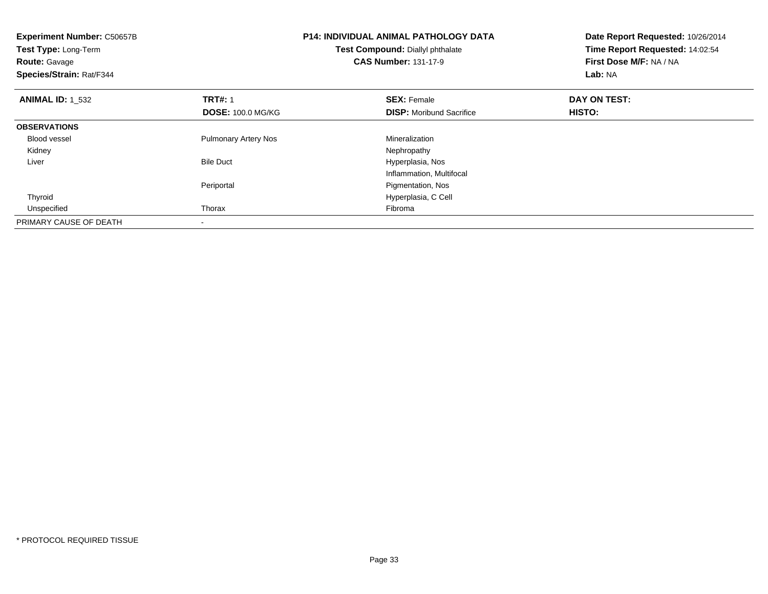| <b>Experiment Number: C50657B</b><br>Test Type: Long-Term<br><b>Route: Gavage</b><br>Species/Strain: Rat/F344 |                             | <b>P14: INDIVIDUAL ANIMAL PATHOLOGY DATA</b><br>Test Compound: Diallyl phthalate<br><b>CAS Number: 131-17-9</b> | Date Report Requested: 10/26/2014<br>Time Report Requested: 14:02:54<br>First Dose M/F: NA / NA<br>Lab: NA |
|---------------------------------------------------------------------------------------------------------------|-----------------------------|-----------------------------------------------------------------------------------------------------------------|------------------------------------------------------------------------------------------------------------|
| <b>ANIMAL ID: 1 532</b>                                                                                       | <b>TRT#: 1</b>              | <b>SEX: Female</b>                                                                                              | DAY ON TEST:                                                                                               |
|                                                                                                               | <b>DOSE: 100.0 MG/KG</b>    | <b>DISP:</b> Moribund Sacrifice                                                                                 | HISTO:                                                                                                     |
| <b>OBSERVATIONS</b>                                                                                           |                             |                                                                                                                 |                                                                                                            |
| <b>Blood vessel</b>                                                                                           | <b>Pulmonary Artery Nos</b> | Mineralization                                                                                                  |                                                                                                            |
| Kidney                                                                                                        |                             | Nephropathy                                                                                                     |                                                                                                            |
| Liver                                                                                                         | <b>Bile Duct</b>            | Hyperplasia, Nos                                                                                                |                                                                                                            |
|                                                                                                               |                             | Inflammation, Multifocal                                                                                        |                                                                                                            |
|                                                                                                               | Periportal                  | Pigmentation, Nos                                                                                               |                                                                                                            |
| Thyroid                                                                                                       |                             | Hyperplasia, C Cell                                                                                             |                                                                                                            |
| Unspecified                                                                                                   | Thorax                      | Fibroma                                                                                                         |                                                                                                            |
| PRIMARY CAUSE OF DEATH                                                                                        |                             |                                                                                                                 |                                                                                                            |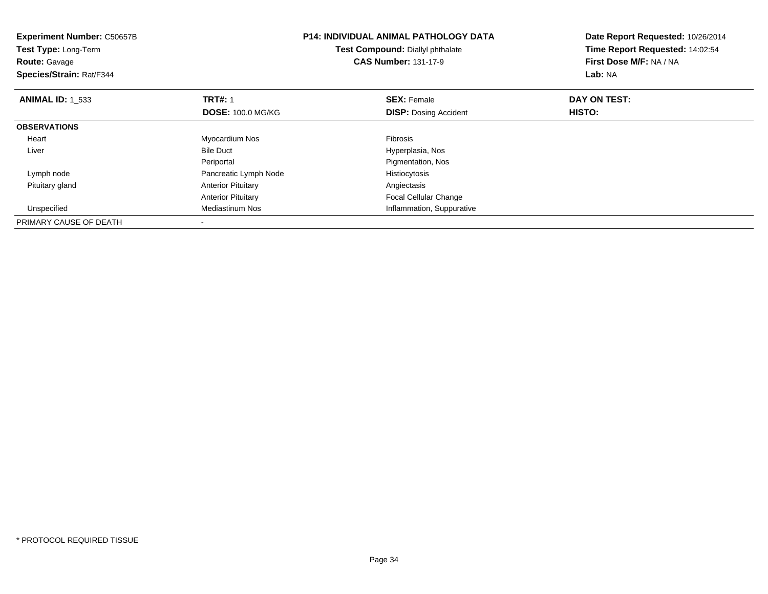| <b>Experiment Number: C50657B</b><br><b>Test Type: Long-Term</b><br><b>Route: Gavage</b><br>Species/Strain: Rat/F344 |                           | <b>P14: INDIVIDUAL ANIMAL PATHOLOGY DATA</b><br>Test Compound: Diallyl phthalate<br><b>CAS Number: 131-17-9</b> | Date Report Requested: 10/26/2014<br>Time Report Requested: 14:02:54<br>First Dose M/F: NA / NA<br>Lab: NA |
|----------------------------------------------------------------------------------------------------------------------|---------------------------|-----------------------------------------------------------------------------------------------------------------|------------------------------------------------------------------------------------------------------------|
| <b>ANIMAL ID: 1 533</b>                                                                                              | <b>TRT#: 1</b>            | <b>SEX: Female</b>                                                                                              | DAY ON TEST:                                                                                               |
|                                                                                                                      | <b>DOSE: 100.0 MG/KG</b>  | <b>DISP:</b> Dosing Accident                                                                                    | HISTO:                                                                                                     |
| <b>OBSERVATIONS</b>                                                                                                  |                           |                                                                                                                 |                                                                                                            |
| Heart                                                                                                                | Myocardium Nos            | Fibrosis                                                                                                        |                                                                                                            |
| Liver                                                                                                                | <b>Bile Duct</b>          | Hyperplasia, Nos                                                                                                |                                                                                                            |
|                                                                                                                      | Periportal                | Pigmentation, Nos                                                                                               |                                                                                                            |
| Lymph node                                                                                                           | Pancreatic Lymph Node     | Histiocytosis                                                                                                   |                                                                                                            |
| Pituitary gland                                                                                                      | <b>Anterior Pituitary</b> | Angiectasis                                                                                                     |                                                                                                            |
|                                                                                                                      | <b>Anterior Pituitary</b> | Focal Cellular Change                                                                                           |                                                                                                            |
| Unspecified                                                                                                          | Mediastinum Nos           | Inflammation, Suppurative                                                                                       |                                                                                                            |
| PRIMARY CAUSE OF DEATH                                                                                               |                           |                                                                                                                 |                                                                                                            |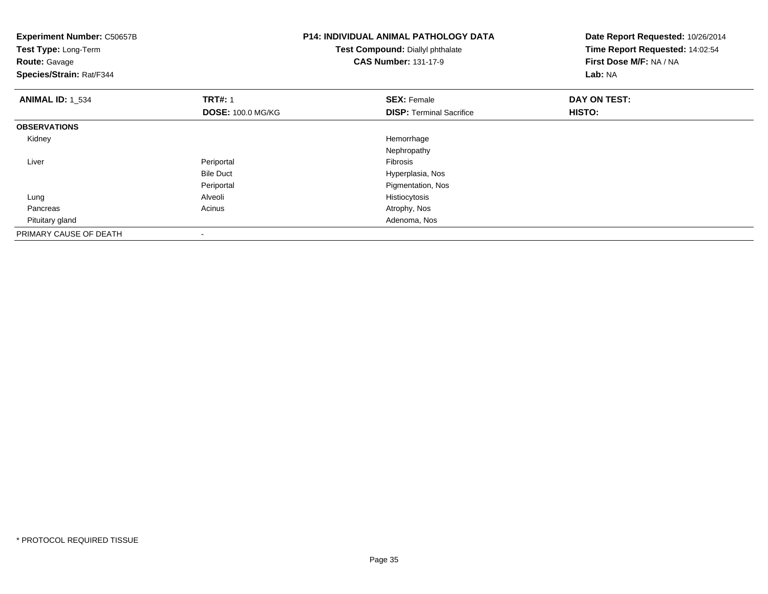| <b>Experiment Number: C50657B</b><br>Test Type: Long-Term<br><b>Route: Gavage</b><br>Species/Strain: Rat/F344 |                          | <b>P14: INDIVIDUAL ANIMAL PATHOLOGY DATA</b><br>Test Compound: Diallyl phthalate<br><b>CAS Number: 131-17-9</b> | Date Report Requested: 10/26/2014<br>Time Report Requested: 14:02:54<br>First Dose M/F: NA / NA<br>Lab: NA |
|---------------------------------------------------------------------------------------------------------------|--------------------------|-----------------------------------------------------------------------------------------------------------------|------------------------------------------------------------------------------------------------------------|
| <b>ANIMAL ID: 1_534</b>                                                                                       | <b>TRT#: 1</b>           | <b>SEX: Female</b>                                                                                              | DAY ON TEST:                                                                                               |
|                                                                                                               | <b>DOSE: 100.0 MG/KG</b> | <b>DISP:</b> Terminal Sacrifice                                                                                 | <b>HISTO:</b>                                                                                              |
| <b>OBSERVATIONS</b>                                                                                           |                          |                                                                                                                 |                                                                                                            |
| Kidney                                                                                                        |                          | Hemorrhage                                                                                                      |                                                                                                            |
|                                                                                                               |                          | Nephropathy                                                                                                     |                                                                                                            |
| Liver                                                                                                         | Periportal               | Fibrosis                                                                                                        |                                                                                                            |
|                                                                                                               | <b>Bile Duct</b>         | Hyperplasia, Nos                                                                                                |                                                                                                            |
|                                                                                                               | Periportal               | Pigmentation, Nos                                                                                               |                                                                                                            |
| Lung                                                                                                          | Alveoli                  | Histiocytosis                                                                                                   |                                                                                                            |
| Pancreas                                                                                                      | Acinus                   | Atrophy, Nos                                                                                                    |                                                                                                            |
| Pituitary gland                                                                                               |                          | Adenoma, Nos                                                                                                    |                                                                                                            |
| PRIMARY CAUSE OF DEATH                                                                                        | $\overline{\phantom{a}}$ |                                                                                                                 |                                                                                                            |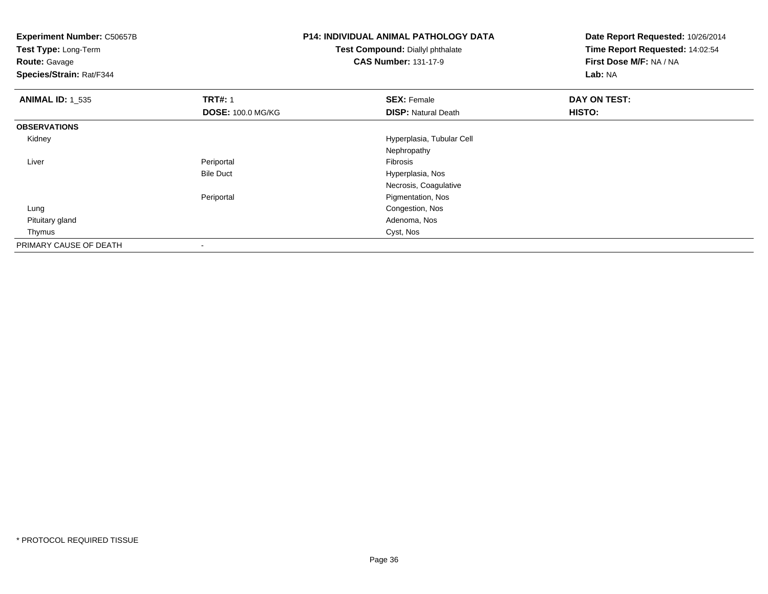| <b>Experiment Number: C50657B</b><br>Test Type: Long-Term<br><b>Route: Gavage</b><br>Species/Strain: Rat/F344 |                          | <b>P14: INDIVIDUAL ANIMAL PATHOLOGY DATA</b><br>Test Compound: Diallyl phthalate<br><b>CAS Number: 131-17-9</b> | Date Report Requested: 10/26/2014<br>Time Report Requested: 14:02:54<br>First Dose M/F: NA / NA<br>Lab: NA |
|---------------------------------------------------------------------------------------------------------------|--------------------------|-----------------------------------------------------------------------------------------------------------------|------------------------------------------------------------------------------------------------------------|
| <b>ANIMAL ID: 1 535</b>                                                                                       | <b>TRT#: 1</b>           | <b>SEX: Female</b>                                                                                              | DAY ON TEST:                                                                                               |
|                                                                                                               | <b>DOSE: 100.0 MG/KG</b> | <b>DISP: Natural Death</b>                                                                                      | HISTO:                                                                                                     |
| <b>OBSERVATIONS</b>                                                                                           |                          |                                                                                                                 |                                                                                                            |
| Kidney                                                                                                        |                          | Hyperplasia, Tubular Cell                                                                                       |                                                                                                            |
|                                                                                                               |                          | Nephropathy                                                                                                     |                                                                                                            |
| Liver                                                                                                         | Periportal               | Fibrosis                                                                                                        |                                                                                                            |
|                                                                                                               | <b>Bile Duct</b>         | Hyperplasia, Nos                                                                                                |                                                                                                            |
|                                                                                                               |                          | Necrosis, Coagulative                                                                                           |                                                                                                            |
|                                                                                                               | Periportal               | Pigmentation, Nos                                                                                               |                                                                                                            |
| Lung                                                                                                          |                          | Congestion, Nos                                                                                                 |                                                                                                            |
| Pituitary gland                                                                                               |                          | Adenoma, Nos                                                                                                    |                                                                                                            |
| Thymus                                                                                                        |                          | Cyst, Nos                                                                                                       |                                                                                                            |
| PRIMARY CAUSE OF DEATH                                                                                        |                          |                                                                                                                 |                                                                                                            |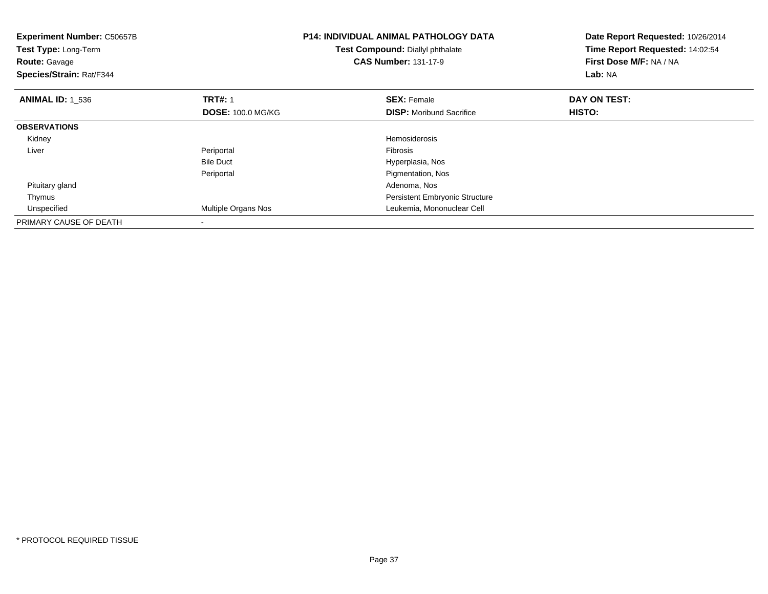| <b>Experiment Number: C50657B</b><br><b>Test Type: Long-Term</b><br><b>Route: Gavage</b><br>Species/Strain: Rat/F344 |                                            | <b>P14: INDIVIDUAL ANIMAL PATHOLOGY DATA</b><br>Test Compound: Diallyl phthalate<br><b>CAS Number: 131-17-9</b> | Date Report Requested: 10/26/2014<br>Time Report Requested: 14:02:54<br>First Dose M/F: NA / NA<br>Lab: NA |
|----------------------------------------------------------------------------------------------------------------------|--------------------------------------------|-----------------------------------------------------------------------------------------------------------------|------------------------------------------------------------------------------------------------------------|
| <b>ANIMAL ID: 1_536</b>                                                                                              | <b>TRT#: 1</b><br><b>DOSE: 100.0 MG/KG</b> | <b>SEX: Female</b><br><b>DISP:</b> Moribund Sacrifice                                                           | DAY ON TEST:<br>HISTO:                                                                                     |
| <b>OBSERVATIONS</b>                                                                                                  |                                            |                                                                                                                 |                                                                                                            |
| Kidney                                                                                                               |                                            | <b>Hemosiderosis</b>                                                                                            |                                                                                                            |
| Liver                                                                                                                | Periportal                                 | <b>Fibrosis</b>                                                                                                 |                                                                                                            |
|                                                                                                                      | <b>Bile Duct</b>                           | Hyperplasia, Nos                                                                                                |                                                                                                            |
|                                                                                                                      | Periportal                                 | Pigmentation, Nos                                                                                               |                                                                                                            |
| Pituitary gland                                                                                                      |                                            | Adenoma, Nos                                                                                                    |                                                                                                            |
| Thymus                                                                                                               |                                            | Persistent Embryonic Structure                                                                                  |                                                                                                            |
| Unspecified                                                                                                          | Multiple Organs Nos                        | Leukemia, Mononuclear Cell                                                                                      |                                                                                                            |
| PRIMARY CAUSE OF DEATH                                                                                               |                                            |                                                                                                                 |                                                                                                            |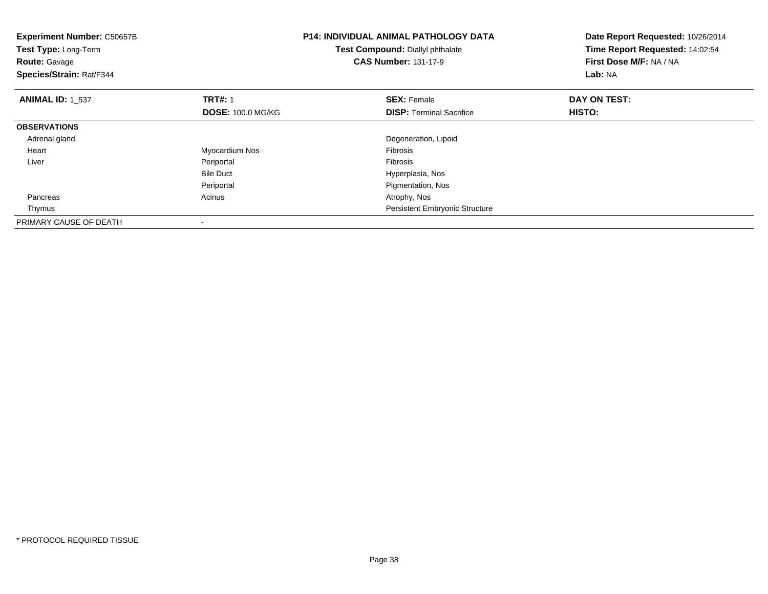| <b>Experiment Number: C50657B</b><br>Test Type: Long-Term<br><b>Route: Gavage</b><br>Species/Strain: Rat/F344 |                          | <b>P14: INDIVIDUAL ANIMAL PATHOLOGY DATA</b><br>Test Compound: Diallyl phthalate<br><b>CAS Number: 131-17-9</b> | Date Report Requested: 10/26/2014<br>Time Report Requested: 14:02:54<br>First Dose M/F: NA / NA<br>Lab: NA |
|---------------------------------------------------------------------------------------------------------------|--------------------------|-----------------------------------------------------------------------------------------------------------------|------------------------------------------------------------------------------------------------------------|
| <b>ANIMAL ID: 1 537</b>                                                                                       | <b>TRT#: 1</b>           | <b>SEX: Female</b>                                                                                              | DAY ON TEST:                                                                                               |
|                                                                                                               | <b>DOSE: 100.0 MG/KG</b> | <b>DISP:</b> Terminal Sacrifice                                                                                 | HISTO:                                                                                                     |
| <b>OBSERVATIONS</b>                                                                                           |                          |                                                                                                                 |                                                                                                            |
| Adrenal gland                                                                                                 |                          | Degeneration, Lipoid                                                                                            |                                                                                                            |
| Heart                                                                                                         | Myocardium Nos           | <b>Fibrosis</b>                                                                                                 |                                                                                                            |
| Liver                                                                                                         | Periportal               | <b>Fibrosis</b>                                                                                                 |                                                                                                            |
|                                                                                                               | <b>Bile Duct</b>         | Hyperplasia, Nos                                                                                                |                                                                                                            |
|                                                                                                               | Periportal               | Pigmentation, Nos                                                                                               |                                                                                                            |
| Pancreas                                                                                                      | Acinus                   | Atrophy, Nos                                                                                                    |                                                                                                            |
| Thymus                                                                                                        |                          | Persistent Embryonic Structure                                                                                  |                                                                                                            |
| PRIMARY CAUSE OF DEATH                                                                                        |                          |                                                                                                                 |                                                                                                            |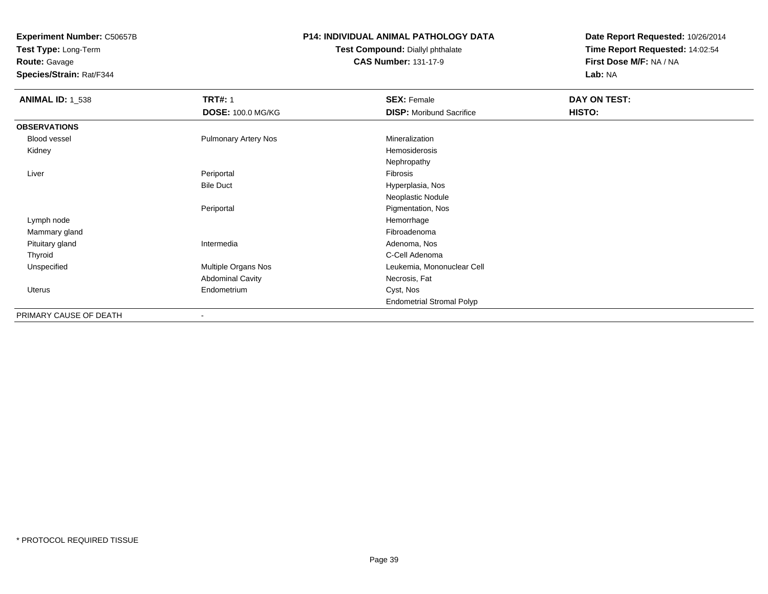**Test Type:** Long-Term**Route:** Gavage

**Species/Strain:** Rat/F344

#### **P14: INDIVIDUAL ANIMAL PATHOLOGY DATA**

**Test Compound:** Diallyl phthalate**CAS Number:** 131-17-9

| <b>ANIMAL ID: 1_538</b> | <b>TRT#: 1</b>              | <b>SEX: Female</b>               | DAY ON TEST: |  |
|-------------------------|-----------------------------|----------------------------------|--------------|--|
|                         | <b>DOSE: 100.0 MG/KG</b>    | <b>DISP:</b> Moribund Sacrifice  | HISTO:       |  |
| <b>OBSERVATIONS</b>     |                             |                                  |              |  |
| Blood vessel            | <b>Pulmonary Artery Nos</b> | Mineralization                   |              |  |
| Kidney                  |                             | Hemosiderosis                    |              |  |
|                         |                             | Nephropathy                      |              |  |
| Liver                   | Periportal                  | Fibrosis                         |              |  |
|                         | <b>Bile Duct</b>            | Hyperplasia, Nos                 |              |  |
|                         |                             | Neoplastic Nodule                |              |  |
|                         | Periportal                  | Pigmentation, Nos                |              |  |
| Lymph node              |                             | Hemorrhage                       |              |  |
| Mammary gland           |                             | Fibroadenoma                     |              |  |
| Pituitary gland         | Intermedia                  | Adenoma, Nos                     |              |  |
| Thyroid                 |                             | C-Cell Adenoma                   |              |  |
| Unspecified             | Multiple Organs Nos         | Leukemia, Mononuclear Cell       |              |  |
|                         | <b>Abdominal Cavity</b>     | Necrosis, Fat                    |              |  |
| Uterus                  | Endometrium                 | Cyst, Nos                        |              |  |
|                         |                             | <b>Endometrial Stromal Polyp</b> |              |  |
| PRIMARY CAUSE OF DEATH  | $\overline{\phantom{a}}$    |                                  |              |  |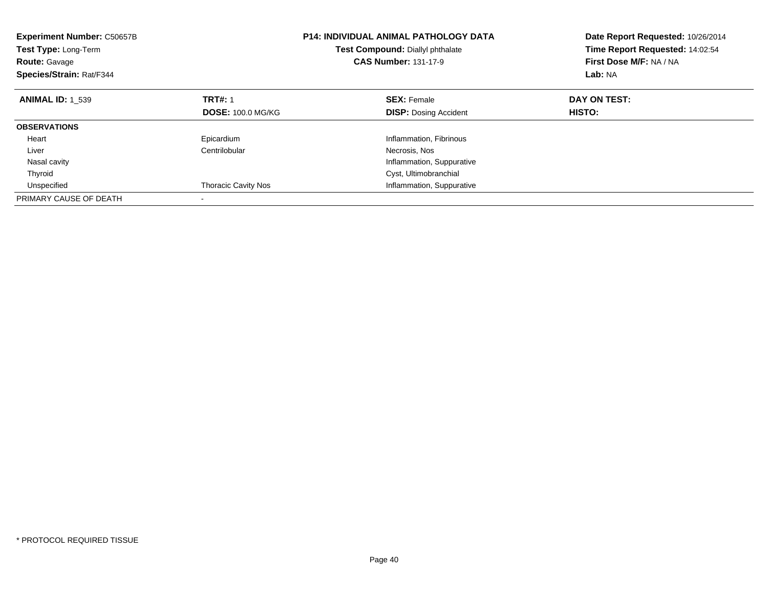| <b>Experiment Number: C50657B</b><br>Test Type: Long-Term<br><b>Route: Gavage</b><br>Species/Strain: Rat/F344 |                            | <b>P14: INDIVIDUAL ANIMAL PATHOLOGY DATA</b><br>Test Compound: Diallyl phthalate<br><b>CAS Number: 131-17-9</b> | Date Report Requested: 10/26/2014<br>Time Report Requested: 14:02:54<br>First Dose M/F: NA / NA<br>Lab: NA |
|---------------------------------------------------------------------------------------------------------------|----------------------------|-----------------------------------------------------------------------------------------------------------------|------------------------------------------------------------------------------------------------------------|
| <b>ANIMAL ID: 1 539</b>                                                                                       | <b>TRT#: 1</b>             | <b>SEX: Female</b>                                                                                              | DAY ON TEST:                                                                                               |
|                                                                                                               | <b>DOSE: 100.0 MG/KG</b>   | <b>DISP: Dosing Accident</b>                                                                                    | HISTO:                                                                                                     |
| <b>OBSERVATIONS</b>                                                                                           |                            |                                                                                                                 |                                                                                                            |
| Heart                                                                                                         | Epicardium                 | Inflammation, Fibrinous                                                                                         |                                                                                                            |
| Liver                                                                                                         | Centrilobular              | Necrosis, Nos                                                                                                   |                                                                                                            |
| Nasal cavity                                                                                                  |                            | Inflammation, Suppurative                                                                                       |                                                                                                            |
| Thyroid                                                                                                       |                            | Cyst, Ultimobranchial                                                                                           |                                                                                                            |
| Unspecified                                                                                                   | <b>Thoracic Cavity Nos</b> | Inflammation, Suppurative                                                                                       |                                                                                                            |
| PRIMARY CAUSE OF DEATH                                                                                        |                            |                                                                                                                 |                                                                                                            |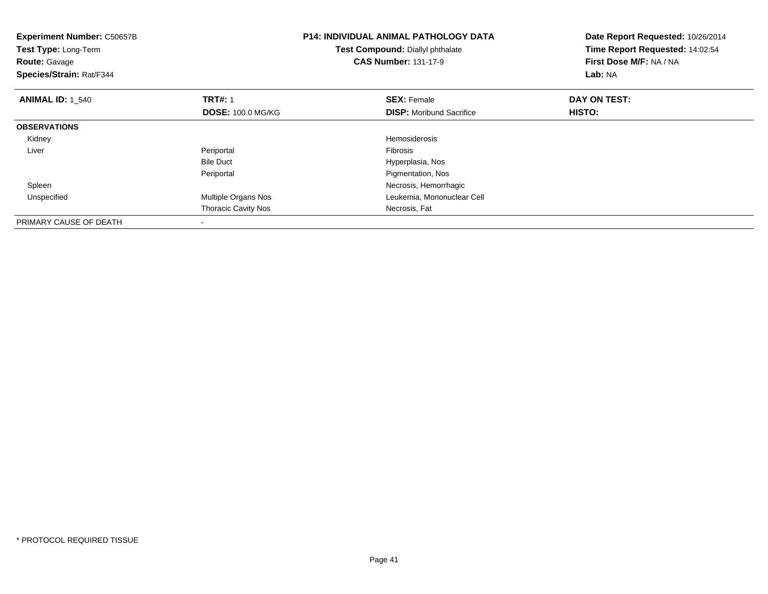| <b>Experiment Number: C50657B</b><br><b>Test Type: Long-Term</b><br><b>Route: Gavage</b><br>Species/Strain: Rat/F344 |                            | <b>P14: INDIVIDUAL ANIMAL PATHOLOGY DATA</b><br>Test Compound: Diallyl phthalate<br><b>CAS Number: 131-17-9</b> | Date Report Requested: 10/26/2014<br>Time Report Requested: 14:02:54<br>First Dose M/F: NA / NA<br>Lab: NA |
|----------------------------------------------------------------------------------------------------------------------|----------------------------|-----------------------------------------------------------------------------------------------------------------|------------------------------------------------------------------------------------------------------------|
| <b>ANIMAL ID: 1 540</b>                                                                                              | <b>TRT#: 1</b>             | <b>SEX: Female</b>                                                                                              | DAY ON TEST:                                                                                               |
|                                                                                                                      | <b>DOSE: 100.0 MG/KG</b>   | <b>DISP:</b> Moribund Sacrifice                                                                                 | HISTO:                                                                                                     |
| <b>OBSERVATIONS</b>                                                                                                  |                            |                                                                                                                 |                                                                                                            |
| Kidney                                                                                                               |                            | <b>Hemosiderosis</b>                                                                                            |                                                                                                            |
| Liver                                                                                                                | Periportal                 | <b>Fibrosis</b>                                                                                                 |                                                                                                            |
|                                                                                                                      | <b>Bile Duct</b>           | Hyperplasia, Nos                                                                                                |                                                                                                            |
|                                                                                                                      | Periportal                 | Pigmentation, Nos                                                                                               |                                                                                                            |
| Spleen                                                                                                               |                            | Necrosis, Hemorrhagic                                                                                           |                                                                                                            |
| Unspecified                                                                                                          | Multiple Organs Nos        | Leukemia, Mononuclear Cell                                                                                      |                                                                                                            |
|                                                                                                                      | <b>Thoracic Cavity Nos</b> | Necrosis, Fat                                                                                                   |                                                                                                            |
| PRIMARY CAUSE OF DEATH                                                                                               | $\overline{\phantom{a}}$   |                                                                                                                 |                                                                                                            |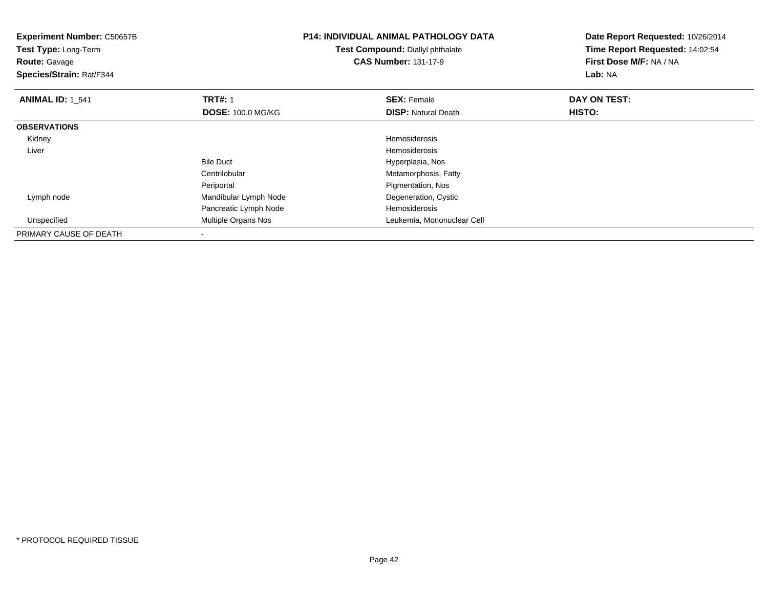| <b>Experiment Number: C50657B</b><br>Test Type: Long-Term<br><b>Route: Gavage</b><br>Species/Strain: Rat/F344 |                          | <b>P14: INDIVIDUAL ANIMAL PATHOLOGY DATA</b><br>Test Compound: Diallyl phthalate<br><b>CAS Number: 131-17-9</b> | Date Report Requested: 10/26/2014<br>Time Report Requested: 14:02:54<br>First Dose M/F: NA / NA<br><b>Lab: NA</b> |
|---------------------------------------------------------------------------------------------------------------|--------------------------|-----------------------------------------------------------------------------------------------------------------|-------------------------------------------------------------------------------------------------------------------|
| <b>ANIMAL ID: 1 541</b>                                                                                       | <b>TRT#: 1</b>           | <b>SEX: Female</b>                                                                                              | DAY ON TEST:                                                                                                      |
|                                                                                                               | <b>DOSE: 100.0 MG/KG</b> | <b>DISP:</b> Natural Death                                                                                      | HISTO:                                                                                                            |
| <b>OBSERVATIONS</b>                                                                                           |                          |                                                                                                                 |                                                                                                                   |
| Kidney                                                                                                        |                          | Hemosiderosis                                                                                                   |                                                                                                                   |
| Liver                                                                                                         |                          | Hemosiderosis                                                                                                   |                                                                                                                   |
|                                                                                                               | <b>Bile Duct</b>         | Hyperplasia, Nos                                                                                                |                                                                                                                   |
|                                                                                                               | Centrilobular            | Metamorphosis, Fatty                                                                                            |                                                                                                                   |
|                                                                                                               | Periportal               | Pigmentation, Nos                                                                                               |                                                                                                                   |
| Lymph node                                                                                                    | Mandibular Lymph Node    | Degeneration, Cystic                                                                                            |                                                                                                                   |
|                                                                                                               | Pancreatic Lymph Node    | Hemosiderosis                                                                                                   |                                                                                                                   |
| Unspecified                                                                                                   | Multiple Organs Nos      | Leukemia, Mononuclear Cell                                                                                      |                                                                                                                   |
| PRIMARY CAUSE OF DEATH                                                                                        |                          |                                                                                                                 |                                                                                                                   |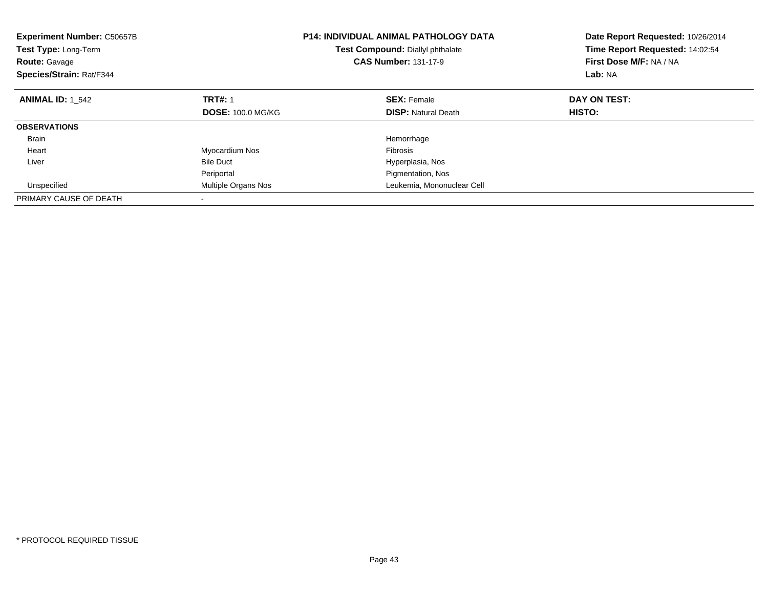| <b>Experiment Number: C50657B</b><br><b>Test Type: Long-Term</b><br><b>Route: Gavage</b><br>Species/Strain: Rat/F344 | <b>P14: INDIVIDUAL ANIMAL PATHOLOGY DATA</b><br>Test Compound: Diallyl phthalate<br><b>CAS Number: 131-17-9</b> |                            | Date Report Requested: 10/26/2014<br>Time Report Requested: 14:02:54<br>First Dose M/F: NA / NA<br>Lab: NA |
|----------------------------------------------------------------------------------------------------------------------|-----------------------------------------------------------------------------------------------------------------|----------------------------|------------------------------------------------------------------------------------------------------------|
| <b>ANIMAL ID: 1 542</b>                                                                                              | <b>TRT#: 1</b>                                                                                                  | <b>SEX: Female</b>         | DAY ON TEST:                                                                                               |
|                                                                                                                      | <b>DOSE: 100.0 MG/KG</b>                                                                                        | <b>DISP:</b> Natural Death | HISTO:                                                                                                     |
| <b>OBSERVATIONS</b>                                                                                                  |                                                                                                                 |                            |                                                                                                            |
| <b>Brain</b>                                                                                                         |                                                                                                                 | Hemorrhage                 |                                                                                                            |
| Heart                                                                                                                | Myocardium Nos                                                                                                  | Fibrosis                   |                                                                                                            |
| Liver                                                                                                                | <b>Bile Duct</b>                                                                                                | Hyperplasia, Nos           |                                                                                                            |
|                                                                                                                      | Periportal                                                                                                      | Pigmentation, Nos          |                                                                                                            |
| Unspecified                                                                                                          | Multiple Organs Nos                                                                                             | Leukemia, Mononuclear Cell |                                                                                                            |
| PRIMARY CAUSE OF DEATH                                                                                               |                                                                                                                 |                            |                                                                                                            |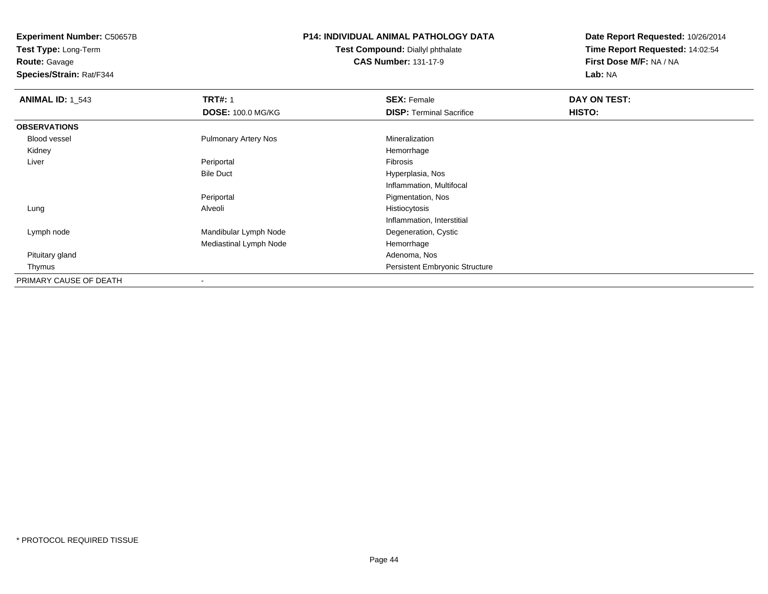**Route:** Gavage

**Species/Strain:** Rat/F344

## **P14: INDIVIDUAL ANIMAL PATHOLOGY DATA**

**Test Compound:** Diallyl phthalate**CAS Number:** 131-17-9

| <b>ANIMAL ID: 1 543</b> | <b>TRT#: 1</b>              | <b>SEX: Female</b>                    | DAY ON TEST: |  |
|-------------------------|-----------------------------|---------------------------------------|--------------|--|
|                         | <b>DOSE: 100.0 MG/KG</b>    | <b>DISP: Terminal Sacrifice</b>       | HISTO:       |  |
| <b>OBSERVATIONS</b>     |                             |                                       |              |  |
| Blood vessel            | <b>Pulmonary Artery Nos</b> | Mineralization                        |              |  |
| Kidney                  |                             | Hemorrhage                            |              |  |
| Liver                   | Periportal                  | Fibrosis                              |              |  |
|                         | <b>Bile Duct</b>            | Hyperplasia, Nos                      |              |  |
|                         |                             | Inflammation, Multifocal              |              |  |
|                         | Periportal                  | Pigmentation, Nos                     |              |  |
| Lung                    | Alveoli                     | Histiocytosis                         |              |  |
|                         |                             | Inflammation, Interstitial            |              |  |
| Lymph node              | Mandibular Lymph Node       | Degeneration, Cystic                  |              |  |
|                         | Mediastinal Lymph Node      | Hemorrhage                            |              |  |
| Pituitary gland         |                             | Adenoma, Nos                          |              |  |
| Thymus                  |                             | <b>Persistent Embryonic Structure</b> |              |  |
| PRIMARY CAUSE OF DEATH  | $\overline{\phantom{a}}$    |                                       |              |  |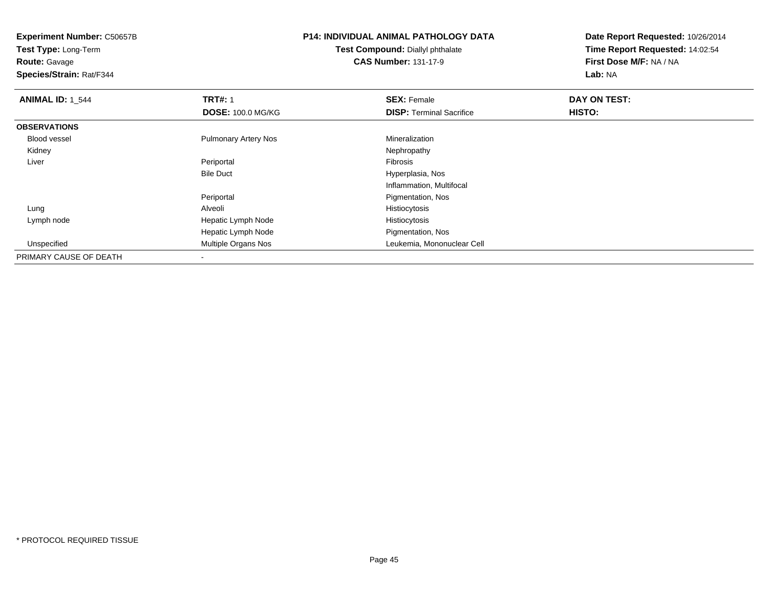**Route:** Gavage

**Species/Strain:** Rat/F344

# **P14: INDIVIDUAL ANIMAL PATHOLOGY DATA**

**Test Compound:** Diallyl phthalate**CAS Number:** 131-17-9

| <b>ANIMAL ID: 1 544</b> | <b>TRT#: 1</b>              | <b>SEX: Female</b>              | DAY ON TEST: |  |
|-------------------------|-----------------------------|---------------------------------|--------------|--|
|                         | <b>DOSE: 100.0 MG/KG</b>    | <b>DISP: Terminal Sacrifice</b> | HISTO:       |  |
| <b>OBSERVATIONS</b>     |                             |                                 |              |  |
| Blood vessel            | <b>Pulmonary Artery Nos</b> | Mineralization                  |              |  |
| Kidney                  |                             | Nephropathy                     |              |  |
| Liver                   | Periportal                  | Fibrosis                        |              |  |
|                         | <b>Bile Duct</b>            | Hyperplasia, Nos                |              |  |
|                         |                             | Inflammation, Multifocal        |              |  |
|                         | Periportal                  | Pigmentation, Nos               |              |  |
| Lung                    | Alveoli                     | Histiocytosis                   |              |  |
| Lymph node              | Hepatic Lymph Node          | Histiocytosis                   |              |  |
|                         | Hepatic Lymph Node          | Pigmentation, Nos               |              |  |
| Unspecified             | Multiple Organs Nos         | Leukemia, Mononuclear Cell      |              |  |
| PRIMARY CAUSE OF DEATH  |                             |                                 |              |  |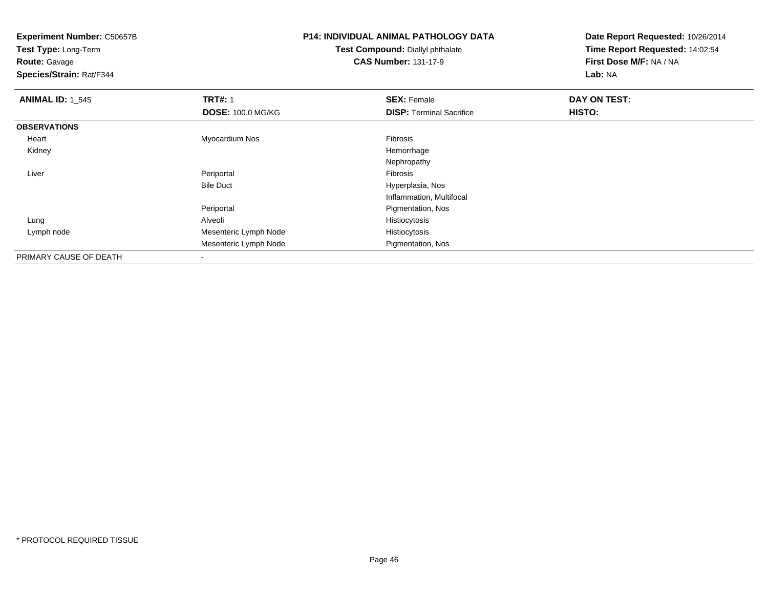**Test Type:** Long-Term**Route:** Gavage

**Species/Strain:** Rat/F344

# **P14: INDIVIDUAL ANIMAL PATHOLOGY DATA**

**Test Compound:** Diallyl phthalate**CAS Number:** 131-17-9

| <b>ANIMAL ID: 1_545</b> | <b>TRT#: 1</b>           | <b>SEX: Female</b>              | DAY ON TEST: |  |
|-------------------------|--------------------------|---------------------------------|--------------|--|
|                         | <b>DOSE: 100.0 MG/KG</b> | <b>DISP: Terminal Sacrifice</b> | HISTO:       |  |
| <b>OBSERVATIONS</b>     |                          |                                 |              |  |
| Heart                   | Myocardium Nos           | Fibrosis                        |              |  |
| Kidney                  |                          | Hemorrhage                      |              |  |
|                         |                          | Nephropathy                     |              |  |
| Liver                   | Periportal               | Fibrosis                        |              |  |
|                         | <b>Bile Duct</b>         | Hyperplasia, Nos                |              |  |
|                         |                          | Inflammation, Multifocal        |              |  |
|                         | Periportal               | Pigmentation, Nos               |              |  |
| Lung                    | Alveoli                  | Histiocytosis                   |              |  |
| Lymph node              | Mesenteric Lymph Node    | Histiocytosis                   |              |  |
|                         | Mesenteric Lymph Node    | Pigmentation, Nos               |              |  |
| PRIMARY CAUSE OF DEATH  | $\overline{\phantom{a}}$ |                                 |              |  |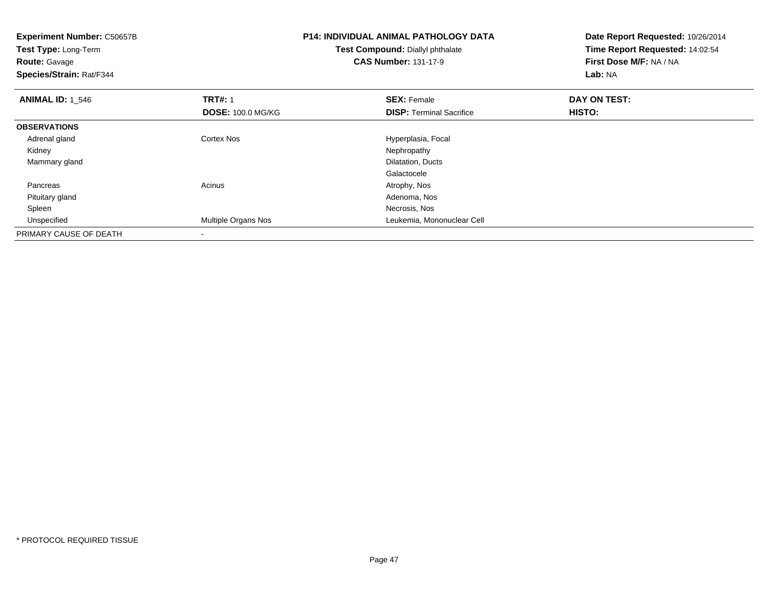| <b>Experiment Number: C50657B</b><br>Test Type: Long-Term<br><b>Route: Gavage</b><br>Species/Strain: Rat/F344 |                            | <b>P14: INDIVIDUAL ANIMAL PATHOLOGY DATA</b><br>Test Compound: Diallyl phthalate<br><b>CAS Number: 131-17-9</b> | Date Report Requested: 10/26/2014<br>Time Report Requested: 14:02:54<br>First Dose M/F: NA / NA<br><b>Lab: NA</b> |  |
|---------------------------------------------------------------------------------------------------------------|----------------------------|-----------------------------------------------------------------------------------------------------------------|-------------------------------------------------------------------------------------------------------------------|--|
| <b>ANIMAL ID:</b> 1 546                                                                                       | <b>TRT#: 1</b>             | <b>SEX: Female</b>                                                                                              | DAY ON TEST:                                                                                                      |  |
|                                                                                                               | <b>DOSE: 100.0 MG/KG</b>   | <b>DISP:</b> Terminal Sacrifice                                                                                 | <b>HISTO:</b>                                                                                                     |  |
| <b>OBSERVATIONS</b>                                                                                           |                            |                                                                                                                 |                                                                                                                   |  |
| Adrenal gland                                                                                                 | <b>Cortex Nos</b>          | Hyperplasia, Focal                                                                                              |                                                                                                                   |  |
| Kidney                                                                                                        |                            | Nephropathy                                                                                                     |                                                                                                                   |  |
| Mammary gland                                                                                                 |                            | Dilatation, Ducts                                                                                               |                                                                                                                   |  |
|                                                                                                               |                            | Galactocele                                                                                                     |                                                                                                                   |  |
| Pancreas                                                                                                      | Acinus                     | Atrophy, Nos                                                                                                    |                                                                                                                   |  |
| Pituitary gland                                                                                               |                            | Adenoma, Nos                                                                                                    |                                                                                                                   |  |
| Spleen                                                                                                        |                            | Necrosis, Nos                                                                                                   |                                                                                                                   |  |
| Unspecified                                                                                                   | <b>Multiple Organs Nos</b> | Leukemia, Mononuclear Cell                                                                                      |                                                                                                                   |  |
| PRIMARY CAUSE OF DEATH                                                                                        |                            |                                                                                                                 |                                                                                                                   |  |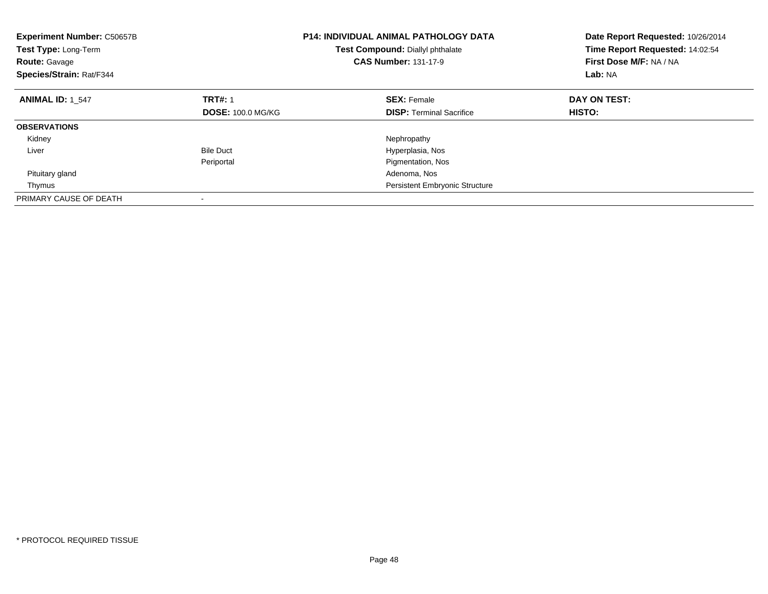| <b>Experiment Number: C50657B</b><br><b>Test Type: Long-Term</b><br><b>Route: Gavage</b><br>Species/Strain: Rat/F344 |                          | <b>P14: INDIVIDUAL ANIMAL PATHOLOGY DATA</b><br>Test Compound: Diallyl phthalate<br><b>CAS Number: 131-17-9</b> | Date Report Requested: 10/26/2014<br>Time Report Requested: 14:02:54<br>First Dose M/F: NA / NA<br>Lab: NA |
|----------------------------------------------------------------------------------------------------------------------|--------------------------|-----------------------------------------------------------------------------------------------------------------|------------------------------------------------------------------------------------------------------------|
| <b>ANIMAL ID: 1 547</b>                                                                                              | <b>TRT#: 1</b>           | <b>SEX: Female</b>                                                                                              | DAY ON TEST:                                                                                               |
|                                                                                                                      | <b>DOSE: 100.0 MG/KG</b> | <b>DISP:</b> Terminal Sacrifice                                                                                 | <b>HISTO:</b>                                                                                              |
| <b>OBSERVATIONS</b>                                                                                                  |                          |                                                                                                                 |                                                                                                            |
| Kidney                                                                                                               |                          | Nephropathy                                                                                                     |                                                                                                            |
| Liver                                                                                                                | <b>Bile Duct</b>         | Hyperplasia, Nos                                                                                                |                                                                                                            |
|                                                                                                                      | Periportal               | Pigmentation, Nos                                                                                               |                                                                                                            |
| Pituitary gland                                                                                                      |                          | Adenoma, Nos                                                                                                    |                                                                                                            |
| Thymus                                                                                                               |                          | <b>Persistent Embryonic Structure</b>                                                                           |                                                                                                            |
| PRIMARY CAUSE OF DEATH                                                                                               |                          |                                                                                                                 |                                                                                                            |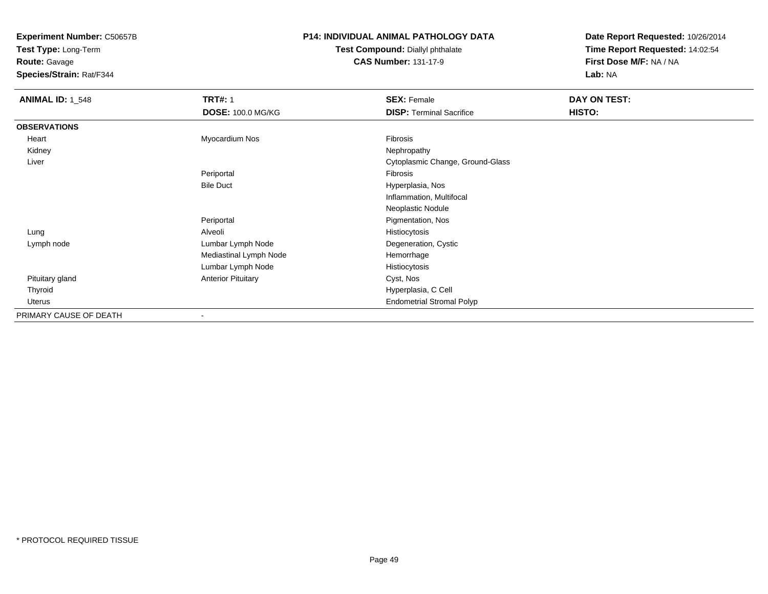**Test Type:** Long-Term**Route:** Gavage

**Species/Strain:** Rat/F344

### **P14: INDIVIDUAL ANIMAL PATHOLOGY DATA**

**Test Compound:** Diallyl phthalate**CAS Number:** 131-17-9

| <b>ANIMAL ID: 1 548</b> | <b>TRT#: 1</b>            | <b>SEX: Female</b>               | <b>DAY ON TEST:</b> |
|-------------------------|---------------------------|----------------------------------|---------------------|
|                         | <b>DOSE: 100.0 MG/KG</b>  | <b>DISP: Terminal Sacrifice</b>  | HISTO:              |
| <b>OBSERVATIONS</b>     |                           |                                  |                     |
| Heart                   | Myocardium Nos            | Fibrosis                         |                     |
| Kidney                  |                           | Nephropathy                      |                     |
| Liver                   |                           | Cytoplasmic Change, Ground-Glass |                     |
|                         | Periportal                | Fibrosis                         |                     |
|                         | <b>Bile Duct</b>          | Hyperplasia, Nos                 |                     |
|                         |                           | Inflammation, Multifocal         |                     |
|                         |                           | Neoplastic Nodule                |                     |
|                         | Periportal                | Pigmentation, Nos                |                     |
| Lung                    | Alveoli                   | Histiocytosis                    |                     |
| Lymph node              | Lumbar Lymph Node         | Degeneration, Cystic             |                     |
|                         | Mediastinal Lymph Node    | Hemorrhage                       |                     |
|                         | Lumbar Lymph Node         | Histiocytosis                    |                     |
| Pituitary gland         | <b>Anterior Pituitary</b> | Cyst, Nos                        |                     |
| Thyroid                 |                           | Hyperplasia, C Cell              |                     |
| Uterus                  |                           | <b>Endometrial Stromal Polyp</b> |                     |
| PRIMARY CAUSE OF DEATH  | $\blacksquare$            |                                  |                     |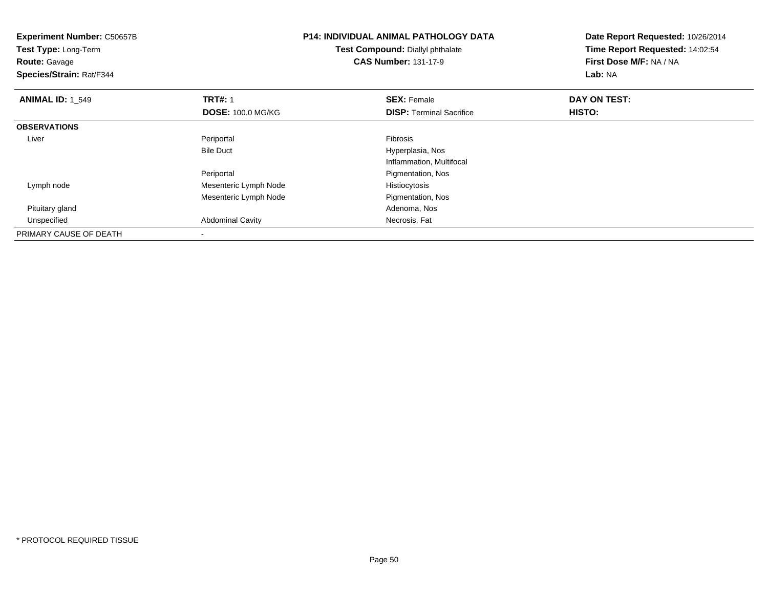| <b>Experiment Number: C50657B</b><br>Test Type: Long-Term<br><b>Route: Gavage</b><br>Species/Strain: Rat/F344 |                          | <b>P14: INDIVIDUAL ANIMAL PATHOLOGY DATA</b><br>Test Compound: Diallyl phthalate<br><b>CAS Number: 131-17-9</b> | Date Report Requested: 10/26/2014<br>Time Report Requested: 14:02:54<br>First Dose M/F: NA / NA<br>Lab: NA |
|---------------------------------------------------------------------------------------------------------------|--------------------------|-----------------------------------------------------------------------------------------------------------------|------------------------------------------------------------------------------------------------------------|
| <b>ANIMAL ID: 1 549</b>                                                                                       | <b>TRT#: 1</b>           | <b>SEX: Female</b>                                                                                              | DAY ON TEST:                                                                                               |
|                                                                                                               | <b>DOSE: 100.0 MG/KG</b> | <b>DISP: Terminal Sacrifice</b>                                                                                 | HISTO:                                                                                                     |
| <b>OBSERVATIONS</b>                                                                                           |                          |                                                                                                                 |                                                                                                            |
| Liver                                                                                                         | Periportal               | Fibrosis                                                                                                        |                                                                                                            |
|                                                                                                               | <b>Bile Duct</b>         | Hyperplasia, Nos                                                                                                |                                                                                                            |
|                                                                                                               |                          | Inflammation, Multifocal                                                                                        |                                                                                                            |
|                                                                                                               | Periportal               | Pigmentation, Nos                                                                                               |                                                                                                            |
| Lymph node                                                                                                    | Mesenteric Lymph Node    | Histiocytosis                                                                                                   |                                                                                                            |
|                                                                                                               | Mesenteric Lymph Node    | Pigmentation, Nos                                                                                               |                                                                                                            |
| Pituitary gland                                                                                               |                          | Adenoma, Nos                                                                                                    |                                                                                                            |
| Unspecified                                                                                                   | <b>Abdominal Cavity</b>  | Necrosis, Fat                                                                                                   |                                                                                                            |
| PRIMARY CAUSE OF DEATH                                                                                        |                          |                                                                                                                 |                                                                                                            |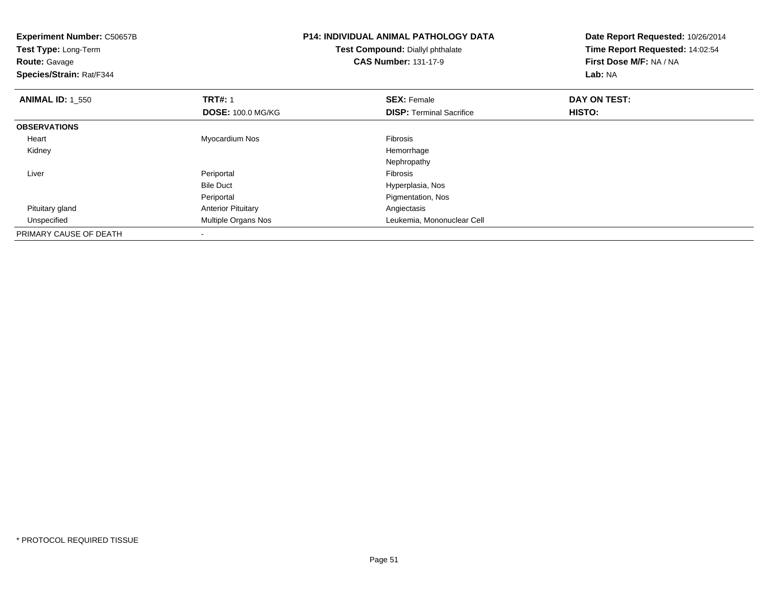| <b>Experiment Number: C50657B</b><br>Test Type: Long-Term<br><b>Route: Gavage</b><br>Species/Strain: Rat/F344 |                           | <b>P14: INDIVIDUAL ANIMAL PATHOLOGY DATA</b><br>Test Compound: Diallyl phthalate<br><b>CAS Number: 131-17-9</b> | Date Report Requested: 10/26/2014<br>Time Report Requested: 14:02:54<br>First Dose M/F: NA / NA<br>Lab: NA |
|---------------------------------------------------------------------------------------------------------------|---------------------------|-----------------------------------------------------------------------------------------------------------------|------------------------------------------------------------------------------------------------------------|
| <b>ANIMAL ID: 1_550</b>                                                                                       | <b>TRT#: 1</b>            | <b>SEX: Female</b>                                                                                              | DAY ON TEST:                                                                                               |
|                                                                                                               | <b>DOSE: 100.0 MG/KG</b>  | <b>DISP:</b> Terminal Sacrifice                                                                                 | <b>HISTO:</b>                                                                                              |
| <b>OBSERVATIONS</b>                                                                                           |                           |                                                                                                                 |                                                                                                            |
| Heart                                                                                                         | Myocardium Nos            | Fibrosis                                                                                                        |                                                                                                            |
| Kidney                                                                                                        |                           | Hemorrhage                                                                                                      |                                                                                                            |
|                                                                                                               |                           | Nephropathy                                                                                                     |                                                                                                            |
| Liver                                                                                                         | Periportal                | Fibrosis                                                                                                        |                                                                                                            |
|                                                                                                               | <b>Bile Duct</b>          | Hyperplasia, Nos                                                                                                |                                                                                                            |
|                                                                                                               | Periportal                | Pigmentation, Nos                                                                                               |                                                                                                            |
| Pituitary gland                                                                                               | <b>Anterior Pituitary</b> | Angiectasis                                                                                                     |                                                                                                            |
| Unspecified                                                                                                   | Multiple Organs Nos       | Leukemia, Mononuclear Cell                                                                                      |                                                                                                            |
| PRIMARY CAUSE OF DEATH                                                                                        | -                         |                                                                                                                 |                                                                                                            |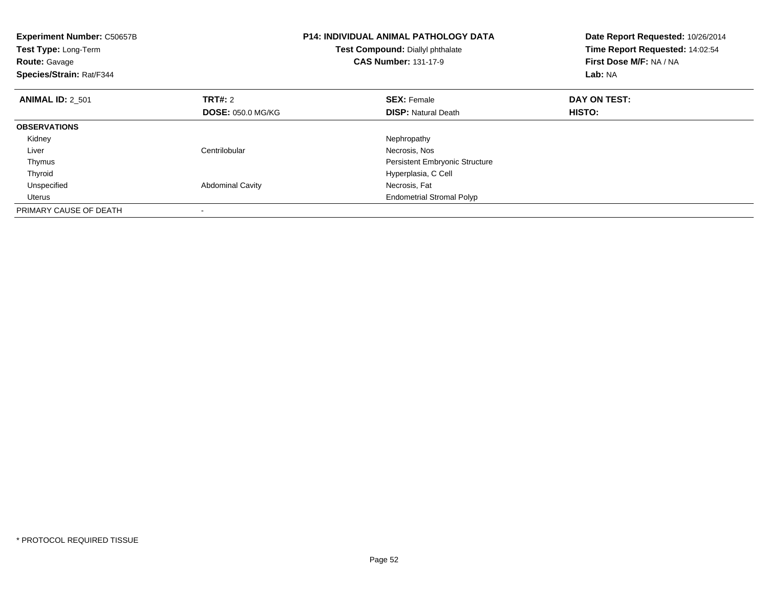| <b>Experiment Number: C50657B</b><br>Test Type: Long-Term<br><b>Route: Gavage</b><br>Species/Strain: Rat/F344 |                          | <b>P14: INDIVIDUAL ANIMAL PATHOLOGY DATA</b><br>Test Compound: Diallyl phthalate<br><b>CAS Number: 131-17-9</b> | Date Report Requested: 10/26/2014<br>Time Report Requested: 14:02:54<br>First Dose M/F: NA / NA<br>Lab: NA |
|---------------------------------------------------------------------------------------------------------------|--------------------------|-----------------------------------------------------------------------------------------------------------------|------------------------------------------------------------------------------------------------------------|
| <b>ANIMAL ID: 2 501</b>                                                                                       | TRT#: 2                  | <b>SEX: Female</b>                                                                                              | DAY ON TEST:                                                                                               |
|                                                                                                               | <b>DOSE: 050.0 MG/KG</b> | <b>DISP:</b> Natural Death                                                                                      | <b>HISTO:</b>                                                                                              |
| <b>OBSERVATIONS</b>                                                                                           |                          |                                                                                                                 |                                                                                                            |
| Kidney                                                                                                        |                          | Nephropathy                                                                                                     |                                                                                                            |
| Liver                                                                                                         | Centrilobular            | Necrosis, Nos                                                                                                   |                                                                                                            |
| Thymus                                                                                                        |                          | <b>Persistent Embryonic Structure</b>                                                                           |                                                                                                            |
| Thyroid                                                                                                       |                          | Hyperplasia, C Cell                                                                                             |                                                                                                            |
| Unspecified                                                                                                   | <b>Abdominal Cavity</b>  | Necrosis, Fat                                                                                                   |                                                                                                            |
| Uterus                                                                                                        |                          | <b>Endometrial Stromal Polyp</b>                                                                                |                                                                                                            |
| PRIMARY CAUSE OF DEATH                                                                                        |                          |                                                                                                                 |                                                                                                            |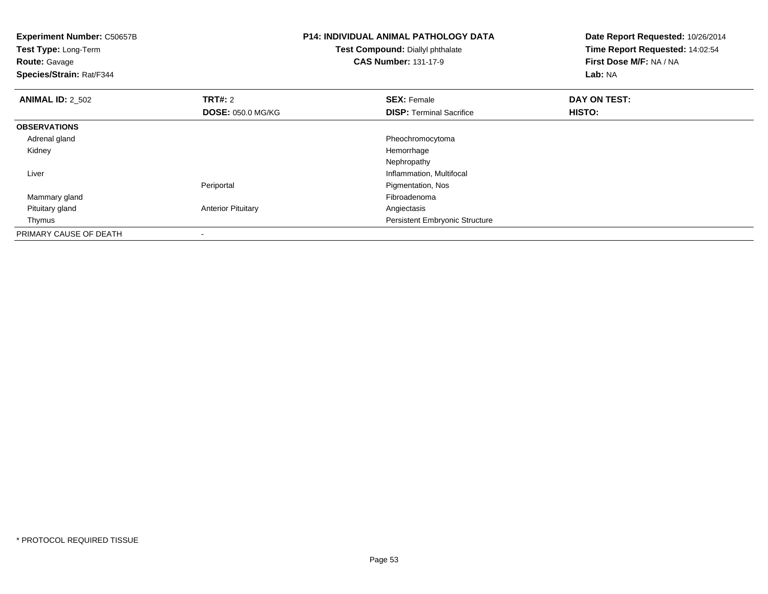| <b>Experiment Number: C50657B</b><br>Test Type: Long-Term<br><b>Route: Gavage</b><br>Species/Strain: Rat/F344 |                           | <b>P14: INDIVIDUAL ANIMAL PATHOLOGY DATA</b><br>Test Compound: Diallyl phthalate<br><b>CAS Number: 131-17-9</b> | Date Report Requested: 10/26/2014<br>Time Report Requested: 14:02:54<br>First Dose M/F: NA / NA<br>Lab: NA |
|---------------------------------------------------------------------------------------------------------------|---------------------------|-----------------------------------------------------------------------------------------------------------------|------------------------------------------------------------------------------------------------------------|
| <b>ANIMAL ID: 2 502</b>                                                                                       | <b>TRT#:</b> 2            | <b>SEX: Female</b>                                                                                              | DAY ON TEST:                                                                                               |
|                                                                                                               | <b>DOSE: 050.0 MG/KG</b>  | <b>DISP:</b> Terminal Sacrifice                                                                                 | <b>HISTO:</b>                                                                                              |
| <b>OBSERVATIONS</b>                                                                                           |                           |                                                                                                                 |                                                                                                            |
| Adrenal gland                                                                                                 |                           | Pheochromocytoma                                                                                                |                                                                                                            |
| Kidney                                                                                                        |                           | Hemorrhage                                                                                                      |                                                                                                            |
|                                                                                                               |                           | Nephropathy                                                                                                     |                                                                                                            |
| Liver                                                                                                         |                           | Inflammation, Multifocal                                                                                        |                                                                                                            |
|                                                                                                               | Periportal                | Pigmentation, Nos                                                                                               |                                                                                                            |
| Mammary gland                                                                                                 |                           | Fibroadenoma                                                                                                    |                                                                                                            |
| Pituitary gland                                                                                               | <b>Anterior Pituitary</b> | Angiectasis                                                                                                     |                                                                                                            |
| Thymus                                                                                                        |                           | Persistent Embryonic Structure                                                                                  |                                                                                                            |
| PRIMARY CAUSE OF DEATH                                                                                        |                           |                                                                                                                 |                                                                                                            |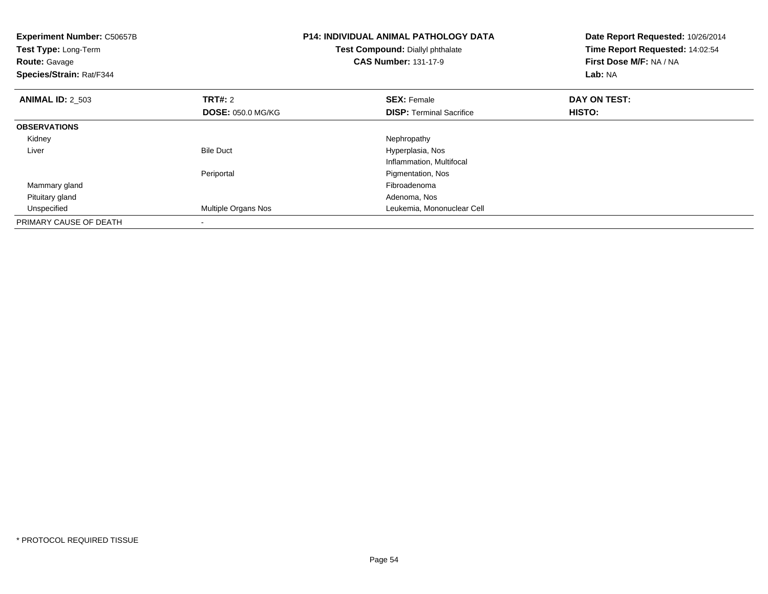| <b>Experiment Number: C50657B</b><br>Test Type: Long-Term<br><b>Route: Gavage</b><br>Species/Strain: Rat/F344 |                          | <b>P14: INDIVIDUAL ANIMAL PATHOLOGY DATA</b><br>Test Compound: Diallyl phthalate<br><b>CAS Number: 131-17-9</b> | Date Report Requested: 10/26/2014<br>Time Report Requested: 14:02:54<br>First Dose M/F: NA / NA<br>Lab: NA |
|---------------------------------------------------------------------------------------------------------------|--------------------------|-----------------------------------------------------------------------------------------------------------------|------------------------------------------------------------------------------------------------------------|
| <b>ANIMAL ID: 2_503</b>                                                                                       | <b>TRT#:</b> 2           | <b>SEX: Female</b>                                                                                              | DAY ON TEST:                                                                                               |
|                                                                                                               | <b>DOSE: 050.0 MG/KG</b> | <b>DISP:</b> Terminal Sacrifice                                                                                 | HISTO:                                                                                                     |
| <b>OBSERVATIONS</b>                                                                                           |                          |                                                                                                                 |                                                                                                            |
| Kidney                                                                                                        |                          | Nephropathy                                                                                                     |                                                                                                            |
| Liver                                                                                                         | <b>Bile Duct</b>         | Hyperplasia, Nos                                                                                                |                                                                                                            |
|                                                                                                               |                          | Inflammation, Multifocal                                                                                        |                                                                                                            |
|                                                                                                               | Periportal               | Pigmentation, Nos                                                                                               |                                                                                                            |
| Mammary gland                                                                                                 |                          | Fibroadenoma                                                                                                    |                                                                                                            |
| Pituitary gland                                                                                               |                          | Adenoma, Nos                                                                                                    |                                                                                                            |
| Unspecified                                                                                                   | Multiple Organs Nos      | Leukemia, Mononuclear Cell                                                                                      |                                                                                                            |
| PRIMARY CAUSE OF DEATH                                                                                        |                          |                                                                                                                 |                                                                                                            |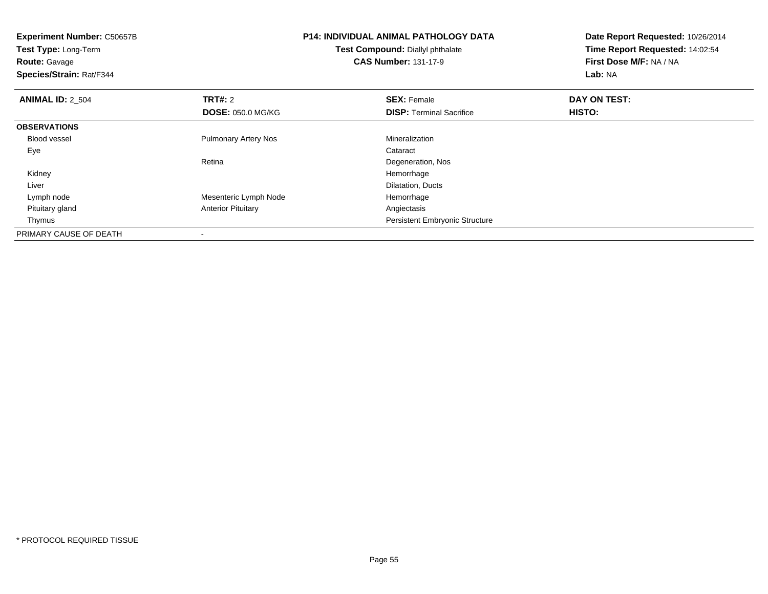| <b>Experiment Number: C50657B</b><br>Test Type: Long-Term<br><b>Route:</b> Gavage<br>Species/Strain: Rat/F344 |                             | <b>P14: INDIVIDUAL ANIMAL PATHOLOGY DATA</b><br>Test Compound: Diallyl phthalate<br><b>CAS Number: 131-17-9</b> | Date Report Requested: 10/26/2014<br>Time Report Requested: 14:02:54<br>First Dose M/F: NA / NA<br>Lab: NA |
|---------------------------------------------------------------------------------------------------------------|-----------------------------|-----------------------------------------------------------------------------------------------------------------|------------------------------------------------------------------------------------------------------------|
| <b>ANIMAL ID: 2 504</b>                                                                                       | TRT#: 2                     | <b>SEX: Female</b>                                                                                              | DAY ON TEST:                                                                                               |
|                                                                                                               | <b>DOSE: 050.0 MG/KG</b>    | <b>DISP:</b> Terminal Sacrifice                                                                                 | <b>HISTO:</b>                                                                                              |
| <b>OBSERVATIONS</b>                                                                                           |                             |                                                                                                                 |                                                                                                            |
| <b>Blood vessel</b>                                                                                           | <b>Pulmonary Artery Nos</b> | Mineralization                                                                                                  |                                                                                                            |
| Eye                                                                                                           |                             | Cataract                                                                                                        |                                                                                                            |
|                                                                                                               | Retina                      | Degeneration, Nos                                                                                               |                                                                                                            |
| Kidney                                                                                                        |                             | Hemorrhage                                                                                                      |                                                                                                            |
| Liver                                                                                                         |                             | Dilatation, Ducts                                                                                               |                                                                                                            |
| Lymph node                                                                                                    | Mesenteric Lymph Node       | Hemorrhage                                                                                                      |                                                                                                            |
| Pituitary gland                                                                                               | <b>Anterior Pituitary</b>   | Angiectasis                                                                                                     |                                                                                                            |
| Thymus                                                                                                        |                             | Persistent Embryonic Structure                                                                                  |                                                                                                            |
| PRIMARY CAUSE OF DEATH                                                                                        |                             |                                                                                                                 |                                                                                                            |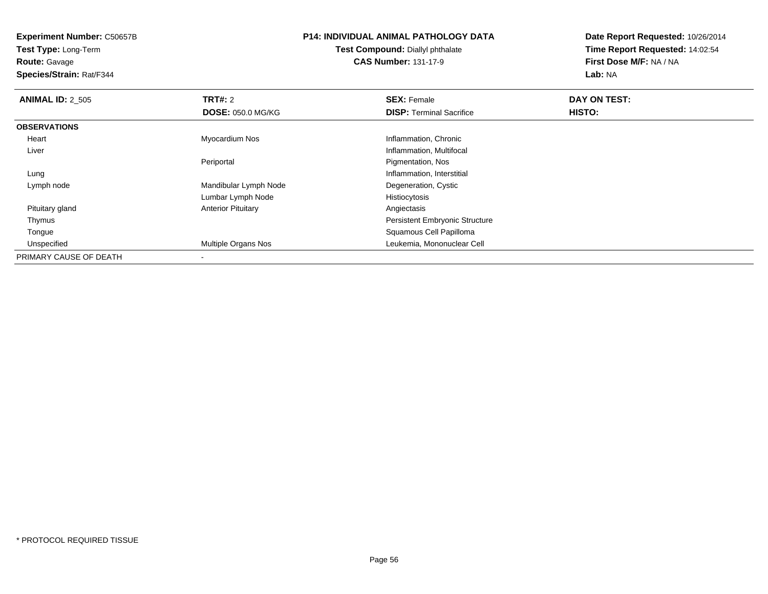**Test Type:** Long-Term**Route:** Gavage

**Species/Strain:** Rat/F344

### **P14: INDIVIDUAL ANIMAL PATHOLOGY DATA**

**Test Compound:** Diallyl phthalate**CAS Number:** 131-17-9

| <b>ANIMAL ID: 2 505</b> | <b>TRT#: 2</b>            | <b>SEX: Female</b>                    | DAY ON TEST: |  |
|-------------------------|---------------------------|---------------------------------------|--------------|--|
|                         | <b>DOSE: 050.0 MG/KG</b>  | <b>DISP: Terminal Sacrifice</b>       | HISTO:       |  |
| <b>OBSERVATIONS</b>     |                           |                                       |              |  |
| Heart                   | Myocardium Nos            | Inflammation, Chronic                 |              |  |
| Liver                   |                           | Inflammation, Multifocal              |              |  |
|                         | Periportal                | Pigmentation, Nos                     |              |  |
| Lung                    |                           | Inflammation, Interstitial            |              |  |
| Lymph node              | Mandibular Lymph Node     | Degeneration, Cystic                  |              |  |
|                         | Lumbar Lymph Node         | Histiocytosis                         |              |  |
| Pituitary gland         | <b>Anterior Pituitary</b> | Angiectasis                           |              |  |
| Thymus                  |                           | <b>Persistent Embryonic Structure</b> |              |  |
| Tongue                  |                           | Squamous Cell Papilloma               |              |  |
| Unspecified             | Multiple Organs Nos       | Leukemia, Mononuclear Cell            |              |  |
| PRIMARY CAUSE OF DEATH  |                           |                                       |              |  |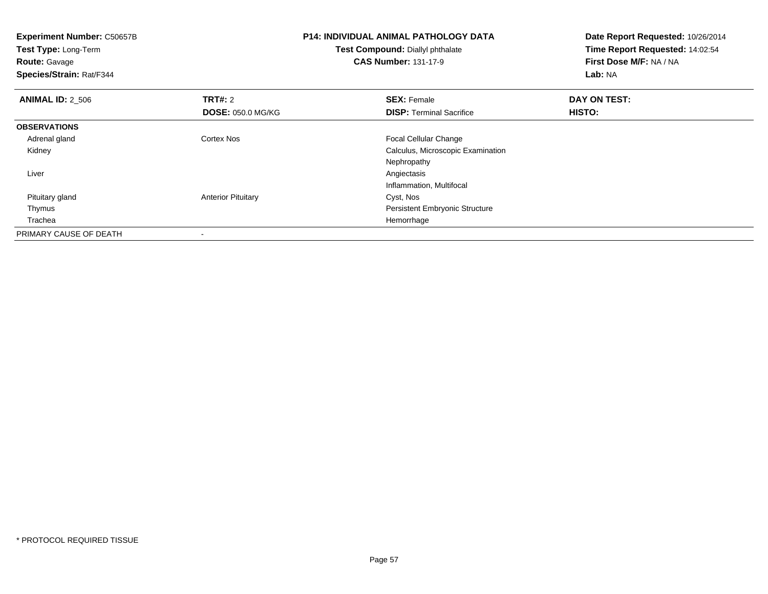| <b>Experiment Number: C50657B</b><br>Test Type: Long-Term<br><b>Route: Gavage</b><br>Species/Strain: Rat/F344 |                           | <b>P14: INDIVIDUAL ANIMAL PATHOLOGY DATA</b><br>Test Compound: Diallyl phthalate<br><b>CAS Number: 131-17-9</b> | Date Report Requested: 10/26/2014<br>Time Report Requested: 14:02:54<br>First Dose M/F: NA / NA<br>Lab: NA |
|---------------------------------------------------------------------------------------------------------------|---------------------------|-----------------------------------------------------------------------------------------------------------------|------------------------------------------------------------------------------------------------------------|
| <b>ANIMAL ID: 2 506</b>                                                                                       | <b>TRT#: 2</b>            | <b>SEX: Female</b>                                                                                              | DAY ON TEST:                                                                                               |
|                                                                                                               | <b>DOSE: 050.0 MG/KG</b>  | <b>DISP:</b> Terminal Sacrifice                                                                                 | HISTO:                                                                                                     |
| <b>OBSERVATIONS</b>                                                                                           |                           |                                                                                                                 |                                                                                                            |
| Adrenal gland                                                                                                 | <b>Cortex Nos</b>         | <b>Focal Cellular Change</b>                                                                                    |                                                                                                            |
| Kidney                                                                                                        |                           | Calculus, Microscopic Examination                                                                               |                                                                                                            |
|                                                                                                               |                           | Nephropathy                                                                                                     |                                                                                                            |
| Liver                                                                                                         |                           | Angiectasis                                                                                                     |                                                                                                            |
|                                                                                                               |                           | Inflammation, Multifocal                                                                                        |                                                                                                            |
| Pituitary gland                                                                                               | <b>Anterior Pituitary</b> | Cyst, Nos                                                                                                       |                                                                                                            |
| Thymus                                                                                                        |                           | Persistent Embryonic Structure                                                                                  |                                                                                                            |
| Trachea                                                                                                       |                           | Hemorrhage                                                                                                      |                                                                                                            |
| PRIMARY CAUSE OF DEATH                                                                                        |                           |                                                                                                                 |                                                                                                            |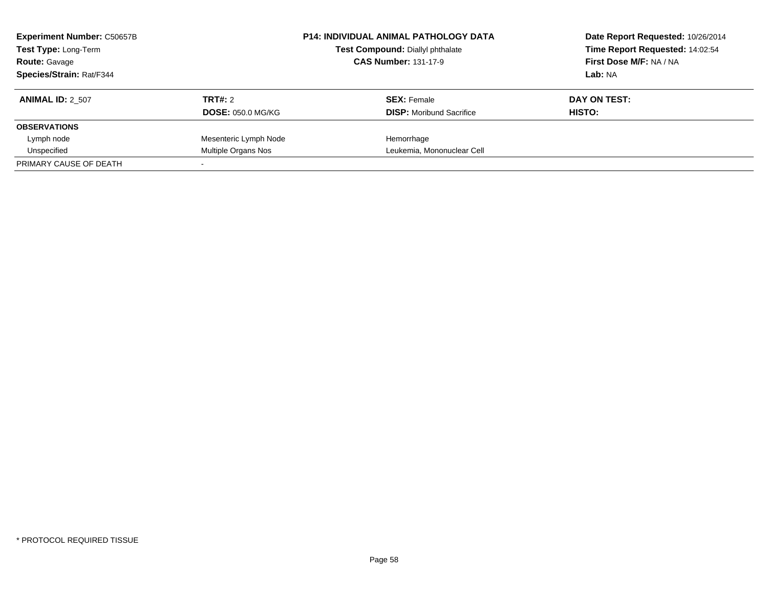| <b>Experiment Number: C50657B</b><br>Test Type: Long-Term<br><b>Route: Gavage</b> |                          | <b>P14: INDIVIDUAL ANIMAL PATHOLOGY DATA</b><br>Test Compound: Diallyl phthalate<br><b>CAS Number: 131-17-9</b> | Date Report Requested: 10/26/2014<br>Time Report Requested: 14:02:54<br>First Dose M/F: NA / NA |
|-----------------------------------------------------------------------------------|--------------------------|-----------------------------------------------------------------------------------------------------------------|-------------------------------------------------------------------------------------------------|
| <b>Species/Strain: Rat/F344</b>                                                   |                          |                                                                                                                 | Lab: NA                                                                                         |
| <b>ANIMAL ID: 2 507</b>                                                           | TRT#: 2                  | <b>SEX: Female</b>                                                                                              | DAY ON TEST:                                                                                    |
|                                                                                   | <b>DOSE: 050.0 MG/KG</b> | <b>DISP:</b> Moribund Sacrifice                                                                                 | HISTO:                                                                                          |
| <b>OBSERVATIONS</b>                                                               |                          |                                                                                                                 |                                                                                                 |
| Lymph node                                                                        | Mesenteric Lymph Node    | Hemorrhage                                                                                                      |                                                                                                 |
| Unspecified                                                                       | Multiple Organs Nos      | Leukemia, Mononuclear Cell                                                                                      |                                                                                                 |
| PRIMARY CAUSE OF DEATH                                                            |                          |                                                                                                                 |                                                                                                 |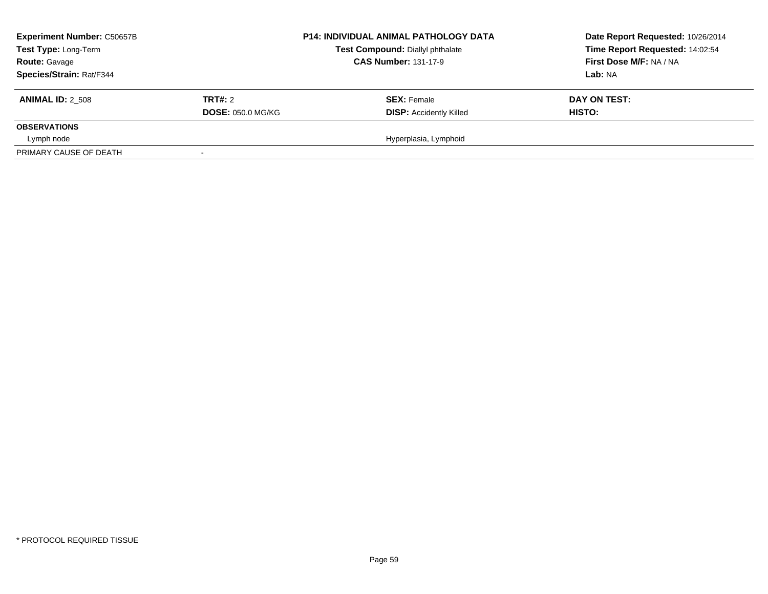| <b>Experiment Number: C50657B</b><br>Test Type: Long-Term<br><b>Route: Gavage</b><br><b>Species/Strain: Rat/F344</b> |                          | <b>P14: INDIVIDUAL ANIMAL PATHOLOGY DATA</b><br>Test Compound: Diallyl phthalate<br><b>CAS Number: 131-17-9</b> | Date Report Requested: 10/26/2014<br>Time Report Requested: 14:02:54<br>First Dose M/F: NA / NA<br>Lab: NA |
|----------------------------------------------------------------------------------------------------------------------|--------------------------|-----------------------------------------------------------------------------------------------------------------|------------------------------------------------------------------------------------------------------------|
| <b>ANIMAL ID: 2 508</b>                                                                                              | TRT#: 2                  | <b>SEX: Female</b>                                                                                              | DAY ON TEST:                                                                                               |
|                                                                                                                      | <b>DOSE: 050.0 MG/KG</b> | <b>DISP: Accidently Killed</b>                                                                                  | <b>HISTO:</b>                                                                                              |
| <b>OBSERVATIONS</b>                                                                                                  |                          |                                                                                                                 |                                                                                                            |
| Lymph node                                                                                                           |                          | Hyperplasia, Lymphoid                                                                                           |                                                                                                            |
| PRIMARY CAUSE OF DEATH                                                                                               |                          |                                                                                                                 |                                                                                                            |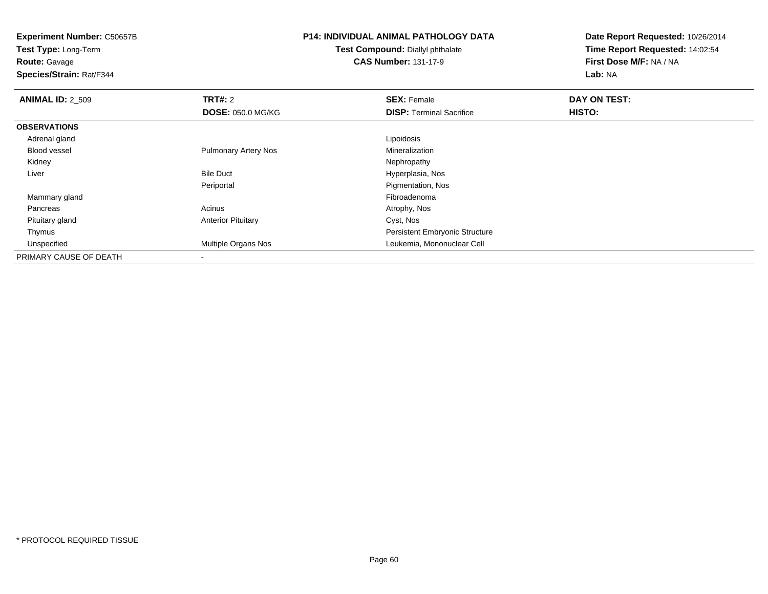**Experiment Number:** C50657B**Test Type:** Long-Term**Route:** Gavage **Species/Strain:** Rat/F344**P14: INDIVIDUAL ANIMAL PATHOLOGY DATATest Compound:** Diallyl phthalate**CAS Number:** 131-17-9**Date Report Requested:** 10/26/2014**Time Report Requested:** 14:02:54**First Dose M/F:** NA / NA**Lab:** NA**ANIMAL ID: 2 509 TRT#:** 2 **SEX:** Female **DAY ON TEST: DOSE:** 050.0 MG/KG**DISP:** Terminal Sacrifice **HISTO: OBSERVATIONS** Adrenal glandd <u>Lipoidosis and the second of the second of the second of the second of the second of the second of the second of the second of the second of the second of the second of the second of the second of the second of the seco</u> Blood vessel Pulmonary Artery Nos MineralizationNephropathy Kidneyy the control of the control of the control of the control of the control of the control of the control of the control of the control of the control of the control of the control of the control of the control of the contro LiverBile Duct **Hyperplasia**, Nos **Pigmentation, Nos** Periportal Mammary glandd and the control of the control of the control of the control of the control of the control of the control of the control of the control of the control of the control of the control of the control of the control of the co Pancreass and the contract of the contract of the contract of the contract of the contract  $\mathsf{A}$  at  $\mathsf{A}$  and  $\mathsf{A}$  and  $\mathsf{A}$  and  $\mathsf{A}$  and  $\mathsf{A}$  are contract of  $\mathsf{A}$  and  $\mathsf{A}$  and  $\mathsf{A}$  are contract of Pituitary glandAnterior Pituitary **Cyst, Nos**  Thymus Persistent Embryonic Structure Unspecified Multiple Organs Nos Leukemia, Mononuclear Cell PRIMARY CAUSE OF DEATH-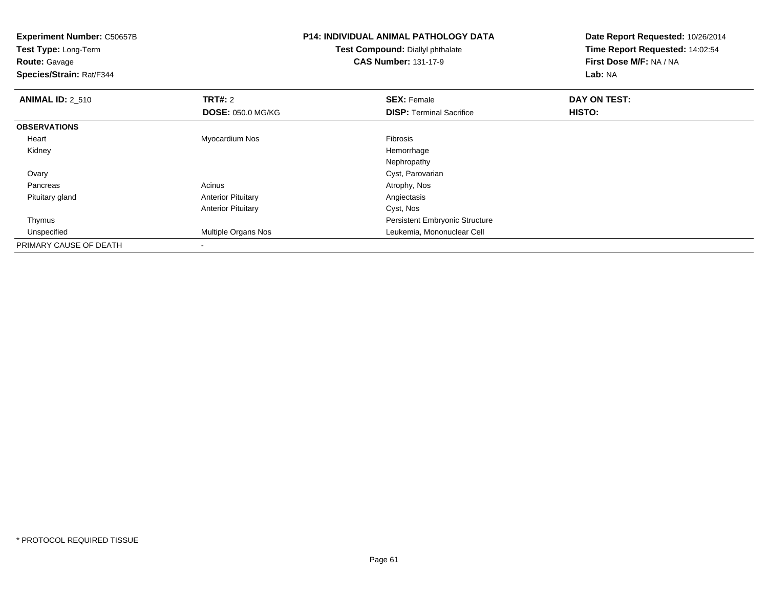| <b>Experiment Number: C50657B</b><br>Test Type: Long-Term<br><b>Route: Gavage</b><br>Species/Strain: Rat/F344 |                           | P14: INDIVIDUAL ANIMAL PATHOLOGY DATA<br>Test Compound: Diallyl phthalate<br><b>CAS Number: 131-17-9</b> | Date Report Requested: 10/26/2014<br>Time Report Requested: 14:02:54<br>First Dose M/F: NA / NA<br>Lab: NA |
|---------------------------------------------------------------------------------------------------------------|---------------------------|----------------------------------------------------------------------------------------------------------|------------------------------------------------------------------------------------------------------------|
| <b>ANIMAL ID: 2_510</b>                                                                                       | TRT#: 2                   | <b>SEX: Female</b>                                                                                       | DAY ON TEST:                                                                                               |
|                                                                                                               | <b>DOSE: 050.0 MG/KG</b>  | <b>DISP: Terminal Sacrifice</b>                                                                          | <b>HISTO:</b>                                                                                              |
| <b>OBSERVATIONS</b>                                                                                           |                           |                                                                                                          |                                                                                                            |
| Heart                                                                                                         | Myocardium Nos            | Fibrosis                                                                                                 |                                                                                                            |
| Kidney                                                                                                        |                           | Hemorrhage                                                                                               |                                                                                                            |
|                                                                                                               |                           | Nephropathy                                                                                              |                                                                                                            |
| Ovary                                                                                                         |                           | Cyst, Parovarian                                                                                         |                                                                                                            |
| Pancreas                                                                                                      | Acinus                    | Atrophy, Nos                                                                                             |                                                                                                            |
| Pituitary gland                                                                                               | <b>Anterior Pituitary</b> | Angiectasis                                                                                              |                                                                                                            |
|                                                                                                               | <b>Anterior Pituitary</b> | Cyst, Nos                                                                                                |                                                                                                            |
| Thymus                                                                                                        |                           | Persistent Embryonic Structure                                                                           |                                                                                                            |
| Unspecified                                                                                                   | Multiple Organs Nos       | Leukemia, Mononuclear Cell                                                                               |                                                                                                            |
| PRIMARY CAUSE OF DEATH                                                                                        |                           |                                                                                                          |                                                                                                            |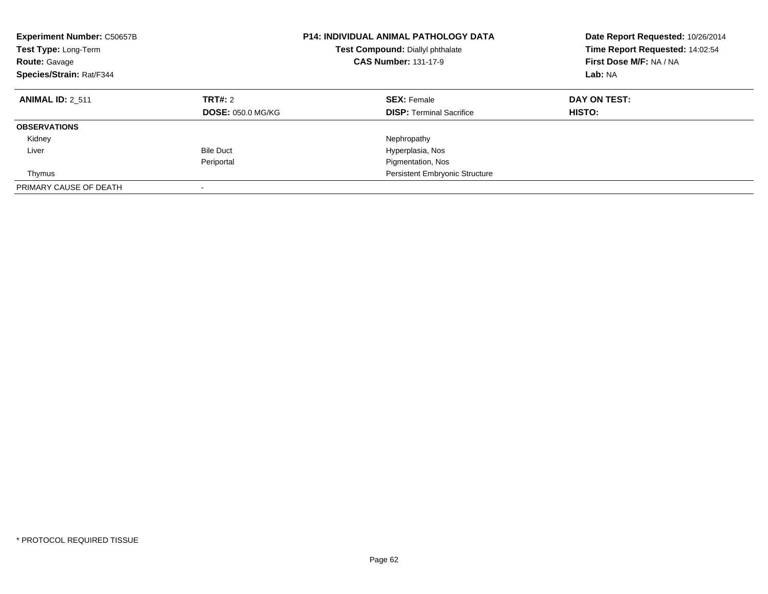| <b>Experiment Number: C50657B</b><br>Test Type: Long-Term<br><b>Route: Gavage</b><br>Species/Strain: Rat/F344 | <b>P14: INDIVIDUAL ANIMAL PATHOLOGY DATA</b><br>Test Compound: Diallyl phthalate<br><b>CAS Number: 131-17-9</b> |                                                       | Date Report Requested: 10/26/2014<br>Time Report Requested: 14:02:54<br>First Dose M/F: NA / NA<br>Lab: NA |
|---------------------------------------------------------------------------------------------------------------|-----------------------------------------------------------------------------------------------------------------|-------------------------------------------------------|------------------------------------------------------------------------------------------------------------|
| <b>ANIMAL ID: 2 511</b>                                                                                       | TRT#: 2<br><b>DOSE: 050.0 MG/KG</b>                                                                             | <b>SEX: Female</b><br><b>DISP:</b> Terminal Sacrifice | DAY ON TEST:<br>HISTO:                                                                                     |
| <b>OBSERVATIONS</b>                                                                                           |                                                                                                                 |                                                       |                                                                                                            |
| Kidney                                                                                                        |                                                                                                                 | Nephropathy                                           |                                                                                                            |
| Liver                                                                                                         | <b>Bile Duct</b>                                                                                                | Hyperplasia, Nos                                      |                                                                                                            |
|                                                                                                               | Periportal                                                                                                      | Pigmentation, Nos                                     |                                                                                                            |
| Thymus                                                                                                        |                                                                                                                 | <b>Persistent Embryonic Structure</b>                 |                                                                                                            |
| PRIMARY CAUSE OF DEATH                                                                                        |                                                                                                                 |                                                       |                                                                                                            |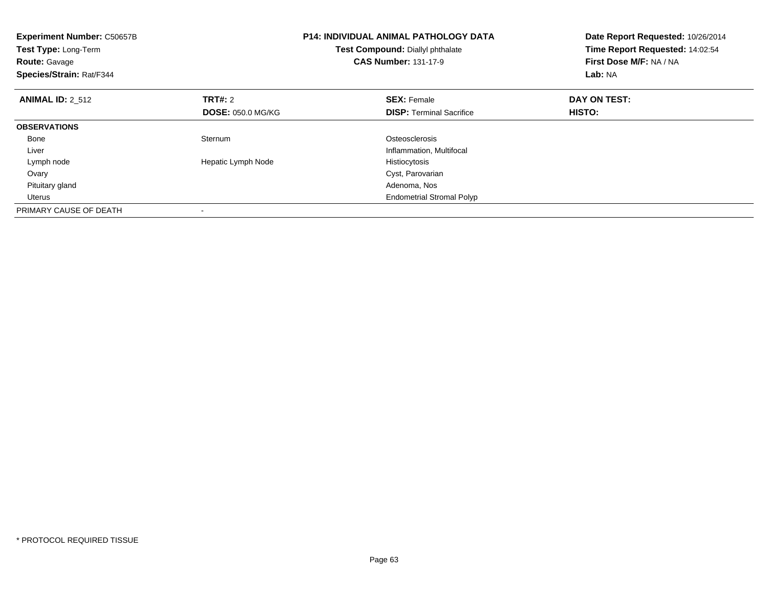| Experiment Number: C50657B<br>Test Type: Long-Term<br><b>Route: Gavage</b><br>Species/Strain: Rat/F344 |                          | <b>P14: INDIVIDUAL ANIMAL PATHOLOGY DATA</b><br>Test Compound: Diallyl phthalate<br><b>CAS Number: 131-17-9</b> | Date Report Requested: 10/26/2014<br>Time Report Requested: 14:02:54<br>First Dose M/F: NA / NA<br>Lab: NA |
|--------------------------------------------------------------------------------------------------------|--------------------------|-----------------------------------------------------------------------------------------------------------------|------------------------------------------------------------------------------------------------------------|
| <b>ANIMAL ID: 2 512</b>                                                                                | <b>TRT#: 2</b>           | <b>SEX: Female</b>                                                                                              | DAY ON TEST:                                                                                               |
|                                                                                                        | <b>DOSE: 050.0 MG/KG</b> | <b>DISP:</b> Terminal Sacrifice                                                                                 | HISTO:                                                                                                     |
| <b>OBSERVATIONS</b>                                                                                    |                          |                                                                                                                 |                                                                                                            |
| Bone                                                                                                   | Sternum                  | Osteosclerosis                                                                                                  |                                                                                                            |
| Liver                                                                                                  |                          | Inflammation, Multifocal                                                                                        |                                                                                                            |
| Lymph node                                                                                             | Hepatic Lymph Node       | Histiocytosis                                                                                                   |                                                                                                            |
| Ovary                                                                                                  |                          | Cyst, Parovarian                                                                                                |                                                                                                            |
| Pituitary gland                                                                                        |                          | Adenoma, Nos                                                                                                    |                                                                                                            |
| Uterus                                                                                                 |                          | <b>Endometrial Stromal Polyp</b>                                                                                |                                                                                                            |
| PRIMARY CAUSE OF DEATH                                                                                 |                          |                                                                                                                 |                                                                                                            |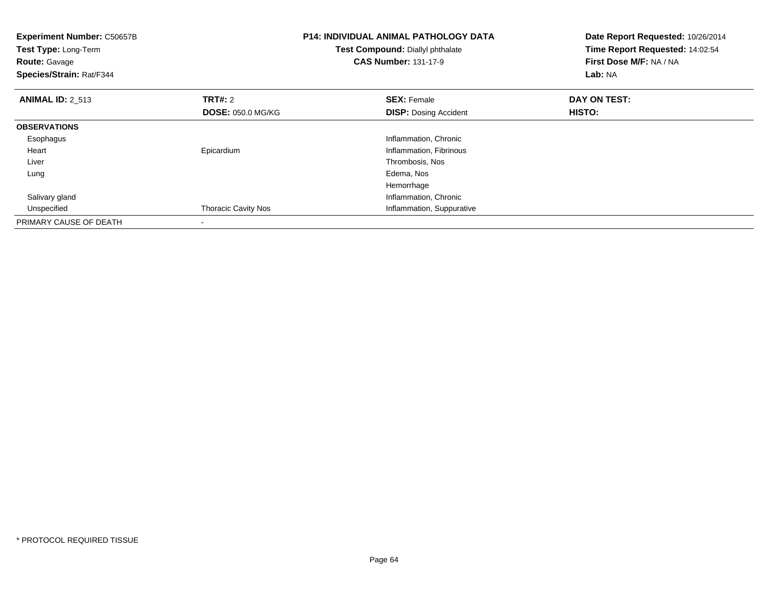| <b>Experiment Number: C50657B</b><br>Test Type: Long-Term<br><b>Route: Gavage</b><br>Species/Strain: Rat/F344 |                                            | <b>P14: INDIVIDUAL ANIMAL PATHOLOGY DATA</b><br>Test Compound: Diallyl phthalate<br><b>CAS Number: 131-17-9</b> | Date Report Requested: 10/26/2014<br>Time Report Requested: 14:02:54<br>First Dose M/F: NA / NA<br>Lab: NA |  |
|---------------------------------------------------------------------------------------------------------------|--------------------------------------------|-----------------------------------------------------------------------------------------------------------------|------------------------------------------------------------------------------------------------------------|--|
| <b>ANIMAL ID: 2_513</b>                                                                                       | <b>TRT#:</b> 2<br><b>DOSE: 050.0 MG/KG</b> | <b>SEX: Female</b><br><b>DISP:</b> Dosing Accident                                                              | DAY ON TEST:<br>HISTO:                                                                                     |  |
|                                                                                                               |                                            |                                                                                                                 |                                                                                                            |  |
| <b>OBSERVATIONS</b>                                                                                           |                                            |                                                                                                                 |                                                                                                            |  |
| Esophagus                                                                                                     |                                            | Inflammation, Chronic                                                                                           |                                                                                                            |  |
| Heart                                                                                                         | Epicardium                                 | Inflammation, Fibrinous                                                                                         |                                                                                                            |  |
| Liver                                                                                                         |                                            | Thrombosis, Nos                                                                                                 |                                                                                                            |  |
| Lung                                                                                                          |                                            | Edema, Nos                                                                                                      |                                                                                                            |  |
|                                                                                                               |                                            | Hemorrhage                                                                                                      |                                                                                                            |  |
| Salivary gland                                                                                                |                                            | Inflammation, Chronic                                                                                           |                                                                                                            |  |
| Unspecified                                                                                                   | <b>Thoracic Cavity Nos</b>                 | Inflammation, Suppurative                                                                                       |                                                                                                            |  |
| PRIMARY CAUSE OF DEATH                                                                                        |                                            |                                                                                                                 |                                                                                                            |  |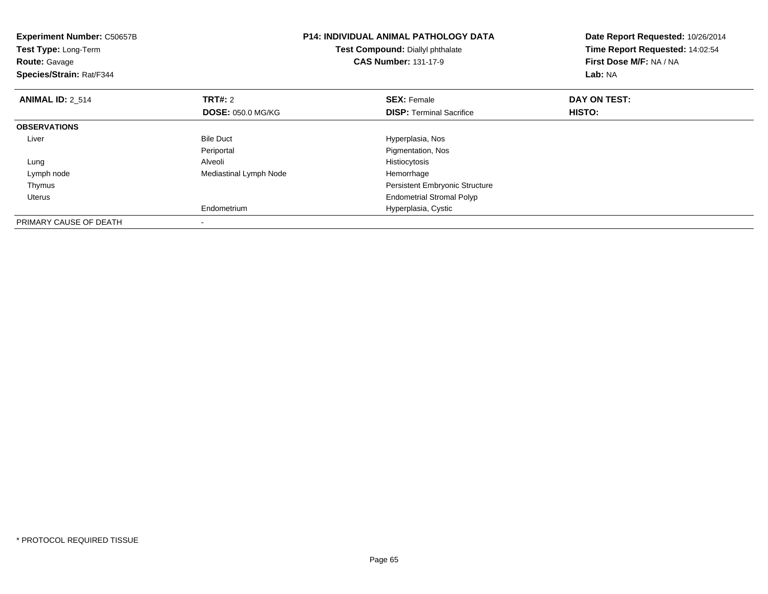| <b>Experiment Number: C50657B</b><br>Test Type: Long-Term<br><b>Route: Gavage</b><br>Species/Strain: Rat/F344 |                          | <b>P14: INDIVIDUAL ANIMAL PATHOLOGY DATA</b><br>Test Compound: Diallyl phthalate<br><b>CAS Number: 131-17-9</b> | Date Report Requested: 10/26/2014<br>Time Report Requested: 14:02:54<br>First Dose M/F: NA / NA<br>Lab: NA |  |
|---------------------------------------------------------------------------------------------------------------|--------------------------|-----------------------------------------------------------------------------------------------------------------|------------------------------------------------------------------------------------------------------------|--|
| <b>ANIMAL ID: 2 514</b>                                                                                       | TRT#: 2                  | <b>SEX: Female</b>                                                                                              | DAY ON TEST:                                                                                               |  |
|                                                                                                               | <b>DOSE: 050.0 MG/KG</b> | <b>DISP:</b> Terminal Sacrifice                                                                                 | HISTO:                                                                                                     |  |
| <b>OBSERVATIONS</b>                                                                                           |                          |                                                                                                                 |                                                                                                            |  |
| Liver                                                                                                         | <b>Bile Duct</b>         | Hyperplasia, Nos                                                                                                |                                                                                                            |  |
|                                                                                                               | Periportal               | Pigmentation, Nos                                                                                               |                                                                                                            |  |
| Lung                                                                                                          | Alveoli                  | Histiocytosis                                                                                                   |                                                                                                            |  |
| Lymph node                                                                                                    | Mediastinal Lymph Node   | Hemorrhage                                                                                                      |                                                                                                            |  |
| Thymus                                                                                                        |                          | Persistent Embryonic Structure                                                                                  |                                                                                                            |  |
| Uterus                                                                                                        |                          | <b>Endometrial Stromal Polyp</b>                                                                                |                                                                                                            |  |
|                                                                                                               | Endometrium              | Hyperplasia, Cystic                                                                                             |                                                                                                            |  |
| PRIMARY CAUSE OF DEATH                                                                                        |                          |                                                                                                                 |                                                                                                            |  |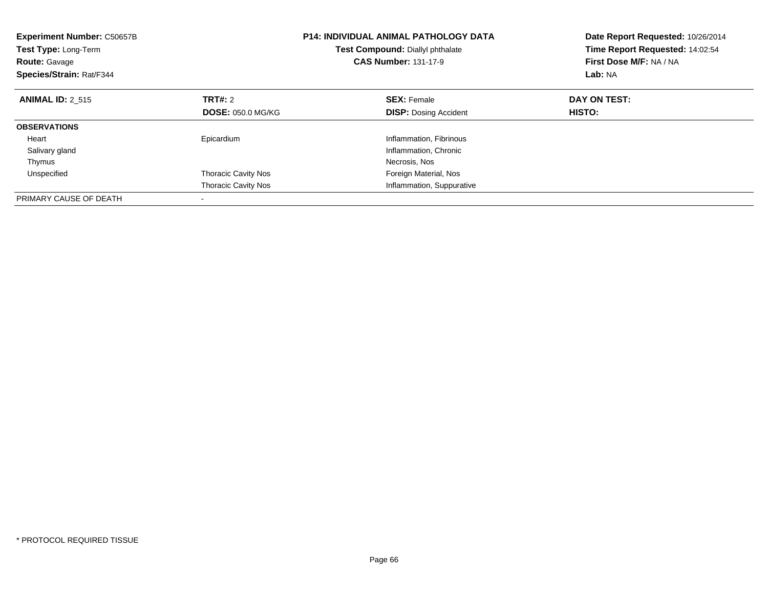| <b>Experiment Number: C50657B</b><br><b>Test Type: Long-Term</b><br><b>Route: Gavage</b><br>Species/Strain: Rat/F344 |                            | <b>P14: INDIVIDUAL ANIMAL PATHOLOGY DATA</b><br>Test Compound: Diallyl phthalate<br><b>CAS Number: 131-17-9</b> | Date Report Requested: 10/26/2014<br>Time Report Requested: 14:02:54<br>First Dose M/F: NA / NA<br>Lab: NA |
|----------------------------------------------------------------------------------------------------------------------|----------------------------|-----------------------------------------------------------------------------------------------------------------|------------------------------------------------------------------------------------------------------------|
| <b>ANIMAL ID: 2 515</b>                                                                                              | TRT#: 2                    | <b>SEX: Female</b>                                                                                              | DAY ON TEST:                                                                                               |
|                                                                                                                      | <b>DOSE: 050.0 MG/KG</b>   | <b>DISP:</b> Dosing Accident                                                                                    | HISTO:                                                                                                     |
| <b>OBSERVATIONS</b>                                                                                                  |                            |                                                                                                                 |                                                                                                            |
| Heart                                                                                                                | Epicardium                 | Inflammation, Fibrinous                                                                                         |                                                                                                            |
| Salivary gland                                                                                                       |                            | Inflammation, Chronic                                                                                           |                                                                                                            |
| Thymus                                                                                                               |                            | Necrosis, Nos                                                                                                   |                                                                                                            |
| Unspecified                                                                                                          | <b>Thoracic Cavity Nos</b> | Foreign Material, Nos                                                                                           |                                                                                                            |
|                                                                                                                      | <b>Thoracic Cavity Nos</b> | Inflammation, Suppurative                                                                                       |                                                                                                            |
| PRIMARY CAUSE OF DEATH                                                                                               |                            |                                                                                                                 |                                                                                                            |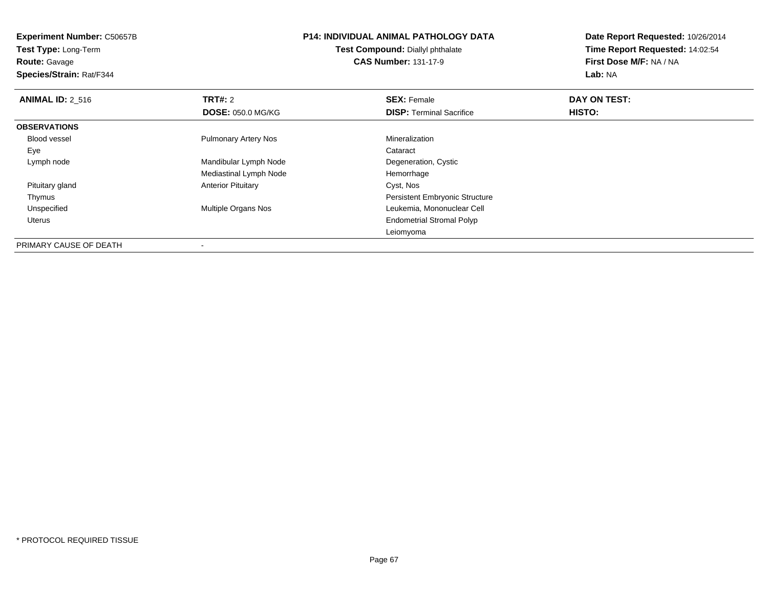#### **Route:** Gavage

**Species/Strain:** Rat/F344

#### **P14: INDIVIDUAL ANIMAL PATHOLOGY DATATest Compound:** Diallyl phthalate

**CAS Number:** 131-17-9

| <b>ANIMAL ID: 2 516</b> | <b>TRT#: 2</b>              | <b>SEX: Female</b>                    | DAY ON TEST: |  |
|-------------------------|-----------------------------|---------------------------------------|--------------|--|
|                         | <b>DOSE: 050.0 MG/KG</b>    | <b>DISP: Terminal Sacrifice</b>       | HISTO:       |  |
| <b>OBSERVATIONS</b>     |                             |                                       |              |  |
| Blood vessel            | <b>Pulmonary Artery Nos</b> | Mineralization                        |              |  |
| Eye                     |                             | Cataract                              |              |  |
| Lymph node              | Mandibular Lymph Node       | Degeneration, Cystic                  |              |  |
|                         | Mediastinal Lymph Node      | Hemorrhage                            |              |  |
| Pituitary gland         | <b>Anterior Pituitary</b>   | Cyst, Nos                             |              |  |
| Thymus                  |                             | <b>Persistent Embryonic Structure</b> |              |  |
| Unspecified             | Multiple Organs Nos         | Leukemia, Mononuclear Cell            |              |  |
| Uterus                  |                             | <b>Endometrial Stromal Polyp</b>      |              |  |
|                         |                             | Leiomyoma                             |              |  |
| PRIMARY CAUSE OF DEATH  | ٠                           |                                       |              |  |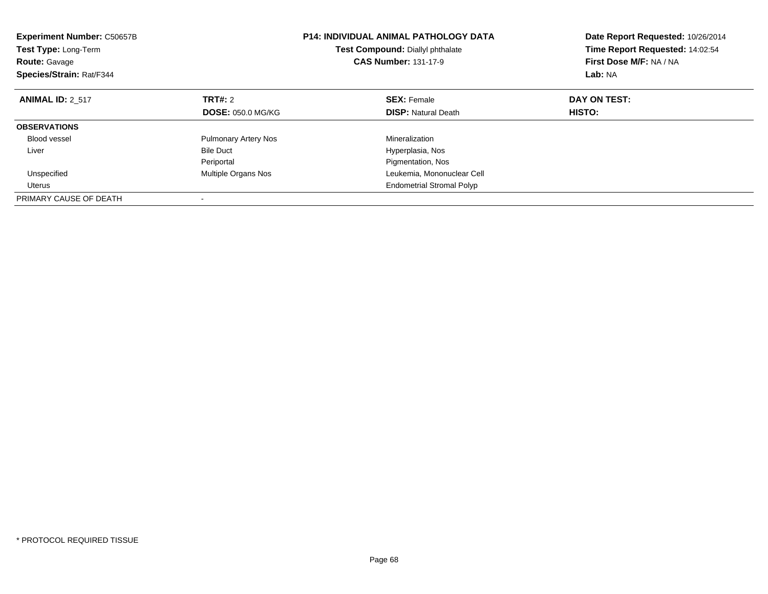| <b>Experiment Number: C50657B</b><br><b>Test Type: Long-Term</b><br><b>Route: Gavage</b><br>Species/Strain: Rat/F344 |                             | <b>P14: INDIVIDUAL ANIMAL PATHOLOGY DATA</b><br>Test Compound: Diallyl phthalate<br><b>CAS Number: 131-17-9</b> | Date Report Requested: 10/26/2014<br>Time Report Requested: 14:02:54<br>First Dose M/F: NA / NA<br>Lab: NA |  |
|----------------------------------------------------------------------------------------------------------------------|-----------------------------|-----------------------------------------------------------------------------------------------------------------|------------------------------------------------------------------------------------------------------------|--|
| <b>ANIMAL ID: 2 517</b>                                                                                              | TRT#: 2                     | <b>SEX: Female</b>                                                                                              | DAY ON TEST:                                                                                               |  |
|                                                                                                                      | <b>DOSE: 050.0 MG/KG</b>    | <b>DISP:</b> Natural Death                                                                                      | <b>HISTO:</b>                                                                                              |  |
| <b>OBSERVATIONS</b>                                                                                                  |                             |                                                                                                                 |                                                                                                            |  |
| Blood vessel                                                                                                         | <b>Pulmonary Artery Nos</b> | Mineralization                                                                                                  |                                                                                                            |  |
| Liver                                                                                                                | <b>Bile Duct</b>            | Hyperplasia, Nos                                                                                                |                                                                                                            |  |
|                                                                                                                      | Periportal                  | Pigmentation, Nos                                                                                               |                                                                                                            |  |
| Unspecified                                                                                                          | Multiple Organs Nos         | Leukemia, Mononuclear Cell                                                                                      |                                                                                                            |  |
| Uterus                                                                                                               |                             | <b>Endometrial Stromal Polyp</b>                                                                                |                                                                                                            |  |
| PRIMARY CAUSE OF DEATH                                                                                               |                             |                                                                                                                 |                                                                                                            |  |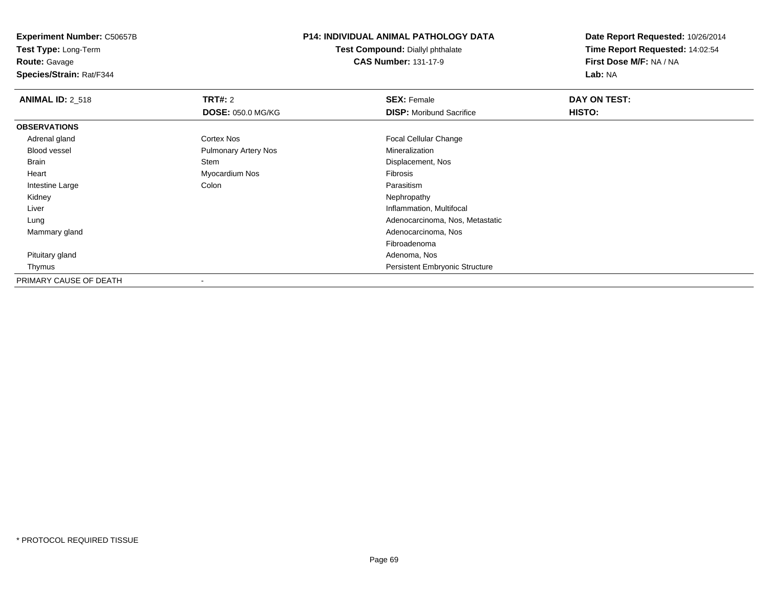**Route:** Gavage

**Species/Strain:** Rat/F344

### **P14: INDIVIDUAL ANIMAL PATHOLOGY DATA**

**Test Compound:** Diallyl phthalate**CAS Number:** 131-17-9

| <b>ANIMAL ID: 2_518</b> | <b>TRT#: 2</b>              | <b>SEX: Female</b>                    | DAY ON TEST: |  |
|-------------------------|-----------------------------|---------------------------------------|--------------|--|
|                         | <b>DOSE: 050.0 MG/KG</b>    | <b>DISP:</b> Moribund Sacrifice       | HISTO:       |  |
| <b>OBSERVATIONS</b>     |                             |                                       |              |  |
| Adrenal gland           | Cortex Nos                  | <b>Focal Cellular Change</b>          |              |  |
| Blood vessel            | <b>Pulmonary Artery Nos</b> | Mineralization                        |              |  |
| Brain                   | Stem                        | Displacement, Nos                     |              |  |
| Heart                   | Myocardium Nos              | Fibrosis                              |              |  |
| Intestine Large         | Colon                       | Parasitism                            |              |  |
| Kidney                  |                             | Nephropathy                           |              |  |
| Liver                   |                             | Inflammation, Multifocal              |              |  |
| Lung                    |                             | Adenocarcinoma, Nos, Metastatic       |              |  |
| Mammary gland           |                             | Adenocarcinoma, Nos                   |              |  |
|                         |                             | Fibroadenoma                          |              |  |
| Pituitary gland         |                             | Adenoma, Nos                          |              |  |
| Thymus                  |                             | <b>Persistent Embryonic Structure</b> |              |  |
| PRIMARY CAUSE OF DEATH  |                             |                                       |              |  |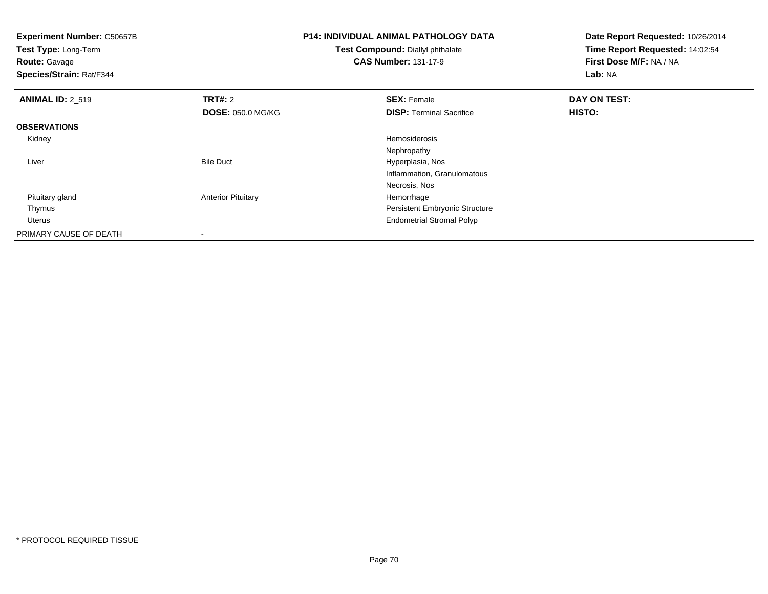| <b>Experiment Number: C50657B</b><br>Test Type: Long-Term<br><b>Route: Gavage</b><br>Species/Strain: Rat/F344 |                           | <b>P14: INDIVIDUAL ANIMAL PATHOLOGY DATA</b><br>Test Compound: Diallyl phthalate<br><b>CAS Number: 131-17-9</b> | Date Report Requested: 10/26/2014<br>Time Report Requested: 14:02:54<br>First Dose M/F: NA / NA<br>Lab: NA |  |
|---------------------------------------------------------------------------------------------------------------|---------------------------|-----------------------------------------------------------------------------------------------------------------|------------------------------------------------------------------------------------------------------------|--|
| <b>ANIMAL ID: 2 519</b>                                                                                       | <b>TRT#:</b> 2            | <b>SEX: Female</b>                                                                                              | DAY ON TEST:                                                                                               |  |
|                                                                                                               | <b>DOSE: 050.0 MG/KG</b>  | <b>DISP: Terminal Sacrifice</b>                                                                                 | HISTO:                                                                                                     |  |
| <b>OBSERVATIONS</b>                                                                                           |                           |                                                                                                                 |                                                                                                            |  |
| Kidney                                                                                                        |                           | Hemosiderosis                                                                                                   |                                                                                                            |  |
|                                                                                                               |                           | Nephropathy                                                                                                     |                                                                                                            |  |
| Liver                                                                                                         | <b>Bile Duct</b>          | Hyperplasia, Nos                                                                                                |                                                                                                            |  |
|                                                                                                               |                           | Inflammation, Granulomatous                                                                                     |                                                                                                            |  |
|                                                                                                               |                           | Necrosis, Nos                                                                                                   |                                                                                                            |  |
| Pituitary gland                                                                                               | <b>Anterior Pituitary</b> | Hemorrhage                                                                                                      |                                                                                                            |  |
| Thymus                                                                                                        |                           | Persistent Embryonic Structure                                                                                  |                                                                                                            |  |
| Uterus                                                                                                        |                           | <b>Endometrial Stromal Polyp</b>                                                                                |                                                                                                            |  |
| PRIMARY CAUSE OF DEATH                                                                                        |                           |                                                                                                                 |                                                                                                            |  |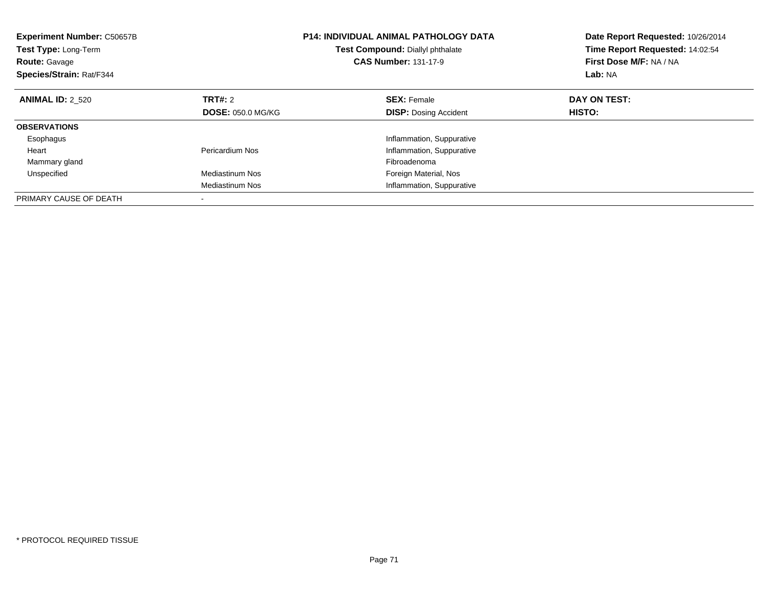| <b>Experiment Number: C50657B</b><br><b>Test Type: Long-Term</b><br><b>Route: Gavage</b><br>Species/Strain: Rat/F344 |                          | <b>P14: INDIVIDUAL ANIMAL PATHOLOGY DATA</b><br>Test Compound: Diallyl phthalate<br><b>CAS Number: 131-17-9</b> | Date Report Requested: 10/26/2014<br>Time Report Requested: 14:02:54<br>First Dose M/F: NA / NA<br>Lab: NA |
|----------------------------------------------------------------------------------------------------------------------|--------------------------|-----------------------------------------------------------------------------------------------------------------|------------------------------------------------------------------------------------------------------------|
| <b>ANIMAL ID: 2 520</b>                                                                                              | TRT#: 2                  | <b>SEX: Female</b>                                                                                              | DAY ON TEST:                                                                                               |
|                                                                                                                      | <b>DOSE: 050.0 MG/KG</b> | <b>DISP:</b> Dosing Accident                                                                                    | HISTO:                                                                                                     |
| <b>OBSERVATIONS</b>                                                                                                  |                          |                                                                                                                 |                                                                                                            |
| Esophagus                                                                                                            |                          | Inflammation, Suppurative                                                                                       |                                                                                                            |
| Heart                                                                                                                | Pericardium Nos          | Inflammation, Suppurative                                                                                       |                                                                                                            |
| Mammary gland                                                                                                        |                          | Fibroadenoma                                                                                                    |                                                                                                            |
| Unspecified                                                                                                          | Mediastinum Nos          | Foreign Material, Nos                                                                                           |                                                                                                            |
|                                                                                                                      | <b>Mediastinum Nos</b>   | Inflammation, Suppurative                                                                                       |                                                                                                            |
| PRIMARY CAUSE OF DEATH                                                                                               |                          |                                                                                                                 |                                                                                                            |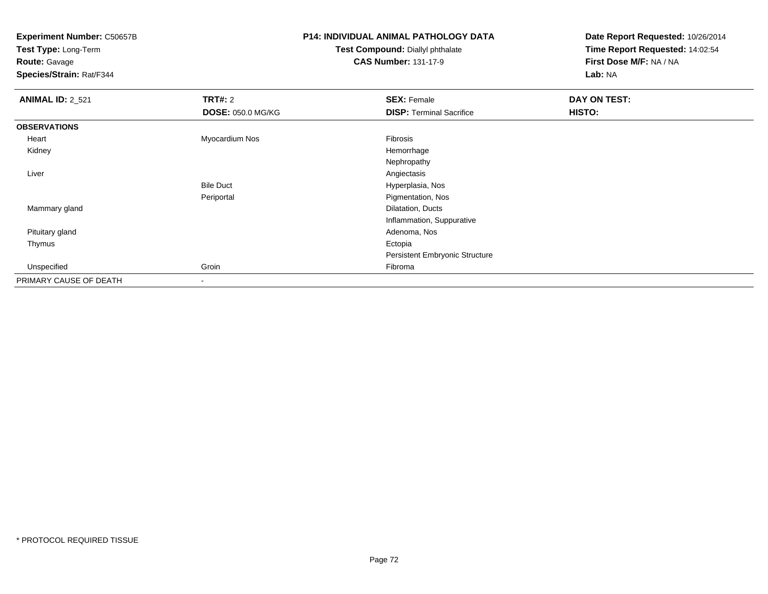**Test Type:** Long-Term

**Route:** Gavage

**Species/Strain:** Rat/F344

## **P14: INDIVIDUAL ANIMAL PATHOLOGY DATA**

**Test Compound:** Diallyl phthalate**CAS Number:** 131-17-9

| <b>ANIMAL ID: 2_521</b> | TRT#: 2                  | <b>SEX: Female</b>              | DAY ON TEST: |
|-------------------------|--------------------------|---------------------------------|--------------|
|                         | <b>DOSE: 050.0 MG/KG</b> | <b>DISP: Terminal Sacrifice</b> | HISTO:       |
| <b>OBSERVATIONS</b>     |                          |                                 |              |
| Heart                   | Myocardium Nos           | Fibrosis                        |              |
| Kidney                  |                          | Hemorrhage                      |              |
|                         |                          | Nephropathy                     |              |
| Liver                   |                          | Angiectasis                     |              |
|                         | <b>Bile Duct</b>         | Hyperplasia, Nos                |              |
|                         | Periportal               | Pigmentation, Nos               |              |
| Mammary gland           |                          | Dilatation, Ducts               |              |
|                         |                          | Inflammation, Suppurative       |              |
| Pituitary gland         |                          | Adenoma, Nos                    |              |
| Thymus                  |                          | Ectopia                         |              |
|                         |                          | Persistent Embryonic Structure  |              |
| Unspecified             | Groin                    | Fibroma                         |              |
| PRIMARY CAUSE OF DEATH  | ۰                        |                                 |              |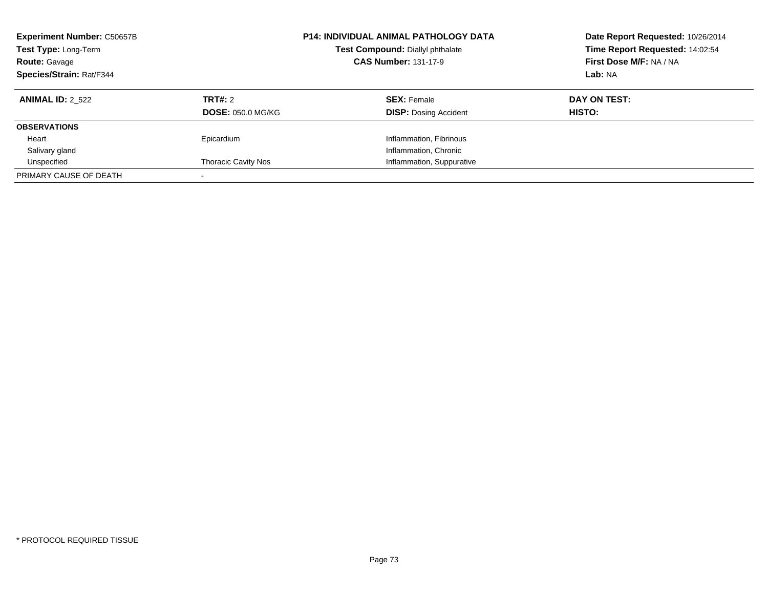| <b>Experiment Number: C50657B</b><br>Test Type: Long-Term<br><b>Route: Gavage</b><br>Species/Strain: Rat/F344 |                                     | <b>P14: INDIVIDUAL ANIMAL PATHOLOGY DATA</b><br>Test Compound: Diallyl phthalate<br><b>CAS Number: 131-17-9</b> | Date Report Requested: 10/26/2014<br>Time Report Requested: 14:02:54<br>First Dose M/F: NA / NA<br>Lab: NA |
|---------------------------------------------------------------------------------------------------------------|-------------------------------------|-----------------------------------------------------------------------------------------------------------------|------------------------------------------------------------------------------------------------------------|
| <b>ANIMAL ID: 2 522</b>                                                                                       | TRT#: 2<br><b>DOSE: 050.0 MG/KG</b> | <b>SEX: Female</b><br><b>DISP:</b> Dosing Accident                                                              | DAY ON TEST:<br>HISTO:                                                                                     |
| <b>OBSERVATIONS</b>                                                                                           |                                     |                                                                                                                 |                                                                                                            |
| Heart                                                                                                         | Epicardium                          | Inflammation, Fibrinous                                                                                         |                                                                                                            |
| Salivary gland                                                                                                |                                     | Inflammation, Chronic                                                                                           |                                                                                                            |
| Unspecified                                                                                                   | <b>Thoracic Cavity Nos</b>          | Inflammation, Suppurative                                                                                       |                                                                                                            |
| PRIMARY CAUSE OF DEATH                                                                                        |                                     |                                                                                                                 |                                                                                                            |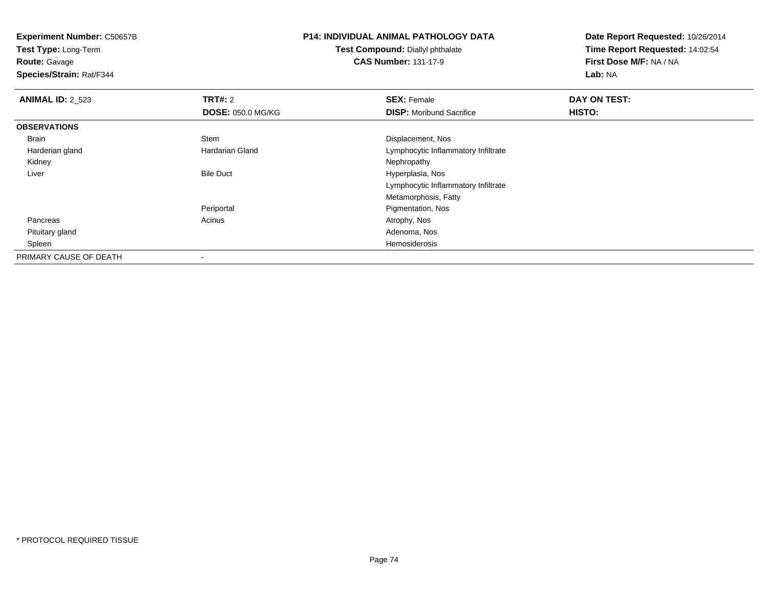**Test Type:** Long-Term**Route:** Gavage

**Species/Strain:** Rat/F344

## **P14: INDIVIDUAL ANIMAL PATHOLOGY DATA**

**Test Compound:** Diallyl phthalate**CAS Number:** 131-17-9

| <b>ANIMAL ID: 2 523</b> | TRT#: 2                  | <b>SEX: Female</b>                  | DAY ON TEST: |  |
|-------------------------|--------------------------|-------------------------------------|--------------|--|
|                         | <b>DOSE: 050.0 MG/KG</b> | <b>DISP:</b> Moribund Sacrifice     | HISTO:       |  |
| <b>OBSERVATIONS</b>     |                          |                                     |              |  |
| Brain                   | Stem                     | Displacement, Nos                   |              |  |
| Harderian gland         | Hardarian Gland          | Lymphocytic Inflammatory Infiltrate |              |  |
| Kidney                  |                          | Nephropathy                         |              |  |
| Liver                   | <b>Bile Duct</b>         | Hyperplasia, Nos                    |              |  |
|                         |                          | Lymphocytic Inflammatory Infiltrate |              |  |
|                         |                          | Metamorphosis, Fatty                |              |  |
|                         | Periportal               | Pigmentation, Nos                   |              |  |
| Pancreas                | Acinus                   | Atrophy, Nos                        |              |  |
| Pituitary gland         |                          | Adenoma, Nos                        |              |  |
| Spleen                  |                          | Hemosiderosis                       |              |  |
| PRIMARY CAUSE OF DEATH  |                          |                                     |              |  |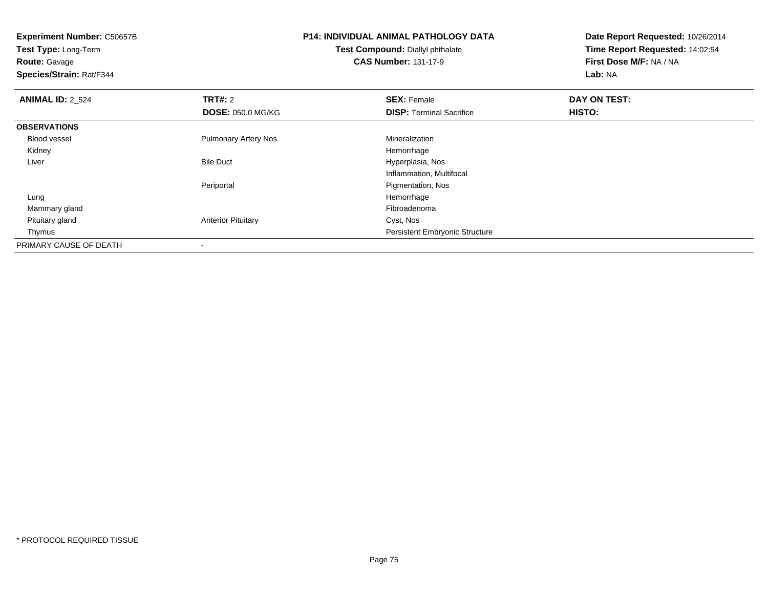**Experiment Number:** C50657B**Test Type:** Long-Term**Route:** Gavage **Species/Strain:** Rat/F344**P14: INDIVIDUAL ANIMAL PATHOLOGY DATATest Compound:** Diallyl phthalate**CAS Number:** 131-17-9**Date Report Requested:** 10/26/2014**Time Report Requested:** 14:02:54**First Dose M/F:** NA / NA**Lab:** NA**ANIMAL ID: 2 524 TRT#:** 2 **SEX:** Female **DAY ON TEST: DOSE:** 050.0 MG/KG**DISP:** Terminal Sacrifice **HISTO: OBSERVATIONS** Blood vessel Pulmonary Artery Nos MineralizationHemorrhage Kidneyy the control of the control of the control of the control of the control of the control of the control of the control of the control of the control of the control of the control of the control of the control of the contro Bile Duct Hyperplasia, Nos Liver Inflammation, MultifocalPeriportal Pigmentation, Nos Lungg and the state of the state of the state of the state of the state of the state of the state of the state of the state of the state of the state of the state of the state of the state of the state of the state of the stat Mammary glandd and the control of the control of the control of the control of the control of the control of the control of the control of the control of the control of the control of the control of the control of the control of the co Pituitary glandAnterior Pituitary **Cyst, Nos**  Thymus Persistent Embryonic StructurePRIMARY CAUSE OF DEATH-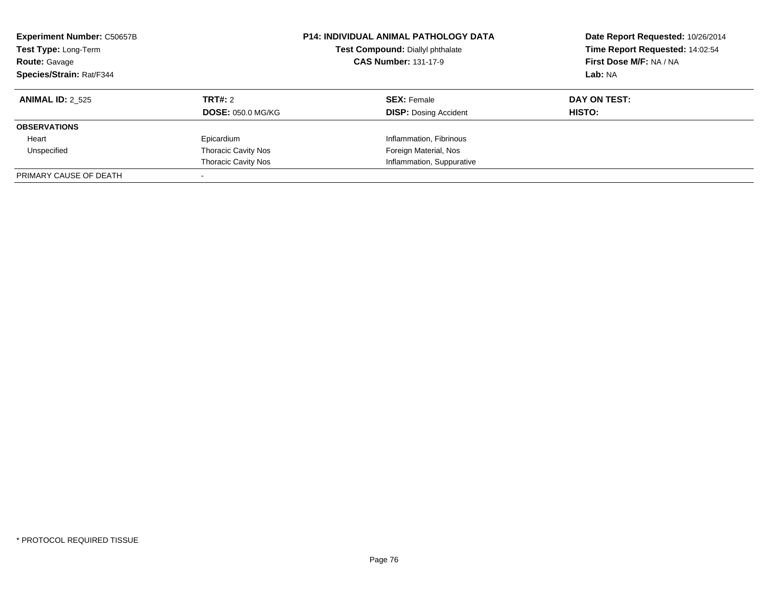| <b>Experiment Number: C50657B</b><br>Test Type: Long-Term<br><b>Route: Gavage</b><br>Species/Strain: Rat/F344 |                            | <b>P14: INDIVIDUAL ANIMAL PATHOLOGY DATA</b><br>Test Compound: Diallyl phthalate<br><b>CAS Number: 131-17-9</b> | Date Report Requested: 10/26/2014<br>Time Report Requested: 14:02:54<br>First Dose M/F: NA / NA<br>Lab: NA |
|---------------------------------------------------------------------------------------------------------------|----------------------------|-----------------------------------------------------------------------------------------------------------------|------------------------------------------------------------------------------------------------------------|
| <b>ANIMAL ID: 2 525</b>                                                                                       | TRT#: 2                    | <b>SEX: Female</b>                                                                                              | DAY ON TEST:                                                                                               |
|                                                                                                               | <b>DOSE: 050.0 MG/KG</b>   | <b>DISP: Dosing Accident</b>                                                                                    | HISTO:                                                                                                     |
| <b>OBSERVATIONS</b>                                                                                           |                            |                                                                                                                 |                                                                                                            |
| Heart                                                                                                         | Epicardium                 | Inflammation, Fibrinous                                                                                         |                                                                                                            |
| Unspecified                                                                                                   | <b>Thoracic Cavity Nos</b> | Foreign Material, Nos                                                                                           |                                                                                                            |
|                                                                                                               | <b>Thoracic Cavity Nos</b> | Inflammation, Suppurative                                                                                       |                                                                                                            |
| PRIMARY CAUSE OF DEATH                                                                                        |                            |                                                                                                                 |                                                                                                            |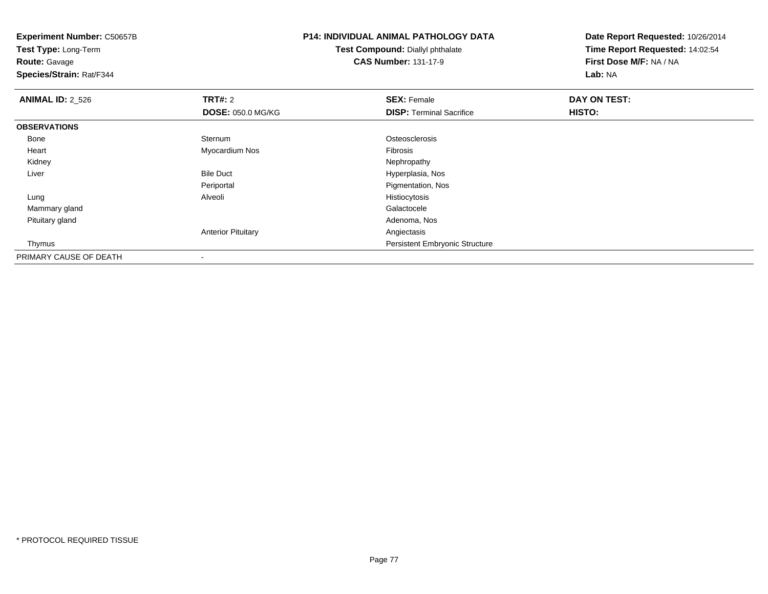**Experiment Number:** C50657B**Test Type:** Long-Term**Route:** Gavage **Species/Strain:** Rat/F344**P14: INDIVIDUAL ANIMAL PATHOLOGY DATATest Compound:** Diallyl phthalate**CAS Number:** 131-17-9**Date Report Requested:** 10/26/2014**Time Report Requested:** 14:02:54**First Dose M/F:** NA / NA**Lab:** NA**ANIMAL ID: 2 526 6 DAY ON TEST: TRT#:** 2 **SEX:** Female **SEX:** Female **DOSE:** 050.0 MG/KG**DISP:** Terminal Sacrifice **HISTO: OBSERVATIONS** Bonee Sternum Sternum **Contract Contract Contract Contract Contract Contract Contract Contract Contract Contract Contract Contract Contract Contract Contract Contract Contract Contract Contract Contract Contract Contract Contract Contra**  Heart Myocardium Nos Fibrosis Kidneyy the control of the control of the control of the control of the control of the control of the control of the control of the control of the control of the control of the control of the control of the control of the contro LiverBile Duct **Hyperplasia**, Nos **Pigmentation, Nos** Periportal Lung Alveoli Histiocytosis Mammary glandd Galactocele and the control of the control of the control of the Galactocele and the Galactocele Pituitary glandd and the control of the control of the control of the control of the control of the control of the control of the control of the control of the control of the control of the control of the control of the control of the co Anterior Pituitary Angiectasis Thymus Persistent Embryonic StructurePRIMARY CAUSE OF DEATH

-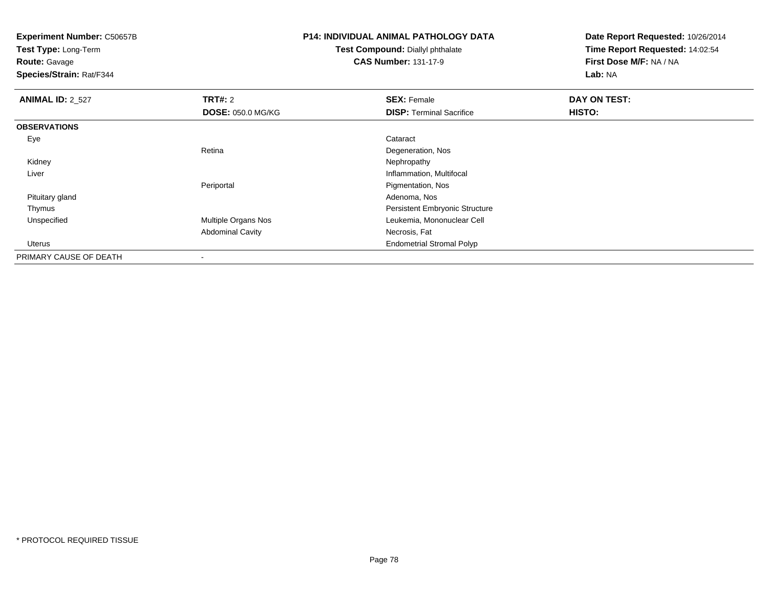**Test Type:** Long-Term

**Route:** Gavage

**Species/Strain:** Rat/F344

# **P14: INDIVIDUAL ANIMAL PATHOLOGY DATA**

**Test Compound:** Diallyl phthalate**CAS Number:** 131-17-9

| <b>ANIMAL ID: 2_527</b> | TRT#: 2                  | <b>SEX: Female</b>                    | DAY ON TEST:  |  |
|-------------------------|--------------------------|---------------------------------------|---------------|--|
|                         | <b>DOSE: 050.0 MG/KG</b> | <b>DISP: Terminal Sacrifice</b>       | <b>HISTO:</b> |  |
| <b>OBSERVATIONS</b>     |                          |                                       |               |  |
| Eye                     |                          | Cataract                              |               |  |
|                         | Retina                   | Degeneration, Nos                     |               |  |
| Kidney                  |                          | Nephropathy                           |               |  |
| Liver                   |                          | Inflammation, Multifocal              |               |  |
|                         | Periportal               | Pigmentation, Nos                     |               |  |
| Pituitary gland         |                          | Adenoma, Nos                          |               |  |
| Thymus                  |                          | <b>Persistent Embryonic Structure</b> |               |  |
| Unspecified             | Multiple Organs Nos      | Leukemia, Mononuclear Cell            |               |  |
|                         | <b>Abdominal Cavity</b>  | Necrosis, Fat                         |               |  |
| Uterus                  |                          | <b>Endometrial Stromal Polyp</b>      |               |  |
| PRIMARY CAUSE OF DEATH  | $\overline{\phantom{a}}$ |                                       |               |  |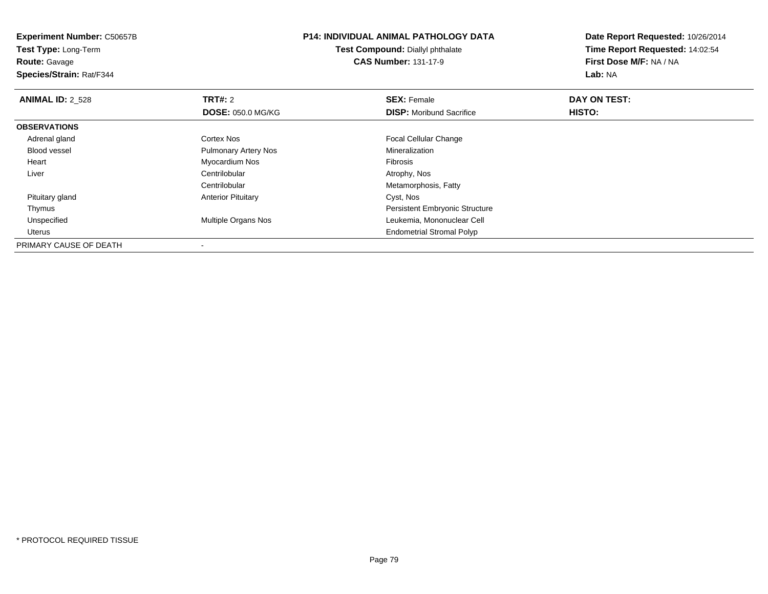**Experiment Number:** C50657B**Test Type:** Long-Term**Route:** Gavage **Species/Strain:** Rat/F344**P14: INDIVIDUAL ANIMAL PATHOLOGY DATATest Compound:** Diallyl phthalate**CAS Number:** 131-17-9**Date Report Requested:** 10/26/2014**Time Report Requested:** 14:02:54**First Dose M/F:** NA / NA**Lab:** NA**ANIMAL ID: 2 528 REX:** Female **DAY ON TEST: CONSIST: SEX:** Female **DAY ON TEST: DOSE:** 050.0 MG/KG**DISP:** Moribund Sacrifice **HISTO: OBSERVATIONS** Adrenal glandCortex Nos **Focal Cellular Change**  Blood vessel Pulmonary Artery Nos Mineralization Heart Myocardium Nos Fibrosis Liverr and the contribution of the Centrilobular Centrilobular and the context of the context of the context of the context of the context of the context of the context of the context of the context of the context of the contex r **Metamorphosis, Fatty Centrilobular**  Pituitary glandAnterior Pituitary **Cyst, Nos**  Thymus Persistent Embryonic Structure Unspecified Multiple Organs Nos Leukemia, Mononuclear Cell Uterus Endometrial Stromal PolypPRIMARY CAUSE OF DEATH

-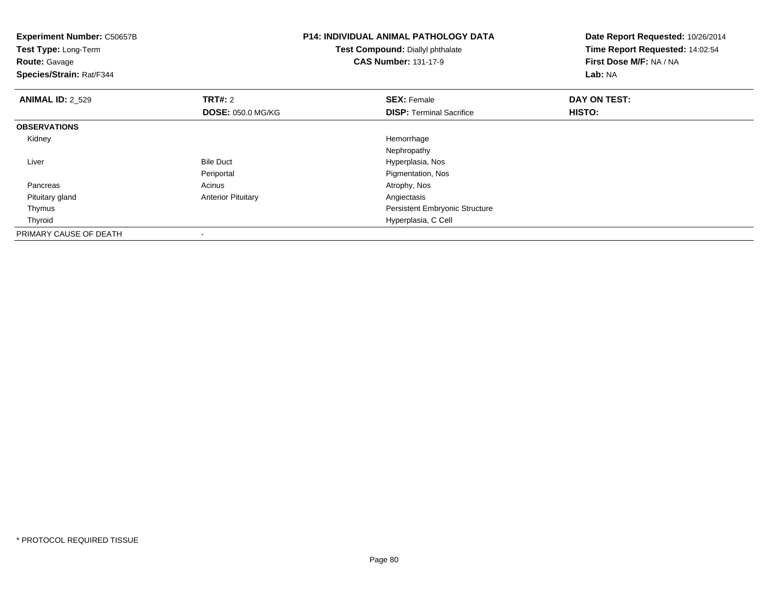| <b>Experiment Number: C50657B</b><br>Test Type: Long-Term<br><b>Route: Gavage</b><br>Species/Strain: Rat/F344 |                           | <b>P14: INDIVIDUAL ANIMAL PATHOLOGY DATA</b><br>Test Compound: Diallyl phthalate<br><b>CAS Number: 131-17-9</b> | Date Report Requested: 10/26/2014<br>Time Report Requested: 14:02:54<br>First Dose M/F: NA / NA<br>Lab: NA |
|---------------------------------------------------------------------------------------------------------------|---------------------------|-----------------------------------------------------------------------------------------------------------------|------------------------------------------------------------------------------------------------------------|
| <b>ANIMAL ID: 2 529</b>                                                                                       | <b>TRT#: 2</b>            | <b>SEX: Female</b>                                                                                              | DAY ON TEST:                                                                                               |
|                                                                                                               | <b>DOSE: 050.0 MG/KG</b>  | <b>DISP: Terminal Sacrifice</b>                                                                                 | <b>HISTO:</b>                                                                                              |
| <b>OBSERVATIONS</b>                                                                                           |                           |                                                                                                                 |                                                                                                            |
| Kidney                                                                                                        |                           | Hemorrhage                                                                                                      |                                                                                                            |
|                                                                                                               |                           | Nephropathy                                                                                                     |                                                                                                            |
| Liver                                                                                                         | <b>Bile Duct</b>          | Hyperplasia, Nos                                                                                                |                                                                                                            |
|                                                                                                               | Periportal                | Pigmentation, Nos                                                                                               |                                                                                                            |
| Pancreas                                                                                                      | Acinus                    | Atrophy, Nos                                                                                                    |                                                                                                            |
| Pituitary gland                                                                                               | <b>Anterior Pituitary</b> | Angiectasis                                                                                                     |                                                                                                            |
| Thymus                                                                                                        |                           | <b>Persistent Embryonic Structure</b>                                                                           |                                                                                                            |
| Thyroid                                                                                                       |                           | Hyperplasia, C Cell                                                                                             |                                                                                                            |
| PRIMARY CAUSE OF DEATH                                                                                        |                           |                                                                                                                 |                                                                                                            |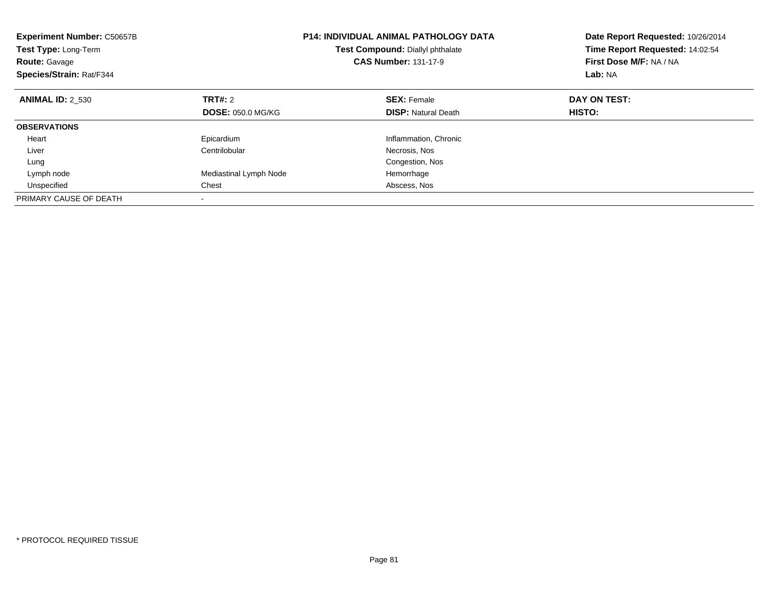| <b>Experiment Number: C50657B</b><br>Test Type: Long-Term<br><b>Route: Gavage</b><br>Species/Strain: Rat/F344 |                          | <b>P14: INDIVIDUAL ANIMAL PATHOLOGY DATA</b><br>Test Compound: Diallyl phthalate<br><b>CAS Number: 131-17-9</b> | Date Report Requested: 10/26/2014<br>Time Report Requested: 14:02:54<br>First Dose M/F: NA / NA<br>Lab: NA |
|---------------------------------------------------------------------------------------------------------------|--------------------------|-----------------------------------------------------------------------------------------------------------------|------------------------------------------------------------------------------------------------------------|
| <b>ANIMAL ID: 2 530</b>                                                                                       | TRT#: 2                  | <b>SEX: Female</b>                                                                                              | DAY ON TEST:                                                                                               |
|                                                                                                               | <b>DOSE: 050.0 MG/KG</b> | <b>DISP:</b> Natural Death                                                                                      | HISTO:                                                                                                     |
| <b>OBSERVATIONS</b>                                                                                           |                          |                                                                                                                 |                                                                                                            |
| Heart                                                                                                         | Epicardium               | Inflammation, Chronic                                                                                           |                                                                                                            |
| Liver                                                                                                         | Centrilobular            | Necrosis, Nos                                                                                                   |                                                                                                            |
| Lung                                                                                                          |                          | Congestion, Nos                                                                                                 |                                                                                                            |
| Lymph node                                                                                                    | Mediastinal Lymph Node   | Hemorrhage                                                                                                      |                                                                                                            |
| Unspecified                                                                                                   | Chest                    | Abscess, Nos                                                                                                    |                                                                                                            |
| PRIMARY CAUSE OF DEATH                                                                                        |                          |                                                                                                                 |                                                                                                            |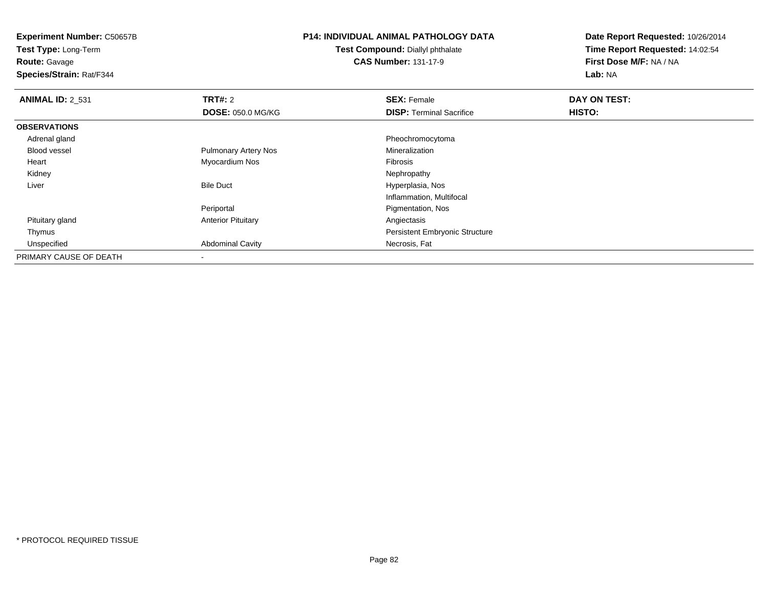**Test Type:** Long-Term**Route:** Gavage

**Species/Strain:** Rat/F344

## **P14: INDIVIDUAL ANIMAL PATHOLOGY DATA**

**Test Compound:** Diallyl phthalate**CAS Number:** 131-17-9

| <b>ANIMAL ID: 2 531</b> | TRT#: 2                     | <b>SEX: Female</b>                    | DAY ON TEST: |  |
|-------------------------|-----------------------------|---------------------------------------|--------------|--|
|                         | <b>DOSE: 050.0 MG/KG</b>    | <b>DISP: Terminal Sacrifice</b>       | HISTO:       |  |
| <b>OBSERVATIONS</b>     |                             |                                       |              |  |
| Adrenal gland           |                             | Pheochromocytoma                      |              |  |
| <b>Blood vessel</b>     | <b>Pulmonary Artery Nos</b> | Mineralization                        |              |  |
| Heart                   | Myocardium Nos              | Fibrosis                              |              |  |
| Kidney                  |                             | Nephropathy                           |              |  |
| Liver                   | <b>Bile Duct</b>            | Hyperplasia, Nos                      |              |  |
|                         |                             | Inflammation, Multifocal              |              |  |
|                         | Periportal                  | Pigmentation, Nos                     |              |  |
| Pituitary gland         | <b>Anterior Pituitary</b>   | Angiectasis                           |              |  |
| Thymus                  |                             | <b>Persistent Embryonic Structure</b> |              |  |
| Unspecified             | <b>Abdominal Cavity</b>     | Necrosis, Fat                         |              |  |
| PRIMARY CAUSE OF DEATH  | $\,$                        |                                       |              |  |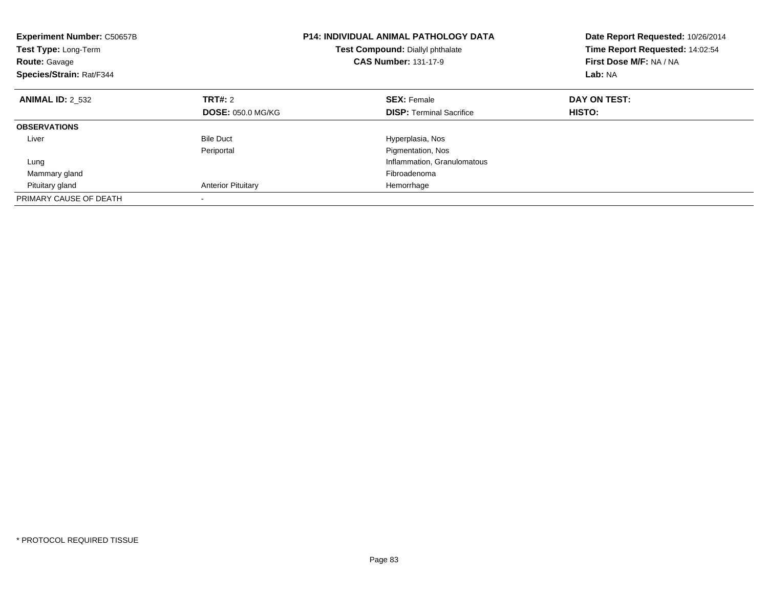| <b>Experiment Number: C50657B</b><br><b>Test Type: Long-Term</b><br><b>Route: Gavage</b><br>Species/Strain: Rat/F344 |                           | <b>P14: INDIVIDUAL ANIMAL PATHOLOGY DATA</b><br>Test Compound: Diallyl phthalate<br><b>CAS Number: 131-17-9</b> | Date Report Requested: 10/26/2014<br>Time Report Requested: 14:02:54<br>First Dose M/F: NA / NA<br>Lab: NA |
|----------------------------------------------------------------------------------------------------------------------|---------------------------|-----------------------------------------------------------------------------------------------------------------|------------------------------------------------------------------------------------------------------------|
| <b>ANIMAL ID: 2 532</b>                                                                                              | TRT#: 2                   | <b>SEX: Female</b>                                                                                              | DAY ON TEST:                                                                                               |
|                                                                                                                      | <b>DOSE: 050.0 MG/KG</b>  | <b>DISP:</b> Terminal Sacrifice                                                                                 | HISTO:                                                                                                     |
| <b>OBSERVATIONS</b>                                                                                                  |                           |                                                                                                                 |                                                                                                            |
| Liver                                                                                                                | <b>Bile Duct</b>          | Hyperplasia, Nos                                                                                                |                                                                                                            |
|                                                                                                                      | Periportal                | Pigmentation, Nos                                                                                               |                                                                                                            |
| Lung                                                                                                                 |                           | Inflammation, Granulomatous                                                                                     |                                                                                                            |
| Mammary gland                                                                                                        |                           | Fibroadenoma                                                                                                    |                                                                                                            |
| Pituitary gland                                                                                                      | <b>Anterior Pituitary</b> | Hemorrhage                                                                                                      |                                                                                                            |
| PRIMARY CAUSE OF DEATH                                                                                               |                           |                                                                                                                 |                                                                                                            |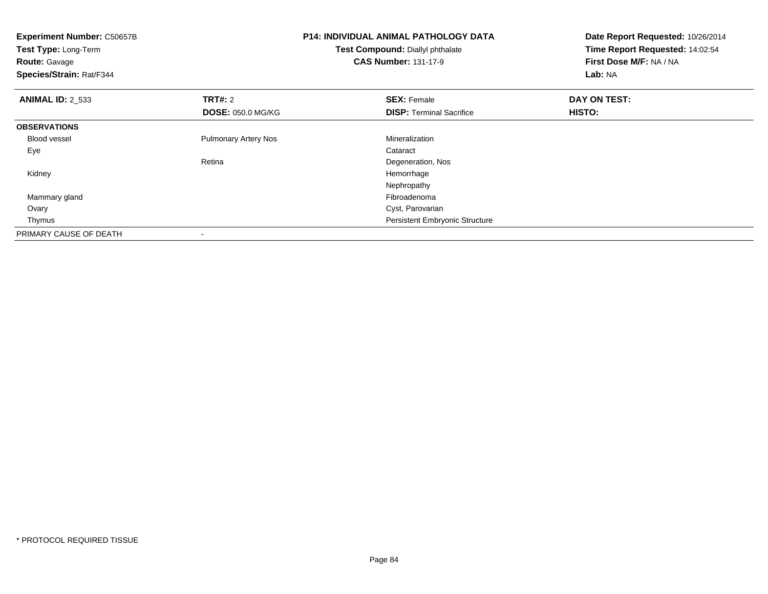| <b>Experiment Number: C50657B</b><br>Test Type: Long-Term<br><b>Route: Gavage</b><br>Species/Strain: Rat/F344 |                             | <b>P14: INDIVIDUAL ANIMAL PATHOLOGY DATA</b><br>Test Compound: Diallyl phthalate<br><b>CAS Number: 131-17-9</b> | Date Report Requested: 10/26/2014<br>Time Report Requested: 14:02:54<br>First Dose M/F: NA / NA<br>Lab: NA |
|---------------------------------------------------------------------------------------------------------------|-----------------------------|-----------------------------------------------------------------------------------------------------------------|------------------------------------------------------------------------------------------------------------|
| <b>ANIMAL ID: 2 533</b>                                                                                       | <b>TRT#: 2</b>              | <b>SEX: Female</b>                                                                                              | DAY ON TEST:                                                                                               |
|                                                                                                               | <b>DOSE: 050.0 MG/KG</b>    | <b>DISP:</b> Terminal Sacrifice                                                                                 | HISTO:                                                                                                     |
| <b>OBSERVATIONS</b>                                                                                           |                             |                                                                                                                 |                                                                                                            |
| <b>Blood vessel</b>                                                                                           | <b>Pulmonary Artery Nos</b> | Mineralization                                                                                                  |                                                                                                            |
| Eye                                                                                                           |                             | Cataract                                                                                                        |                                                                                                            |
|                                                                                                               | Retina                      | Degeneration, Nos                                                                                               |                                                                                                            |
| Kidney                                                                                                        |                             | Hemorrhage                                                                                                      |                                                                                                            |
|                                                                                                               |                             | Nephropathy                                                                                                     |                                                                                                            |
| Mammary gland                                                                                                 |                             | Fibroadenoma                                                                                                    |                                                                                                            |
| Ovary                                                                                                         |                             | Cyst, Parovarian                                                                                                |                                                                                                            |
| Thymus                                                                                                        |                             | Persistent Embryonic Structure                                                                                  |                                                                                                            |
| PRIMARY CAUSE OF DEATH                                                                                        |                             |                                                                                                                 |                                                                                                            |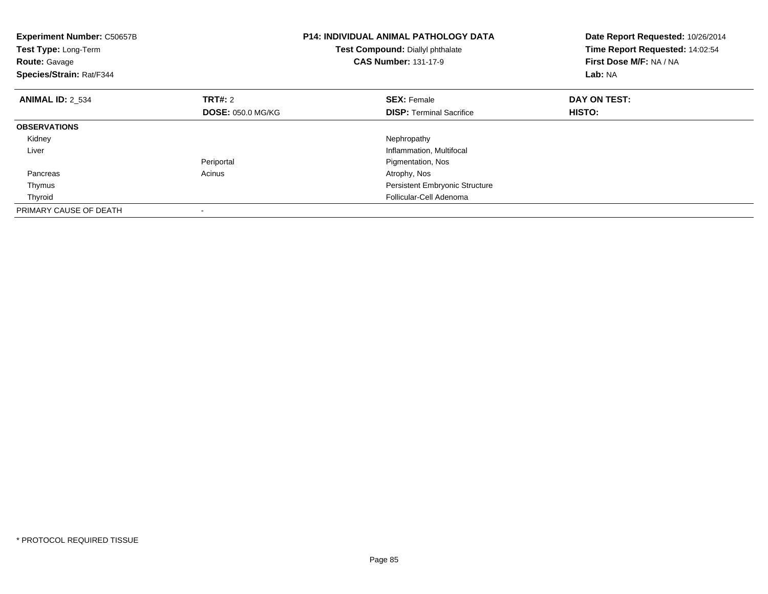| <b>Experiment Number: C50657B</b><br>Test Type: Long-Term<br><b>Route: Gavage</b><br>Species/Strain: Rat/F344 |                          | <b>P14: INDIVIDUAL ANIMAL PATHOLOGY DATA</b><br>Test Compound: Diallyl phthalate<br><b>CAS Number: 131-17-9</b> | Date Report Requested: 10/26/2014<br>Time Report Requested: 14:02:54<br>First Dose M/F: NA / NA<br>Lab: NA |
|---------------------------------------------------------------------------------------------------------------|--------------------------|-----------------------------------------------------------------------------------------------------------------|------------------------------------------------------------------------------------------------------------|
| <b>ANIMAL ID: 2 534</b>                                                                                       | TRT#: 2                  | <b>SEX: Female</b>                                                                                              | DAY ON TEST:                                                                                               |
|                                                                                                               | <b>DOSE: 050.0 MG/KG</b> | <b>DISP:</b> Terminal Sacrifice                                                                                 | HISTO:                                                                                                     |
| <b>OBSERVATIONS</b>                                                                                           |                          |                                                                                                                 |                                                                                                            |
| Kidney                                                                                                        |                          | Nephropathy                                                                                                     |                                                                                                            |
| Liver                                                                                                         |                          | Inflammation, Multifocal                                                                                        |                                                                                                            |
|                                                                                                               | Periportal               | Pigmentation, Nos                                                                                               |                                                                                                            |
| Pancreas                                                                                                      | Acinus                   | Atrophy, Nos                                                                                                    |                                                                                                            |
| Thymus                                                                                                        |                          | <b>Persistent Embryonic Structure</b>                                                                           |                                                                                                            |
| Thyroid                                                                                                       |                          | Follicular-Cell Adenoma                                                                                         |                                                                                                            |
| PRIMARY CAUSE OF DEATH                                                                                        |                          |                                                                                                                 |                                                                                                            |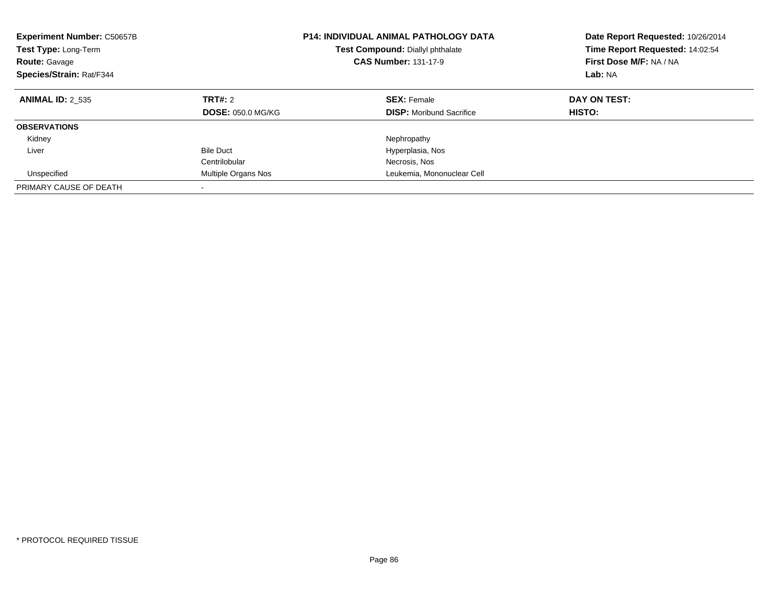| <b>Experiment Number: C50657B</b><br><b>Test Type: Long-Term</b><br><b>Route: Gavage</b><br>Species/Strain: Rat/F344 |                                     | <b>P14: INDIVIDUAL ANIMAL PATHOLOGY DATA</b><br><b>Test Compound: Diallyl phthalate</b><br><b>CAS Number: 131-17-9</b> | Date Report Requested: 10/26/2014<br>Time Report Requested: 14:02:54<br>First Dose M/F: NA / NA<br>Lab: NA |
|----------------------------------------------------------------------------------------------------------------------|-------------------------------------|------------------------------------------------------------------------------------------------------------------------|------------------------------------------------------------------------------------------------------------|
| <b>ANIMAL ID: 2 535</b>                                                                                              | TRT#: 2<br><b>DOSE: 050.0 MG/KG</b> | <b>SEX: Female</b><br><b>DISP:</b> Moribund Sacrifice                                                                  | DAY ON TEST:<br>HISTO:                                                                                     |
| <b>OBSERVATIONS</b>                                                                                                  |                                     |                                                                                                                        |                                                                                                            |
| Kidney                                                                                                               |                                     | Nephropathy                                                                                                            |                                                                                                            |
| Liver                                                                                                                | <b>Bile Duct</b>                    | Hyperplasia, Nos                                                                                                       |                                                                                                            |
|                                                                                                                      | Centrilobular                       | Necrosis, Nos                                                                                                          |                                                                                                            |
| Unspecified                                                                                                          | Multiple Organs Nos                 | Leukemia, Mononuclear Cell                                                                                             |                                                                                                            |
| PRIMARY CAUSE OF DEATH                                                                                               | $\overline{\phantom{a}}$            |                                                                                                                        |                                                                                                            |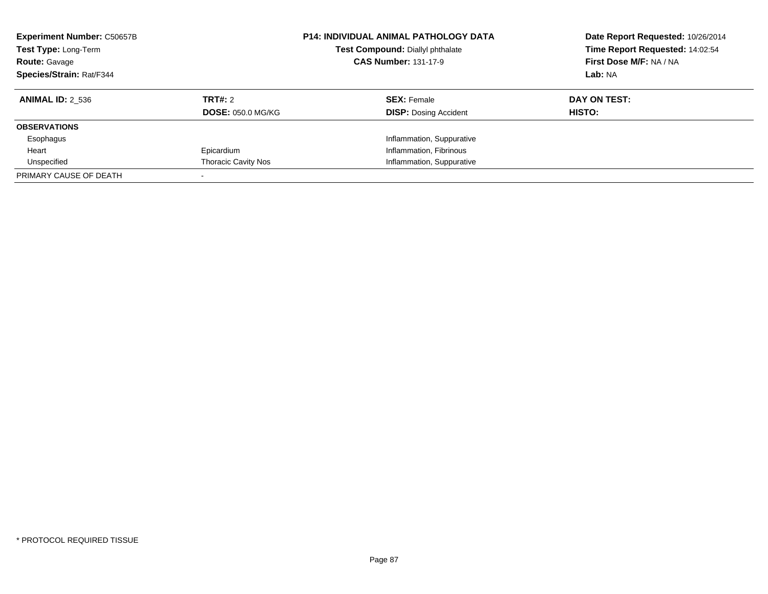| <b>Experiment Number: C50657B</b><br>Test Type: Long-Term<br><b>Route: Gavage</b><br>Species/Strain: Rat/F344 |                            | <b>P14: INDIVIDUAL ANIMAL PATHOLOGY DATA</b><br>Test Compound: Diallyl phthalate<br><b>CAS Number: 131-17-9</b> | Date Report Requested: 10/26/2014<br>Time Report Requested: 14:02:54<br>First Dose M/F: NA / NA<br>Lab: NA |
|---------------------------------------------------------------------------------------------------------------|----------------------------|-----------------------------------------------------------------------------------------------------------------|------------------------------------------------------------------------------------------------------------|
| <b>ANIMAL ID: 2 536</b>                                                                                       | TRT#: 2                    | <b>SEX: Female</b>                                                                                              | DAY ON TEST:                                                                                               |
|                                                                                                               | <b>DOSE: 050.0 MG/KG</b>   | <b>DISP:</b> Dosing Accident                                                                                    | HISTO:                                                                                                     |
| <b>OBSERVATIONS</b>                                                                                           |                            |                                                                                                                 |                                                                                                            |
| Esophagus                                                                                                     |                            | Inflammation, Suppurative                                                                                       |                                                                                                            |
| Heart                                                                                                         | Epicardium                 | Inflammation, Fibrinous                                                                                         |                                                                                                            |
| Unspecified                                                                                                   | <b>Thoracic Cavity Nos</b> | Inflammation, Suppurative                                                                                       |                                                                                                            |
| PRIMARY CAUSE OF DEATH                                                                                        |                            |                                                                                                                 |                                                                                                            |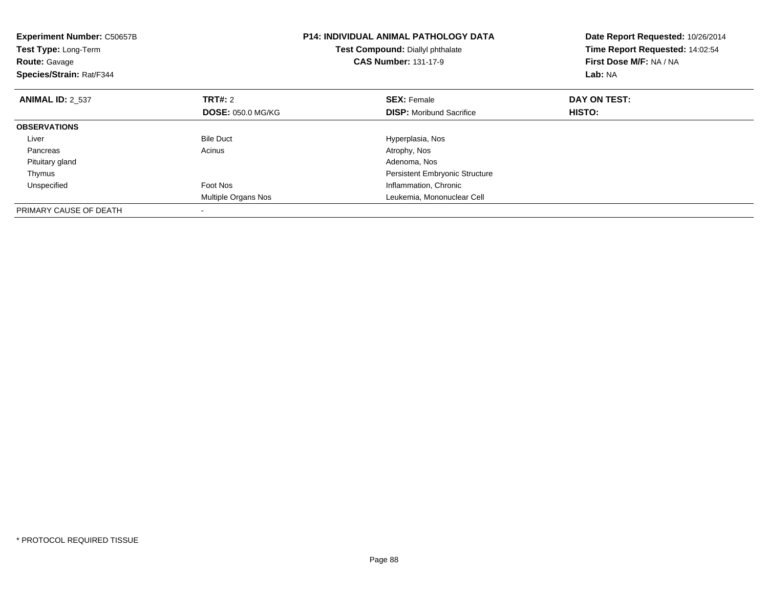| <b>Experiment Number: C50657B</b><br>Test Type: Long-Term<br><b>Route: Gavage</b><br>Species/Strain: Rat/F344 |                          | <b>P14: INDIVIDUAL ANIMAL PATHOLOGY DATA</b><br>Test Compound: Diallyl phthalate<br><b>CAS Number: 131-17-9</b> | Date Report Requested: 10/26/2014<br>Time Report Requested: 14:02:54<br>First Dose M/F: NA / NA<br>Lab: NA |
|---------------------------------------------------------------------------------------------------------------|--------------------------|-----------------------------------------------------------------------------------------------------------------|------------------------------------------------------------------------------------------------------------|
| <b>ANIMAL ID: 2 537</b>                                                                                       | TRT#: 2                  | <b>SEX: Female</b>                                                                                              | DAY ON TEST:                                                                                               |
|                                                                                                               | <b>DOSE: 050.0 MG/KG</b> | <b>DISP:</b> Moribund Sacrifice                                                                                 | <b>HISTO:</b>                                                                                              |
| <b>OBSERVATIONS</b>                                                                                           |                          |                                                                                                                 |                                                                                                            |
| Liver                                                                                                         | <b>Bile Duct</b>         | Hyperplasia, Nos                                                                                                |                                                                                                            |
| Pancreas                                                                                                      | Acinus                   | Atrophy, Nos                                                                                                    |                                                                                                            |
| Pituitary gland                                                                                               |                          | Adenoma, Nos                                                                                                    |                                                                                                            |
| Thymus                                                                                                        |                          | <b>Persistent Embryonic Structure</b>                                                                           |                                                                                                            |
| Unspecified                                                                                                   | Foot Nos                 | Inflammation, Chronic                                                                                           |                                                                                                            |
|                                                                                                               | Multiple Organs Nos      | Leukemia, Mononuclear Cell                                                                                      |                                                                                                            |
| PRIMARY CAUSE OF DEATH                                                                                        |                          |                                                                                                                 |                                                                                                            |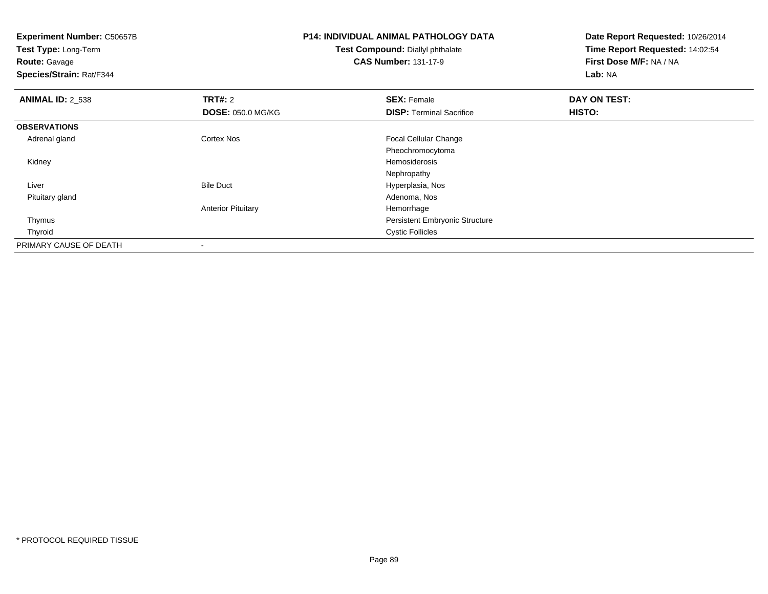**Experiment Number:** C50657B**Test Type:** Long-Term**Route:** Gavage **Species/Strain:** Rat/F344**P14: INDIVIDUAL ANIMAL PATHOLOGY DATATest Compound:** Diallyl phthalate**CAS Number:** 131-17-9**Date Report Requested:** 10/26/2014**Time Report Requested:** 14:02:54**First Dose M/F:** NA / NA**Lab:** NA**ANIMAL ID: 2 538 REX:** Female **DAY ON TEST: CONSIST: SEX:** Female **DAY ON TEST: DOSE:** 050.0 MG/KG**DISP:** Terminal Sacrifice **HISTO: OBSERVATIONS** Adrenal glandCortex Nos **Focal Cellular Change** Pheochromocytoma Kidneyy and the state of the state of the state of the state of the state of the state of the state of the state of the state of the state of the state of the state of the state of the state of the state of the state of the stat Nephropathy Bile Duct Hyperplasia, Nos Liver Pituitary glandd and the control of the control of the control of the control of the control of the control of the control of the control of the control of the control of the control of the control of the control of the control of the co Anterior Pituitary Hemorrhage Persistent Embryonic Structure Thymus Thyroid Cystic Follicles PRIMARY CAUSE OF DEATH-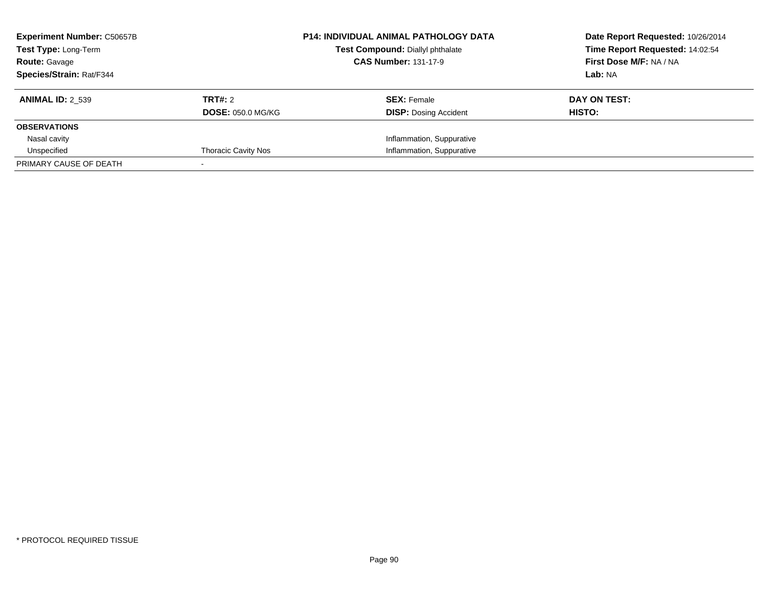| <b>Experiment Number: C50657B</b><br>Test Type: Long-Term<br><b>Route: Gavage</b> |                            | <b>P14: INDIVIDUAL ANIMAL PATHOLOGY DATA</b><br>Test Compound: Diallyl phthalate<br><b>CAS Number: 131-17-9</b> | Date Report Requested: 10/26/2014<br>Time Report Requested: 14:02:54<br>First Dose M/F: NA / NA |
|-----------------------------------------------------------------------------------|----------------------------|-----------------------------------------------------------------------------------------------------------------|-------------------------------------------------------------------------------------------------|
| Species/Strain: Rat/F344                                                          |                            |                                                                                                                 | Lab: NA                                                                                         |
| <b>ANIMAL ID: 2 539</b>                                                           | TRT#: 2                    | <b>SEX: Female</b>                                                                                              | DAY ON TEST:                                                                                    |
|                                                                                   | <b>DOSE: 050.0 MG/KG</b>   | <b>DISP:</b> Dosing Accident                                                                                    | HISTO:                                                                                          |
| <b>OBSERVATIONS</b>                                                               |                            |                                                                                                                 |                                                                                                 |
| Nasal cavity                                                                      |                            | Inflammation, Suppurative                                                                                       |                                                                                                 |
| Unspecified                                                                       | <b>Thoracic Cavity Nos</b> | Inflammation, Suppurative                                                                                       |                                                                                                 |
| PRIMARY CAUSE OF DEATH                                                            |                            |                                                                                                                 |                                                                                                 |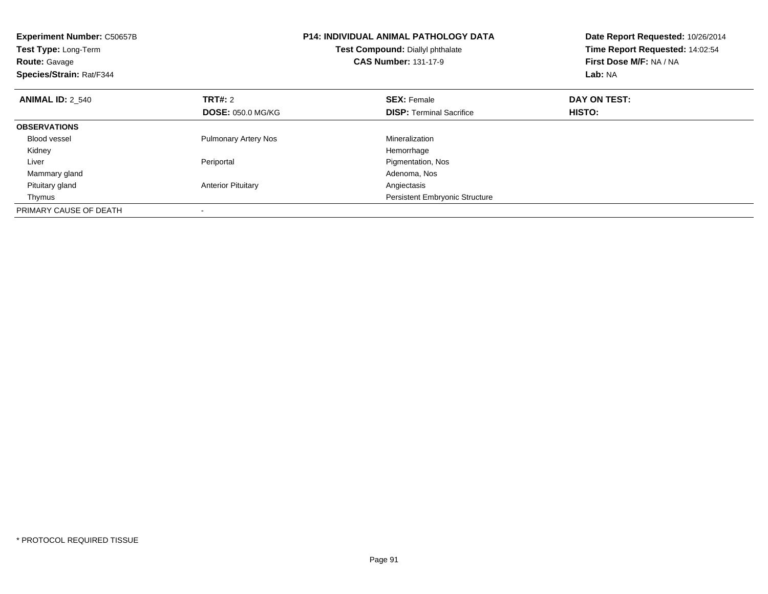| <b>Experiment Number: C50657B</b><br>Test Type: Long-Term<br><b>Route: Gavage</b><br>Species/Strain: Rat/F344 |                             | <b>P14: INDIVIDUAL ANIMAL PATHOLOGY DATA</b><br>Test Compound: Diallyl phthalate<br><b>CAS Number: 131-17-9</b> | Date Report Requested: 10/26/2014<br>Time Report Requested: 14:02:54<br>First Dose M/F: NA / NA<br>Lab: NA |
|---------------------------------------------------------------------------------------------------------------|-----------------------------|-----------------------------------------------------------------------------------------------------------------|------------------------------------------------------------------------------------------------------------|
| <b>ANIMAL ID: 2 540</b>                                                                                       | <b>TRT#: 2</b>              | <b>SEX: Female</b>                                                                                              | DAY ON TEST:                                                                                               |
|                                                                                                               | <b>DOSE: 050.0 MG/KG</b>    | <b>DISP:</b> Terminal Sacrifice                                                                                 | HISTO:                                                                                                     |
| <b>OBSERVATIONS</b>                                                                                           |                             |                                                                                                                 |                                                                                                            |
| <b>Blood vessel</b>                                                                                           | <b>Pulmonary Artery Nos</b> | Mineralization                                                                                                  |                                                                                                            |
| Kidney                                                                                                        |                             | Hemorrhage                                                                                                      |                                                                                                            |
| Liver                                                                                                         | Periportal                  | Pigmentation, Nos                                                                                               |                                                                                                            |
| Mammary gland                                                                                                 |                             | Adenoma, Nos                                                                                                    |                                                                                                            |
| Pituitary gland                                                                                               | <b>Anterior Pituitary</b>   | Angiectasis                                                                                                     |                                                                                                            |
| Thymus                                                                                                        |                             | <b>Persistent Embryonic Structure</b>                                                                           |                                                                                                            |
| PRIMARY CAUSE OF DEATH                                                                                        |                             |                                                                                                                 |                                                                                                            |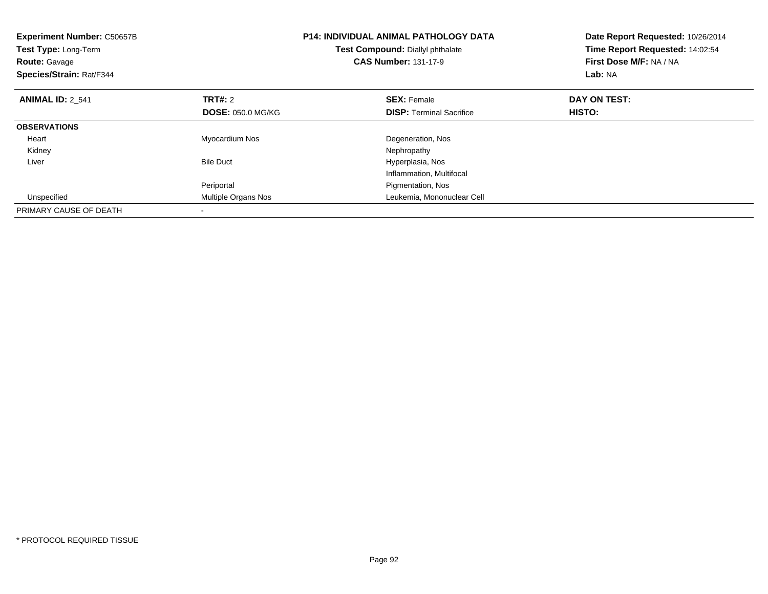| <b>Experiment Number: C50657B</b><br><b>Test Type: Long-Term</b><br><b>Route: Gavage</b><br>Species/Strain: Rat/F344 |                          | <b>P14: INDIVIDUAL ANIMAL PATHOLOGY DATA</b><br>Test Compound: Diallyl phthalate<br><b>CAS Number: 131-17-9</b> | Date Report Requested: 10/26/2014<br>Time Report Requested: 14:02:54<br>First Dose M/F: NA / NA<br>Lab: NA |
|----------------------------------------------------------------------------------------------------------------------|--------------------------|-----------------------------------------------------------------------------------------------------------------|------------------------------------------------------------------------------------------------------------|
| <b>ANIMAL ID: 2 541</b>                                                                                              | <b>TRT#: 2</b>           | <b>SEX: Female</b>                                                                                              | DAY ON TEST:                                                                                               |
|                                                                                                                      | <b>DOSE: 050.0 MG/KG</b> | <b>DISP:</b> Terminal Sacrifice                                                                                 | <b>HISTO:</b>                                                                                              |
| <b>OBSERVATIONS</b>                                                                                                  |                          |                                                                                                                 |                                                                                                            |
| Heart                                                                                                                | Myocardium Nos           | Degeneration, Nos                                                                                               |                                                                                                            |
| Kidney                                                                                                               |                          | Nephropathy                                                                                                     |                                                                                                            |
| Liver                                                                                                                | <b>Bile Duct</b>         | Hyperplasia, Nos                                                                                                |                                                                                                            |
|                                                                                                                      |                          | Inflammation, Multifocal                                                                                        |                                                                                                            |
|                                                                                                                      | Periportal               | Pigmentation, Nos                                                                                               |                                                                                                            |
| Unspecified                                                                                                          | Multiple Organs Nos      | Leukemia, Mononuclear Cell                                                                                      |                                                                                                            |
| PRIMARY CAUSE OF DEATH                                                                                               |                          |                                                                                                                 |                                                                                                            |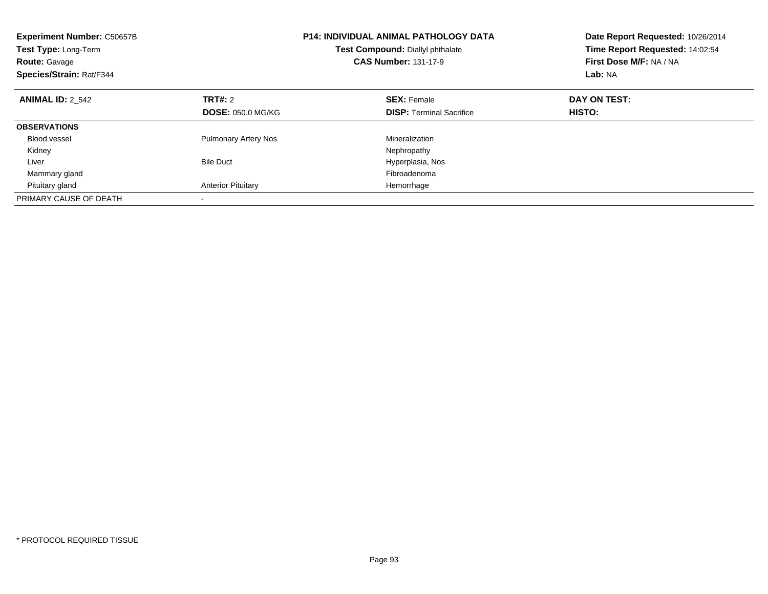| <b>Experiment Number: C50657B</b><br>Test Type: Long-Term<br><b>Route: Gavage</b><br>Species/Strain: Rat/F344 |                                     | <b>P14: INDIVIDUAL ANIMAL PATHOLOGY DATA</b><br>Test Compound: Diallyl phthalate<br><b>CAS Number: 131-17-9</b> | Date Report Requested: 10/26/2014<br>Time Report Requested: 14:02:54<br>First Dose M/F: NA / NA<br>Lab: NA |
|---------------------------------------------------------------------------------------------------------------|-------------------------------------|-----------------------------------------------------------------------------------------------------------------|------------------------------------------------------------------------------------------------------------|
| <b>ANIMAL ID: 2 542</b>                                                                                       | TRT#: 2<br><b>DOSE: 050.0 MG/KG</b> | <b>SEX: Female</b><br><b>DISP:</b> Terminal Sacrifice                                                           | DAY ON TEST:<br>HISTO:                                                                                     |
|                                                                                                               |                                     |                                                                                                                 |                                                                                                            |
| <b>OBSERVATIONS</b>                                                                                           |                                     |                                                                                                                 |                                                                                                            |
| <b>Blood vessel</b>                                                                                           | <b>Pulmonary Artery Nos</b>         | Mineralization                                                                                                  |                                                                                                            |
| Kidney                                                                                                        |                                     | Nephropathy                                                                                                     |                                                                                                            |
| Liver                                                                                                         | <b>Bile Duct</b>                    | Hyperplasia, Nos                                                                                                |                                                                                                            |
| Mammary gland                                                                                                 |                                     | Fibroadenoma                                                                                                    |                                                                                                            |
| Pituitary gland                                                                                               | <b>Anterior Pituitary</b>           | Hemorrhage                                                                                                      |                                                                                                            |
| PRIMARY CAUSE OF DEATH                                                                                        |                                     |                                                                                                                 |                                                                                                            |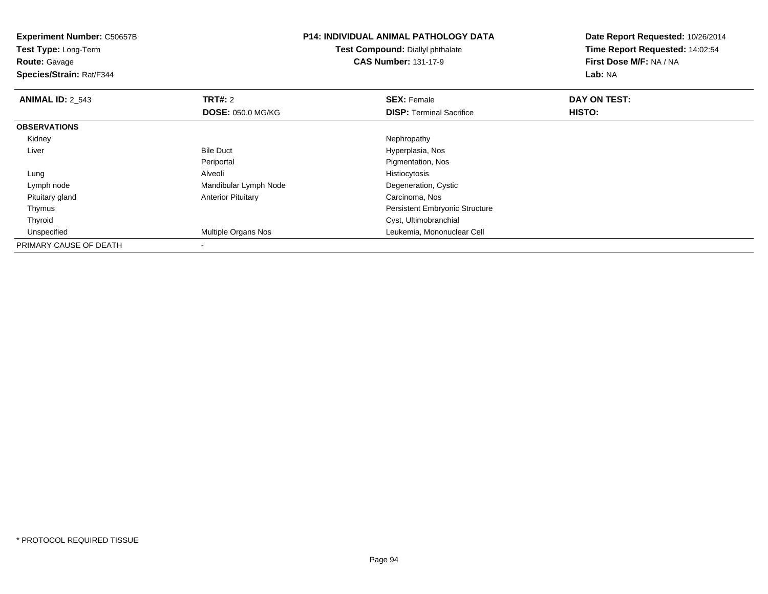| <b>Experiment Number: C50657B</b><br>Test Type: Long-Term<br><b>Route: Gavage</b><br>Species/Strain: Rat/F344 |                           | <b>P14: INDIVIDUAL ANIMAL PATHOLOGY DATA</b><br><b>Test Compound: Diallyl phthalate</b><br><b>CAS Number: 131-17-9</b> | Date Report Requested: 10/26/2014<br>Time Report Requested: 14:02:54<br>First Dose M/F: NA / NA<br>Lab: NA |
|---------------------------------------------------------------------------------------------------------------|---------------------------|------------------------------------------------------------------------------------------------------------------------|------------------------------------------------------------------------------------------------------------|
| <b>ANIMAL ID: 2_543</b>                                                                                       | <b>TRT#: 2</b>            | <b>SEX: Female</b>                                                                                                     | DAY ON TEST:                                                                                               |
|                                                                                                               | <b>DOSE: 050.0 MG/KG</b>  | <b>DISP:</b> Terminal Sacrifice                                                                                        | HISTO:                                                                                                     |
| <b>OBSERVATIONS</b>                                                                                           |                           |                                                                                                                        |                                                                                                            |
| Kidney                                                                                                        |                           | Nephropathy                                                                                                            |                                                                                                            |
| Liver                                                                                                         | <b>Bile Duct</b>          | Hyperplasia, Nos                                                                                                       |                                                                                                            |
|                                                                                                               | Periportal                | Pigmentation, Nos                                                                                                      |                                                                                                            |
| Lung                                                                                                          | Alveoli                   | Histiocytosis                                                                                                          |                                                                                                            |
| Lymph node                                                                                                    | Mandibular Lymph Node     | Degeneration, Cystic                                                                                                   |                                                                                                            |
| Pituitary gland                                                                                               | <b>Anterior Pituitary</b> | Carcinoma, Nos                                                                                                         |                                                                                                            |
| Thymus                                                                                                        |                           | Persistent Embryonic Structure                                                                                         |                                                                                                            |
| Thyroid                                                                                                       |                           | Cyst, Ultimobranchial                                                                                                  |                                                                                                            |
| Unspecified                                                                                                   | Multiple Organs Nos       | Leukemia, Mononuclear Cell                                                                                             |                                                                                                            |
| PRIMARY CAUSE OF DEATH                                                                                        |                           |                                                                                                                        |                                                                                                            |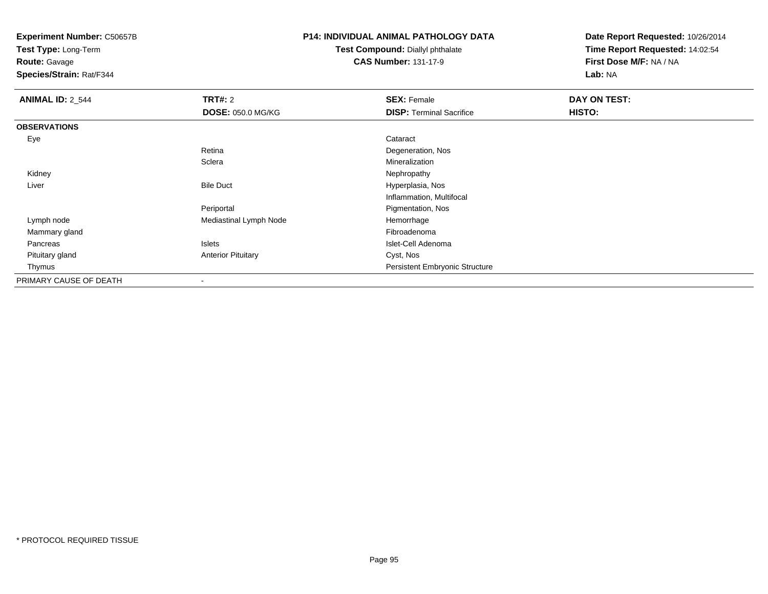**Test Type:** Long-Term

### **Route:** Gavage

**Species/Strain:** Rat/F344

## **P14: INDIVIDUAL ANIMAL PATHOLOGY DATA**

#### **Test Compound:** Diallyl phthalate**CAS Number:** 131-17-9

| <b>ANIMAL ID: 2_544</b> | TRT#: 2                   | <b>SEX: Female</b>              | DAY ON TEST: |  |
|-------------------------|---------------------------|---------------------------------|--------------|--|
|                         | <b>DOSE: 050.0 MG/KG</b>  | <b>DISP: Terminal Sacrifice</b> | HISTO:       |  |
| <b>OBSERVATIONS</b>     |                           |                                 |              |  |
| Eye                     |                           | Cataract                        |              |  |
|                         | Retina                    | Degeneration, Nos               |              |  |
|                         | Sclera                    | Mineralization                  |              |  |
| Kidney                  |                           | Nephropathy                     |              |  |
| Liver                   | <b>Bile Duct</b>          | Hyperplasia, Nos                |              |  |
|                         |                           | Inflammation, Multifocal        |              |  |
|                         | Periportal                | Pigmentation, Nos               |              |  |
| Lymph node              | Mediastinal Lymph Node    | Hemorrhage                      |              |  |
| Mammary gland           |                           | Fibroadenoma                    |              |  |
| Pancreas                | Islets                    | Islet-Cell Adenoma              |              |  |
| Pituitary gland         | <b>Anterior Pituitary</b> | Cyst, Nos                       |              |  |
| Thymus                  |                           | Persistent Embryonic Structure  |              |  |
| PRIMARY CAUSE OF DEATH  | $\overline{\phantom{a}}$  |                                 |              |  |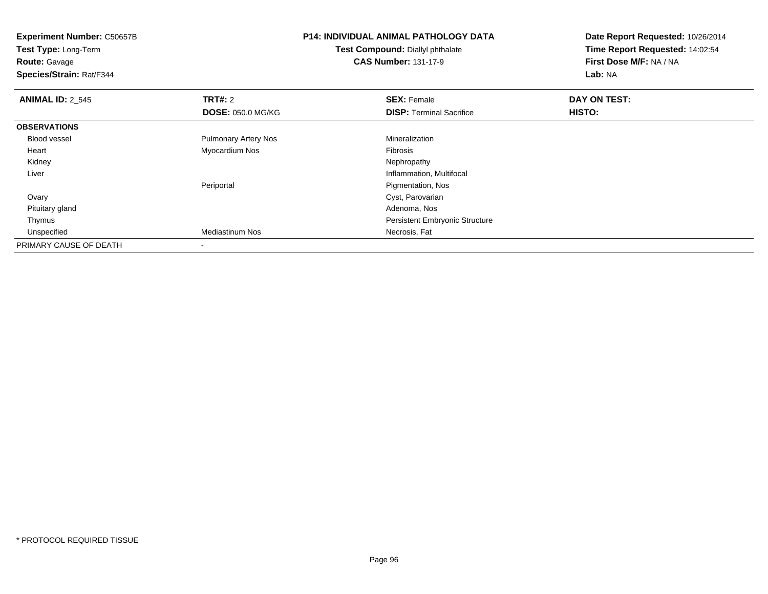**Experiment Number:** C50657B**Test Type:** Long-Term**Route:** Gavage **Species/Strain:** Rat/F344**P14: INDIVIDUAL ANIMAL PATHOLOGY DATATest Compound:** Diallyl phthalate**CAS Number:** 131-17-9**Date Report Requested:** 10/26/2014**Time Report Requested:** 14:02:54**First Dose M/F:** NA / NA**Lab:** NA**ANIMAL ID: 2 545 TRT#:** 2 **SEX:** Female **DAY ON TEST: DOSE:** 050.0 MG/KG**DISP:** Terminal Sacrifice **HISTO: OBSERVATIONS** Blood vessel Pulmonary Artery Nos Mineralization Heart Myocardium Nos Fibrosis Kidneyy the control of the control of the control of the control of the control of the control of the control of the control of the control of the control of the control of the control of the control of the control of the contro Liver Inflammation, Multifocal Periportal Pigmentation, Nos**Ovary**  Cyst, Parovarian Pituitary glandd and the control of the control of the control of the control of the control of the control of the control of the control of the control of the control of the control of the control of the control of the control of the co Thymus Persistent Embryonic Structure UnspecifiedMediastinum Nos **Necrosis**, Fat PRIMARY CAUSE OF DEATH-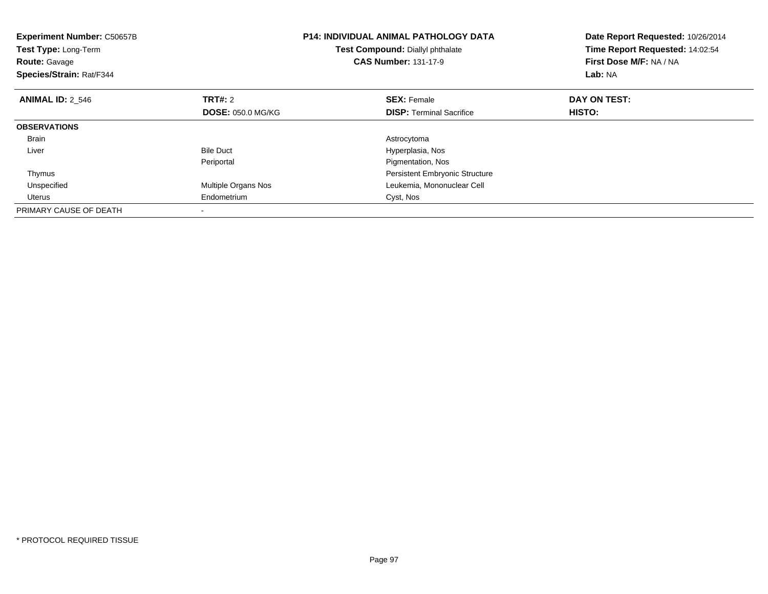| <b>Experiment Number: C50657B</b><br><b>Test Type: Long-Term</b><br><b>Route: Gavage</b><br>Species/Strain: Rat/F344 |                          | <b>P14: INDIVIDUAL ANIMAL PATHOLOGY DATA</b><br>Test Compound: Diallyl phthalate<br><b>CAS Number: 131-17-9</b> | Date Report Requested: 10/26/2014<br>Time Report Requested: 14:02:54<br>First Dose M/F: NA / NA<br>Lab: NA |
|----------------------------------------------------------------------------------------------------------------------|--------------------------|-----------------------------------------------------------------------------------------------------------------|------------------------------------------------------------------------------------------------------------|
| <b>ANIMAL ID: 2 546</b>                                                                                              | TRT#: 2                  | <b>SEX: Female</b>                                                                                              | DAY ON TEST:                                                                                               |
|                                                                                                                      | <b>DOSE: 050.0 MG/KG</b> | <b>DISP:</b> Terminal Sacrifice                                                                                 | HISTO:                                                                                                     |
| <b>OBSERVATIONS</b>                                                                                                  |                          |                                                                                                                 |                                                                                                            |
| Brain                                                                                                                |                          | Astrocytoma                                                                                                     |                                                                                                            |
| Liver                                                                                                                | <b>Bile Duct</b>         | Hyperplasia, Nos                                                                                                |                                                                                                            |
|                                                                                                                      | Periportal               | Pigmentation, Nos                                                                                               |                                                                                                            |
| Thymus                                                                                                               |                          | <b>Persistent Embryonic Structure</b>                                                                           |                                                                                                            |
| Unspecified                                                                                                          | Multiple Organs Nos      | Leukemia, Mononuclear Cell                                                                                      |                                                                                                            |
| Uterus                                                                                                               | Endometrium              | Cyst, Nos                                                                                                       |                                                                                                            |
| PRIMARY CAUSE OF DEATH                                                                                               |                          |                                                                                                                 |                                                                                                            |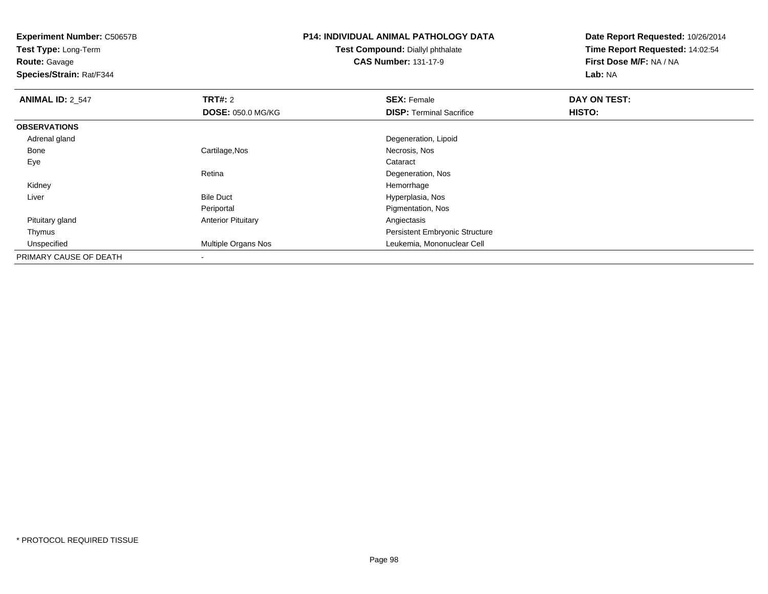**Test Type:** Long-Term

**Route:** Gavage

**Species/Strain:** Rat/F344

## **P14: INDIVIDUAL ANIMAL PATHOLOGY DATA**

**Test Compound:** Diallyl phthalate**CAS Number:** 131-17-9

| <b>ANIMAL ID: 2 547</b> | TRT#: 2                   | <b>SEX: Female</b>                    | DAY ON TEST: |  |
|-------------------------|---------------------------|---------------------------------------|--------------|--|
|                         | <b>DOSE: 050.0 MG/KG</b>  | <b>DISP: Terminal Sacrifice</b>       | HISTO:       |  |
| <b>OBSERVATIONS</b>     |                           |                                       |              |  |
| Adrenal gland           |                           | Degeneration, Lipoid                  |              |  |
| Bone                    | Cartilage, Nos            | Necrosis, Nos                         |              |  |
| Eye                     |                           | Cataract                              |              |  |
|                         | Retina                    | Degeneration, Nos                     |              |  |
| Kidney                  |                           | Hemorrhage                            |              |  |
| Liver                   | <b>Bile Duct</b>          | Hyperplasia, Nos                      |              |  |
|                         | Periportal                | Pigmentation, Nos                     |              |  |
| Pituitary gland         | <b>Anterior Pituitary</b> | Angiectasis                           |              |  |
| Thymus                  |                           | <b>Persistent Embryonic Structure</b> |              |  |
| Unspecified             | Multiple Organs Nos       | Leukemia, Mononuclear Cell            |              |  |
| PRIMARY CAUSE OF DEATH  | $\overline{\phantom{a}}$  |                                       |              |  |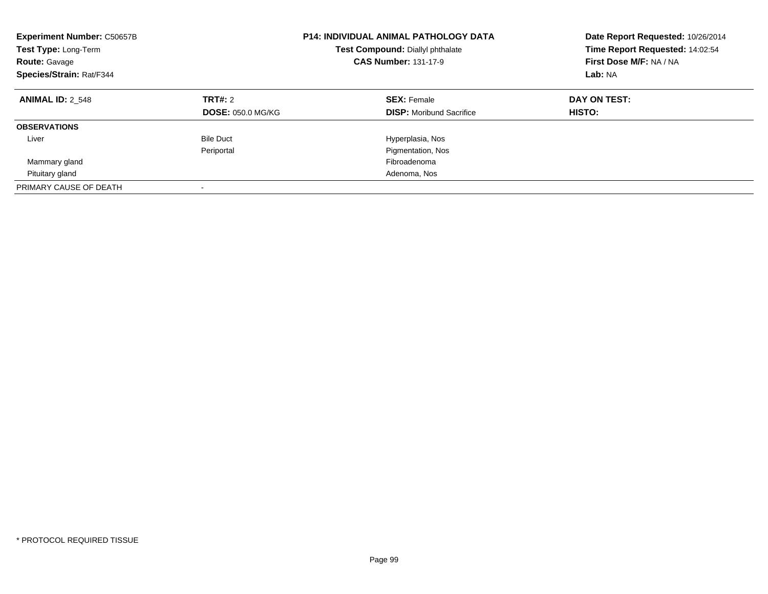| <b>Experiment Number: C50657B</b><br>Test Type: Long-Term<br><b>Route: Gavage</b><br>Species/Strain: Rat/F344 |                                     | <b>P14: INDIVIDUAL ANIMAL PATHOLOGY DATA</b><br>Test Compound: Diallyl phthalate<br><b>CAS Number: 131-17-9</b> | Date Report Requested: 10/26/2014<br>Time Report Requested: 14:02:54<br>First Dose M/F: NA / NA<br>Lab: NA |
|---------------------------------------------------------------------------------------------------------------|-------------------------------------|-----------------------------------------------------------------------------------------------------------------|------------------------------------------------------------------------------------------------------------|
| <b>ANIMAL ID: 2 548</b>                                                                                       | TRT#: 2<br><b>DOSE: 050.0 MG/KG</b> | <b>SEX: Female</b><br><b>DISP:</b> Moribund Sacrifice                                                           | DAY ON TEST:<br>HISTO:                                                                                     |
| <b>OBSERVATIONS</b>                                                                                           |                                     |                                                                                                                 |                                                                                                            |
| Liver                                                                                                         | <b>Bile Duct</b>                    | Hyperplasia, Nos                                                                                                |                                                                                                            |
|                                                                                                               | Periportal                          | Pigmentation, Nos                                                                                               |                                                                                                            |
| Mammary gland                                                                                                 |                                     | Fibroadenoma                                                                                                    |                                                                                                            |
| Pituitary gland                                                                                               |                                     | Adenoma, Nos                                                                                                    |                                                                                                            |
| PRIMARY CAUSE OF DEATH                                                                                        |                                     |                                                                                                                 |                                                                                                            |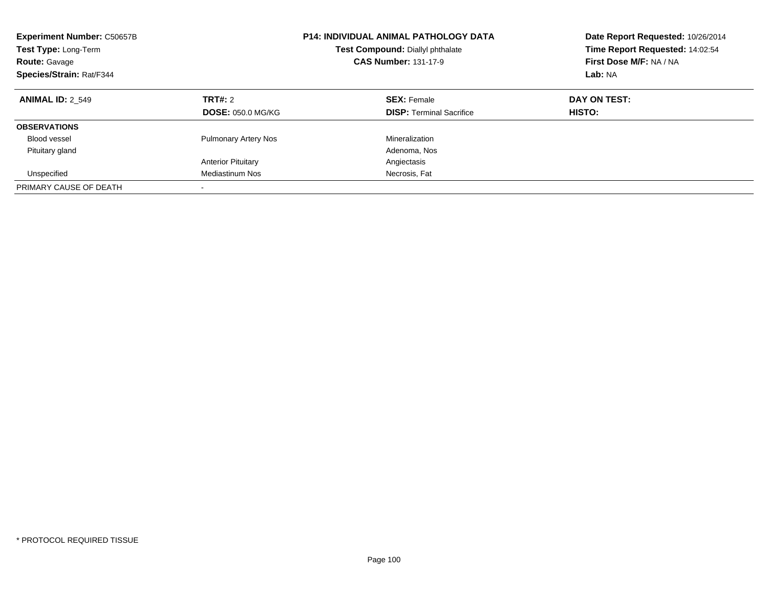| <b>Experiment Number: C50657B</b><br>Test Type: Long-Term<br><b>Route: Gavage</b><br>Species/Strain: Rat/F344 |                                     | <b>P14: INDIVIDUAL ANIMAL PATHOLOGY DATA</b><br>Test Compound: Diallyl phthalate<br><b>CAS Number: 131-17-9</b> | Date Report Requested: 10/26/2014<br>Time Report Requested: 14:02:54<br>First Dose M/F: NA / NA<br>Lab: NA |  |
|---------------------------------------------------------------------------------------------------------------|-------------------------------------|-----------------------------------------------------------------------------------------------------------------|------------------------------------------------------------------------------------------------------------|--|
| <b>ANIMAL ID: 2 549</b>                                                                                       | TRT#: 2<br><b>DOSE: 050.0 MG/KG</b> | <b>SEX: Female</b><br><b>DISP:</b> Terminal Sacrifice                                                           | DAY ON TEST:<br>HISTO:                                                                                     |  |
| <b>OBSERVATIONS</b>                                                                                           |                                     |                                                                                                                 |                                                                                                            |  |
| Blood vessel                                                                                                  | <b>Pulmonary Artery Nos</b>         | Mineralization                                                                                                  |                                                                                                            |  |
| Pituitary gland                                                                                               |                                     | Adenoma, Nos                                                                                                    |                                                                                                            |  |
|                                                                                                               | <b>Anterior Pituitary</b>           | Angiectasis                                                                                                     |                                                                                                            |  |
| Unspecified                                                                                                   | Mediastinum Nos                     | Necrosis, Fat                                                                                                   |                                                                                                            |  |
| PRIMARY CAUSE OF DEATH                                                                                        |                                     |                                                                                                                 |                                                                                                            |  |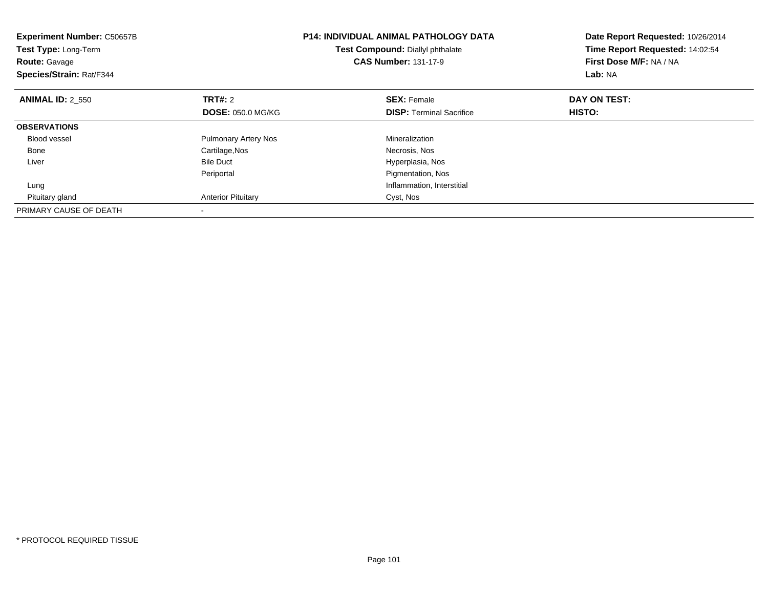| <b>Experiment Number: C50657B</b><br><b>Test Type: Long-Term</b><br><b>Route: Gavage</b><br>Species/Strain: Rat/F344 |                             | P14: INDIVIDUAL ANIMAL PATHOLOGY DATA<br>Test Compound: Diallyl phthalate<br><b>CAS Number: 131-17-9</b> | Date Report Requested: 10/26/2014<br>Time Report Requested: 14:02:54<br>First Dose M/F: NA / NA<br>Lab: NA |
|----------------------------------------------------------------------------------------------------------------------|-----------------------------|----------------------------------------------------------------------------------------------------------|------------------------------------------------------------------------------------------------------------|
| <b>ANIMAL ID: 2 550</b>                                                                                              | TRT#: 2                     | <b>SEX: Female</b>                                                                                       | DAY ON TEST:                                                                                               |
|                                                                                                                      | <b>DOSE: 050.0 MG/KG</b>    | <b>DISP:</b> Terminal Sacrifice                                                                          | HISTO:                                                                                                     |
| <b>OBSERVATIONS</b>                                                                                                  |                             |                                                                                                          |                                                                                                            |
| <b>Blood vessel</b>                                                                                                  | <b>Pulmonary Artery Nos</b> | Mineralization                                                                                           |                                                                                                            |
| Bone                                                                                                                 | Cartilage, Nos              | Necrosis, Nos                                                                                            |                                                                                                            |
| Liver                                                                                                                | <b>Bile Duct</b>            | Hyperplasia, Nos                                                                                         |                                                                                                            |
|                                                                                                                      | Periportal                  | Pigmentation, Nos                                                                                        |                                                                                                            |
| Lung                                                                                                                 |                             | Inflammation, Interstitial                                                                               |                                                                                                            |
| Pituitary gland                                                                                                      | <b>Anterior Pituitary</b>   | Cyst, Nos                                                                                                |                                                                                                            |
| PRIMARY CAUSE OF DEATH                                                                                               |                             |                                                                                                          |                                                                                                            |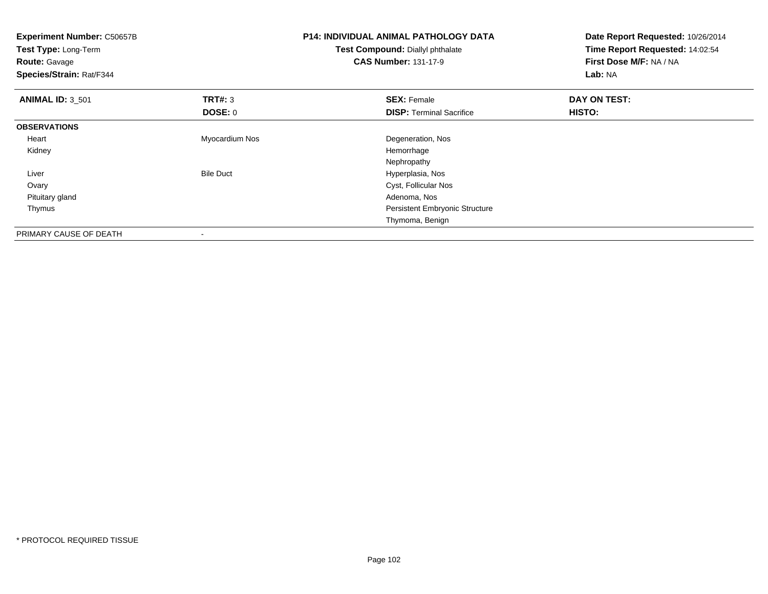| Experiment Number: C50657B<br>Test Type: Long-Term<br><b>Route: Gavage</b><br>Species/Strain: Rat/F344 |                  | P14: INDIVIDUAL ANIMAL PATHOLOGY DATA<br>Test Compound: Diallyl phthalate<br><b>CAS Number: 131-17-9</b> | Date Report Requested: 10/26/2014<br>Time Report Requested: 14:02:54<br>First Dose M/F: NA / NA<br>Lab: NA |
|--------------------------------------------------------------------------------------------------------|------------------|----------------------------------------------------------------------------------------------------------|------------------------------------------------------------------------------------------------------------|
| <b>ANIMAL ID: 3_501</b>                                                                                | <b>TRT#: 3</b>   | <b>SEX: Female</b>                                                                                       | DAY ON TEST:                                                                                               |
|                                                                                                        | <b>DOSE: 0</b>   | <b>DISP:</b> Terminal Sacrifice                                                                          | <b>HISTO:</b>                                                                                              |
| <b>OBSERVATIONS</b>                                                                                    |                  |                                                                                                          |                                                                                                            |
| Heart                                                                                                  | Myocardium Nos   | Degeneration, Nos                                                                                        |                                                                                                            |
| Kidney                                                                                                 |                  | Hemorrhage                                                                                               |                                                                                                            |
|                                                                                                        |                  | Nephropathy                                                                                              |                                                                                                            |
| Liver                                                                                                  | <b>Bile Duct</b> | Hyperplasia, Nos                                                                                         |                                                                                                            |
| Ovary                                                                                                  |                  | Cyst, Follicular Nos                                                                                     |                                                                                                            |
| Pituitary gland                                                                                        |                  | Adenoma, Nos                                                                                             |                                                                                                            |
| Thymus                                                                                                 |                  | <b>Persistent Embryonic Structure</b>                                                                    |                                                                                                            |
|                                                                                                        |                  | Thymoma, Benign                                                                                          |                                                                                                            |
| PRIMARY CAUSE OF DEATH                                                                                 | $\,$             |                                                                                                          |                                                                                                            |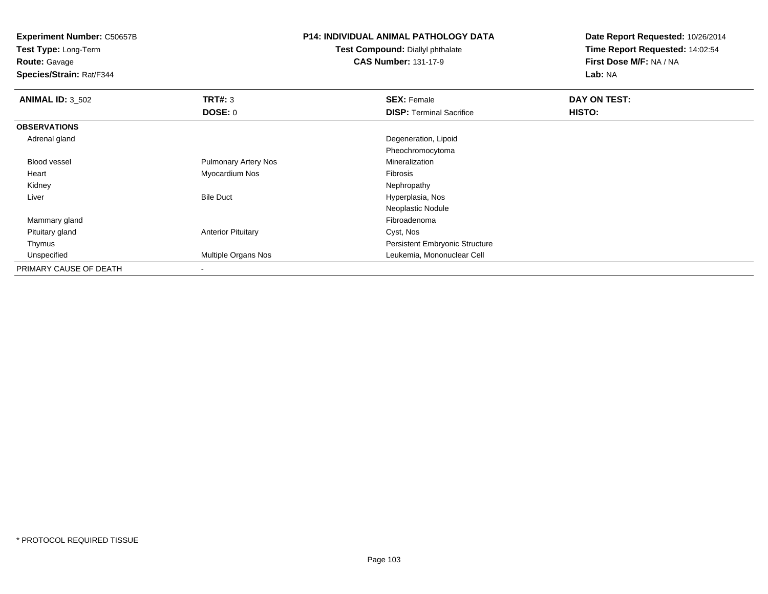**Test Type:** Long-Term

**Route:** Gavage

**Species/Strain:** Rat/F344

#### **P14: INDIVIDUAL ANIMAL PATHOLOGY DATA**

**Test Compound:** Diallyl phthalate**CAS Number:** 131-17-9

| <b>ANIMAL ID: 3_502</b> | TRT#: 3                     | <b>SEX: Female</b>                    | DAY ON TEST: |  |
|-------------------------|-----------------------------|---------------------------------------|--------------|--|
|                         | DOSE: 0                     | <b>DISP: Terminal Sacrifice</b>       | HISTO:       |  |
| <b>OBSERVATIONS</b>     |                             |                                       |              |  |
| Adrenal gland           |                             | Degeneration, Lipoid                  |              |  |
|                         |                             | Pheochromocytoma                      |              |  |
| Blood vessel            | <b>Pulmonary Artery Nos</b> | Mineralization                        |              |  |
| Heart                   | Myocardium Nos              | Fibrosis                              |              |  |
| Kidney                  |                             | Nephropathy                           |              |  |
| Liver                   | <b>Bile Duct</b>            | Hyperplasia, Nos                      |              |  |
|                         |                             | Neoplastic Nodule                     |              |  |
| Mammary gland           |                             | Fibroadenoma                          |              |  |
| Pituitary gland         | <b>Anterior Pituitary</b>   | Cyst, Nos                             |              |  |
| Thymus                  |                             | <b>Persistent Embryonic Structure</b> |              |  |
| Unspecified             | Multiple Organs Nos         | Leukemia, Mononuclear Cell            |              |  |
| PRIMARY CAUSE OF DEATH  |                             |                                       |              |  |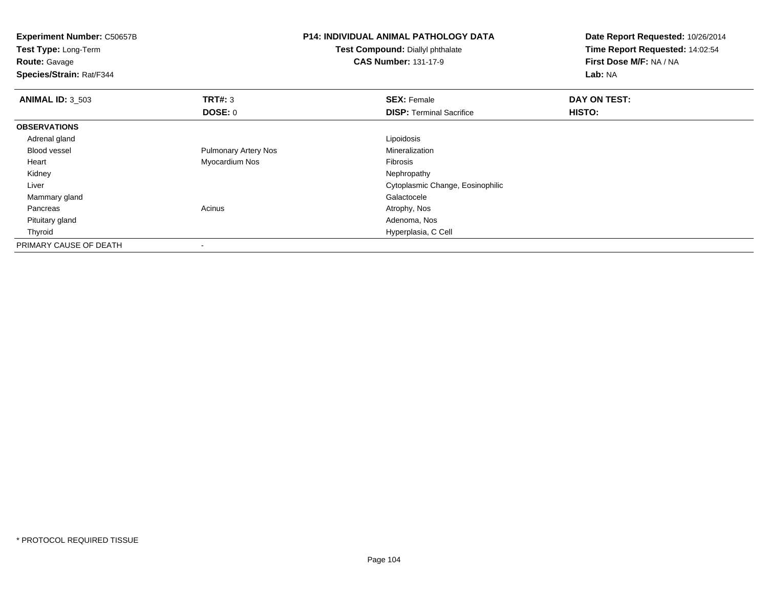| <b>Experiment Number: C50657B</b><br>Test Type: Long-Term<br><b>Route: Gavage</b><br>Species/Strain: Rat/F344 |                             | <b>P14: INDIVIDUAL ANIMAL PATHOLOGY DATA</b><br>Test Compound: Diallyl phthalate<br><b>CAS Number: 131-17-9</b> | Date Report Requested: 10/26/2014<br>Time Report Requested: 14:02:54<br>First Dose M/F: NA / NA<br><b>Lab: NA</b> |
|---------------------------------------------------------------------------------------------------------------|-----------------------------|-----------------------------------------------------------------------------------------------------------------|-------------------------------------------------------------------------------------------------------------------|
| <b>ANIMAL ID: 3 503</b>                                                                                       | TRT#: 3                     | <b>SEX: Female</b>                                                                                              | DAY ON TEST:                                                                                                      |
|                                                                                                               | <b>DOSE: 0</b>              | <b>DISP: Terminal Sacrifice</b>                                                                                 | <b>HISTO:</b>                                                                                                     |
| <b>OBSERVATIONS</b>                                                                                           |                             |                                                                                                                 |                                                                                                                   |
| Adrenal gland                                                                                                 |                             | Lipoidosis                                                                                                      |                                                                                                                   |
| <b>Blood vessel</b>                                                                                           | <b>Pulmonary Artery Nos</b> | Mineralization                                                                                                  |                                                                                                                   |
| Heart                                                                                                         | Myocardium Nos              | Fibrosis                                                                                                        |                                                                                                                   |
| Kidney                                                                                                        |                             | Nephropathy                                                                                                     |                                                                                                                   |
| Liver                                                                                                         |                             | Cytoplasmic Change, Eosinophilic                                                                                |                                                                                                                   |
| Mammary gland                                                                                                 |                             | Galactocele                                                                                                     |                                                                                                                   |
| Pancreas                                                                                                      | Acinus                      | Atrophy, Nos                                                                                                    |                                                                                                                   |
| Pituitary gland                                                                                               |                             | Adenoma, Nos                                                                                                    |                                                                                                                   |
| Thyroid                                                                                                       |                             | Hyperplasia, C Cell                                                                                             |                                                                                                                   |
| PRIMARY CAUSE OF DEATH                                                                                        | $\overline{\phantom{a}}$    |                                                                                                                 |                                                                                                                   |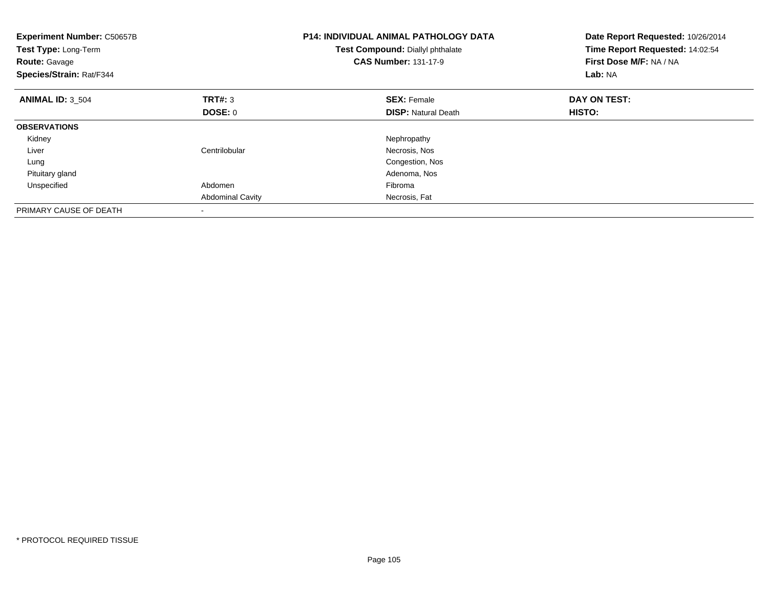| <b>Experiment Number: C50657B</b><br>Test Type: Long-Term<br><b>Route: Gavage</b><br>Species/Strain: Rat/F344 |                         | <b>P14: INDIVIDUAL ANIMAL PATHOLOGY DATA</b><br>Test Compound: Diallyl phthalate<br><b>CAS Number: 131-17-9</b> | Date Report Requested: 10/26/2014<br>Time Report Requested: 14:02:54<br>First Dose M/F: NA / NA<br>Lab: NA |
|---------------------------------------------------------------------------------------------------------------|-------------------------|-----------------------------------------------------------------------------------------------------------------|------------------------------------------------------------------------------------------------------------|
| <b>ANIMAL ID: 3 504</b>                                                                                       | TRT#: 3                 | <b>SEX: Female</b>                                                                                              | DAY ON TEST:                                                                                               |
|                                                                                                               | DOSE: 0                 | <b>DISP:</b> Natural Death                                                                                      | HISTO:                                                                                                     |
| <b>OBSERVATIONS</b>                                                                                           |                         |                                                                                                                 |                                                                                                            |
| Kidney                                                                                                        |                         | Nephropathy                                                                                                     |                                                                                                            |
| Liver                                                                                                         | Centrilobular           | Necrosis, Nos                                                                                                   |                                                                                                            |
| Lung                                                                                                          |                         | Congestion, Nos                                                                                                 |                                                                                                            |
| Pituitary gland                                                                                               |                         | Adenoma, Nos                                                                                                    |                                                                                                            |
| Unspecified                                                                                                   | Abdomen                 | Fibroma                                                                                                         |                                                                                                            |
|                                                                                                               | <b>Abdominal Cavity</b> | Necrosis, Fat                                                                                                   |                                                                                                            |
| PRIMARY CAUSE OF DEATH                                                                                        |                         |                                                                                                                 |                                                                                                            |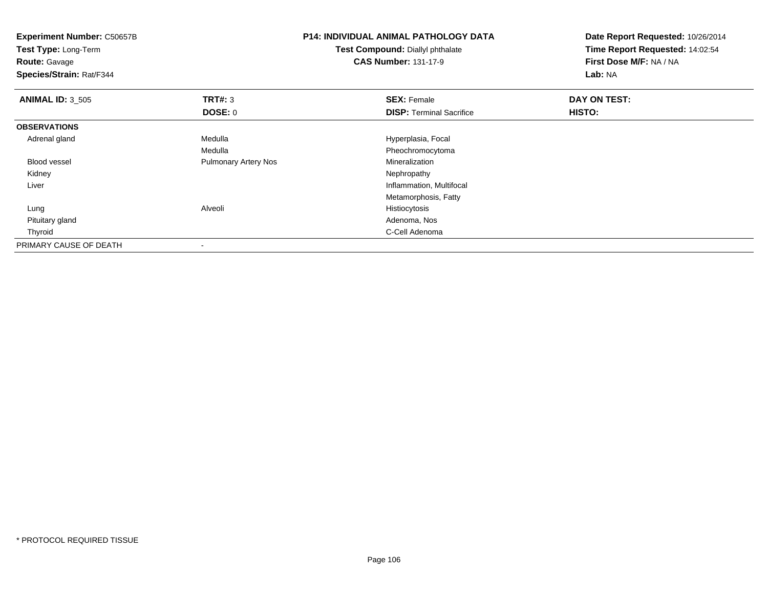| <b>Experiment Number: C50657B</b><br>Test Type: Long-Term<br><b>Route: Gavage</b><br>Species/Strain: Rat/F344 |                             | <b>P14: INDIVIDUAL ANIMAL PATHOLOGY DATA</b><br>Test Compound: Diallyl phthalate<br><b>CAS Number: 131-17-9</b> | Date Report Requested: 10/26/2014<br>Time Report Requested: 14:02:54<br>First Dose M/F: NA / NA<br>Lab: NA |
|---------------------------------------------------------------------------------------------------------------|-----------------------------|-----------------------------------------------------------------------------------------------------------------|------------------------------------------------------------------------------------------------------------|
| <b>ANIMAL ID: 3 505</b>                                                                                       | TRT#: 3                     | <b>SEX: Female</b>                                                                                              | DAY ON TEST:                                                                                               |
|                                                                                                               | <b>DOSE: 0</b>              | <b>DISP: Terminal Sacrifice</b>                                                                                 | <b>HISTO:</b>                                                                                              |
| <b>OBSERVATIONS</b>                                                                                           |                             |                                                                                                                 |                                                                                                            |
| Adrenal gland                                                                                                 | Medulla                     | Hyperplasia, Focal                                                                                              |                                                                                                            |
|                                                                                                               | Medulla                     | Pheochromocytoma                                                                                                |                                                                                                            |
| <b>Blood vessel</b>                                                                                           | <b>Pulmonary Artery Nos</b> | Mineralization                                                                                                  |                                                                                                            |
| Kidney                                                                                                        |                             | Nephropathy                                                                                                     |                                                                                                            |
| Liver                                                                                                         |                             | Inflammation, Multifocal                                                                                        |                                                                                                            |
|                                                                                                               |                             | Metamorphosis, Fatty                                                                                            |                                                                                                            |
| Lung                                                                                                          | Alveoli                     | Histiocytosis                                                                                                   |                                                                                                            |
| Pituitary gland                                                                                               |                             | Adenoma, Nos                                                                                                    |                                                                                                            |
| Thyroid                                                                                                       |                             | C-Cell Adenoma                                                                                                  |                                                                                                            |
| PRIMARY CAUSE OF DEATH                                                                                        |                             |                                                                                                                 |                                                                                                            |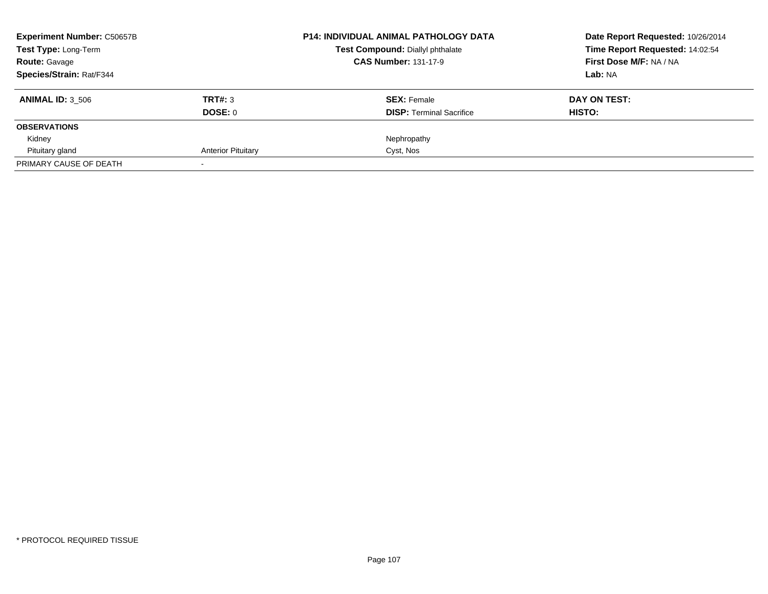| <b>Experiment Number: C50657B</b> |                           | <b>P14: INDIVIDUAL ANIMAL PATHOLOGY DATA</b> | Date Report Requested: 10/26/2014 |
|-----------------------------------|---------------------------|----------------------------------------------|-----------------------------------|
| Test Type: Long-Term              |                           | Test Compound: Diallyl phthalate             | Time Report Requested: 14:02:54   |
| <b>Route: Gavage</b>              |                           | <b>CAS Number: 131-17-9</b>                  | First Dose M/F: NA / NA           |
| Species/Strain: Rat/F344          |                           |                                              | Lab: NA                           |
| <b>ANIMAL ID: 3 506</b>           | TRT#: 3                   | <b>SEX: Female</b>                           | DAY ON TEST:                      |
|                                   | DOSE: 0                   | <b>DISP: Terminal Sacrifice</b>              | HISTO:                            |
| <b>OBSERVATIONS</b>               |                           |                                              |                                   |
| Kidney                            |                           | Nephropathy                                  |                                   |
| Pituitary gland                   | <b>Anterior Pituitary</b> | Cyst, Nos                                    |                                   |
| PRIMARY CAUSE OF DEATH            |                           |                                              |                                   |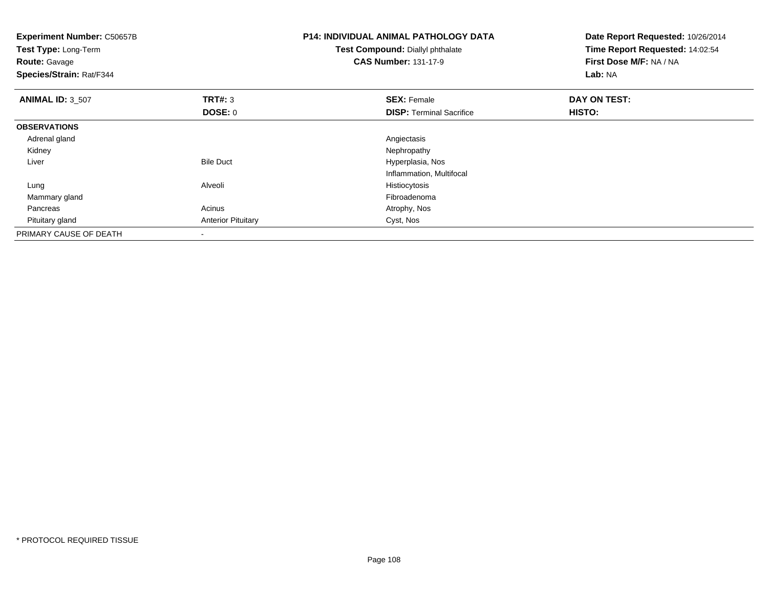| <b>Experiment Number: C50657B</b><br>Test Type: Long-Term<br><b>Route: Gavage</b><br>Species/Strain: Rat/F344 |                           | <b>P14: INDIVIDUAL ANIMAL PATHOLOGY DATA</b><br>Test Compound: Diallyl phthalate<br><b>CAS Number: 131-17-9</b> | Date Report Requested: 10/26/2014<br>Time Report Requested: 14:02:54<br>First Dose M/F: NA / NA<br>Lab: NA |
|---------------------------------------------------------------------------------------------------------------|---------------------------|-----------------------------------------------------------------------------------------------------------------|------------------------------------------------------------------------------------------------------------|
| <b>ANIMAL ID: 3_507</b>                                                                                       | <b>TRT#: 3</b>            | <b>SEX: Female</b>                                                                                              | DAY ON TEST:                                                                                               |
|                                                                                                               | DOSE: 0                   | <b>DISP:</b> Terminal Sacrifice                                                                                 | HISTO:                                                                                                     |
| <b>OBSERVATIONS</b>                                                                                           |                           |                                                                                                                 |                                                                                                            |
| Adrenal gland                                                                                                 |                           | Angiectasis                                                                                                     |                                                                                                            |
| Kidney                                                                                                        |                           | Nephropathy                                                                                                     |                                                                                                            |
| Liver                                                                                                         | <b>Bile Duct</b>          | Hyperplasia, Nos                                                                                                |                                                                                                            |
|                                                                                                               |                           | Inflammation, Multifocal                                                                                        |                                                                                                            |
| Lung                                                                                                          | Alveoli                   | Histiocytosis                                                                                                   |                                                                                                            |
| Mammary gland                                                                                                 |                           | Fibroadenoma                                                                                                    |                                                                                                            |
| Pancreas                                                                                                      | Acinus                    | Atrophy, Nos                                                                                                    |                                                                                                            |
| Pituitary gland                                                                                               | <b>Anterior Pituitary</b> | Cyst, Nos                                                                                                       |                                                                                                            |
| PRIMARY CAUSE OF DEATH                                                                                        | $\overline{\phantom{a}}$  |                                                                                                                 |                                                                                                            |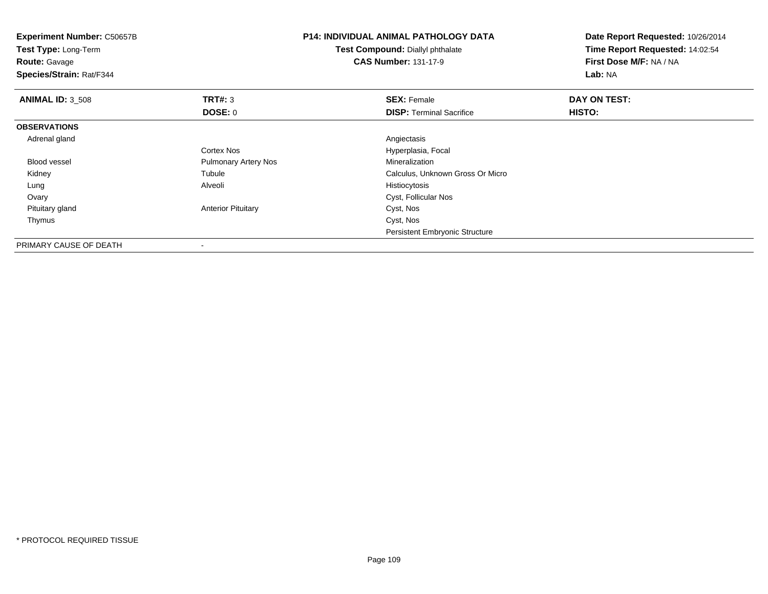| <b>Experiment Number: C50657B</b><br>Test Type: Long-Term<br><b>Route: Gavage</b><br>Species/Strain: Rat/F344 |                             | <b>P14: INDIVIDUAL ANIMAL PATHOLOGY DATA</b><br>Test Compound: Diallyl phthalate<br><b>CAS Number: 131-17-9</b> | Date Report Requested: 10/26/2014<br>Time Report Requested: 14:02:54<br>First Dose M/F: NA / NA<br>Lab: NA |
|---------------------------------------------------------------------------------------------------------------|-----------------------------|-----------------------------------------------------------------------------------------------------------------|------------------------------------------------------------------------------------------------------------|
| <b>ANIMAL ID: 3 508</b>                                                                                       | <b>TRT#: 3</b>              | <b>SEX: Female</b>                                                                                              | DAY ON TEST:                                                                                               |
|                                                                                                               | <b>DOSE: 0</b>              | <b>DISP: Terminal Sacrifice</b>                                                                                 | HISTO:                                                                                                     |
| <b>OBSERVATIONS</b>                                                                                           |                             |                                                                                                                 |                                                                                                            |
| Adrenal gland                                                                                                 |                             | Angiectasis                                                                                                     |                                                                                                            |
|                                                                                                               | Cortex Nos                  | Hyperplasia, Focal                                                                                              |                                                                                                            |
| <b>Blood vessel</b>                                                                                           | <b>Pulmonary Artery Nos</b> | Mineralization                                                                                                  |                                                                                                            |
| Kidney                                                                                                        | Tubule                      | Calculus, Unknown Gross Or Micro                                                                                |                                                                                                            |
| Lung                                                                                                          | Alveoli                     | Histiocytosis                                                                                                   |                                                                                                            |
| Ovary                                                                                                         |                             | Cyst, Follicular Nos                                                                                            |                                                                                                            |
| Pituitary gland                                                                                               | <b>Anterior Pituitary</b>   | Cyst, Nos                                                                                                       |                                                                                                            |
| Thymus                                                                                                        |                             | Cyst, Nos                                                                                                       |                                                                                                            |
|                                                                                                               |                             | <b>Persistent Embryonic Structure</b>                                                                           |                                                                                                            |
| PRIMARY CAUSE OF DEATH                                                                                        | ٠                           |                                                                                                                 |                                                                                                            |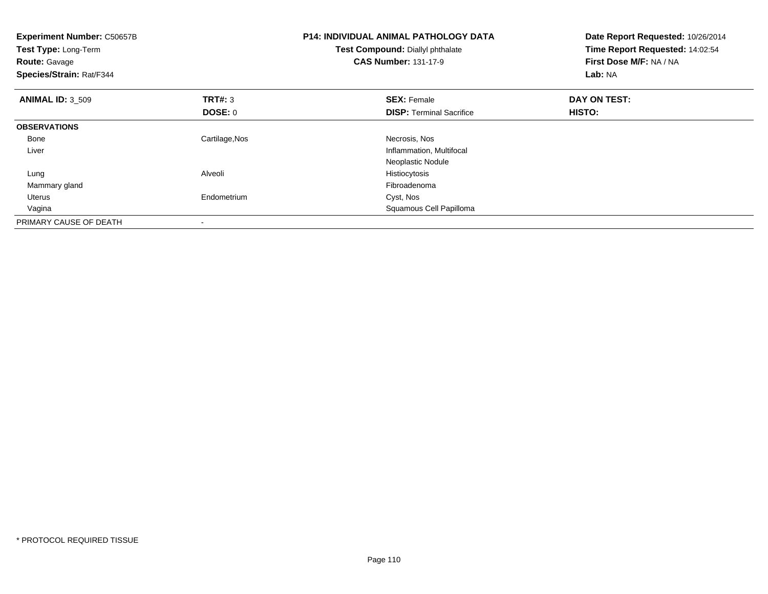| <b>Experiment Number: C50657B</b><br>Test Type: Long-Term<br><b>Route: Gavage</b><br>Species/Strain: Rat/F344 |                | <b>P14: INDIVIDUAL ANIMAL PATHOLOGY DATA</b><br>Test Compound: Diallyl phthalate<br><b>CAS Number: 131-17-9</b> | Date Report Requested: 10/26/2014<br>Time Report Requested: 14:02:54<br>First Dose M/F: NA / NA<br>Lab: NA |
|---------------------------------------------------------------------------------------------------------------|----------------|-----------------------------------------------------------------------------------------------------------------|------------------------------------------------------------------------------------------------------------|
| <b>ANIMAL ID: 3 509</b>                                                                                       | <b>TRT#: 3</b> | <b>SEX: Female</b>                                                                                              | DAY ON TEST:                                                                                               |
|                                                                                                               | <b>DOSE: 0</b> | <b>DISP:</b> Terminal Sacrifice                                                                                 | HISTO:                                                                                                     |
| <b>OBSERVATIONS</b>                                                                                           |                |                                                                                                                 |                                                                                                            |
| Bone                                                                                                          | Cartilage, Nos | Necrosis, Nos                                                                                                   |                                                                                                            |
| Liver                                                                                                         |                | Inflammation, Multifocal                                                                                        |                                                                                                            |
|                                                                                                               |                | Neoplastic Nodule                                                                                               |                                                                                                            |
| Lung                                                                                                          | Alveoli        | Histiocytosis                                                                                                   |                                                                                                            |
| Mammary gland                                                                                                 |                | Fibroadenoma                                                                                                    |                                                                                                            |
| <b>Uterus</b>                                                                                                 | Endometrium    | Cyst, Nos                                                                                                       |                                                                                                            |
| Vagina                                                                                                        |                | Squamous Cell Papilloma                                                                                         |                                                                                                            |
| PRIMARY CAUSE OF DEATH                                                                                        |                |                                                                                                                 |                                                                                                            |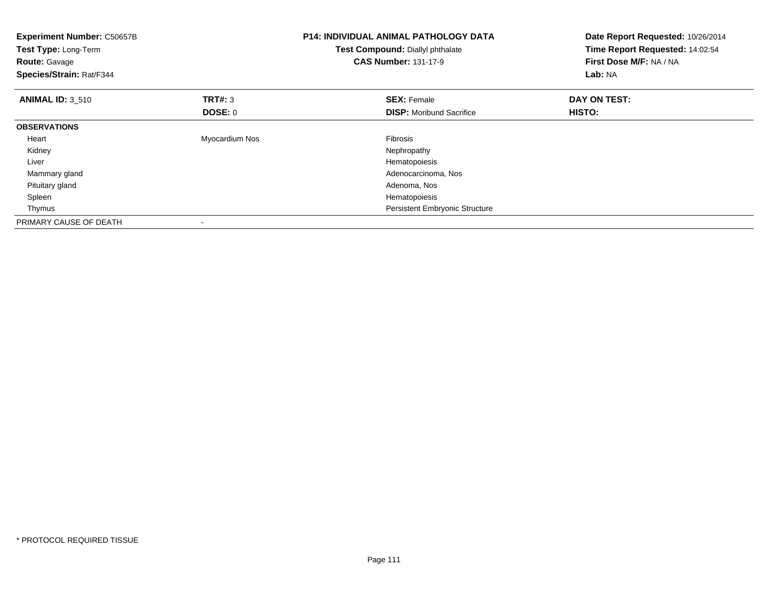| <b>Experiment Number: C50657B</b><br>Test Type: Long-Term<br><b>Route: Gavage</b><br>Species/Strain: Rat/F344 |                | <b>P14: INDIVIDUAL ANIMAL PATHOLOGY DATA</b><br>Test Compound: Diallyl phthalate<br><b>CAS Number: 131-17-9</b> | Date Report Requested: 10/26/2014<br>Time Report Requested: 14:02:54<br>First Dose M/F: NA / NA<br>Lab: NA |
|---------------------------------------------------------------------------------------------------------------|----------------|-----------------------------------------------------------------------------------------------------------------|------------------------------------------------------------------------------------------------------------|
| <b>ANIMAL ID: 3 510</b>                                                                                       | <b>TRT#: 3</b> | <b>SEX: Female</b>                                                                                              | DAY ON TEST:                                                                                               |
|                                                                                                               | DOSE: 0        | <b>DISP:</b> Moribund Sacrifice                                                                                 | HISTO:                                                                                                     |
| <b>OBSERVATIONS</b>                                                                                           |                |                                                                                                                 |                                                                                                            |
| Heart                                                                                                         | Myocardium Nos | Fibrosis                                                                                                        |                                                                                                            |
| Kidney                                                                                                        |                | Nephropathy                                                                                                     |                                                                                                            |
| Liver                                                                                                         |                | Hematopoiesis                                                                                                   |                                                                                                            |
| Mammary gland                                                                                                 |                | Adenocarcinoma, Nos                                                                                             |                                                                                                            |
| Pituitary gland                                                                                               |                | Adenoma, Nos                                                                                                    |                                                                                                            |
| Spleen                                                                                                        |                | Hematopoiesis                                                                                                   |                                                                                                            |
| Thymus                                                                                                        |                | <b>Persistent Embryonic Structure</b>                                                                           |                                                                                                            |
| PRIMARY CAUSE OF DEATH                                                                                        |                |                                                                                                                 |                                                                                                            |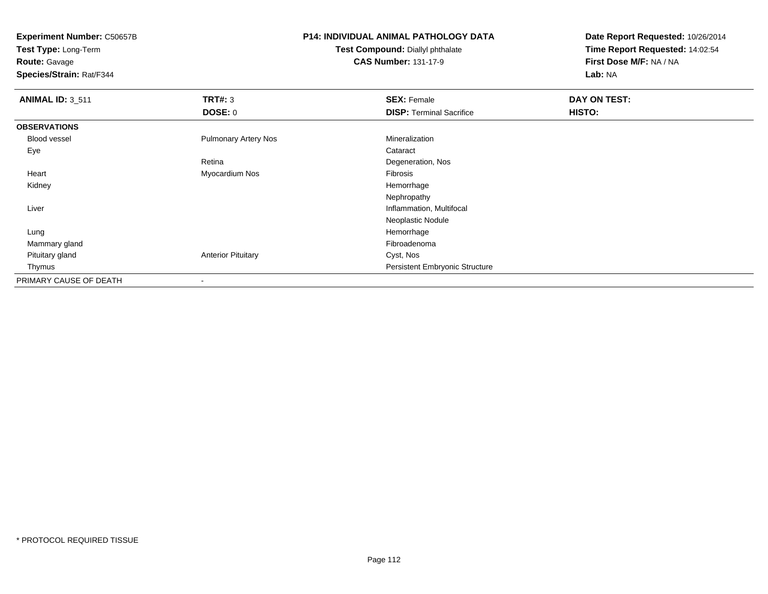**Test Type:** Long-Term

#### **Route:** Gavage

**Species/Strain:** Rat/F344

# **P14: INDIVIDUAL ANIMAL PATHOLOGY DATA**

#### **Test Compound:** Diallyl phthalate**CAS Number:** 131-17-9

| <b>ANIMAL ID: 3_511</b> | <b>TRT#: 3</b>              | <b>SEX: Female</b>                    | DAY ON TEST: |  |
|-------------------------|-----------------------------|---------------------------------------|--------------|--|
|                         | <b>DOSE: 0</b>              | <b>DISP: Terminal Sacrifice</b>       | HISTO:       |  |
| <b>OBSERVATIONS</b>     |                             |                                       |              |  |
| <b>Blood vessel</b>     | <b>Pulmonary Artery Nos</b> | Mineralization                        |              |  |
| Eye                     |                             | Cataract                              |              |  |
|                         | Retina                      | Degeneration, Nos                     |              |  |
| Heart                   | Myocardium Nos              | Fibrosis                              |              |  |
| Kidney                  |                             | Hemorrhage                            |              |  |
|                         |                             | Nephropathy                           |              |  |
| Liver                   |                             | Inflammation, Multifocal              |              |  |
|                         |                             | Neoplastic Nodule                     |              |  |
| Lung                    |                             | Hemorrhage                            |              |  |
| Mammary gland           |                             | Fibroadenoma                          |              |  |
| Pituitary gland         | <b>Anterior Pituitary</b>   | Cyst, Nos                             |              |  |
| Thymus                  |                             | <b>Persistent Embryonic Structure</b> |              |  |
| PRIMARY CAUSE OF DEATH  |                             |                                       |              |  |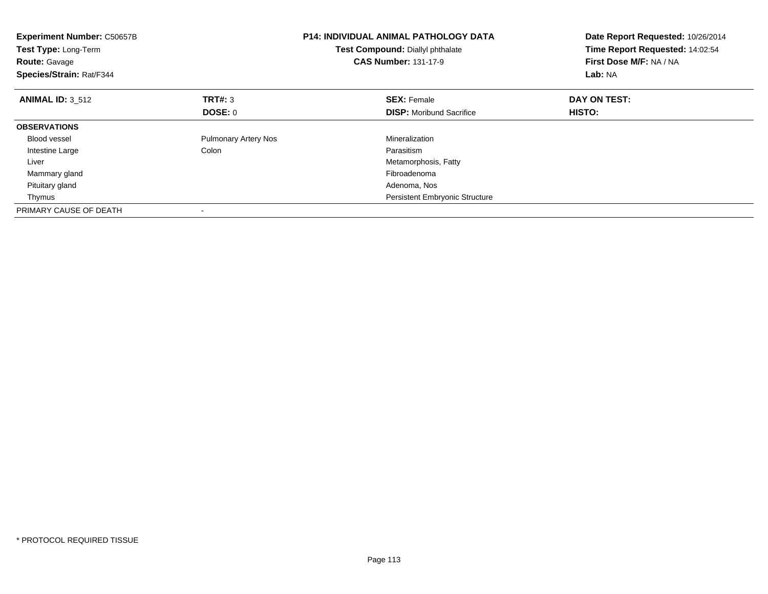| <b>Experiment Number: C50657B</b><br>Test Type: Long-Term<br><b>Route: Gavage</b><br>Species/Strain: Rat/F344 |                             | <b>P14: INDIVIDUAL ANIMAL PATHOLOGY DATA</b><br>Test Compound: Diallyl phthalate<br><b>CAS Number: 131-17-9</b> | Date Report Requested: 10/26/2014<br>Time Report Requested: 14:02:54<br>First Dose M/F: NA / NA<br>Lab: NA |
|---------------------------------------------------------------------------------------------------------------|-----------------------------|-----------------------------------------------------------------------------------------------------------------|------------------------------------------------------------------------------------------------------------|
| <b>ANIMAL ID: 3 512</b>                                                                                       | <b>TRT#: 3</b>              | <b>SEX: Female</b>                                                                                              | DAY ON TEST:                                                                                               |
|                                                                                                               | <b>DOSE: 0</b>              | <b>DISP:</b> Moribund Sacrifice                                                                                 | HISTO:                                                                                                     |
| <b>OBSERVATIONS</b>                                                                                           |                             |                                                                                                                 |                                                                                                            |
| <b>Blood vessel</b>                                                                                           | <b>Pulmonary Artery Nos</b> | Mineralization                                                                                                  |                                                                                                            |
| Intestine Large                                                                                               | Colon                       | Parasitism                                                                                                      |                                                                                                            |
| Liver                                                                                                         |                             | Metamorphosis, Fatty                                                                                            |                                                                                                            |
| Mammary gland                                                                                                 |                             | Fibroadenoma                                                                                                    |                                                                                                            |
| Pituitary gland                                                                                               |                             | Adenoma, Nos                                                                                                    |                                                                                                            |
| Thymus                                                                                                        |                             | Persistent Embryonic Structure                                                                                  |                                                                                                            |
| PRIMARY CAUSE OF DEATH                                                                                        |                             |                                                                                                                 |                                                                                                            |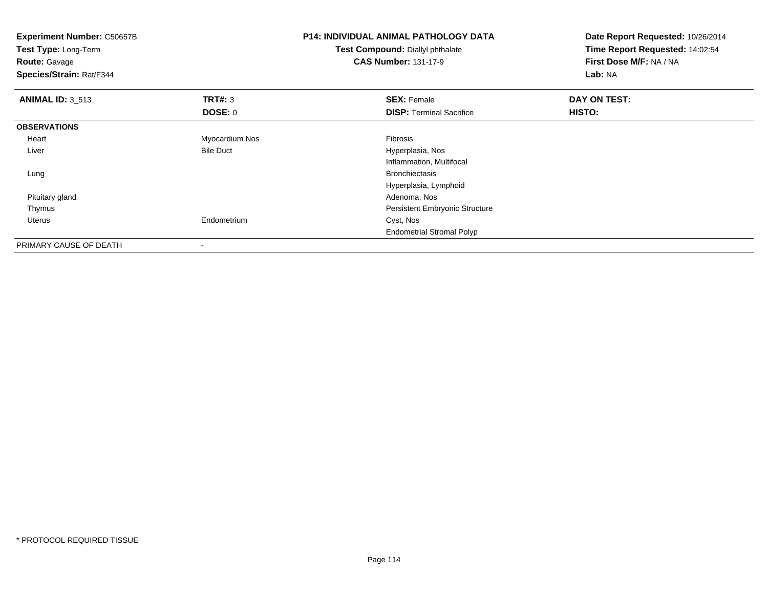| Experiment Number: C50657B<br>Test Type: Long-Term<br><b>Route: Gavage</b><br>Species/Strain: Rat/F344 |                  | <b>P14: INDIVIDUAL ANIMAL PATHOLOGY DATA</b><br>Test Compound: Diallyl phthalate<br><b>CAS Number: 131-17-9</b> | Date Report Requested: 10/26/2014<br>Time Report Requested: 14:02:54<br>First Dose M/F: NA / NA<br>Lab: NA |
|--------------------------------------------------------------------------------------------------------|------------------|-----------------------------------------------------------------------------------------------------------------|------------------------------------------------------------------------------------------------------------|
| <b>ANIMAL ID: 3_513</b>                                                                                | TRT#: 3          | <b>SEX: Female</b>                                                                                              | DAY ON TEST:                                                                                               |
|                                                                                                        | <b>DOSE: 0</b>   | <b>DISP: Terminal Sacrifice</b>                                                                                 | HISTO:                                                                                                     |
| <b>OBSERVATIONS</b>                                                                                    |                  |                                                                                                                 |                                                                                                            |
| Heart                                                                                                  | Myocardium Nos   | Fibrosis                                                                                                        |                                                                                                            |
| Liver                                                                                                  | <b>Bile Duct</b> | Hyperplasia, Nos                                                                                                |                                                                                                            |
|                                                                                                        |                  | Inflammation, Multifocal                                                                                        |                                                                                                            |
| Lung                                                                                                   |                  | <b>Bronchiectasis</b>                                                                                           |                                                                                                            |
|                                                                                                        |                  | Hyperplasia, Lymphoid                                                                                           |                                                                                                            |
| Pituitary gland                                                                                        |                  | Adenoma, Nos                                                                                                    |                                                                                                            |
| Thymus                                                                                                 |                  | Persistent Embryonic Structure                                                                                  |                                                                                                            |
| Uterus                                                                                                 | Endometrium      | Cyst, Nos                                                                                                       |                                                                                                            |
|                                                                                                        |                  | <b>Endometrial Stromal Polyp</b>                                                                                |                                                                                                            |
| PRIMARY CAUSE OF DEATH                                                                                 |                  |                                                                                                                 |                                                                                                            |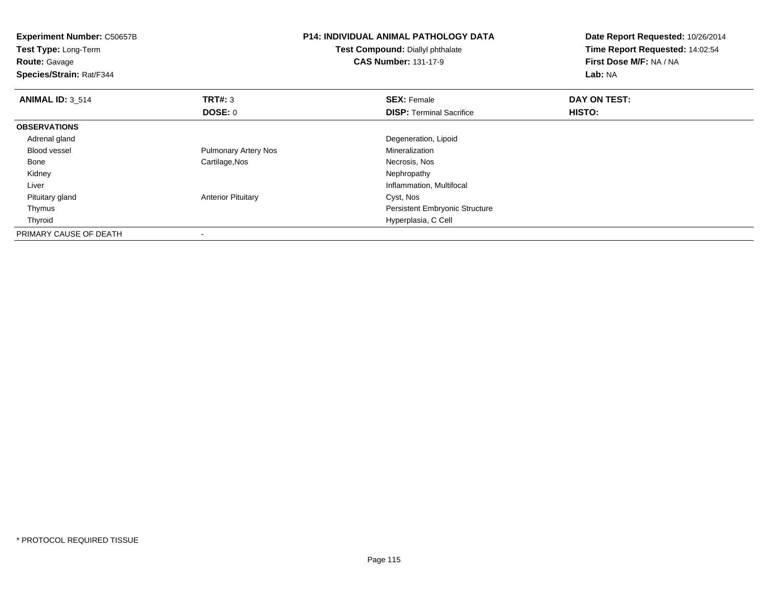| Experiment Number: C50657B<br>Test Type: Long-Term<br><b>Route: Gavage</b><br>Species/Strain: Rat/F344 |                             | <b>P14: INDIVIDUAL ANIMAL PATHOLOGY DATA</b><br>Test Compound: Diallyl phthalate<br><b>CAS Number: 131-17-9</b> | Date Report Requested: 10/26/2014<br>Time Report Requested: 14:02:54<br>First Dose M/F: NA / NA<br>Lab: NA |
|--------------------------------------------------------------------------------------------------------|-----------------------------|-----------------------------------------------------------------------------------------------------------------|------------------------------------------------------------------------------------------------------------|
| <b>ANIMAL ID: 3 514</b>                                                                                | TRT#: 3                     | <b>SEX: Female</b>                                                                                              | DAY ON TEST:                                                                                               |
|                                                                                                        | <b>DOSE: 0</b>              | <b>DISP: Terminal Sacrifice</b>                                                                                 | HISTO:                                                                                                     |
| <b>OBSERVATIONS</b>                                                                                    |                             |                                                                                                                 |                                                                                                            |
| Adrenal gland                                                                                          |                             | Degeneration, Lipoid                                                                                            |                                                                                                            |
| Blood vessel                                                                                           | <b>Pulmonary Artery Nos</b> | Mineralization                                                                                                  |                                                                                                            |
| Bone                                                                                                   | Cartilage, Nos              | Necrosis, Nos                                                                                                   |                                                                                                            |
| Kidney                                                                                                 |                             | Nephropathy                                                                                                     |                                                                                                            |
| Liver                                                                                                  |                             | Inflammation, Multifocal                                                                                        |                                                                                                            |
| Pituitary gland                                                                                        | <b>Anterior Pituitary</b>   | Cyst, Nos                                                                                                       |                                                                                                            |
| Thymus                                                                                                 |                             | Persistent Embryonic Structure                                                                                  |                                                                                                            |
| Thyroid                                                                                                |                             | Hyperplasia, C Cell                                                                                             |                                                                                                            |
| PRIMARY CAUSE OF DEATH                                                                                 |                             |                                                                                                                 |                                                                                                            |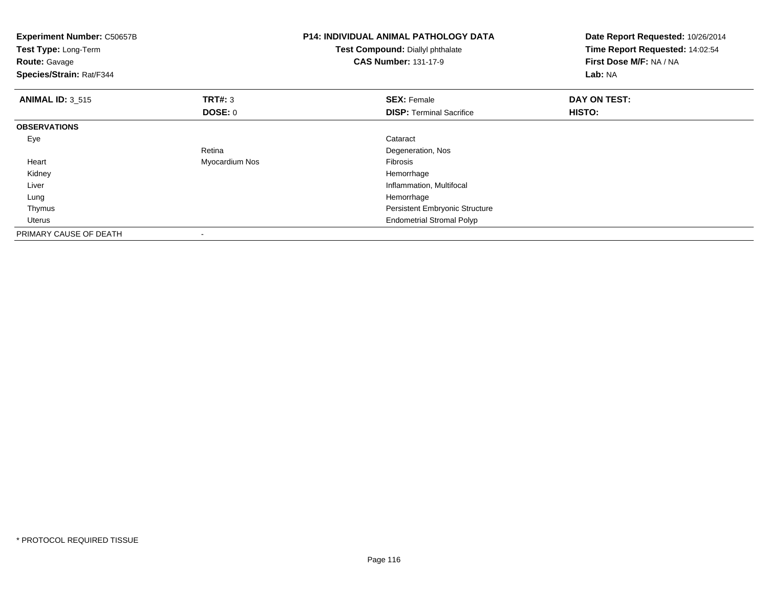| <b>Experiment Number: C50657B</b><br>Test Type: Long-Term<br><b>Route: Gavage</b><br>Species/Strain: Rat/F344 |                | <b>P14: INDIVIDUAL ANIMAL PATHOLOGY DATA</b><br>Test Compound: Diallyl phthalate<br><b>CAS Number: 131-17-9</b> | Date Report Requested: 10/26/2014<br>Time Report Requested: 14:02:54<br>First Dose M/F: NA / NA<br>Lab: NA |
|---------------------------------------------------------------------------------------------------------------|----------------|-----------------------------------------------------------------------------------------------------------------|------------------------------------------------------------------------------------------------------------|
| <b>ANIMAL ID: 3_515</b>                                                                                       | TRT#: 3        | <b>SEX: Female</b>                                                                                              | DAY ON TEST:                                                                                               |
|                                                                                                               | DOSE: 0        | <b>DISP: Terminal Sacrifice</b>                                                                                 | HISTO:                                                                                                     |
| <b>OBSERVATIONS</b>                                                                                           |                |                                                                                                                 |                                                                                                            |
| Eye                                                                                                           |                | Cataract                                                                                                        |                                                                                                            |
|                                                                                                               | Retina         | Degeneration, Nos                                                                                               |                                                                                                            |
| Heart                                                                                                         | Myocardium Nos | Fibrosis                                                                                                        |                                                                                                            |
| Kidney                                                                                                        |                | Hemorrhage                                                                                                      |                                                                                                            |
| Liver                                                                                                         |                | Inflammation, Multifocal                                                                                        |                                                                                                            |
| Lung                                                                                                          |                | Hemorrhage                                                                                                      |                                                                                                            |
| Thymus                                                                                                        |                | Persistent Embryonic Structure                                                                                  |                                                                                                            |
| <b>Uterus</b>                                                                                                 |                | <b>Endometrial Stromal Polyp</b>                                                                                |                                                                                                            |
| PRIMARY CAUSE OF DEATH                                                                                        |                |                                                                                                                 |                                                                                                            |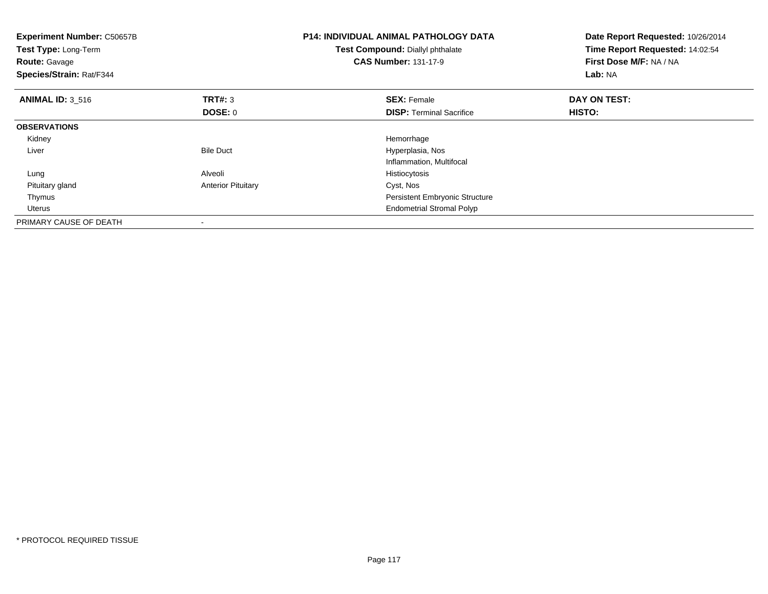| <b>Experiment Number: C50657B</b><br>Test Type: Long-Term<br><b>Route: Gavage</b><br>Species/Strain: Rat/F344 |                           | <b>P14: INDIVIDUAL ANIMAL PATHOLOGY DATA</b><br>Test Compound: Diallyl phthalate<br><b>CAS Number: 131-17-9</b> | Date Report Requested: 10/26/2014<br>Time Report Requested: 14:02:54<br>First Dose M/F: NA / NA<br>Lab: NA |
|---------------------------------------------------------------------------------------------------------------|---------------------------|-----------------------------------------------------------------------------------------------------------------|------------------------------------------------------------------------------------------------------------|
| <b>ANIMAL ID: 3 516</b>                                                                                       | <b>TRT#: 3</b>            | <b>SEX: Female</b>                                                                                              | DAY ON TEST:                                                                                               |
|                                                                                                               | <b>DOSE: 0</b>            | <b>DISP:</b> Terminal Sacrifice                                                                                 | HISTO:                                                                                                     |
| <b>OBSERVATIONS</b>                                                                                           |                           |                                                                                                                 |                                                                                                            |
| Kidney                                                                                                        |                           | Hemorrhage                                                                                                      |                                                                                                            |
| Liver                                                                                                         | <b>Bile Duct</b>          | Hyperplasia, Nos                                                                                                |                                                                                                            |
|                                                                                                               |                           | Inflammation, Multifocal                                                                                        |                                                                                                            |
| Lung                                                                                                          | Alveoli                   | Histiocytosis                                                                                                   |                                                                                                            |
| Pituitary gland                                                                                               | <b>Anterior Pituitary</b> | Cyst, Nos                                                                                                       |                                                                                                            |
| Thymus                                                                                                        |                           | <b>Persistent Embryonic Structure</b>                                                                           |                                                                                                            |
| Uterus                                                                                                        |                           | <b>Endometrial Stromal Polyp</b>                                                                                |                                                                                                            |
| PRIMARY CAUSE OF DEATH                                                                                        |                           |                                                                                                                 |                                                                                                            |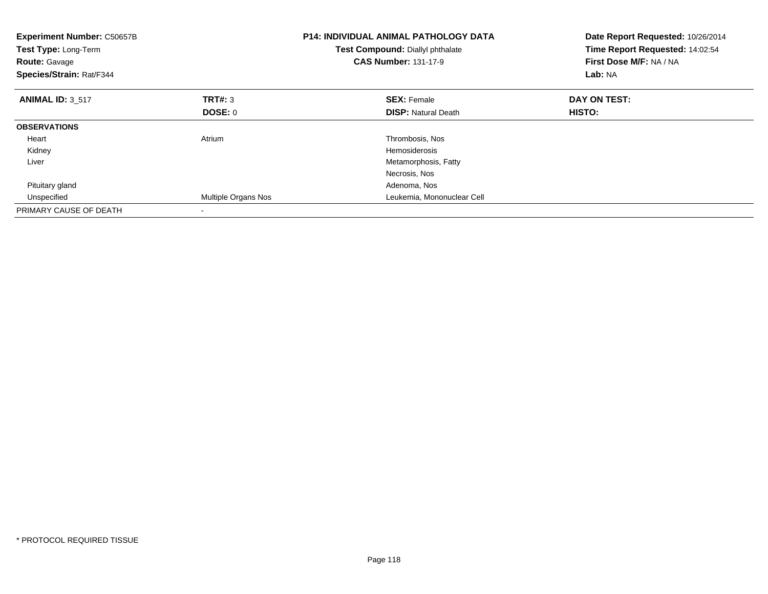| <b>Experiment Number: C50657B</b><br>Test Type: Long-Term<br><b>Route: Gavage</b><br>Species/Strain: Rat/F344 |                            | <b>P14: INDIVIDUAL ANIMAL PATHOLOGY DATA</b><br>Test Compound: Diallyl phthalate<br><b>CAS Number: 131-17-9</b> | Date Report Requested: 10/26/2014<br>Time Report Requested: 14:02:54<br>First Dose M/F: NA / NA<br>Lab: NA |
|---------------------------------------------------------------------------------------------------------------|----------------------------|-----------------------------------------------------------------------------------------------------------------|------------------------------------------------------------------------------------------------------------|
| <b>ANIMAL ID: 3 517</b>                                                                                       | TRT#: 3                    | <b>SEX: Female</b>                                                                                              | DAY ON TEST:                                                                                               |
|                                                                                                               | DOSE: 0                    | <b>DISP:</b> Natural Death                                                                                      | HISTO:                                                                                                     |
| <b>OBSERVATIONS</b>                                                                                           |                            |                                                                                                                 |                                                                                                            |
| Heart                                                                                                         | Atrium                     | Thrombosis, Nos                                                                                                 |                                                                                                            |
| Kidney                                                                                                        |                            | Hemosiderosis                                                                                                   |                                                                                                            |
| Liver                                                                                                         |                            | Metamorphosis, Fatty                                                                                            |                                                                                                            |
|                                                                                                               |                            | Necrosis, Nos                                                                                                   |                                                                                                            |
| Pituitary gland                                                                                               |                            | Adenoma, Nos                                                                                                    |                                                                                                            |
| Unspecified                                                                                                   | <b>Multiple Organs Nos</b> | Leukemia, Mononuclear Cell                                                                                      |                                                                                                            |
| PRIMARY CAUSE OF DEATH                                                                                        |                            |                                                                                                                 |                                                                                                            |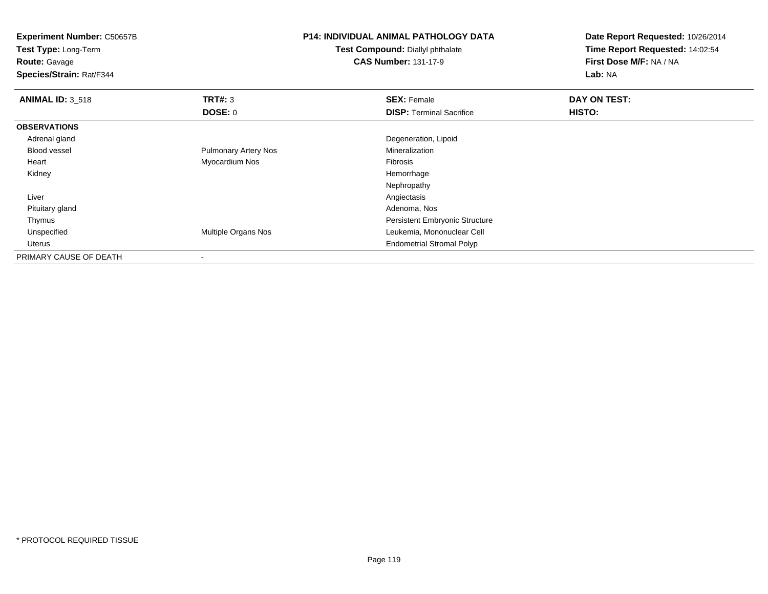| <b>Experiment Number: C50657B</b><br>Test Type: Long-Term |                             | <b>P14: INDIVIDUAL ANIMAL PATHOLOGY DATA</b> | Date Report Requested: 10/26/2014 |  |
|-----------------------------------------------------------|-----------------------------|----------------------------------------------|-----------------------------------|--|
|                                                           |                             | Test Compound: Diallyl phthalate             | Time Report Requested: 14:02:54   |  |
| <b>Route: Gavage</b>                                      |                             | <b>CAS Number: 131-17-9</b>                  | First Dose M/F: NA / NA           |  |
| Species/Strain: Rat/F344                                  |                             |                                              | Lab: NA                           |  |
| <b>ANIMAL ID: 3_518</b>                                   | TRT#: 3                     | <b>SEX: Female</b>                           | DAY ON TEST:                      |  |
|                                                           | DOSE: 0                     | <b>DISP: Terminal Sacrifice</b>              | HISTO:                            |  |
| <b>OBSERVATIONS</b>                                       |                             |                                              |                                   |  |
| Adrenal gland                                             |                             | Degeneration, Lipoid                         |                                   |  |
| <b>Blood vessel</b>                                       | <b>Pulmonary Artery Nos</b> | Mineralization                               |                                   |  |
| Heart                                                     | Myocardium Nos              | Fibrosis                                     |                                   |  |
| Kidney                                                    |                             | Hemorrhage                                   |                                   |  |
|                                                           |                             | Nephropathy                                  |                                   |  |
| Liver                                                     |                             | Angiectasis                                  |                                   |  |
| Pituitary gland                                           |                             | Adenoma, Nos                                 |                                   |  |
| Thymus                                                    |                             | Persistent Embryonic Structure               |                                   |  |
| Unspecified                                               | Multiple Organs Nos         | Leukemia, Mononuclear Cell                   |                                   |  |
| Uterus                                                    |                             | <b>Endometrial Stromal Polyp</b>             |                                   |  |
| PRIMARY CAUSE OF DEATH                                    |                             |                                              |                                   |  |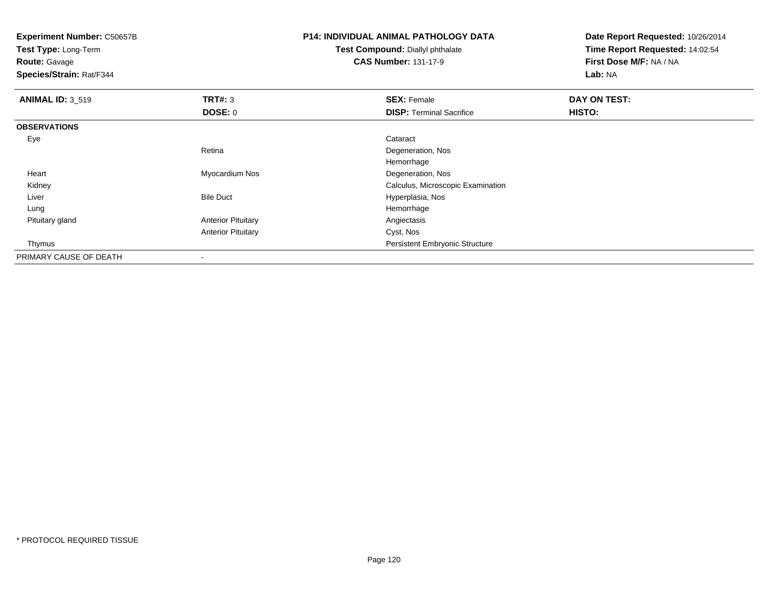**Test Type:** Long-Term

**Route:** Gavage

**Species/Strain:** Rat/F344

# **P14: INDIVIDUAL ANIMAL PATHOLOGY DATA**

**Test Compound:** Diallyl phthalate**CAS Number:** 131-17-9

| <b>ANIMAL ID: 3_519</b> | TRT#: 3                   | <b>SEX: Female</b>                    | <b>DAY ON TEST:</b> |  |
|-------------------------|---------------------------|---------------------------------------|---------------------|--|
|                         | <b>DOSE: 0</b>            | <b>DISP: Terminal Sacrifice</b>       | HISTO:              |  |
| <b>OBSERVATIONS</b>     |                           |                                       |                     |  |
| Eye                     |                           | Cataract                              |                     |  |
|                         | Retina                    | Degeneration, Nos                     |                     |  |
|                         |                           | Hemorrhage                            |                     |  |
| Heart                   | Myocardium Nos            | Degeneration, Nos                     |                     |  |
| Kidney                  |                           | Calculus, Microscopic Examination     |                     |  |
| Liver                   | <b>Bile Duct</b>          | Hyperplasia, Nos                      |                     |  |
| Lung                    |                           | Hemorrhage                            |                     |  |
| Pituitary gland         | <b>Anterior Pituitary</b> | Angiectasis                           |                     |  |
|                         | <b>Anterior Pituitary</b> | Cyst, Nos                             |                     |  |
| Thymus                  |                           | <b>Persistent Embryonic Structure</b> |                     |  |
| PRIMARY CAUSE OF DEATH  |                           |                                       |                     |  |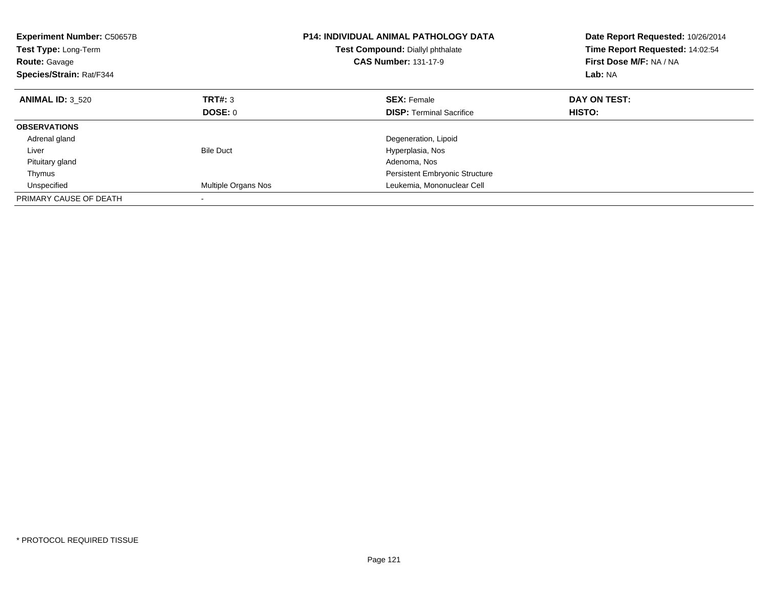| <b>Experiment Number: C50657B</b><br><b>Test Type: Long-Term</b><br><b>Route: Gavage</b><br>Species/Strain: Rat/F344 |                     | <b>P14: INDIVIDUAL ANIMAL PATHOLOGY DATA</b><br>Test Compound: Diallyl phthalate<br><b>CAS Number: 131-17-9</b> | Date Report Requested: 10/26/2014<br>Time Report Requested: 14:02:54<br>First Dose M/F: NA / NA<br>Lab: NA |
|----------------------------------------------------------------------------------------------------------------------|---------------------|-----------------------------------------------------------------------------------------------------------------|------------------------------------------------------------------------------------------------------------|
| <b>ANIMAL ID: 3 520</b>                                                                                              | TRT#: 3             | <b>SEX: Female</b>                                                                                              | DAY ON TEST:                                                                                               |
|                                                                                                                      | DOSE: 0             | <b>DISP:</b> Terminal Sacrifice                                                                                 | HISTO:                                                                                                     |
| <b>OBSERVATIONS</b>                                                                                                  |                     |                                                                                                                 |                                                                                                            |
| Adrenal gland                                                                                                        |                     | Degeneration, Lipoid                                                                                            |                                                                                                            |
| Liver                                                                                                                | <b>Bile Duct</b>    | Hyperplasia, Nos                                                                                                |                                                                                                            |
| Pituitary gland                                                                                                      |                     | Adenoma, Nos                                                                                                    |                                                                                                            |
| Thymus                                                                                                               |                     | <b>Persistent Embryonic Structure</b>                                                                           |                                                                                                            |
| Unspecified                                                                                                          | Multiple Organs Nos | Leukemia, Mononuclear Cell                                                                                      |                                                                                                            |
| PRIMARY CAUSE OF DEATH                                                                                               |                     |                                                                                                                 |                                                                                                            |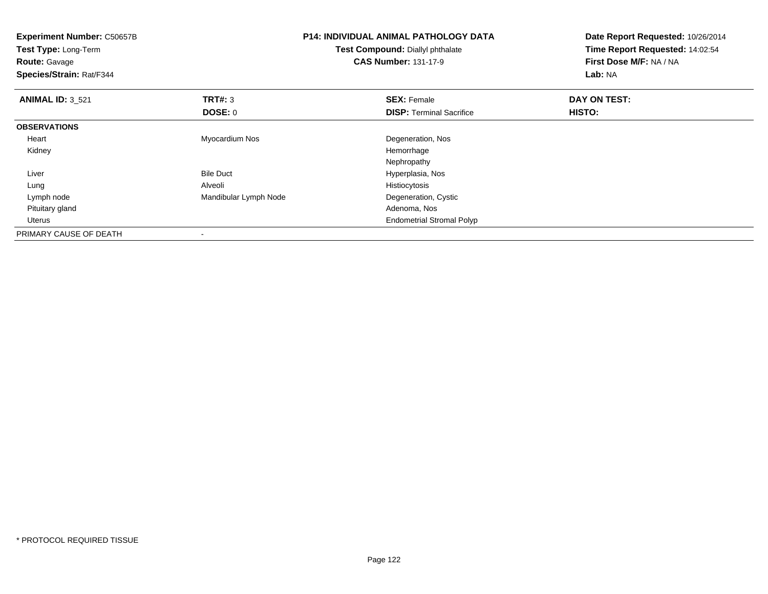| <b>Experiment Number: C50657B</b><br>Test Type: Long-Term<br><b>Route: Gavage</b><br>Species/Strain: Rat/F344 | <b>P14: INDIVIDUAL ANIMAL PATHOLOGY DATA</b><br>Test Compound: Diallyl phthalate<br><b>CAS Number: 131-17-9</b> |                                  | Date Report Requested: 10/26/2014<br>Time Report Requested: 14:02:54<br>First Dose M/F: NA / NA<br>Lab: NA |
|---------------------------------------------------------------------------------------------------------------|-----------------------------------------------------------------------------------------------------------------|----------------------------------|------------------------------------------------------------------------------------------------------------|
| <b>ANIMAL ID: 3 521</b>                                                                                       | <b>TRT#: 3</b>                                                                                                  | <b>SEX: Female</b>               | DAY ON TEST:                                                                                               |
|                                                                                                               | DOSE: 0                                                                                                         | <b>DISP:</b> Terminal Sacrifice  | HISTO:                                                                                                     |
| <b>OBSERVATIONS</b>                                                                                           |                                                                                                                 |                                  |                                                                                                            |
| Heart                                                                                                         | Myocardium Nos                                                                                                  | Degeneration, Nos                |                                                                                                            |
| Kidney                                                                                                        |                                                                                                                 | Hemorrhage                       |                                                                                                            |
|                                                                                                               |                                                                                                                 | Nephropathy                      |                                                                                                            |
| Liver                                                                                                         | <b>Bile Duct</b>                                                                                                | Hyperplasia, Nos                 |                                                                                                            |
| Lung                                                                                                          | Alveoli                                                                                                         | Histiocytosis                    |                                                                                                            |
| Lymph node                                                                                                    | Mandibular Lymph Node                                                                                           | Degeneration, Cystic             |                                                                                                            |
| Pituitary gland                                                                                               |                                                                                                                 | Adenoma, Nos                     |                                                                                                            |
| Uterus                                                                                                        |                                                                                                                 | <b>Endometrial Stromal Polyp</b> |                                                                                                            |
| PRIMARY CAUSE OF DEATH                                                                                        |                                                                                                                 |                                  |                                                                                                            |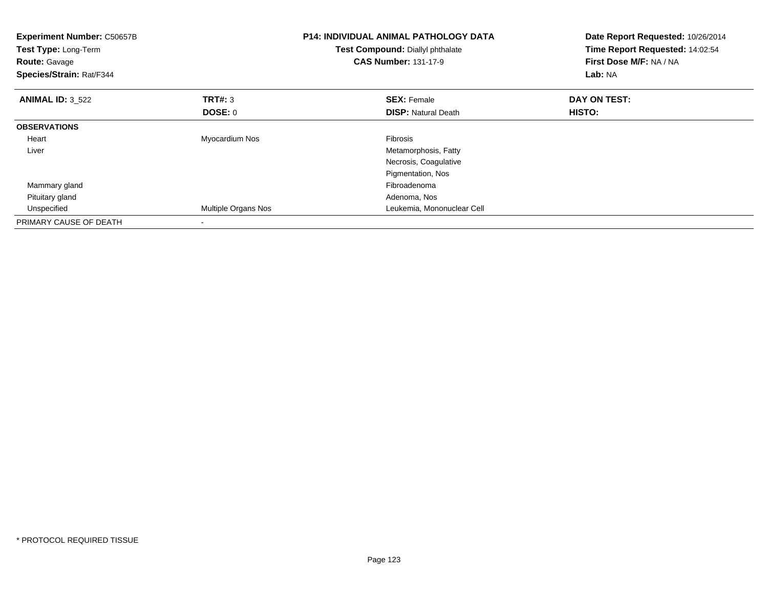| <b>Experiment Number: C50657B</b><br>Test Type: Long-Term<br><b>Route: Gavage</b><br>Species/Strain: Rat/F344 |                     | <b>P14: INDIVIDUAL ANIMAL PATHOLOGY DATA</b><br>Test Compound: Diallyl phthalate<br><b>CAS Number: 131-17-9</b> | Date Report Requested: 10/26/2014<br>Time Report Requested: 14:02:54<br>First Dose M/F: NA / NA<br>Lab: NA |
|---------------------------------------------------------------------------------------------------------------|---------------------|-----------------------------------------------------------------------------------------------------------------|------------------------------------------------------------------------------------------------------------|
| <b>ANIMAL ID: 3 522</b>                                                                                       | <b>TRT#: 3</b>      | <b>SEX: Female</b>                                                                                              | DAY ON TEST:                                                                                               |
|                                                                                                               | DOSE: 0             | <b>DISP:</b> Natural Death                                                                                      | HISTO:                                                                                                     |
| <b>OBSERVATIONS</b>                                                                                           |                     |                                                                                                                 |                                                                                                            |
| Heart                                                                                                         | Myocardium Nos      | Fibrosis                                                                                                        |                                                                                                            |
| Liver                                                                                                         |                     | Metamorphosis, Fatty                                                                                            |                                                                                                            |
|                                                                                                               |                     | Necrosis, Coagulative                                                                                           |                                                                                                            |
|                                                                                                               |                     | Pigmentation, Nos                                                                                               |                                                                                                            |
| Mammary gland                                                                                                 |                     | Fibroadenoma                                                                                                    |                                                                                                            |
| Pituitary gland                                                                                               |                     | Adenoma, Nos                                                                                                    |                                                                                                            |
| Unspecified                                                                                                   | Multiple Organs Nos | Leukemia, Mononuclear Cell                                                                                      |                                                                                                            |
| PRIMARY CAUSE OF DEATH                                                                                        |                     |                                                                                                                 |                                                                                                            |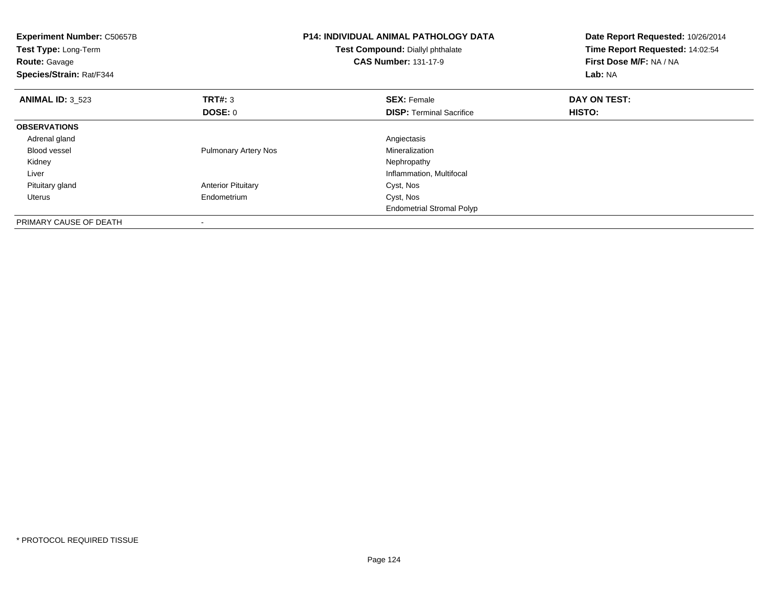| <b>Experiment Number: C50657B</b><br>Test Type: Long-Term<br><b>Route: Gavage</b><br>Species/Strain: Rat/F344 |                             | <b>P14: INDIVIDUAL ANIMAL PATHOLOGY DATA</b><br>Test Compound: Diallyl phthalate<br><b>CAS Number: 131-17-9</b> | Date Report Requested: 10/26/2014<br>Time Report Requested: 14:02:54<br>First Dose M/F: NA / NA<br>Lab: NA |
|---------------------------------------------------------------------------------------------------------------|-----------------------------|-----------------------------------------------------------------------------------------------------------------|------------------------------------------------------------------------------------------------------------|
| <b>ANIMAL ID: 3 523</b>                                                                                       | TRT#: 3                     | <b>SEX: Female</b>                                                                                              | DAY ON TEST:                                                                                               |
|                                                                                                               | <b>DOSE: 0</b>              | <b>DISP:</b> Terminal Sacrifice                                                                                 | <b>HISTO:</b>                                                                                              |
| <b>OBSERVATIONS</b>                                                                                           |                             |                                                                                                                 |                                                                                                            |
| Adrenal gland                                                                                                 |                             | Angiectasis                                                                                                     |                                                                                                            |
| <b>Blood vessel</b>                                                                                           | <b>Pulmonary Artery Nos</b> | Mineralization                                                                                                  |                                                                                                            |
| Kidney                                                                                                        |                             | Nephropathy                                                                                                     |                                                                                                            |
| Liver                                                                                                         |                             | Inflammation, Multifocal                                                                                        |                                                                                                            |
| Pituitary gland                                                                                               | <b>Anterior Pituitary</b>   | Cyst, Nos                                                                                                       |                                                                                                            |
| Uterus                                                                                                        | Endometrium                 | Cyst, Nos                                                                                                       |                                                                                                            |
|                                                                                                               |                             | <b>Endometrial Stromal Polyp</b>                                                                                |                                                                                                            |
| PRIMARY CAUSE OF DEATH                                                                                        |                             |                                                                                                                 |                                                                                                            |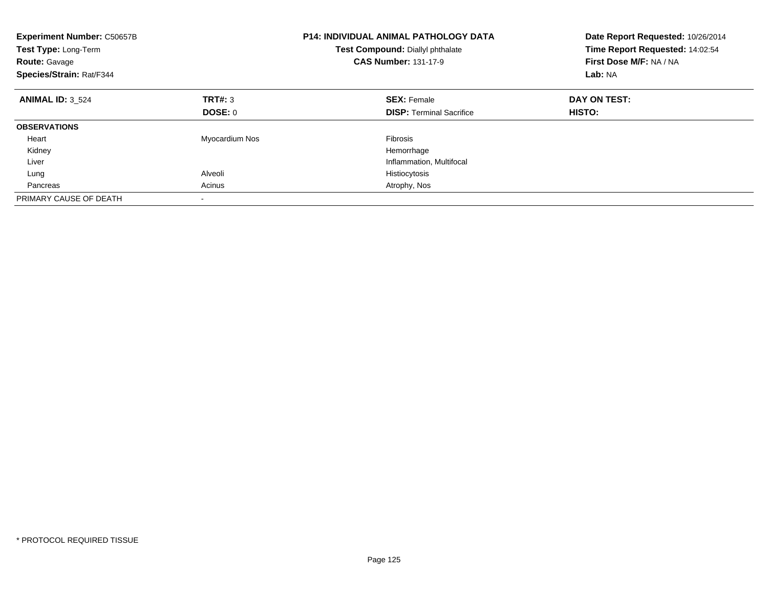| <b>Experiment Number: C50657B</b><br>Test Type: Long-Term<br><b>Route: Gavage</b><br>Species/Strain: Rat/F344 |                | <b>P14: INDIVIDUAL ANIMAL PATHOLOGY DATA</b><br>Test Compound: Diallyl phthalate<br><b>CAS Number: 131-17-9</b> | Date Report Requested: 10/26/2014<br>Time Report Requested: 14:02:54<br>First Dose M/F: NA / NA<br>Lab: NA |
|---------------------------------------------------------------------------------------------------------------|----------------|-----------------------------------------------------------------------------------------------------------------|------------------------------------------------------------------------------------------------------------|
| <b>ANIMAL ID: 3 524</b>                                                                                       | TRT#: 3        | <b>SEX: Female</b>                                                                                              | DAY ON TEST:                                                                                               |
|                                                                                                               | DOSE: 0        | <b>DISP:</b> Terminal Sacrifice                                                                                 | HISTO:                                                                                                     |
| <b>OBSERVATIONS</b>                                                                                           |                |                                                                                                                 |                                                                                                            |
| Heart                                                                                                         | Myocardium Nos | <b>Fibrosis</b>                                                                                                 |                                                                                                            |
| Kidney                                                                                                        |                | Hemorrhage                                                                                                      |                                                                                                            |
| Liver                                                                                                         |                | Inflammation, Multifocal                                                                                        |                                                                                                            |
| Lung                                                                                                          | Alveoli        | Histiocytosis                                                                                                   |                                                                                                            |
| Pancreas                                                                                                      | Acinus         | Atrophy, Nos                                                                                                    |                                                                                                            |
| PRIMARY CAUSE OF DEATH                                                                                        | -              |                                                                                                                 |                                                                                                            |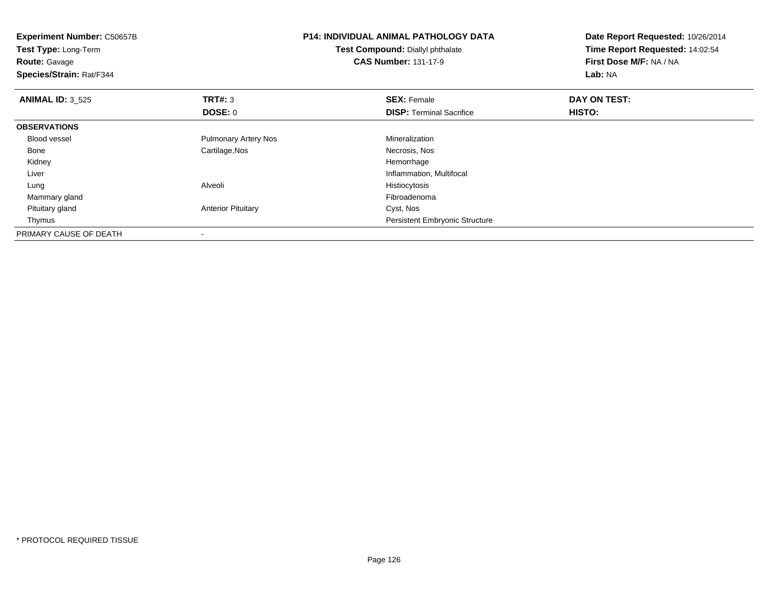| <b>Experiment Number: C50657B</b><br>Test Type: Long-Term<br><b>Route:</b> Gavage<br>Species/Strain: Rat/F344 |                             | <b>P14: INDIVIDUAL ANIMAL PATHOLOGY DATA</b><br>Test Compound: Diallyl phthalate<br><b>CAS Number: 131-17-9</b> | Date Report Requested: 10/26/2014<br>Time Report Requested: 14:02:54<br>First Dose M/F: NA / NA<br>Lab: NA |
|---------------------------------------------------------------------------------------------------------------|-----------------------------|-----------------------------------------------------------------------------------------------------------------|------------------------------------------------------------------------------------------------------------|
| <b>ANIMAL ID: 3 525</b>                                                                                       | TRT#: 3                     | <b>SEX: Female</b>                                                                                              | DAY ON TEST:                                                                                               |
|                                                                                                               | DOSE: 0                     | <b>DISP: Terminal Sacrifice</b>                                                                                 | HISTO:                                                                                                     |
| <b>OBSERVATIONS</b>                                                                                           |                             |                                                                                                                 |                                                                                                            |
| <b>Blood vessel</b>                                                                                           | <b>Pulmonary Artery Nos</b> | Mineralization                                                                                                  |                                                                                                            |
| Bone                                                                                                          | Cartilage, Nos              | Necrosis, Nos                                                                                                   |                                                                                                            |
| Kidney                                                                                                        |                             | Hemorrhage                                                                                                      |                                                                                                            |
| Liver                                                                                                         |                             | Inflammation, Multifocal                                                                                        |                                                                                                            |
| Lung                                                                                                          | Alveoli                     | Histiocytosis                                                                                                   |                                                                                                            |
| Mammary gland                                                                                                 |                             | Fibroadenoma                                                                                                    |                                                                                                            |
| Pituitary gland                                                                                               | <b>Anterior Pituitary</b>   | Cyst, Nos                                                                                                       |                                                                                                            |
| Thymus                                                                                                        |                             | Persistent Embryonic Structure                                                                                  |                                                                                                            |
| PRIMARY CAUSE OF DEATH                                                                                        |                             |                                                                                                                 |                                                                                                            |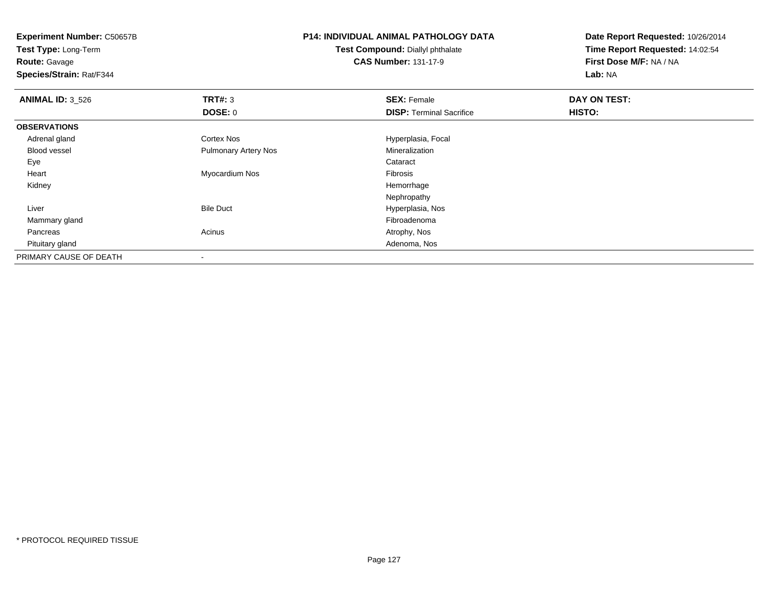**Experiment Number:** C50657B**Test Type:** Long-Term**Route:** Gavage **Species/Strain:** Rat/F344**P14: INDIVIDUAL ANIMAL PATHOLOGY DATATest Compound:** Diallyl phthalate**CAS Number:** 131-17-9**Date Report Requested:** 10/26/2014**Time Report Requested:** 14:02:54**First Dose M/F:** NA / NA**Lab:** NA**ANIMAL ID:** 3\_526**6 DAY ON TEST: TRT#:** 3 **SEX: Female SEX: Female DAY ON TEST: DOSE:** 0**DISP:** Terminal Sacrifice **HISTO: OBSERVATIONS** Adrenal glandCortex Nos **Hyperplasia**, Focal Blood vessel Pulmonary Artery NosMineralization<br>Cataract Eyee de la constitución de la constitución de la constitución de la constitución de la constitución de la constitución<br>En el constitución de la constitución de la constitución de la constitución de la constitución de la const Heart Myocardium Nos Fibrosis Kidneyy the control of the control of the control of the control of the control of the control of the control of the control of the control of the control of the control of the control of the control of the control of the contro Nephropathy Bile Duct Hyperplasia, Nos Liver Mammary glandd and the control of the control of the control of the control of the control of the control of the control of the control of the control of the control of the control of the control of the control of the control of the co Pancreass and the contract of the contract of the contract of the contract of the contract  $\mathsf{A}$  at  $\mathsf{A}$  and  $\mathsf{A}$  and  $\mathsf{A}$  and  $\mathsf{A}$  and  $\mathsf{A}$  are contract of  $\mathsf{A}$  and  $\mathsf{A}$  and  $\mathsf{A}$  are contract of Pituitary glandd and the contract of the contract of the contract of the contract of the contract of the contract of the contract of the contract of the contract of the contract of the contract of the contract of the contract of the cont PRIMARY CAUSE OF DEATH-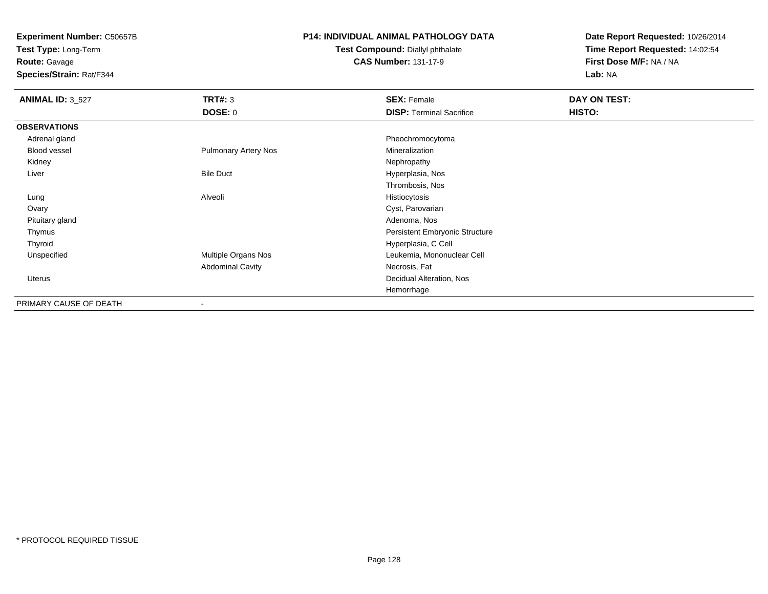**Test Type:** Long-Term

**Route:** Gavage

**Species/Strain:** Rat/F344

#### **P14: INDIVIDUAL ANIMAL PATHOLOGY DATA**

#### **Test Compound:** Diallyl phthalate**CAS Number:** 131-17-9

| <b>ANIMAL ID: 3_527</b> | <b>TRT#: 3</b>              | <b>SEX: Female</b>              | DAY ON TEST: |  |
|-------------------------|-----------------------------|---------------------------------|--------------|--|
|                         | <b>DOSE: 0</b>              | <b>DISP: Terminal Sacrifice</b> | HISTO:       |  |
| <b>OBSERVATIONS</b>     |                             |                                 |              |  |
| Adrenal gland           |                             | Pheochromocytoma                |              |  |
| Blood vessel            | <b>Pulmonary Artery Nos</b> | Mineralization                  |              |  |
| Kidney                  |                             | Nephropathy                     |              |  |
| Liver                   | <b>Bile Duct</b>            | Hyperplasia, Nos                |              |  |
|                         |                             | Thrombosis, Nos                 |              |  |
| Lung                    | Alveoli                     | Histiocytosis                   |              |  |
| Ovary                   |                             | Cyst, Parovarian                |              |  |
| Pituitary gland         |                             | Adenoma, Nos                    |              |  |
| Thymus                  |                             | Persistent Embryonic Structure  |              |  |
| Thyroid                 |                             | Hyperplasia, C Cell             |              |  |
| Unspecified             | Multiple Organs Nos         | Leukemia, Mononuclear Cell      |              |  |
|                         | <b>Abdominal Cavity</b>     | Necrosis, Fat                   |              |  |
| Uterus                  |                             | Decidual Alteration, Nos        |              |  |
|                         |                             | Hemorrhage                      |              |  |
| PRIMARY CAUSE OF DEATH  | ۰                           |                                 |              |  |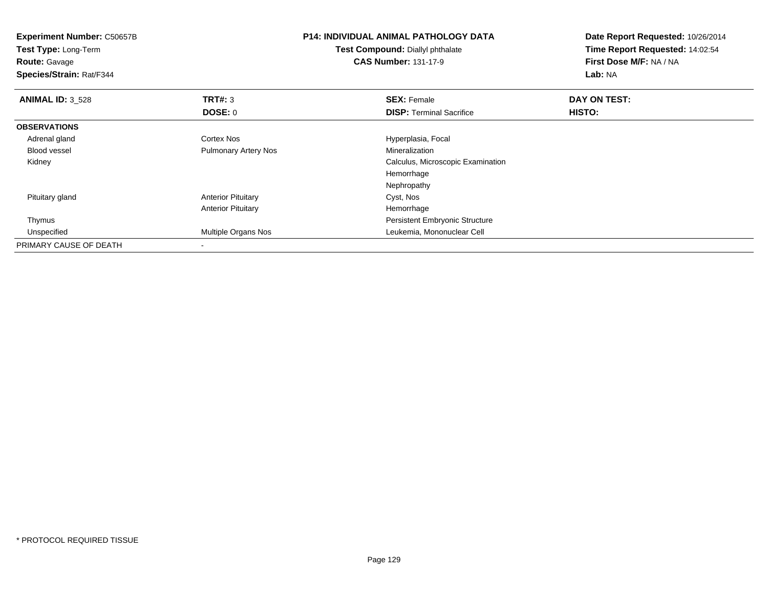| <b>Experiment Number: C50657B</b><br><b>Test Type: Long-Term</b><br><b>Route: Gavage</b><br>Species/Strain: Rat/F344 |                             | <b>P14: INDIVIDUAL ANIMAL PATHOLOGY DATA</b><br><b>Test Compound: Diallyl phthalate</b><br><b>CAS Number: 131-17-9</b> | Date Report Requested: 10/26/2014<br>Time Report Requested: 14:02:54<br>First Dose M/F: NA / NA<br><b>Lab: NA</b> |
|----------------------------------------------------------------------------------------------------------------------|-----------------------------|------------------------------------------------------------------------------------------------------------------------|-------------------------------------------------------------------------------------------------------------------|
| <b>ANIMAL ID: 3_528</b>                                                                                              | <b>TRT#: 3</b>              | <b>SEX: Female</b>                                                                                                     | DAY ON TEST:                                                                                                      |
|                                                                                                                      | DOSE: 0                     | <b>DISP: Terminal Sacrifice</b>                                                                                        | HISTO:                                                                                                            |
| <b>OBSERVATIONS</b>                                                                                                  |                             |                                                                                                                        |                                                                                                                   |
| Adrenal gland                                                                                                        | <b>Cortex Nos</b>           | Hyperplasia, Focal                                                                                                     |                                                                                                                   |
| <b>Blood vessel</b>                                                                                                  | <b>Pulmonary Artery Nos</b> | Mineralization                                                                                                         |                                                                                                                   |
| Kidney                                                                                                               |                             | Calculus, Microscopic Examination                                                                                      |                                                                                                                   |
|                                                                                                                      |                             | Hemorrhage                                                                                                             |                                                                                                                   |
|                                                                                                                      |                             | Nephropathy                                                                                                            |                                                                                                                   |
| Pituitary gland                                                                                                      | <b>Anterior Pituitary</b>   | Cyst, Nos                                                                                                              |                                                                                                                   |
|                                                                                                                      | <b>Anterior Pituitary</b>   | Hemorrhage                                                                                                             |                                                                                                                   |
| Thymus                                                                                                               |                             | Persistent Embryonic Structure                                                                                         |                                                                                                                   |
| Unspecified                                                                                                          | Multiple Organs Nos         | Leukemia, Mononuclear Cell                                                                                             |                                                                                                                   |
| PRIMARY CAUSE OF DEATH                                                                                               |                             |                                                                                                                        |                                                                                                                   |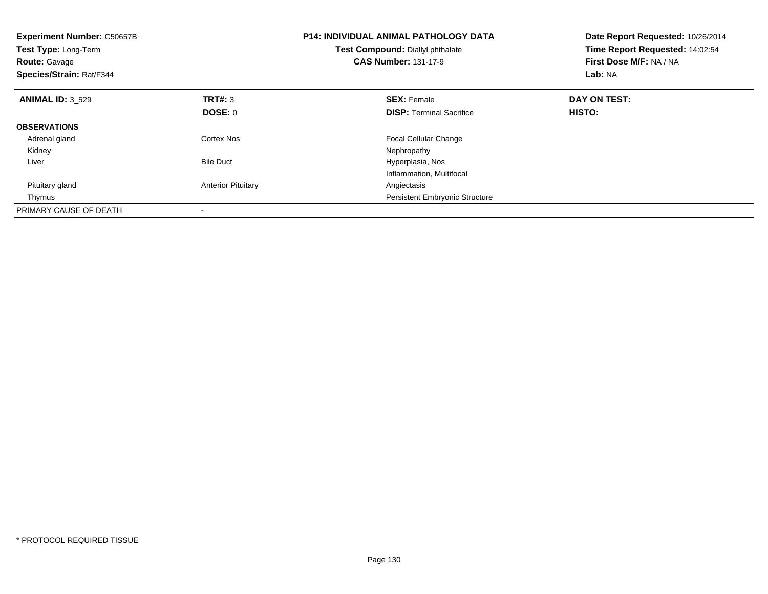| <b>Experiment Number: C50657B</b><br><b>Test Type: Long-Term</b><br><b>Route: Gavage</b><br>Species/Strain: Rat/F344 |                           | <b>P14: INDIVIDUAL ANIMAL PATHOLOGY DATA</b><br>Test Compound: Diallyl phthalate<br><b>CAS Number: 131-17-9</b> | Date Report Requested: 10/26/2014<br>Time Report Requested: 14:02:54<br>First Dose M/F: NA / NA<br>Lab: NA |
|----------------------------------------------------------------------------------------------------------------------|---------------------------|-----------------------------------------------------------------------------------------------------------------|------------------------------------------------------------------------------------------------------------|
| <b>ANIMAL ID: 3 529</b>                                                                                              | <b>TRT#: 3</b>            | <b>SEX: Female</b>                                                                                              | DAY ON TEST:                                                                                               |
|                                                                                                                      | DOSE: 0                   | <b>DISP:</b> Terminal Sacrifice                                                                                 | <b>HISTO:</b>                                                                                              |
| <b>OBSERVATIONS</b>                                                                                                  |                           |                                                                                                                 |                                                                                                            |
| Adrenal gland                                                                                                        | Cortex Nos                | <b>Focal Cellular Change</b>                                                                                    |                                                                                                            |
| Kidney                                                                                                               |                           | Nephropathy                                                                                                     |                                                                                                            |
| Liver                                                                                                                | <b>Bile Duct</b>          | Hyperplasia, Nos                                                                                                |                                                                                                            |
|                                                                                                                      |                           | Inflammation, Multifocal                                                                                        |                                                                                                            |
| Pituitary gland                                                                                                      | <b>Anterior Pituitary</b> | Angiectasis                                                                                                     |                                                                                                            |
| Thymus                                                                                                               |                           | <b>Persistent Embryonic Structure</b>                                                                           |                                                                                                            |
| PRIMARY CAUSE OF DEATH                                                                                               |                           |                                                                                                                 |                                                                                                            |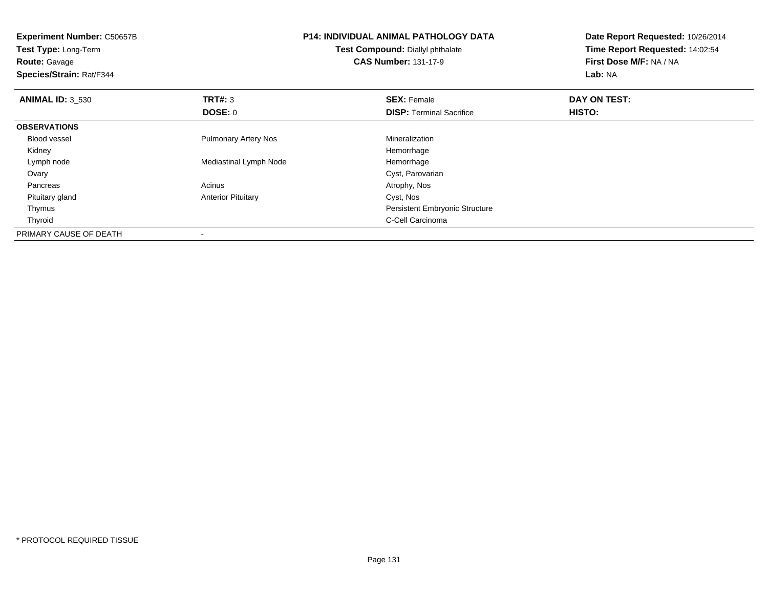| <b>Experiment Number: C50657B</b><br>Test Type: Long-Term<br><b>Route: Gavage</b><br>Species/Strain: Rat/F344 |                             | <b>P14: INDIVIDUAL ANIMAL PATHOLOGY DATA</b><br>Test Compound: Diallyl phthalate<br><b>CAS Number: 131-17-9</b> | Date Report Requested: 10/26/2014<br>Time Report Requested: 14:02:54<br>First Dose M/F: NA / NA<br>Lab: NA |
|---------------------------------------------------------------------------------------------------------------|-----------------------------|-----------------------------------------------------------------------------------------------------------------|------------------------------------------------------------------------------------------------------------|
| <b>ANIMAL ID: 3 530</b>                                                                                       | <b>TRT#: 3</b>              | <b>SEX: Female</b>                                                                                              | DAY ON TEST:                                                                                               |
|                                                                                                               | DOSE: 0                     | <b>DISP:</b> Terminal Sacrifice                                                                                 | <b>HISTO:</b>                                                                                              |
| <b>OBSERVATIONS</b>                                                                                           |                             |                                                                                                                 |                                                                                                            |
| Blood vessel                                                                                                  | <b>Pulmonary Artery Nos</b> | Mineralization                                                                                                  |                                                                                                            |
| Kidney                                                                                                        |                             | Hemorrhage                                                                                                      |                                                                                                            |
| Lymph node                                                                                                    | Mediastinal Lymph Node      | Hemorrhage                                                                                                      |                                                                                                            |
| Ovary                                                                                                         |                             | Cyst, Parovarian                                                                                                |                                                                                                            |
| Pancreas                                                                                                      | Acinus                      | Atrophy, Nos                                                                                                    |                                                                                                            |
| Pituitary gland                                                                                               | <b>Anterior Pituitary</b>   | Cyst, Nos                                                                                                       |                                                                                                            |
| Thymus                                                                                                        |                             | <b>Persistent Embryonic Structure</b>                                                                           |                                                                                                            |
| Thyroid                                                                                                       |                             | C-Cell Carcinoma                                                                                                |                                                                                                            |
| PRIMARY CAUSE OF DEATH                                                                                        | $\,$                        |                                                                                                                 |                                                                                                            |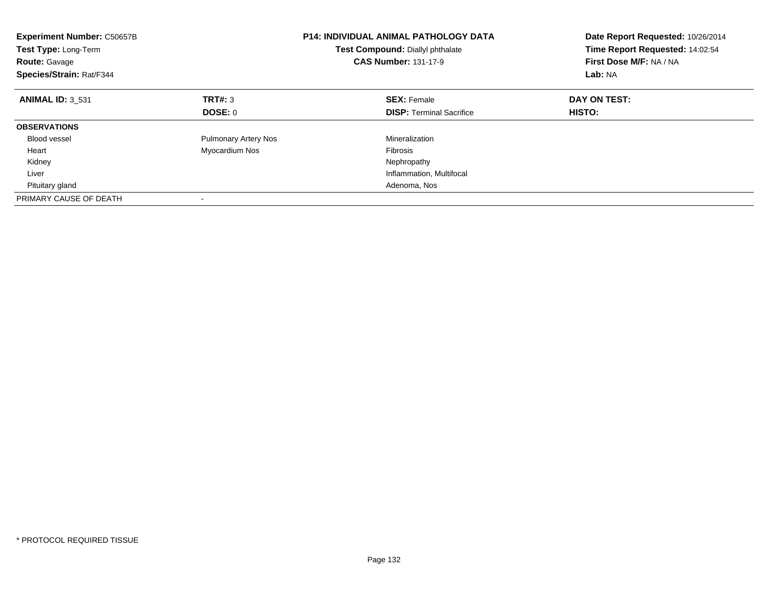| <b>Experiment Number: C50657B</b><br>Test Type: Long-Term<br><b>Route: Gavage</b><br>Species/Strain: Rat/F344 |                             | <b>P14: INDIVIDUAL ANIMAL PATHOLOGY DATA</b><br>Test Compound: Diallyl phthalate<br><b>CAS Number: 131-17-9</b> | Date Report Requested: 10/26/2014<br>Time Report Requested: 14:02:54<br>First Dose M/F: NA / NA<br>Lab: NA |
|---------------------------------------------------------------------------------------------------------------|-----------------------------|-----------------------------------------------------------------------------------------------------------------|------------------------------------------------------------------------------------------------------------|
| <b>ANIMAL ID: 3 531</b>                                                                                       | TRT#: 3                     | <b>SEX: Female</b>                                                                                              | DAY ON TEST:                                                                                               |
|                                                                                                               | DOSE: 0                     | <b>DISP:</b> Terminal Sacrifice                                                                                 | HISTO:                                                                                                     |
| <b>OBSERVATIONS</b>                                                                                           |                             |                                                                                                                 |                                                                                                            |
| <b>Blood vessel</b>                                                                                           | <b>Pulmonary Artery Nos</b> | Mineralization                                                                                                  |                                                                                                            |
| Heart                                                                                                         | Myocardium Nos              | <b>Fibrosis</b>                                                                                                 |                                                                                                            |
| Kidney                                                                                                        |                             | Nephropathy                                                                                                     |                                                                                                            |
| Liver                                                                                                         |                             | Inflammation, Multifocal                                                                                        |                                                                                                            |
| Pituitary gland                                                                                               |                             | Adenoma, Nos                                                                                                    |                                                                                                            |
| PRIMARY CAUSE OF DEATH                                                                                        |                             |                                                                                                                 |                                                                                                            |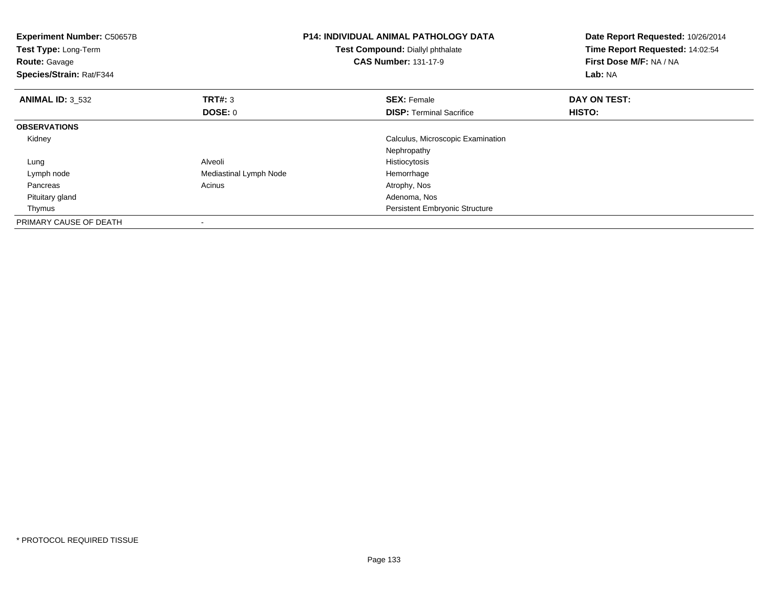| <b>Experiment Number: C50657B</b><br>Test Type: Long-Term<br><b>Route: Gavage</b><br>Species/Strain: Rat/F344 |                        | <b>P14: INDIVIDUAL ANIMAL PATHOLOGY DATA</b><br>Test Compound: Diallyl phthalate<br><b>CAS Number: 131-17-9</b> | Date Report Requested: 10/26/2014<br>Time Report Requested: 14:02:54<br>First Dose M/F: NA / NA<br>Lab: NA |
|---------------------------------------------------------------------------------------------------------------|------------------------|-----------------------------------------------------------------------------------------------------------------|------------------------------------------------------------------------------------------------------------|
| <b>ANIMAL ID: 3 532</b>                                                                                       | <b>TRT#: 3</b>         | <b>SEX: Female</b>                                                                                              | DAY ON TEST:                                                                                               |
|                                                                                                               | <b>DOSE: 0</b>         | <b>DISP:</b> Terminal Sacrifice                                                                                 | HISTO:                                                                                                     |
| <b>OBSERVATIONS</b>                                                                                           |                        |                                                                                                                 |                                                                                                            |
| Kidney                                                                                                        |                        | Calculus, Microscopic Examination                                                                               |                                                                                                            |
|                                                                                                               |                        | Nephropathy                                                                                                     |                                                                                                            |
| Lung                                                                                                          | Alveoli                | Histiocytosis                                                                                                   |                                                                                                            |
| Lymph node                                                                                                    | Mediastinal Lymph Node | Hemorrhage                                                                                                      |                                                                                                            |
| Pancreas                                                                                                      | Acinus                 | Atrophy, Nos                                                                                                    |                                                                                                            |
| Pituitary gland                                                                                               |                        | Adenoma, Nos                                                                                                    |                                                                                                            |
| Thymus                                                                                                        |                        | <b>Persistent Embryonic Structure</b>                                                                           |                                                                                                            |
| PRIMARY CAUSE OF DEATH                                                                                        |                        |                                                                                                                 |                                                                                                            |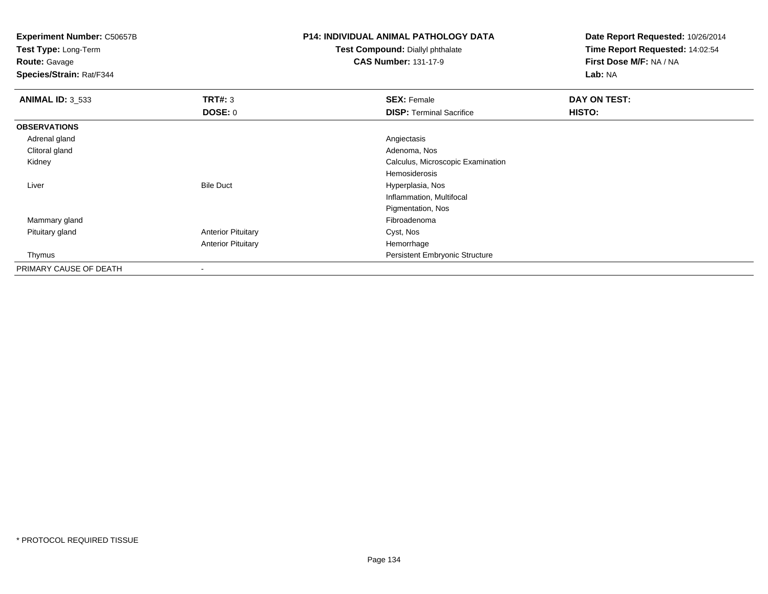**Test Type:** Long-Term**Route:** Gavage

**Species/Strain:** Rat/F344

## **P14: INDIVIDUAL ANIMAL PATHOLOGY DATA**

**Test Compound:** Diallyl phthalate**CAS Number:** 131-17-9

| <b>ANIMAL ID: 3_533</b> | TRT#: 3                   | <b>SEX: Female</b>                    | DAY ON TEST: |  |
|-------------------------|---------------------------|---------------------------------------|--------------|--|
|                         | DOSE: 0                   | <b>DISP: Terminal Sacrifice</b>       | HISTO:       |  |
| <b>OBSERVATIONS</b>     |                           |                                       |              |  |
| Adrenal gland           |                           | Angiectasis                           |              |  |
| Clitoral gland          |                           | Adenoma, Nos                          |              |  |
| Kidney                  |                           | Calculus, Microscopic Examination     |              |  |
|                         |                           | Hemosiderosis                         |              |  |
| Liver                   | <b>Bile Duct</b>          | Hyperplasia, Nos                      |              |  |
|                         |                           | Inflammation, Multifocal              |              |  |
|                         |                           | Pigmentation, Nos                     |              |  |
| Mammary gland           |                           | Fibroadenoma                          |              |  |
| Pituitary gland         | <b>Anterior Pituitary</b> | Cyst, Nos                             |              |  |
|                         | <b>Anterior Pituitary</b> | Hemorrhage                            |              |  |
| Thymus                  |                           | <b>Persistent Embryonic Structure</b> |              |  |
| PRIMARY CAUSE OF DEATH  | $\blacksquare$            |                                       |              |  |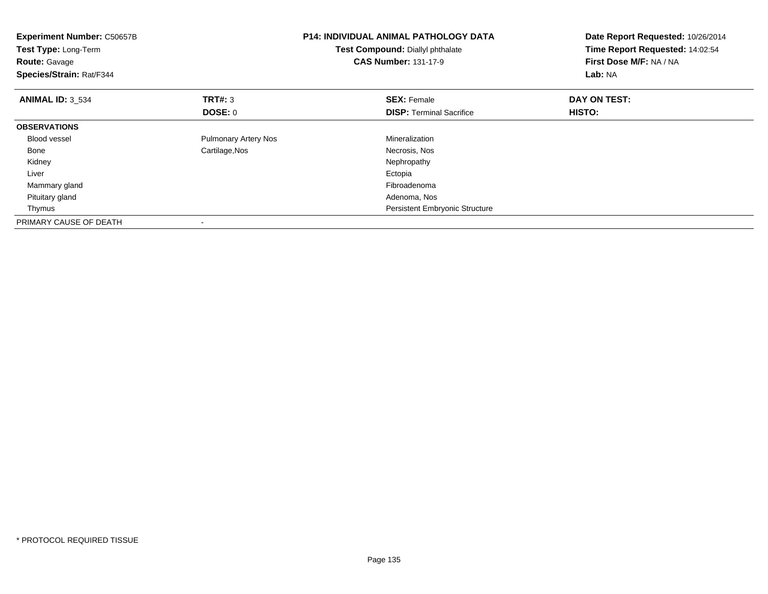| <b>Experiment Number: C50657B</b><br>Test Type: Long-Term<br><b>Route: Gavage</b><br>Species/Strain: Rat/F344 |                             | <b>P14: INDIVIDUAL ANIMAL PATHOLOGY DATA</b><br>Test Compound: Diallyl phthalate<br><b>CAS Number: 131-17-9</b> | Date Report Requested: 10/26/2014<br>Time Report Requested: 14:02:54<br>First Dose M/F: NA / NA<br>Lab: NA |
|---------------------------------------------------------------------------------------------------------------|-----------------------------|-----------------------------------------------------------------------------------------------------------------|------------------------------------------------------------------------------------------------------------|
| <b>ANIMAL ID: 3_534</b>                                                                                       | <b>TRT#: 3</b>              | <b>SEX: Female</b>                                                                                              | DAY ON TEST:                                                                                               |
|                                                                                                               | <b>DOSE: 0</b>              | <b>DISP:</b> Terminal Sacrifice                                                                                 | <b>HISTO:</b>                                                                                              |
| <b>OBSERVATIONS</b>                                                                                           |                             |                                                                                                                 |                                                                                                            |
| Blood vessel                                                                                                  | <b>Pulmonary Artery Nos</b> | Mineralization                                                                                                  |                                                                                                            |
| Bone                                                                                                          | Cartilage, Nos              | Necrosis, Nos                                                                                                   |                                                                                                            |
| Kidney                                                                                                        |                             | Nephropathy                                                                                                     |                                                                                                            |
| Liver                                                                                                         |                             | Ectopia                                                                                                         |                                                                                                            |
| Mammary gland                                                                                                 |                             | Fibroadenoma                                                                                                    |                                                                                                            |
| Pituitary gland                                                                                               |                             | Adenoma, Nos                                                                                                    |                                                                                                            |
| Thymus                                                                                                        |                             | <b>Persistent Embryonic Structure</b>                                                                           |                                                                                                            |
| PRIMARY CAUSE OF DEATH                                                                                        |                             |                                                                                                                 |                                                                                                            |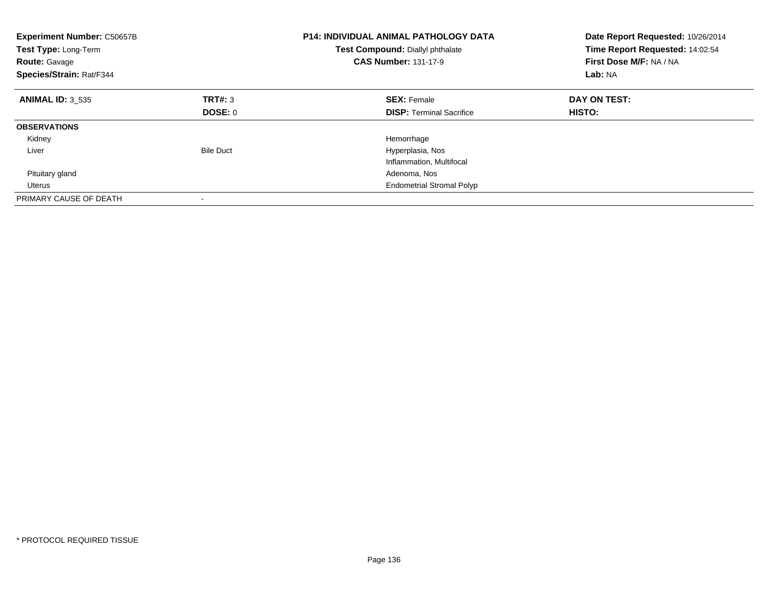| <b>Experiment Number: C50657B</b><br>Test Type: Long-Term<br><b>Route: Gavage</b><br>Species/Strain: Rat/F344 |                  | <b>P14: INDIVIDUAL ANIMAL PATHOLOGY DATA</b><br>Test Compound: Diallyl phthalate<br><b>CAS Number: 131-17-9</b> | Date Report Requested: 10/26/2014<br>Time Report Requested: 14:02:54<br>First Dose M/F: NA / NA<br>Lab: NA |  |
|---------------------------------------------------------------------------------------------------------------|------------------|-----------------------------------------------------------------------------------------------------------------|------------------------------------------------------------------------------------------------------------|--|
| <b>ANIMAL ID: 3 535</b>                                                                                       | TRT#: 3          | <b>SEX: Female</b>                                                                                              | DAY ON TEST:                                                                                               |  |
|                                                                                                               | DOSE: 0          | <b>DISP:</b> Terminal Sacrifice                                                                                 | HISTO:                                                                                                     |  |
| <b>OBSERVATIONS</b>                                                                                           |                  |                                                                                                                 |                                                                                                            |  |
| Kidney                                                                                                        |                  | Hemorrhage                                                                                                      |                                                                                                            |  |
| Liver                                                                                                         | <b>Bile Duct</b> | Hyperplasia, Nos                                                                                                |                                                                                                            |  |
|                                                                                                               |                  | Inflammation, Multifocal                                                                                        |                                                                                                            |  |
| Pituitary gland                                                                                               |                  | Adenoma, Nos                                                                                                    |                                                                                                            |  |
| Uterus                                                                                                        |                  | <b>Endometrial Stromal Polyp</b>                                                                                |                                                                                                            |  |
| PRIMARY CAUSE OF DEATH                                                                                        |                  |                                                                                                                 |                                                                                                            |  |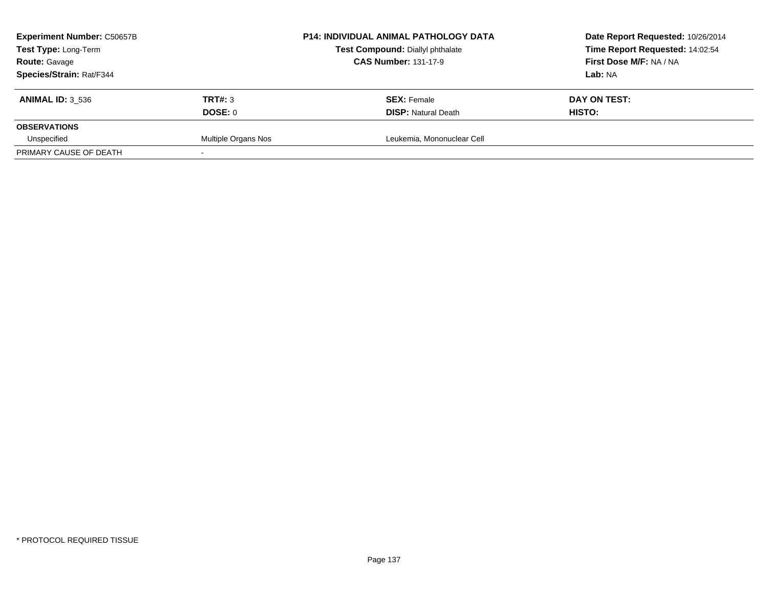| <b>Experiment Number: C50657B</b><br>Test Type: Long-Term<br><b>Route: Gavage</b> |                     | P14: INDIVIDUAL ANIMAL PATHOLOGY DATA   | Date Report Requested: 10/26/2014 |  |
|-----------------------------------------------------------------------------------|---------------------|-----------------------------------------|-----------------------------------|--|
|                                                                                   |                     | <b>Test Compound: Diallyl phthalate</b> | Time Report Requested: 14:02:54   |  |
|                                                                                   |                     | <b>CAS Number: 131-17-9</b>             | First Dose M/F: NA / NA           |  |
| Species/Strain: Rat/F344                                                          |                     |                                         | <b>Lab:</b> NA                    |  |
| <b>ANIMAL ID: 3 536</b>                                                           | <b>TRT#: 3</b>      | <b>SEX: Female</b>                      | DAY ON TEST:                      |  |
|                                                                                   | DOSE: 0             | <b>DISP: Natural Death</b>              | HISTO:                            |  |
| <b>OBSERVATIONS</b>                                                               |                     |                                         |                                   |  |
| Unspecified                                                                       | Multiple Organs Nos | Leukemia, Mononuclear Cell              |                                   |  |
| PRIMARY CAUSE OF DEATH                                                            |                     |                                         |                                   |  |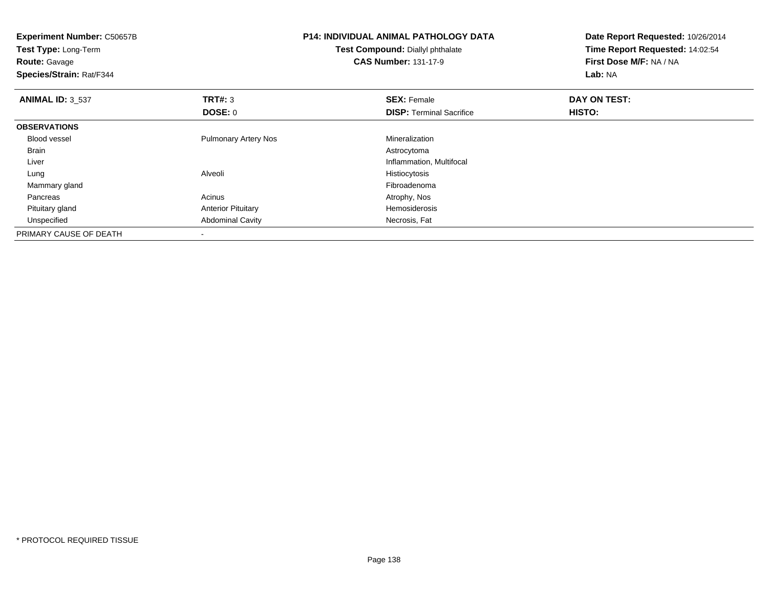| <b>Experiment Number: C50657B</b><br>Test Type: Long-Term<br><b>Route: Gavage</b><br>Species/Strain: Rat/F344 |                             | <b>P14: INDIVIDUAL ANIMAL PATHOLOGY DATA</b><br>Test Compound: Diallyl phthalate<br><b>CAS Number: 131-17-9</b> | Date Report Requested: 10/26/2014<br>Time Report Requested: 14:02:54<br>First Dose M/F: NA / NA<br>Lab: NA |
|---------------------------------------------------------------------------------------------------------------|-----------------------------|-----------------------------------------------------------------------------------------------------------------|------------------------------------------------------------------------------------------------------------|
| <b>ANIMAL ID: 3 537</b>                                                                                       | TRT#: 3                     | <b>SEX: Female</b>                                                                                              | DAY ON TEST:                                                                                               |
|                                                                                                               | DOSE: 0                     | <b>DISP: Terminal Sacrifice</b>                                                                                 | <b>HISTO:</b>                                                                                              |
| <b>OBSERVATIONS</b>                                                                                           |                             |                                                                                                                 |                                                                                                            |
| <b>Blood vessel</b>                                                                                           | <b>Pulmonary Artery Nos</b> | Mineralization                                                                                                  |                                                                                                            |
| Brain                                                                                                         |                             | Astrocytoma                                                                                                     |                                                                                                            |
| Liver                                                                                                         |                             | Inflammation, Multifocal                                                                                        |                                                                                                            |
| Lung                                                                                                          | Alveoli                     | Histiocytosis                                                                                                   |                                                                                                            |
| Mammary gland                                                                                                 |                             | Fibroadenoma                                                                                                    |                                                                                                            |
| Pancreas                                                                                                      | Acinus                      | Atrophy, Nos                                                                                                    |                                                                                                            |
| Pituitary gland                                                                                               | <b>Anterior Pituitary</b>   | Hemosiderosis                                                                                                   |                                                                                                            |
| Unspecified                                                                                                   | <b>Abdominal Cavity</b>     | Necrosis, Fat                                                                                                   |                                                                                                            |
| PRIMARY CAUSE OF DEATH                                                                                        |                             |                                                                                                                 |                                                                                                            |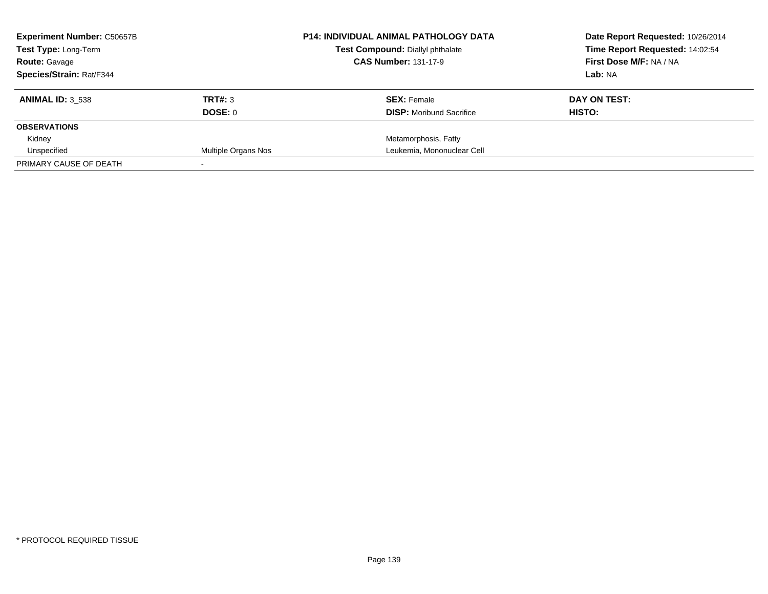| <b>Experiment Number: C50657B</b><br>Test Type: Long-Term<br><b>Route: Gavage</b> |                     | <b>P14: INDIVIDUAL ANIMAL PATHOLOGY DATA</b> | Date Report Requested: 10/26/2014 |  |
|-----------------------------------------------------------------------------------|---------------------|----------------------------------------------|-----------------------------------|--|
|                                                                                   |                     | Test Compound: Diallyl phthalate             | Time Report Requested: 14:02:54   |  |
|                                                                                   |                     | <b>CAS Number: 131-17-9</b>                  | First Dose M/F: NA / NA           |  |
| Species/Strain: Rat/F344                                                          |                     |                                              | Lab: NA                           |  |
| <b>ANIMAL ID: 3 538</b>                                                           | TRT#: 3             | <b>SEX: Female</b>                           | DAY ON TEST:                      |  |
|                                                                                   | DOSE: 0             | <b>DISP:</b> Moribund Sacrifice              | HISTO:                            |  |
| <b>OBSERVATIONS</b>                                                               |                     |                                              |                                   |  |
| Kidney                                                                            |                     | Metamorphosis, Fatty                         |                                   |  |
| Unspecified                                                                       | Multiple Organs Nos | Leukemia, Mononuclear Cell                   |                                   |  |
| PRIMARY CAUSE OF DEATH                                                            |                     |                                              |                                   |  |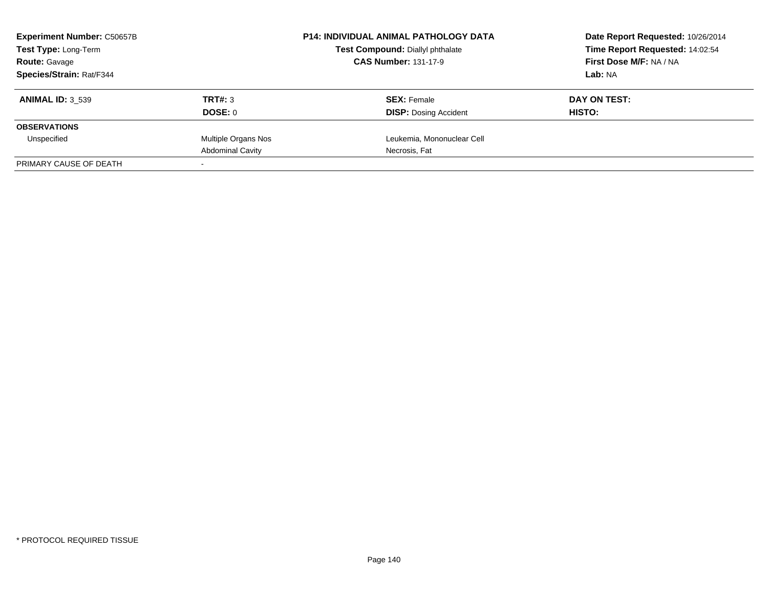| <b>Experiment Number: C50657B</b><br>Test Type: Long-Term<br><b>Route: Gavage</b><br>Species/Strain: Rat/F344 |                         | <b>P14: INDIVIDUAL ANIMAL PATHOLOGY DATA</b> | Date Report Requested: 10/26/2014                          |  |
|---------------------------------------------------------------------------------------------------------------|-------------------------|----------------------------------------------|------------------------------------------------------------|--|
|                                                                                                               |                         | Test Compound: Diallyl phthalate             | Time Report Requested: 14:02:54<br>First Dose M/F: NA / NA |  |
|                                                                                                               |                         | <b>CAS Number: 131-17-9</b>                  |                                                            |  |
|                                                                                                               |                         |                                              | Lab: NA                                                    |  |
| <b>ANIMAL ID: 3 539</b>                                                                                       | TRT#: 3                 | <b>SEX: Female</b>                           | DAY ON TEST:                                               |  |
|                                                                                                               | DOSE: 0                 | <b>DISP:</b> Dosing Accident                 | HISTO:                                                     |  |
| <b>OBSERVATIONS</b>                                                                                           |                         |                                              |                                                            |  |
| Unspecified                                                                                                   | Multiple Organs Nos     | Leukemia, Mononuclear Cell                   |                                                            |  |
|                                                                                                               | <b>Abdominal Cavity</b> | Necrosis, Fat                                |                                                            |  |
| PRIMARY CAUSE OF DEATH                                                                                        |                         |                                              |                                                            |  |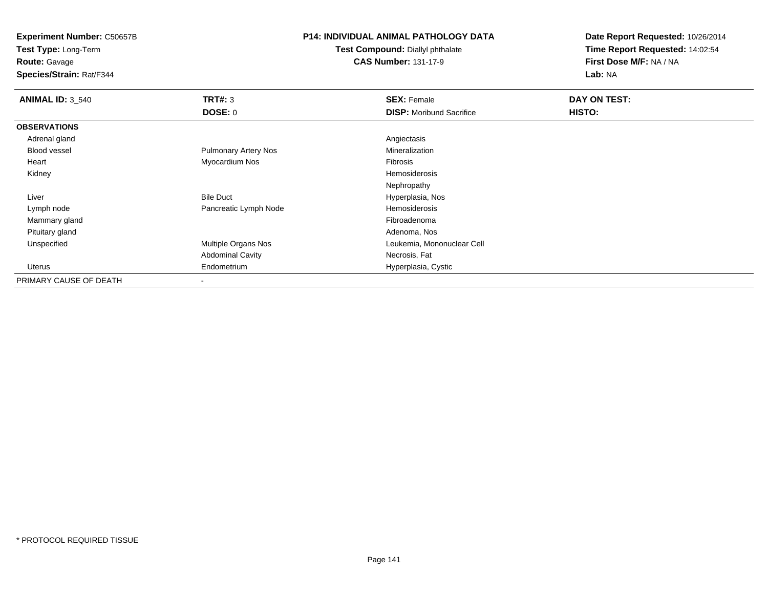**Test Type:** Long-Term

**Route:** Gavage

**Species/Strain:** Rat/F344

### **P14: INDIVIDUAL ANIMAL PATHOLOGY DATA**

**Test Compound:** Diallyl phthalate**CAS Number:** 131-17-9

| <b>ANIMAL ID: 3_540</b> | TRT#: 3                     | <b>SEX: Female</b>              | <b>DAY ON TEST:</b> |  |
|-------------------------|-----------------------------|---------------------------------|---------------------|--|
|                         | <b>DOSE: 0</b>              | <b>DISP:</b> Moribund Sacrifice | HISTO:              |  |
| <b>OBSERVATIONS</b>     |                             |                                 |                     |  |
| Adrenal gland           |                             | Angiectasis                     |                     |  |
| Blood vessel            | <b>Pulmonary Artery Nos</b> | Mineralization                  |                     |  |
| Heart                   | Myocardium Nos              | Fibrosis                        |                     |  |
| Kidney                  |                             | Hemosiderosis                   |                     |  |
|                         |                             | Nephropathy                     |                     |  |
| Liver                   | <b>Bile Duct</b>            | Hyperplasia, Nos                |                     |  |
| Lymph node              | Pancreatic Lymph Node       | Hemosiderosis                   |                     |  |
| Mammary gland           |                             | Fibroadenoma                    |                     |  |
| Pituitary gland         |                             | Adenoma, Nos                    |                     |  |
| Unspecified             | Multiple Organs Nos         | Leukemia, Mononuclear Cell      |                     |  |
|                         | <b>Abdominal Cavity</b>     | Necrosis, Fat                   |                     |  |
| Uterus                  | Endometrium                 | Hyperplasia, Cystic             |                     |  |
| PRIMARY CAUSE OF DEATH  | $\blacksquare$              |                                 |                     |  |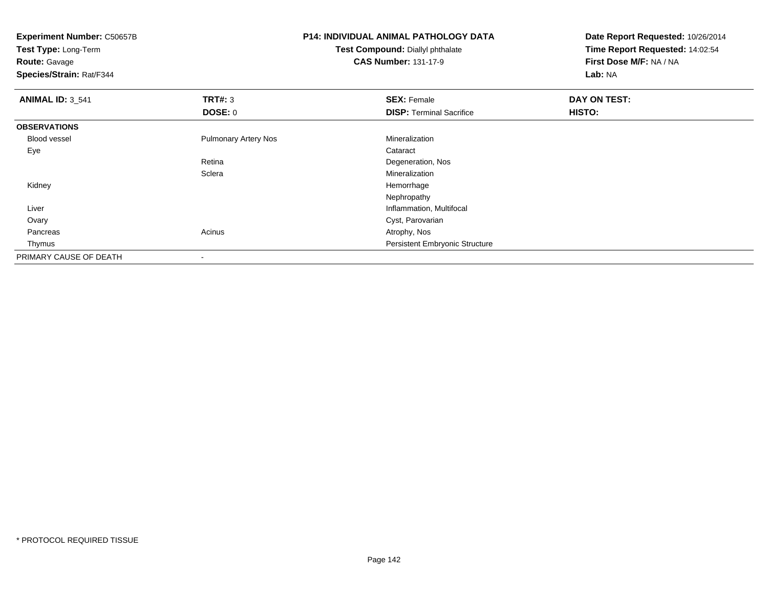**Experiment Number:** C50657B**Test Type:** Long-Term**Route:** Gavage **Species/Strain:** Rat/F344**P14: INDIVIDUAL ANIMAL PATHOLOGY DATATest Compound:** Diallyl phthalate**CAS Number:** 131-17-9**Date Report Requested:** 10/26/2014**Time Report Requested:** 14:02:54**First Dose M/F:** NA / NA**Lab:** NA**ANIMAL ID:** 3\_541**TRT#:** 3 **SEX:** Female **DAY ON TEST: DOSE:** 0**DISP:** Terminal Sacrifice **HISTO: OBSERVATIONS** Blood vessel Pulmonary Artery Nos Mineralization Eyee de la constitución de la constitución de la constitución de la constitución de la constitución de la constitución<br>En el constitución de la constitución de la constitución de la constitución de la constitución de la const Retina Degeneration, Nos **Sclera** Mineralization<br>Hemorrhage Kidneyy the control of the control of the control of the control of the control of the control of the control of the control of the control of the control of the control of the control of the control of the control of the contro Nephropathy**Inflammation, Multifocal**  Liver Ovary Cyst, Parovarian Pancreass and the contract of the contract of the contract of the contract of the contract  $\mathsf{A}$  at  $\mathsf{A}$  and  $\mathsf{A}$  and  $\mathsf{A}$  and  $\mathsf{A}$  and  $\mathsf{A}$  are contract of  $\mathsf{A}$  and  $\mathsf{A}$  and  $\mathsf{A}$  are contract of Thymus Persistent Embryonic StructurePRIMARY CAUSE OF DEATH-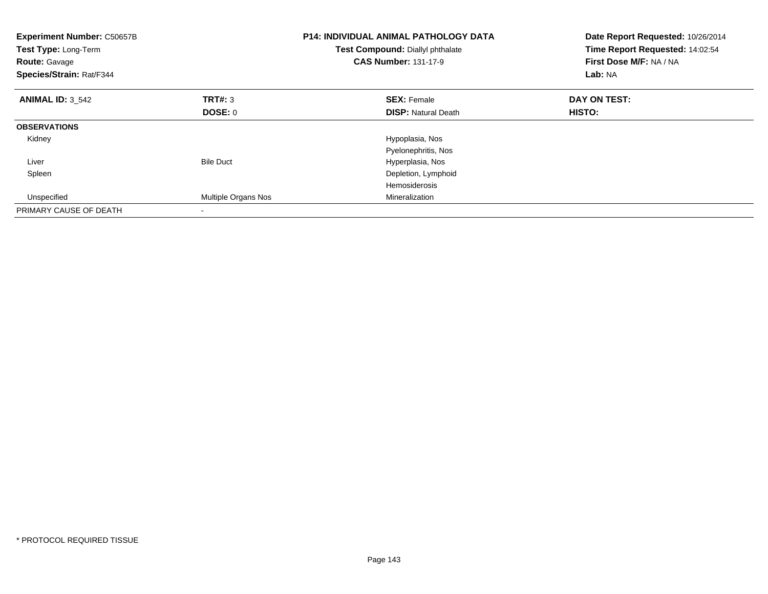| <b>Experiment Number: C50657B</b><br>Test Type: Long-Term<br><b>Route: Gavage</b><br>Species/Strain: Rat/F344 |                            | <b>P14: INDIVIDUAL ANIMAL PATHOLOGY DATA</b><br>Test Compound: Diallyl phthalate<br><b>CAS Number: 131-17-9</b> | Date Report Requested: 10/26/2014<br>Time Report Requested: 14:02:54<br>First Dose M/F: NA / NA<br>Lab: NA |  |
|---------------------------------------------------------------------------------------------------------------|----------------------------|-----------------------------------------------------------------------------------------------------------------|------------------------------------------------------------------------------------------------------------|--|
| <b>ANIMAL ID: 3 542</b>                                                                                       | TRT#: 3                    | <b>SEX: Female</b>                                                                                              | DAY ON TEST:                                                                                               |  |
|                                                                                                               | DOSE: 0                    | <b>DISP:</b> Natural Death                                                                                      | HISTO:                                                                                                     |  |
| <b>OBSERVATIONS</b>                                                                                           |                            |                                                                                                                 |                                                                                                            |  |
| Kidney                                                                                                        |                            | Hypoplasia, Nos                                                                                                 |                                                                                                            |  |
|                                                                                                               |                            | Pyelonephritis, Nos                                                                                             |                                                                                                            |  |
| Liver                                                                                                         | <b>Bile Duct</b>           | Hyperplasia, Nos                                                                                                |                                                                                                            |  |
| Spleen                                                                                                        |                            | Depletion, Lymphoid                                                                                             |                                                                                                            |  |
|                                                                                                               |                            | Hemosiderosis                                                                                                   |                                                                                                            |  |
| Unspecified                                                                                                   | <b>Multiple Organs Nos</b> | Mineralization                                                                                                  |                                                                                                            |  |
| PRIMARY CAUSE OF DEATH                                                                                        |                            |                                                                                                                 |                                                                                                            |  |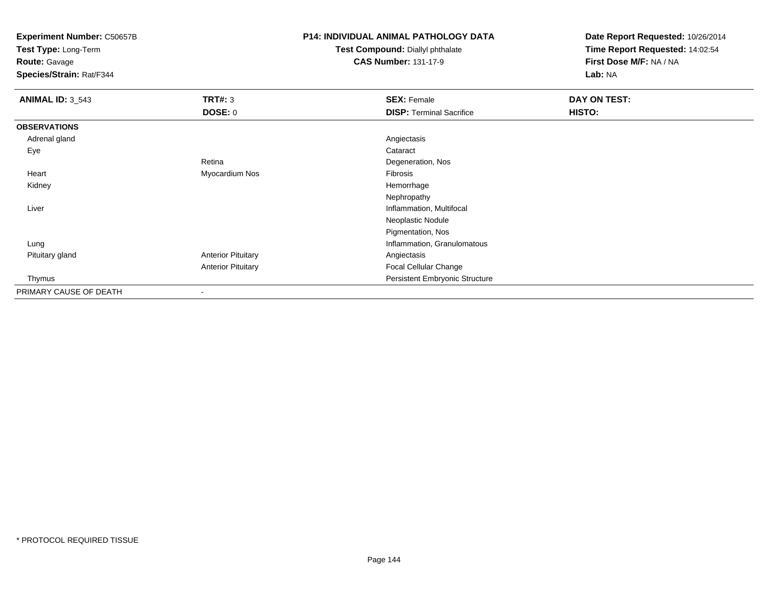**Test Type:** Long-Term

**Route:** Gavage

**Species/Strain:** Rat/F344

### **P14: INDIVIDUAL ANIMAL PATHOLOGY DATA**

**Test Compound:** Diallyl phthalate**CAS Number:** 131-17-9

| <b>ANIMAL ID: 3_543</b> | <b>TRT#: 3</b>            | <b>SEX: Female</b>              | <b>DAY ON TEST:</b> |  |
|-------------------------|---------------------------|---------------------------------|---------------------|--|
|                         | <b>DOSE: 0</b>            | <b>DISP: Terminal Sacrifice</b> | HISTO:              |  |
| <b>OBSERVATIONS</b>     |                           |                                 |                     |  |
| Adrenal gland           |                           | Angiectasis                     |                     |  |
| Eye                     |                           | Cataract                        |                     |  |
|                         | Retina                    | Degeneration, Nos               |                     |  |
| Heart                   | Myocardium Nos            | Fibrosis                        |                     |  |
| Kidney                  |                           | Hemorrhage                      |                     |  |
|                         |                           | Nephropathy                     |                     |  |
| Liver                   |                           | Inflammation, Multifocal        |                     |  |
|                         |                           | Neoplastic Nodule               |                     |  |
|                         |                           | Pigmentation, Nos               |                     |  |
| Lung                    |                           | Inflammation, Granulomatous     |                     |  |
| Pituitary gland         | <b>Anterior Pituitary</b> | Angiectasis                     |                     |  |
|                         | <b>Anterior Pituitary</b> | Focal Cellular Change           |                     |  |
| Thymus                  |                           | Persistent Embryonic Structure  |                     |  |
| PRIMARY CAUSE OF DEATH  |                           |                                 |                     |  |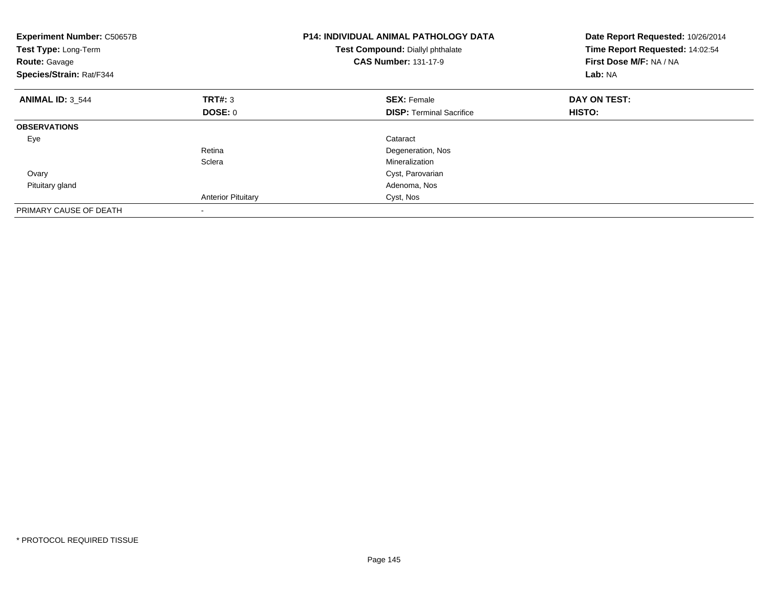| <b>Experiment Number: C50657B</b><br>Test Type: Long-Term<br><b>Route: Gavage</b><br>Species/Strain: Rat/F344 |                           | P14: INDIVIDUAL ANIMAL PATHOLOGY DATA<br>Test Compound: Diallyl phthalate<br><b>CAS Number: 131-17-9</b> | Date Report Requested: 10/26/2014<br>Time Report Requested: 14:02:54<br>First Dose M/F: NA / NA<br>Lab: NA |
|---------------------------------------------------------------------------------------------------------------|---------------------------|----------------------------------------------------------------------------------------------------------|------------------------------------------------------------------------------------------------------------|
| <b>ANIMAL ID: 3 544</b>                                                                                       | TRT#: 3                   | <b>SEX: Female</b>                                                                                       | DAY ON TEST:                                                                                               |
|                                                                                                               | DOSE: 0                   | <b>DISP:</b> Terminal Sacrifice                                                                          | HISTO:                                                                                                     |
| <b>OBSERVATIONS</b>                                                                                           |                           |                                                                                                          |                                                                                                            |
| Eye                                                                                                           |                           | Cataract                                                                                                 |                                                                                                            |
|                                                                                                               | Retina                    | Degeneration, Nos                                                                                        |                                                                                                            |
|                                                                                                               | Sclera                    | Mineralization                                                                                           |                                                                                                            |
| Ovary                                                                                                         |                           | Cyst, Parovarian                                                                                         |                                                                                                            |
| Pituitary gland                                                                                               |                           | Adenoma, Nos                                                                                             |                                                                                                            |
|                                                                                                               | <b>Anterior Pituitary</b> | Cyst, Nos                                                                                                |                                                                                                            |
| PRIMARY CAUSE OF DEATH                                                                                        |                           |                                                                                                          |                                                                                                            |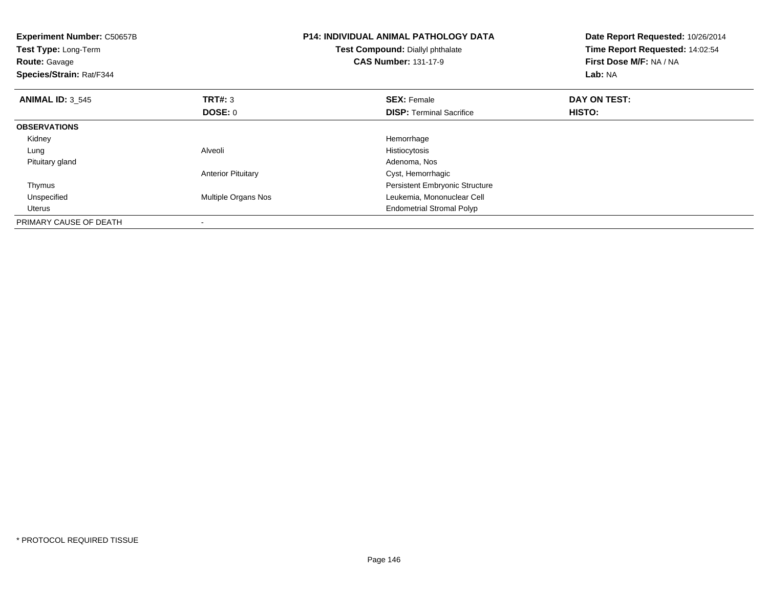| <b>Experiment Number: C50657B</b><br>Test Type: Long-Term<br><b>Route: Gavage</b><br>Species/Strain: Rat/F344 |                           | <b>P14: INDIVIDUAL ANIMAL PATHOLOGY DATA</b><br>Date Report Requested: 10/26/2014<br>Time Report Requested: 14:02:54<br>Test Compound: Diallyl phthalate<br><b>CAS Number: 131-17-9</b><br>First Dose M/F: NA / NA<br>Lab: NA |              |
|---------------------------------------------------------------------------------------------------------------|---------------------------|-------------------------------------------------------------------------------------------------------------------------------------------------------------------------------------------------------------------------------|--------------|
| <b>ANIMAL ID: 3 545</b>                                                                                       | TRT#: 3                   | <b>SEX: Female</b>                                                                                                                                                                                                            | DAY ON TEST: |
|                                                                                                               | DOSE: 0                   | <b>DISP:</b> Terminal Sacrifice                                                                                                                                                                                               | HISTO:       |
| <b>OBSERVATIONS</b>                                                                                           |                           |                                                                                                                                                                                                                               |              |
| Kidney                                                                                                        |                           | Hemorrhage                                                                                                                                                                                                                    |              |
| Lung                                                                                                          | Alveoli                   | Histiocytosis                                                                                                                                                                                                                 |              |
| Pituitary gland                                                                                               |                           | Adenoma, Nos                                                                                                                                                                                                                  |              |
|                                                                                                               | <b>Anterior Pituitary</b> | Cyst, Hemorrhagic                                                                                                                                                                                                             |              |
| Thymus                                                                                                        |                           | <b>Persistent Embryonic Structure</b>                                                                                                                                                                                         |              |
| Unspecified                                                                                                   | Multiple Organs Nos       | Leukemia, Mononuclear Cell                                                                                                                                                                                                    |              |
| Uterus                                                                                                        |                           | <b>Endometrial Stromal Polyp</b>                                                                                                                                                                                              |              |
| PRIMARY CAUSE OF DEATH                                                                                        |                           |                                                                                                                                                                                                                               |              |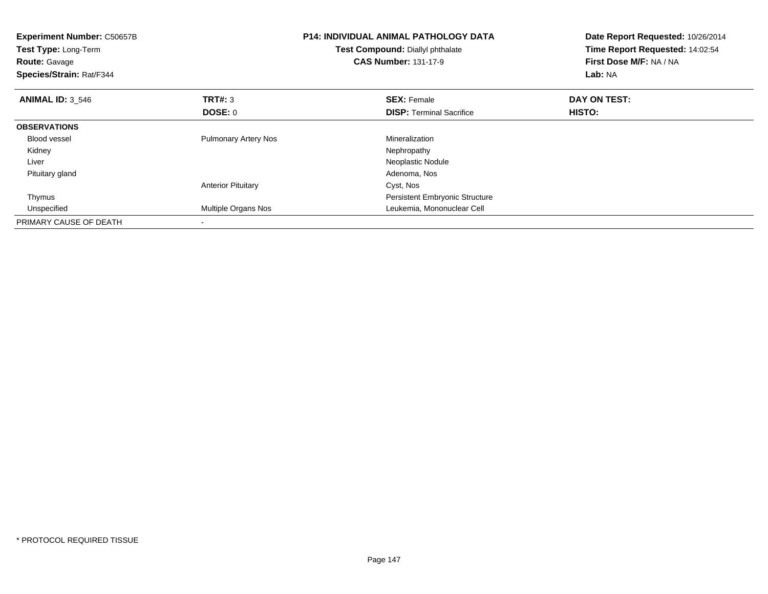| <b>Experiment Number: C50657B</b><br>Test Type: Long-Term<br><b>Route: Gavage</b><br>Species/Strain: Rat/F344 |                             | <b>P14: INDIVIDUAL ANIMAL PATHOLOGY DATA</b><br>Test Compound: Diallyl phthalate<br><b>CAS Number: 131-17-9</b> | Date Report Requested: 10/26/2014<br>Time Report Requested: 14:02:54<br>First Dose M/F: NA / NA<br>Lab: NA |  |
|---------------------------------------------------------------------------------------------------------------|-----------------------------|-----------------------------------------------------------------------------------------------------------------|------------------------------------------------------------------------------------------------------------|--|
| <b>ANIMAL ID: 3 546</b>                                                                                       | <b>TRT#: 3</b>              | <b>SEX: Female</b>                                                                                              | DAY ON TEST:                                                                                               |  |
|                                                                                                               | DOSE: 0                     | <b>DISP:</b> Terminal Sacrifice                                                                                 | <b>HISTO:</b>                                                                                              |  |
| <b>OBSERVATIONS</b>                                                                                           |                             |                                                                                                                 |                                                                                                            |  |
| Blood vessel                                                                                                  | <b>Pulmonary Artery Nos</b> | Mineralization                                                                                                  |                                                                                                            |  |
| Kidney                                                                                                        |                             | Nephropathy                                                                                                     |                                                                                                            |  |
| Liver                                                                                                         |                             | Neoplastic Nodule                                                                                               |                                                                                                            |  |
| Pituitary gland                                                                                               |                             | Adenoma, Nos                                                                                                    |                                                                                                            |  |
|                                                                                                               | <b>Anterior Pituitary</b>   | Cyst, Nos                                                                                                       |                                                                                                            |  |
| Thymus                                                                                                        |                             | Persistent Embryonic Structure                                                                                  |                                                                                                            |  |
| Unspecified                                                                                                   | Multiple Organs Nos         | Leukemia, Mononuclear Cell                                                                                      |                                                                                                            |  |
| PRIMARY CAUSE OF DEATH                                                                                        |                             |                                                                                                                 |                                                                                                            |  |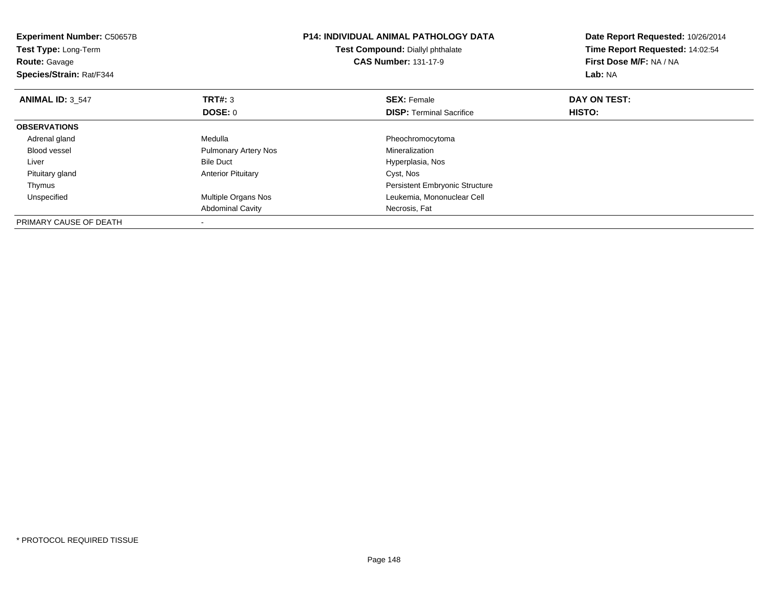| <b>Experiment Number: C50657B</b><br>Test Type: Long-Term<br><b>Route: Gavage</b><br>Species/Strain: Rat/F344 |                             | <b>P14: INDIVIDUAL ANIMAL PATHOLOGY DATA</b><br>Test Compound: Diallyl phthalate<br><b>CAS Number: 131-17-9</b> | Date Report Requested: 10/26/2014<br>Time Report Requested: 14:02:54<br>First Dose M/F: NA / NA<br>Lab: NA |  |
|---------------------------------------------------------------------------------------------------------------|-----------------------------|-----------------------------------------------------------------------------------------------------------------|------------------------------------------------------------------------------------------------------------|--|
| <b>ANIMAL ID: 3 547</b>                                                                                       | <b>TRT#: 3</b>              | <b>SEX: Female</b>                                                                                              | DAY ON TEST:                                                                                               |  |
|                                                                                                               | DOSE: 0                     | <b>DISP:</b> Terminal Sacrifice                                                                                 | HISTO:                                                                                                     |  |
| <b>OBSERVATIONS</b>                                                                                           |                             |                                                                                                                 |                                                                                                            |  |
| Adrenal gland                                                                                                 | Medulla                     | Pheochromocytoma                                                                                                |                                                                                                            |  |
| <b>Blood vessel</b>                                                                                           | <b>Pulmonary Artery Nos</b> | Mineralization                                                                                                  |                                                                                                            |  |
| Liver                                                                                                         | <b>Bile Duct</b>            | Hyperplasia, Nos                                                                                                |                                                                                                            |  |
| Pituitary gland                                                                                               | <b>Anterior Pituitary</b>   | Cyst, Nos                                                                                                       |                                                                                                            |  |
| Thymus                                                                                                        |                             | <b>Persistent Embryonic Structure</b>                                                                           |                                                                                                            |  |
| Unspecified                                                                                                   | Multiple Organs Nos         | Leukemia, Mononuclear Cell                                                                                      |                                                                                                            |  |
|                                                                                                               | <b>Abdominal Cavity</b>     | Necrosis, Fat                                                                                                   |                                                                                                            |  |
| PRIMARY CAUSE OF DEATH                                                                                        |                             |                                                                                                                 |                                                                                                            |  |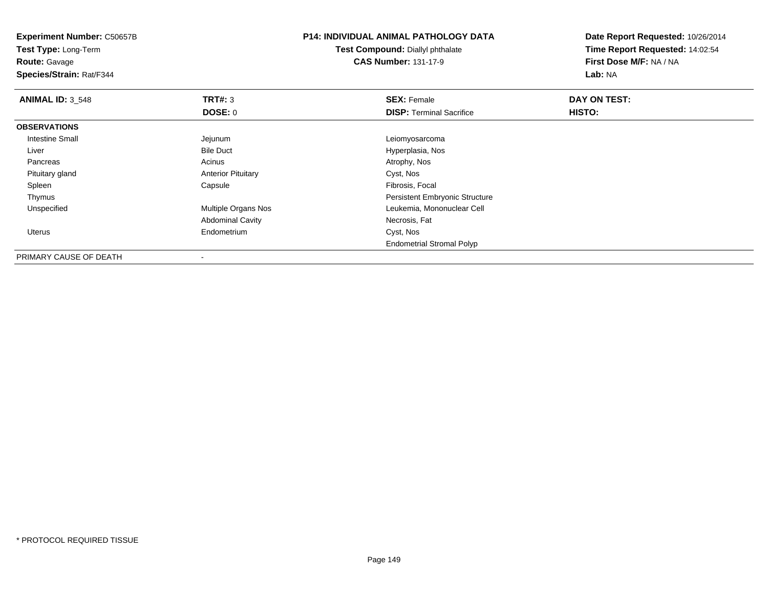**Experiment Number:** C50657B**Test Type:** Long-Term**Route:** Gavage **Species/Strain:** Rat/F344**P14: INDIVIDUAL ANIMAL PATHOLOGY DATATest Compound:** Diallyl phthalate**CAS Number:** 131-17-9**Date Report Requested:** 10/26/2014**Time Report Requested:** 14:02:54**First Dose M/F:** NA / NA**Lab:** NA**ANIMAL ID:** 3\_548**REX:** Female **DAY ON TEST: SEX:** Female **SEX:** Female **DOSE:** 0**DISP:** Terminal Sacrifice **HISTO: OBSERVATIONS** Intestine Small Jejunum Leiomyosarcoma LiverHyperplasia, Nos Pancreass and the contract of the contract of the contract of the contract of the contract  $\mathsf{A}$  at  $\mathsf{A}$  and  $\mathsf{A}$  and  $\mathsf{A}$  and  $\mathsf{A}$  and  $\mathsf{A}$  are contract of  $\mathsf{A}$  and  $\mathsf{A}$  and  $\mathsf{A}$  are contract of Pituitary glandAnterior Pituitary Cyst, Nos<br>
Capsule Capsule Capsule Capsule Capsule Capsule Capsule Capsulary<br>
Cyst, Nos Spleenn and the capsule Capsule Capsule and the Fibrosis, Focal set of the Fibrosis, Focal set of the Capsule of the  $\Gamma$  ThymusPersistent Embryonic Structure<br>Multiple Organs Nos **Exercía Exercía Exercía Exercía Exercía Exercía Exercía Exercía Exercía Exercía Exercía E**  UnspecifiedLeukemia, Mononuclear Cell Abdominal Cavity Necrosis, Fat Uterus Endometrium Cyst, Nos Endometrial Stromal Polyp

PRIMARY CAUSE OF DEATH-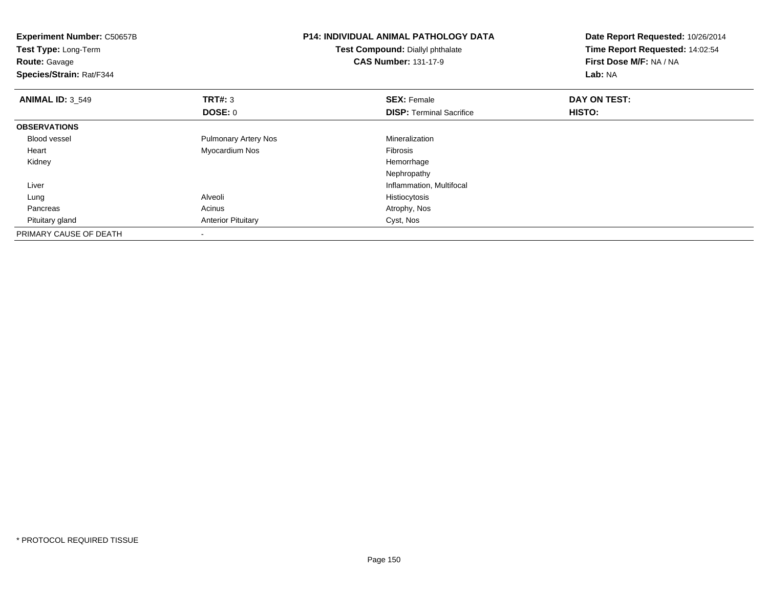| <b>Experiment Number: C50657B</b><br>Test Type: Long-Term<br><b>Route: Gavage</b><br>Species/Strain: Rat/F344 |                             | <b>P14: INDIVIDUAL ANIMAL PATHOLOGY DATA</b><br>Test Compound: Diallyl phthalate<br><b>CAS Number: 131-17-9</b> | Date Report Requested: 10/26/2014<br>Time Report Requested: 14:02:54<br>First Dose M/F: NA / NA<br>Lab: NA |
|---------------------------------------------------------------------------------------------------------------|-----------------------------|-----------------------------------------------------------------------------------------------------------------|------------------------------------------------------------------------------------------------------------|
| <b>ANIMAL ID: 3 549</b>                                                                                       | <b>TRT#: 3</b>              | <b>SEX: Female</b>                                                                                              | DAY ON TEST:                                                                                               |
|                                                                                                               | <b>DOSE: 0</b>              | <b>DISP:</b> Terminal Sacrifice                                                                                 | HISTO:                                                                                                     |
| <b>OBSERVATIONS</b>                                                                                           |                             |                                                                                                                 |                                                                                                            |
| <b>Blood vessel</b>                                                                                           | <b>Pulmonary Artery Nos</b> | Mineralization                                                                                                  |                                                                                                            |
| Heart                                                                                                         | Myocardium Nos              | Fibrosis                                                                                                        |                                                                                                            |
| Kidney                                                                                                        |                             | Hemorrhage                                                                                                      |                                                                                                            |
|                                                                                                               |                             | Nephropathy                                                                                                     |                                                                                                            |
| Liver                                                                                                         |                             | Inflammation, Multifocal                                                                                        |                                                                                                            |
| Lung                                                                                                          | Alveoli                     | Histiocytosis                                                                                                   |                                                                                                            |
| Pancreas                                                                                                      | Acinus                      | Atrophy, Nos                                                                                                    |                                                                                                            |
| Pituitary gland                                                                                               | <b>Anterior Pituitary</b>   | Cyst, Nos                                                                                                       |                                                                                                            |
| PRIMARY CAUSE OF DEATH                                                                                        |                             |                                                                                                                 |                                                                                                            |